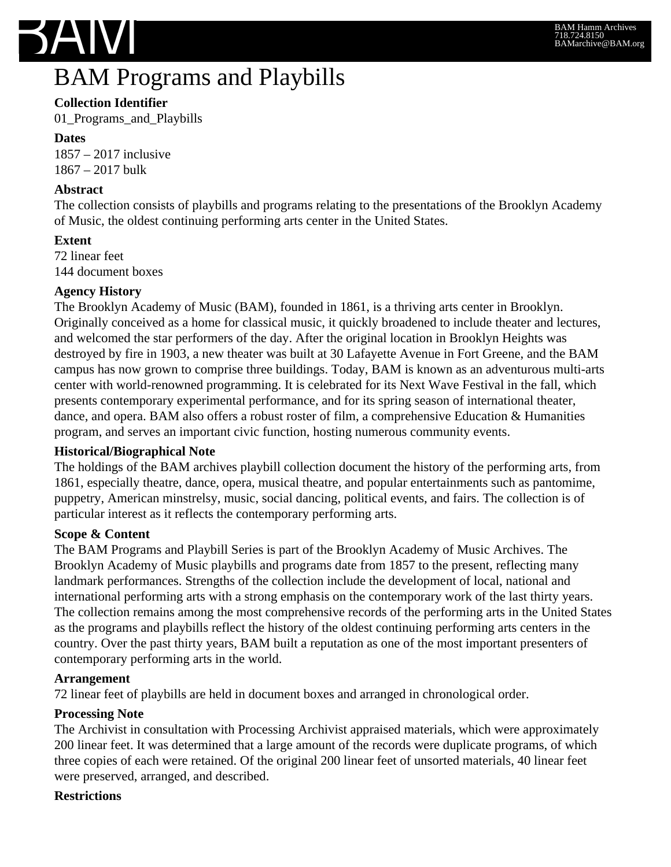

## BAM Programs and Playbills

## **Collection Identifier**

01\_Programs\_and\_Playbills

**Dates** 1857 – 2017 inclusive 1867 – 2017 bulk

## **Abstract**

The collection consists of playbills and programs relating to the presentations of the Brooklyn Academy of Music, the oldest continuing performing arts center in the United States.

## **Extent**

72 linear feet 144 document boxes

## **Agency History**

The Brooklyn Academy of Music (BAM), founded in 1861, is a thriving arts center in Brooklyn. Originally conceived as a home for classical music, it quickly broadened to include theater and lectures, and welcomed the star performers of the day. After the original location in Brooklyn Heights was destroyed by fire in 1903, a new theater was built at 30 Lafayette Avenue in Fort Greene, and the BAM campus has now grown to comprise three buildings. Today, BAM is known as an adventurous multi-arts center with world-renowned programming. It is celebrated for its Next Wave Festival in the fall, which presents contemporary experimental performance, and for its spring season of international theater, dance, and opera. BAM also offers a robust roster of film, a comprehensive Education & Humanities program, and serves an important civic function, hosting numerous community events.

## **Historical/Biographical Note**

The holdings of the BAM archives playbill collection document the history of the performing arts, from 1861, especially theatre, dance, opera, musical theatre, and popular entertainments such as pantomime, puppetry, American minstrelsy, music, social dancing, political events, and fairs. The collection is of particular interest as it reflects the contemporary performing arts.

## **Scope & Content**

The BAM Programs and Playbill Series is part of the Brooklyn Academy of Music Archives. The Brooklyn Academy of Music playbills and programs date from 1857 to the present, reflecting many landmark performances. Strengths of the collection include the development of local, national and international performing arts with a strong emphasis on the contemporary work of the last thirty years. The collection remains among the most comprehensive records of the performing arts in the United States as the programs and playbills reflect the history of the oldest continuing performing arts centers in the country. Over the past thirty years, BAM built a reputation as one of the most important presenters of contemporary performing arts in the world.

## **Arrangement**

72 linear feet of playbills are held in document boxes and arranged in chronological order.

## **Processing Note**

The Archivist in consultation with Processing Archivist appraised materials, which were approximately 200 linear feet. It was determined that a large amount of the records were duplicate programs, of which three copies of each were retained. Of the original 200 linear feet of unsorted materials, 40 linear feet were preserved, arranged, and described.

## **Restrictions**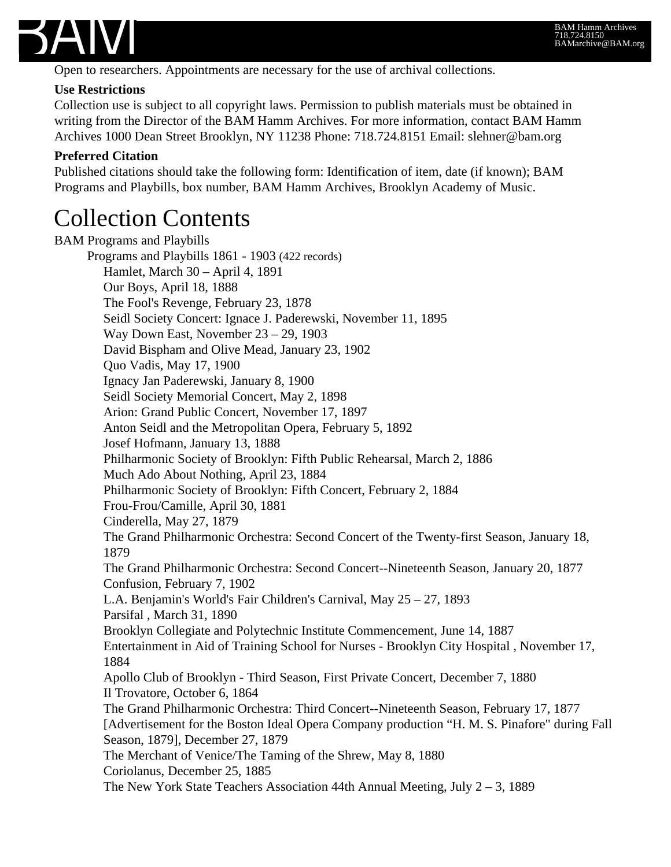

Open to researchers. Appointments are necessary for the use of archival collections.

#### **Use Restrictions**

Collection use is subject to all copyright laws. Permission to publish materials must be obtained in writing from the Director of the BAM Hamm Archives. For more information, contact BAM Hamm Archives 1000 Dean Street Brooklyn, NY 11238 Phone: 718.724.8151 Email: slehner@bam.org

#### **Preferred Citation**

Published citations should take the following form: Identification of item, date (if known); BAM Programs and Playbills, box number, BAM Hamm Archives, Brooklyn Academy of Music.

## Collection Contents

BAM Programs and Playbills Programs and Playbills 1861 - 1903 (422 records) Hamlet, March 30 – April 4, 1891 Our Boys, April 18, 1888 The Fool's Revenge, February 23, 1878 Seidl Society Concert: Ignace J. Paderewski, November 11, 1895 Way Down East, November 23 – 29, 1903 David Bispham and Olive Mead, January 23, 1902 Quo Vadis, May 17, 1900 Ignacy Jan Paderewski, January 8, 1900 Seidl Society Memorial Concert, May 2, 1898 Arion: Grand Public Concert, November 17, 1897 Anton Seidl and the Metropolitan Opera, February 5, 1892 Josef Hofmann, January 13, 1888 Philharmonic Society of Brooklyn: Fifth Public Rehearsal, March 2, 1886 Much Ado About Nothing, April 23, 1884 Philharmonic Society of Brooklyn: Fifth Concert, February 2, 1884 Frou-Frou/Camille, April 30, 1881 Cinderella, May 27, 1879 The Grand Philharmonic Orchestra: Second Concert of the Twenty-first Season, January 18, 1879 The Grand Philharmonic Orchestra: Second Concert--Nineteenth Season, January 20, 1877 Confusion, February 7, 1902 L.A. Benjamin's World's Fair Children's Carnival, May 25 – 27, 1893 Parsifal , March 31, 1890 Brooklyn Collegiate and Polytechnic Institute Commencement, June 14, 1887 Entertainment in Aid of Training School for Nurses - Brooklyn City Hospital , November 17, 1884 Apollo Club of Brooklyn - Third Season, First Private Concert, December 7, 1880 Il Trovatore, October 6, 1864 The Grand Philharmonic Orchestra: Third Concert--Nineteenth Season, February 17, 1877 [Advertisement for the Boston Ideal Opera Company production "H. M. S. Pinafore" during Fall Season, 1879], December 27, 1879 The Merchant of Venice/The Taming of the Shrew, May 8, 1880 Coriolanus, December 25, 1885 The New York State Teachers Association 44th Annual Meeting, July  $2 - 3$ , 1889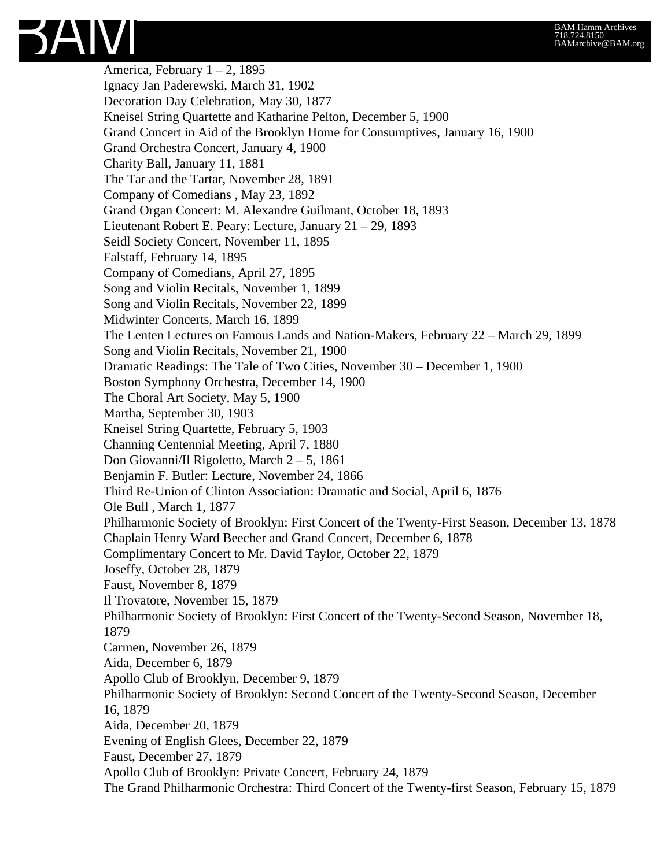

America, February  $1 - 2$ , 1895 Ignacy Jan Paderewski, March 31, 1902 Decoration Day Celebration, May 30, 1877 Kneisel String Quartette and Katharine Pelton, December 5, 1900 Grand Concert in Aid of the Brooklyn Home for Consumptives, January 16, 1900 Grand Orchestra Concert, January 4, 1900 Charity Ball, January 11, 1881 The Tar and the Tartar, November 28, 1891 Company of Comedians , May 23, 1892 Grand Organ Concert: M. Alexandre Guilmant, October 18, 1893 Lieutenant Robert E. Peary: Lecture, January 21 – 29, 1893 Seidl Society Concert, November 11, 1895 Falstaff, February 14, 1895 Company of Comedians, April 27, 1895 Song and Violin Recitals, November 1, 1899 Song and Violin Recitals, November 22, 1899 Midwinter Concerts, March 16, 1899 The Lenten Lectures on Famous Lands and Nation-Makers, February 22 – March 29, 1899 Song and Violin Recitals, November 21, 1900 Dramatic Readings: The Tale of Two Cities, November 30 – December 1, 1900 Boston Symphony Orchestra, December 14, 1900 The Choral Art Society, May 5, 1900 Martha, September 30, 1903 Kneisel String Quartette, February 5, 1903 Channing Centennial Meeting, April 7, 1880 Don Giovanni/Il Rigoletto, March 2 – 5, 1861 Benjamin F. Butler: Lecture, November 24, 1866 Third Re-Union of Clinton Association: Dramatic and Social, April 6, 1876 Ole Bull , March 1, 1877 Philharmonic Society of Brooklyn: First Concert of the Twenty-First Season, December 13, 1878 Chaplain Henry Ward Beecher and Grand Concert, December 6, 1878 Complimentary Concert to Mr. David Taylor, October 22, 1879 Joseffy, October 28, 1879 Faust, November 8, 1879 Il Trovatore, November 15, 1879 Philharmonic Society of Brooklyn: First Concert of the Twenty-Second Season, November 18, 1879 Carmen, November 26, 1879 Aida, December 6, 1879 Apollo Club of Brooklyn, December 9, 1879 Philharmonic Society of Brooklyn: Second Concert of the Twenty-Second Season, December 16, 1879 Aida, December 20, 1879 Evening of English Glees, December 22, 1879 Faust, December 27, 1879 Apollo Club of Brooklyn: Private Concert, February 24, 1879 The Grand Philharmonic Orchestra: Third Concert of the Twenty-first Season, February 15, 1879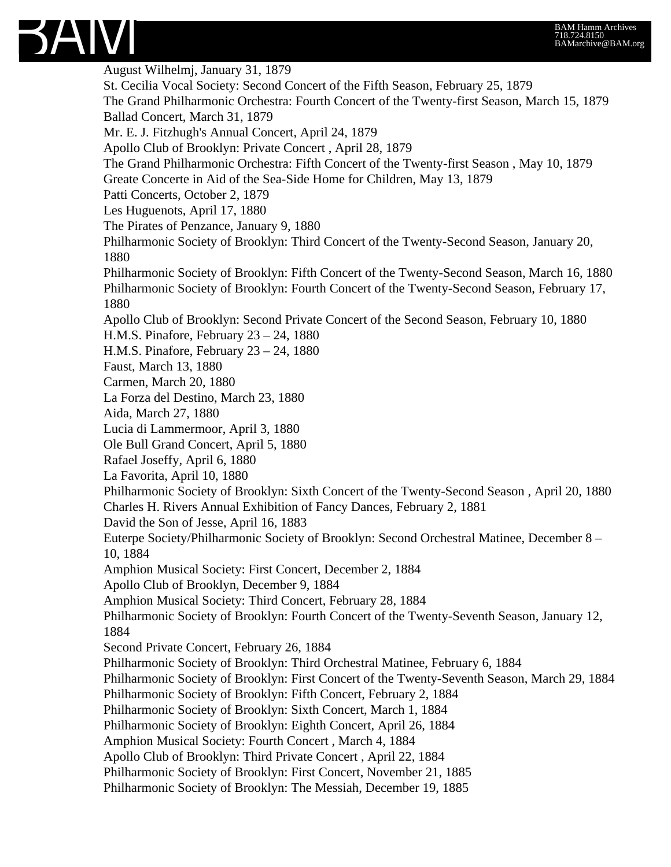August Wilhelmj, January 31, 1879 St. Cecilia Vocal Society: Second Concert of the Fifth Season, February 25, 1879 The Grand Philharmonic Orchestra: Fourth Concert of the Twenty-first Season, March 15, 1879 Ballad Concert, March 31, 1879 Mr. E. J. Fitzhugh's Annual Concert, April 24, 1879 Apollo Club of Brooklyn: Private Concert , April 28, 1879 The Grand Philharmonic Orchestra: Fifth Concert of the Twenty-first Season , May 10, 1879 Greate Concerte in Aid of the Sea-Side Home for Children, May 13, 1879 Patti Concerts, October 2, 1879 Les Huguenots, April 17, 1880 The Pirates of Penzance, January 9, 1880 Philharmonic Society of Brooklyn: Third Concert of the Twenty-Second Season, January 20, 1880 Philharmonic Society of Brooklyn: Fifth Concert of the Twenty-Second Season, March 16, 1880 Philharmonic Society of Brooklyn: Fourth Concert of the Twenty-Second Season, February 17, 1880 Apollo Club of Brooklyn: Second Private Concert of the Second Season, February 10, 1880 H.M.S. Pinafore, February 23 – 24, 1880 H.M.S. Pinafore, February 23 – 24, 1880 Faust, March 13, 1880 Carmen, March 20, 1880 La Forza del Destino, March 23, 1880 Aida, March 27, 1880 Lucia di Lammermoor, April 3, 1880 Ole Bull Grand Concert, April 5, 1880 Rafael Joseffy, April 6, 1880 La Favorita, April 10, 1880 Philharmonic Society of Brooklyn: Sixth Concert of the Twenty-Second Season , April 20, 1880 Charles H. Rivers Annual Exhibition of Fancy Dances, February 2, 1881 David the Son of Jesse, April 16, 1883 Euterpe Society/Philharmonic Society of Brooklyn: Second Orchestral Matinee, December 8 – 10, 1884 Amphion Musical Society: First Concert, December 2, 1884 Apollo Club of Brooklyn, December 9, 1884 Amphion Musical Society: Third Concert, February 28, 1884 Philharmonic Society of Brooklyn: Fourth Concert of the Twenty-Seventh Season, January 12, 1884 Second Private Concert, February 26, 1884 Philharmonic Society of Brooklyn: Third Orchestral Matinee, February 6, 1884 Philharmonic Society of Brooklyn: First Concert of the Twenty-Seventh Season, March 29, 1884 Philharmonic Society of Brooklyn: Fifth Concert, February 2, 1884 Philharmonic Society of Brooklyn: Sixth Concert, March 1, 1884 Philharmonic Society of Brooklyn: Eighth Concert, April 26, 1884 Amphion Musical Society: Fourth Concert , March 4, 1884 Apollo Club of Brooklyn: Third Private Concert , April 22, 1884 Philharmonic Society of Brooklyn: First Concert, November 21, 1885 Philharmonic Society of Brooklyn: The Messiah, December 19, 1885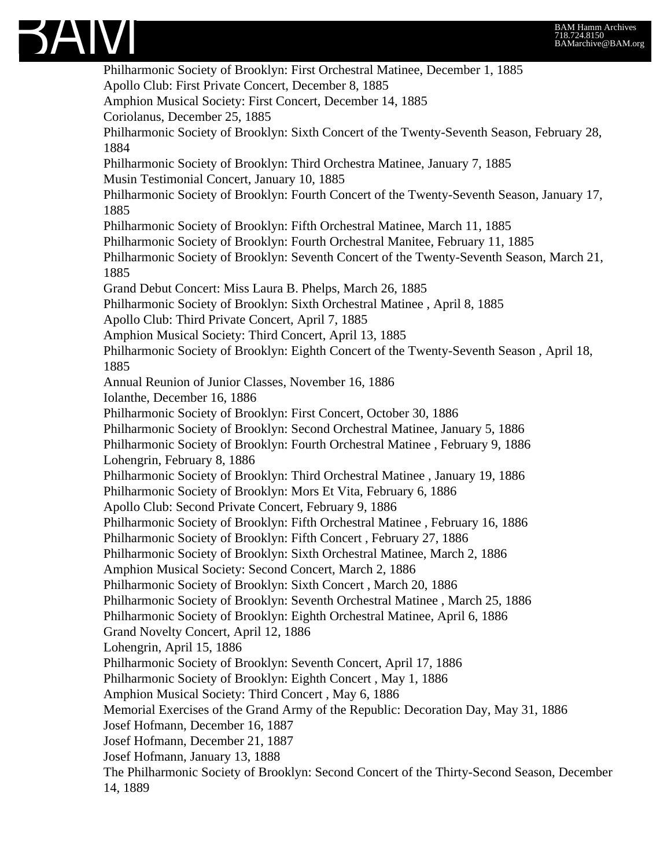

Philharmonic Society of Brooklyn: First Orchestral Matinee, December 1, 1885 Apollo Club: First Private Concert, December 8, 1885 Amphion Musical Society: First Concert, December 14, 1885 Coriolanus, December 25, 1885 Philharmonic Society of Brooklyn: Sixth Concert of the Twenty-Seventh Season, February 28, 1884 Philharmonic Society of Brooklyn: Third Orchestra Matinee, January 7, 1885 Musin Testimonial Concert, January 10, 1885 Philharmonic Society of Brooklyn: Fourth Concert of the Twenty-Seventh Season, January 17, 1885 Philharmonic Society of Brooklyn: Fifth Orchestral Matinee, March 11, 1885 Philharmonic Society of Brooklyn: Fourth Orchestral Manitee, February 11, 1885 Philharmonic Society of Brooklyn: Seventh Concert of the Twenty-Seventh Season, March 21, 1885 Grand Debut Concert: Miss Laura B. Phelps, March 26, 1885 Philharmonic Society of Brooklyn: Sixth Orchestral Matinee , April 8, 1885 Apollo Club: Third Private Concert, April 7, 1885 Amphion Musical Society: Third Concert, April 13, 1885 Philharmonic Society of Brooklyn: Eighth Concert of the Twenty-Seventh Season , April 18, 1885 Annual Reunion of Junior Classes, November 16, 1886 Iolanthe, December 16, 1886 Philharmonic Society of Brooklyn: First Concert, October 30, 1886 Philharmonic Society of Brooklyn: Second Orchestral Matinee, January 5, 1886 Philharmonic Society of Brooklyn: Fourth Orchestral Matinee , February 9, 1886 Lohengrin, February 8, 1886 Philharmonic Society of Brooklyn: Third Orchestral Matinee , January 19, 1886 Philharmonic Society of Brooklyn: Mors Et Vita, February 6, 1886 Apollo Club: Second Private Concert, February 9, 1886 Philharmonic Society of Brooklyn: Fifth Orchestral Matinee , February 16, 1886 Philharmonic Society of Brooklyn: Fifth Concert , February 27, 1886 Philharmonic Society of Brooklyn: Sixth Orchestral Matinee, March 2, 1886 Amphion Musical Society: Second Concert, March 2, 1886 Philharmonic Society of Brooklyn: Sixth Concert , March 20, 1886 Philharmonic Society of Brooklyn: Seventh Orchestral Matinee , March 25, 1886 Philharmonic Society of Brooklyn: Eighth Orchestral Matinee, April 6, 1886 Grand Novelty Concert, April 12, 1886 Lohengrin, April 15, 1886 Philharmonic Society of Brooklyn: Seventh Concert, April 17, 1886 Philharmonic Society of Brooklyn: Eighth Concert , May 1, 1886 Amphion Musical Society: Third Concert , May 6, 1886 Memorial Exercises of the Grand Army of the Republic: Decoration Day, May 31, 1886 Josef Hofmann, December 16, 1887 Josef Hofmann, December 21, 1887 Josef Hofmann, January 13, 1888 The Philharmonic Society of Brooklyn: Second Concert of the Thirty-Second Season, December 14, 1889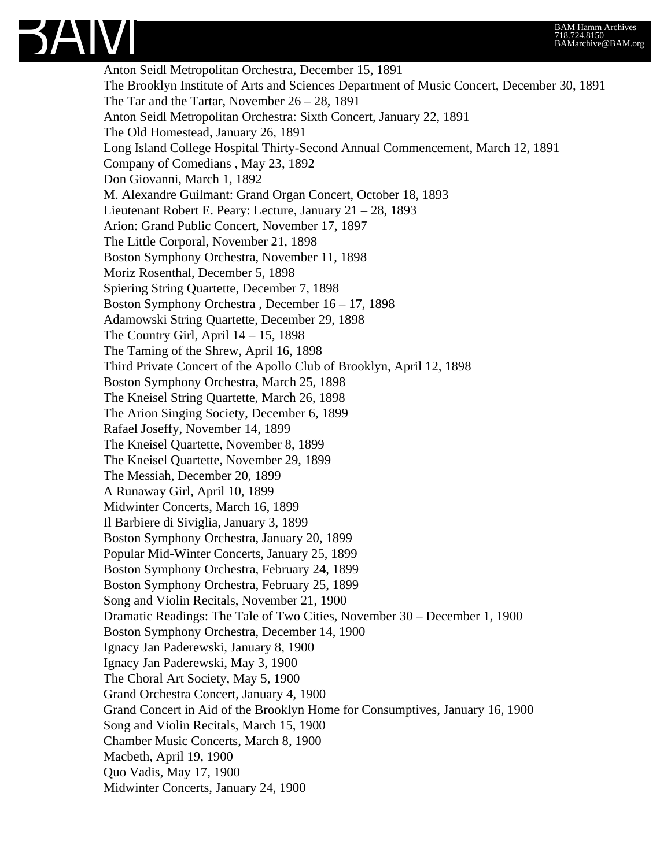

Anton Seidl Metropolitan Orchestra, December 15, 1891 The Brooklyn Institute of Arts and Sciences Department of Music Concert, December 30, 1891 The Tar and the Tartar, November 26 – 28, 1891 Anton Seidl Metropolitan Orchestra: Sixth Concert, January 22, 1891 The Old Homestead, January 26, 1891 Long Island College Hospital Thirty-Second Annual Commencement, March 12, 1891 Company of Comedians , May 23, 1892 Don Giovanni, March 1, 1892 M. Alexandre Guilmant: Grand Organ Concert, October 18, 1893 Lieutenant Robert E. Peary: Lecture, January 21 – 28, 1893 Arion: Grand Public Concert, November 17, 1897 The Little Corporal, November 21, 1898 Boston Symphony Orchestra, November 11, 1898 Moriz Rosenthal, December 5, 1898 Spiering String Quartette, December 7, 1898 Boston Symphony Orchestra , December 16 – 17, 1898 Adamowski String Quartette, December 29, 1898 The Country Girl, April  $14 - 15$ , 1898 The Taming of the Shrew, April 16, 1898 Third Private Concert of the Apollo Club of Brooklyn, April 12, 1898 Boston Symphony Orchestra, March 25, 1898 The Kneisel String Quartette, March 26, 1898 The Arion Singing Society, December 6, 1899 Rafael Joseffy, November 14, 1899 The Kneisel Quartette, November 8, 1899 The Kneisel Quartette, November 29, 1899 The Messiah, December 20, 1899 A Runaway Girl, April 10, 1899 Midwinter Concerts, March 16, 1899 Il Barbiere di Siviglia, January 3, 1899 Boston Symphony Orchestra, January 20, 1899 Popular Mid-Winter Concerts, January 25, 1899 Boston Symphony Orchestra, February 24, 1899 Boston Symphony Orchestra, February 25, 1899 Song and Violin Recitals, November 21, 1900 Dramatic Readings: The Tale of Two Cities, November 30 – December 1, 1900 Boston Symphony Orchestra, December 14, 1900 Ignacy Jan Paderewski, January 8, 1900 Ignacy Jan Paderewski, May 3, 1900 The Choral Art Society, May 5, 1900 Grand Orchestra Concert, January 4, 1900 Grand Concert in Aid of the Brooklyn Home for Consumptives, January 16, 1900 Song and Violin Recitals, March 15, 1900 Chamber Music Concerts, March 8, 1900 Macbeth, April 19, 1900 Quo Vadis, May 17, 1900 Midwinter Concerts, January 24, 1900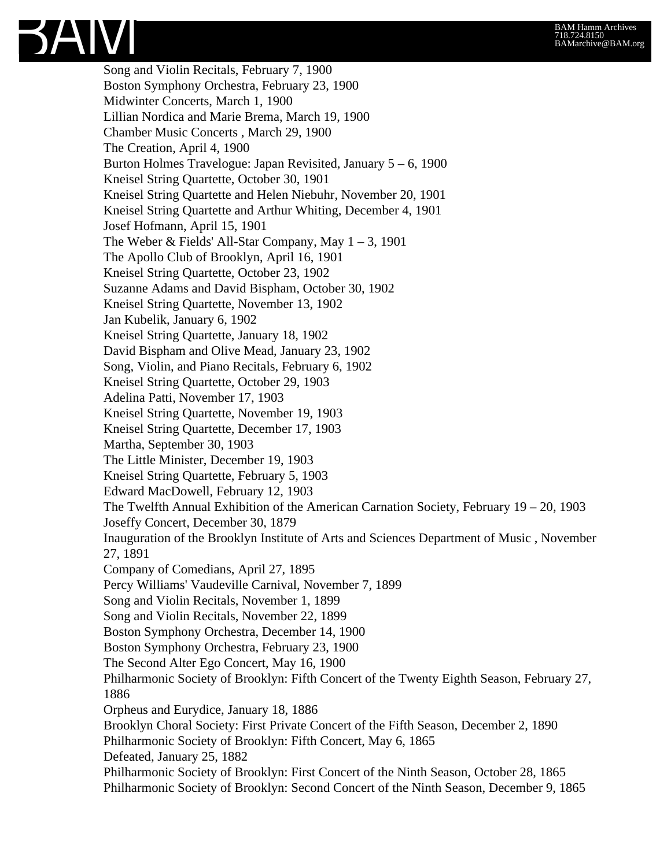Song and Violin Recitals, February 7, 1900 Boston Symphony Orchestra, February 23, 1900 Midwinter Concerts, March 1, 1900 Lillian Nordica and Marie Brema, March 19, 1900 Chamber Music Concerts , March 29, 1900 The Creation, April 4, 1900 Burton Holmes Travelogue: Japan Revisited, January 5 – 6, 1900 Kneisel String Quartette, October 30, 1901 Kneisel String Quartette and Helen Niebuhr, November 20, 1901 Kneisel String Quartette and Arthur Whiting, December 4, 1901 Josef Hofmann, April 15, 1901 The Weber & Fields' All-Star Company, May  $1 - 3$ , 1901 The Apollo Club of Brooklyn, April 16, 1901 Kneisel String Quartette, October 23, 1902 Suzanne Adams and David Bispham, October 30, 1902 Kneisel String Quartette, November 13, 1902 Jan Kubelik, January 6, 1902 Kneisel String Quartette, January 18, 1902 David Bispham and Olive Mead, January 23, 1902 Song, Violin, and Piano Recitals, February 6, 1902 Kneisel String Quartette, October 29, 1903 Adelina Patti, November 17, 1903 Kneisel String Quartette, November 19, 1903 Kneisel String Quartette, December 17, 1903 Martha, September 30, 1903 The Little Minister, December 19, 1903 Kneisel String Quartette, February 5, 1903 Edward MacDowell, February 12, 1903 The Twelfth Annual Exhibition of the American Carnation Society, February 19 – 20, 1903 Joseffy Concert, December 30, 1879 Inauguration of the Brooklyn Institute of Arts and Sciences Department of Music , November 27, 1891 Company of Comedians, April 27, 1895 Percy Williams' Vaudeville Carnival, November 7, 1899 Song and Violin Recitals, November 1, 1899 Song and Violin Recitals, November 22, 1899 Boston Symphony Orchestra, December 14, 1900 Boston Symphony Orchestra, February 23, 1900 The Second Alter Ego Concert, May 16, 1900 Philharmonic Society of Brooklyn: Fifth Concert of the Twenty Eighth Season, February 27, 1886 Orpheus and Eurydice, January 18, 1886 Brooklyn Choral Society: First Private Concert of the Fifth Season, December 2, 1890 Philharmonic Society of Brooklyn: Fifth Concert, May 6, 1865 Defeated, January 25, 1882 Philharmonic Society of Brooklyn: First Concert of the Ninth Season, October 28, 1865 Philharmonic Society of Brooklyn: Second Concert of the Ninth Season, December 9, 1865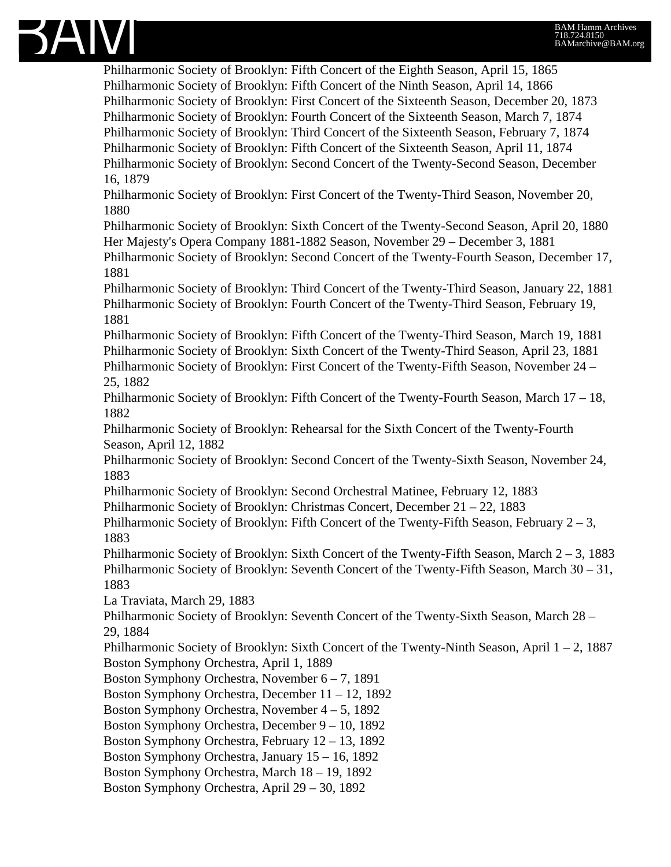

Philharmonic Society of Brooklyn: Fifth Concert of the Eighth Season, April 15, 1865 Philharmonic Society of Brooklyn: Fifth Concert of the Ninth Season, April 14, 1866 Philharmonic Society of Brooklyn: First Concert of the Sixteenth Season, December 20, 1873 Philharmonic Society of Brooklyn: Fourth Concert of the Sixteenth Season, March 7, 1874 Philharmonic Society of Brooklyn: Third Concert of the Sixteenth Season, February 7, 1874 Philharmonic Society of Brooklyn: Fifth Concert of the Sixteenth Season, April 11, 1874 Philharmonic Society of Brooklyn: Second Concert of the Twenty-Second Season, December 16, 1879

Philharmonic Society of Brooklyn: First Concert of the Twenty-Third Season, November 20, 1880

Philharmonic Society of Brooklyn: Sixth Concert of the Twenty-Second Season, April 20, 1880 Her Majesty's Opera Company 1881-1882 Season, November 29 – December 3, 1881

Philharmonic Society of Brooklyn: Second Concert of the Twenty-Fourth Season, December 17, 1881

Philharmonic Society of Brooklyn: Third Concert of the Twenty-Third Season, January 22, 1881 Philharmonic Society of Brooklyn: Fourth Concert of the Twenty-Third Season, February 19, 1881

Philharmonic Society of Brooklyn: Fifth Concert of the Twenty-Third Season, March 19, 1881 Philharmonic Society of Brooklyn: Sixth Concert of the Twenty-Third Season, April 23, 1881 Philharmonic Society of Brooklyn: First Concert of the Twenty-Fifth Season, November 24 – 25, 1882

Philharmonic Society of Brooklyn: Fifth Concert of the Twenty-Fourth Season, March 17 – 18, 1882

Philharmonic Society of Brooklyn: Rehearsal for the Sixth Concert of the Twenty-Fourth Season, April 12, 1882

Philharmonic Society of Brooklyn: Second Concert of the Twenty-Sixth Season, November 24, 1883

Philharmonic Society of Brooklyn: Second Orchestral Matinee, February 12, 1883

Philharmonic Society of Brooklyn: Christmas Concert, December 21 – 22, 1883

Philharmonic Society of Brooklyn: Fifth Concert of the Twenty-Fifth Season, February  $2-3$ , 1883

Philharmonic Society of Brooklyn: Sixth Concert of the Twenty-Fifth Season, March 2 – 3, 1883 Philharmonic Society of Brooklyn: Seventh Concert of the Twenty-Fifth Season, March 30 – 31, 1883

La Traviata, March 29, 1883

Philharmonic Society of Brooklyn: Seventh Concert of the Twenty-Sixth Season, March 28 – 29, 1884

Philharmonic Society of Brooklyn: Sixth Concert of the Twenty-Ninth Season, April 1 – 2, 1887 Boston Symphony Orchestra, April 1, 1889

Boston Symphony Orchestra, November 6 – 7, 1891

Boston Symphony Orchestra, December 11 – 12, 1892

Boston Symphony Orchestra, November 4 – 5, 1892

Boston Symphony Orchestra, December 9 – 10, 1892

Boston Symphony Orchestra, February 12 – 13, 1892

Boston Symphony Orchestra, January 15 – 16, 1892

Boston Symphony Orchestra, March 18 – 19, 1892

Boston Symphony Orchestra, April 29 – 30, 1892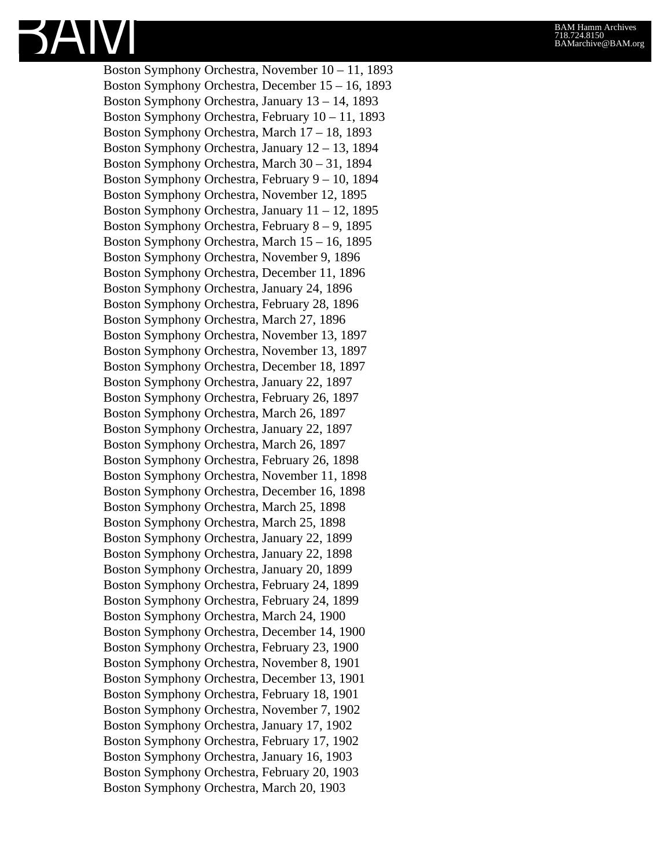

Boston Symphony Orchestra, November 10 – 11, 1893 Boston Symphony Orchestra, December 15 – 16, 1893 Boston Symphony Orchestra, January 13 – 14, 1893 Boston Symphony Orchestra, February 10 – 11, 1893 Boston Symphony Orchestra, March 17 – 18, 1893 Boston Symphony Orchestra, January 12 – 13, 1894 Boston Symphony Orchestra, March 30 – 31, 1894 Boston Symphony Orchestra, February 9 – 10, 1894 Boston Symphony Orchestra, November 12, 1895 Boston Symphony Orchestra, January 11 – 12, 1895 Boston Symphony Orchestra, February 8 – 9, 1895 Boston Symphony Orchestra, March 15 – 16, 1895 Boston Symphony Orchestra, November 9, 1896 Boston Symphony Orchestra, December 11, 1896 Boston Symphony Orchestra, January 24, 1896 Boston Symphony Orchestra, February 28, 1896 Boston Symphony Orchestra, March 27, 1896 Boston Symphony Orchestra, November 13, 1897 Boston Symphony Orchestra, November 13, 1897 Boston Symphony Orchestra, December 18, 1897 Boston Symphony Orchestra, January 22, 1897 Boston Symphony Orchestra, February 26, 1897 Boston Symphony Orchestra, March 26, 1897 Boston Symphony Orchestra, January 22, 1897 Boston Symphony Orchestra, March 26, 1897 Boston Symphony Orchestra, February 26, 1898 Boston Symphony Orchestra, November 11, 1898 Boston Symphony Orchestra, December 16, 1898 Boston Symphony Orchestra, March 25, 1898 Boston Symphony Orchestra, March 25, 1898 Boston Symphony Orchestra, January 22, 1899 Boston Symphony Orchestra, January 22, 1898 Boston Symphony Orchestra, January 20, 1899 Boston Symphony Orchestra, February 24, 1899 Boston Symphony Orchestra, February 24, 1899 Boston Symphony Orchestra, March 24, 1900 Boston Symphony Orchestra, December 14, 1900 Boston Symphony Orchestra, February 23, 1900 Boston Symphony Orchestra, November 8, 1901 Boston Symphony Orchestra, December 13, 1901 Boston Symphony Orchestra, February 18, 1901 Boston Symphony Orchestra, November 7, 1902 Boston Symphony Orchestra, January 17, 1902 Boston Symphony Orchestra, February 17, 1902 Boston Symphony Orchestra, January 16, 1903 Boston Symphony Orchestra, February 20, 1903 Boston Symphony Orchestra, March 20, 1903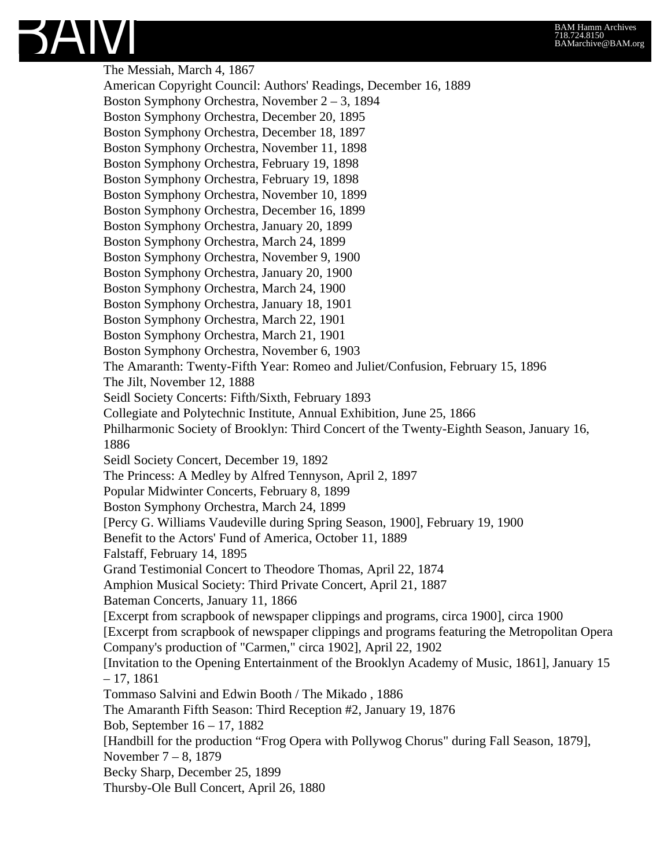

The Messiah, March 4, 1867 American Copyright Council: Authors' Readings, December 16, 1889 Boston Symphony Orchestra, November 2 – 3, 1894 Boston Symphony Orchestra, December 20, 1895 Boston Symphony Orchestra, December 18, 1897 Boston Symphony Orchestra, November 11, 1898 Boston Symphony Orchestra, February 19, 1898 Boston Symphony Orchestra, February 19, 1898 Boston Symphony Orchestra, November 10, 1899 Boston Symphony Orchestra, December 16, 1899 Boston Symphony Orchestra, January 20, 1899 Boston Symphony Orchestra, March 24, 1899 Boston Symphony Orchestra, November 9, 1900 Boston Symphony Orchestra, January 20, 1900 Boston Symphony Orchestra, March 24, 1900 Boston Symphony Orchestra, January 18, 1901 Boston Symphony Orchestra, March 22, 1901 Boston Symphony Orchestra, March 21, 1901 Boston Symphony Orchestra, November 6, 1903 The Amaranth: Twenty-Fifth Year: Romeo and Juliet/Confusion, February 15, 1896 The Jilt, November 12, 1888 Seidl Society Concerts: Fifth/Sixth, February 1893 Collegiate and Polytechnic Institute, Annual Exhibition, June 25, 1866 Philharmonic Society of Brooklyn: Third Concert of the Twenty-Eighth Season, January 16, 1886 Seidl Society Concert, December 19, 1892 The Princess: A Medley by Alfred Tennyson, April 2, 1897 Popular Midwinter Concerts, February 8, 1899 Boston Symphony Orchestra, March 24, 1899 [Percy G. Williams Vaudeville during Spring Season, 1900], February 19, 1900 Benefit to the Actors' Fund of America, October 11, 1889 Falstaff, February 14, 1895 Grand Testimonial Concert to Theodore Thomas, April 22, 1874 Amphion Musical Society: Third Private Concert, April 21, 1887 Bateman Concerts, January 11, 1866 [Excerpt from scrapbook of newspaper clippings and programs, circa 1900], circa 1900 [Excerpt from scrapbook of newspaper clippings and programs featuring the Metropolitan Opera Company's production of "Carmen," circa 1902], April 22, 1902 [Invitation to the Opening Entertainment of the Brooklyn Academy of Music, 1861], January 15 – 17, 1861 Tommaso Salvini and Edwin Booth / The Mikado , 1886 The Amaranth Fifth Season: Third Reception #2, January 19, 1876 Bob, September 16 – 17, 1882 [Handbill for the production "Frog Opera with Pollywog Chorus" during Fall Season, 1879], November 7 – 8, 1879 Becky Sharp, December 25, 1899 Thursby-Ole Bull Concert, April 26, 1880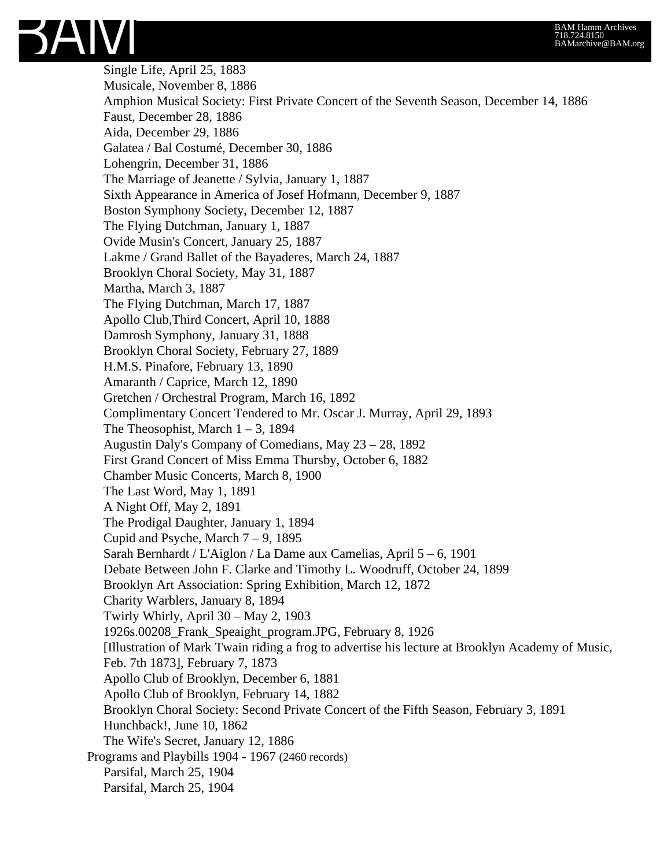Single Life, April 25, 1883 Musicale, November 8, 1886 Amphion Musical Society: First Private Concert of the Seventh Season, December 14, 1886 Faust, December 28, 1886 Aida, December 29, 1886 Galatea / Bal Costumé, December 30, 1886 Lohengrin, December 31, 1886 The Marriage of Jeanette / Sylvia, January 1, 1887 Sixth Appearance in America of Josef Hofmann, December 9, 1887 Boston Symphony Society, December 12, 1887 The Flying Dutchman, January 1, 1887 Ovide Musin's Concert, January 25, 1887 Lakme / Grand Ballet of the Bayaderes, March 24, 1887 Brooklyn Choral Society, May 31, 1887 Martha, March 3, 1887 The Flying Dutchman, March 17, 1887 Apollo Club,Third Concert, April 10, 1888 Damrosh Symphony, January 31, 1888 Brooklyn Choral Society, February 27, 1889 H.M.S. Pinafore, February 13, 1890 Amaranth / Caprice, March 12, 1890 Gretchen / Orchestral Program, March 16, 1892 Complimentary Concert Tendered to Mr. Oscar J. Murray, April 29, 1893 The Theosophist, March  $1 - 3$ , 1894 Augustin Daly's Company of Comedians, May 23 – 28, 1892 First Grand Concert of Miss Emma Thursby, October 6, 1882 Chamber Music Concerts, March 8, 1900 The Last Word, May 1, 1891 A Night Off, May 2, 1891 The Prodigal Daughter, January 1, 1894 Cupid and Psyche, March  $7 - 9$ , 1895 Sarah Bernhardt / L'Aiglon / La Dame aux Camelias, April 5 – 6, 1901 Debate Between John F. Clarke and Timothy L. Woodruff, October 24, 1899 Brooklyn Art Association: Spring Exhibition, March 12, 1872 Charity Warblers, January 8, 1894 Twirly Whirly, April 30 – May 2, 1903 1926s.00208\_Frank\_Speaight\_program.JPG, February 8, 1926 [Illustration of Mark Twain riding a frog to advertise his lecture at Brooklyn Academy of Music, Feb. 7th 1873], February 7, 1873 Apollo Club of Brooklyn, December 6, 1881 Apollo Club of Brooklyn, February 14, 1882 Brooklyn Choral Society: Second Private Concert of the Fifth Season, February 3, 1891 Hunchback!, June 10, 1862 The Wife's Secret, January 12, 1886 Programs and Playbills 1904 - 1967 (2460 records) Parsifal, March 25, 1904 Parsifal, March 25, 1904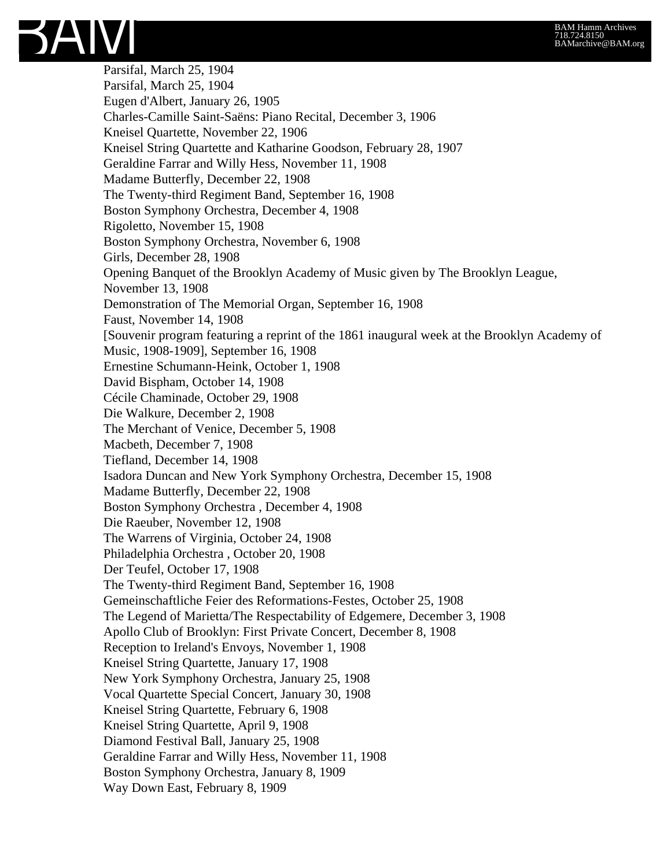

Parsifal, March 25, 1904 Parsifal, March 25, 1904 Eugen d'Albert, January 26, 1905 Charles-Camille Saint-Saëns: Piano Recital, December 3, 1906 Kneisel Quartette, November 22, 1906 Kneisel String Quartette and Katharine Goodson, February 28, 1907 Geraldine Farrar and Willy Hess, November 11, 1908 Madame Butterfly, December 22, 1908 The Twenty-third Regiment Band, September 16, 1908 Boston Symphony Orchestra, December 4, 1908 Rigoletto, November 15, 1908 Boston Symphony Orchestra, November 6, 1908 Girls, December 28, 1908 Opening Banquet of the Brooklyn Academy of Music given by The Brooklyn League, November 13, 1908 Demonstration of The Memorial Organ, September 16, 1908 Faust, November 14, 1908 [Souvenir program featuring a reprint of the 1861 inaugural week at the Brooklyn Academy of Music, 1908-1909], September 16, 1908 Ernestine Schumann-Heink, October 1, 1908 David Bispham, October 14, 1908 Cécile Chaminade, October 29, 1908 Die Walkure, December 2, 1908 The Merchant of Venice, December 5, 1908 Macbeth, December 7, 1908 Tiefland, December 14, 1908 Isadora Duncan and New York Symphony Orchestra, December 15, 1908 Madame Butterfly, December 22, 1908 Boston Symphony Orchestra , December 4, 1908 Die Raeuber, November 12, 1908 The Warrens of Virginia, October 24, 1908 Philadelphia Orchestra , October 20, 1908 Der Teufel, October 17, 1908 The Twenty-third Regiment Band, September 16, 1908 Gemeinschaftliche Feier des Reformations-Festes, October 25, 1908 The Legend of Marietta/The Respectability of Edgemere, December 3, 1908 Apollo Club of Brooklyn: First Private Concert, December 8, 1908 Reception to Ireland's Envoys, November 1, 1908 Kneisel String Quartette, January 17, 1908 New York Symphony Orchestra, January 25, 1908 Vocal Quartette Special Concert, January 30, 1908 Kneisel String Quartette, February 6, 1908 Kneisel String Quartette, April 9, 1908 Diamond Festival Ball, January 25, 1908 Geraldine Farrar and Willy Hess, November 11, 1908 Boston Symphony Orchestra, January 8, 1909 Way Down East, February 8, 1909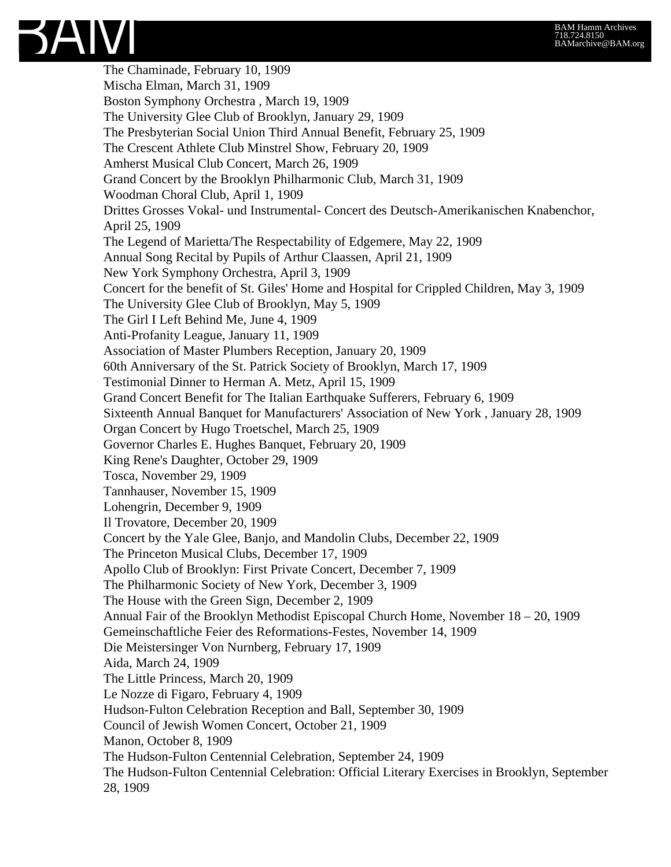The Chaminade, February 10, 1909 Mischa Elman, March 31, 1909 Boston Symphony Orchestra , March 19, 1909 The University Glee Club of Brooklyn, January 29, 1909 The Presbyterian Social Union Third Annual Benefit, February 25, 1909 The Crescent Athlete Club Minstrel Show, February 20, 1909 Amherst Musical Club Concert, March 26, 1909 Grand Concert by the Brooklyn Philharmonic Club, March 31, 1909 Woodman Choral Club, April 1, 1909 Drittes Grosses Vokal- und Instrumental- Concert des Deutsch-Amerikanischen Knabenchor, April 25, 1909 The Legend of Marietta/The Respectability of Edgemere, May 22, 1909 Annual Song Recital by Pupils of Arthur Claassen, April 21, 1909 New York Symphony Orchestra, April 3, 1909 Concert for the benefit of St. Giles' Home and Hospital for Crippled Children, May 3, 1909 The University Glee Club of Brooklyn, May 5, 1909 The Girl I Left Behind Me, June 4, 1909 Anti-Profanity League, January 11, 1909 Association of Master Plumbers Reception, January 20, 1909 60th Anniversary of the St. Patrick Society of Brooklyn, March 17, 1909 Testimonial Dinner to Herman A. Metz, April 15, 1909 Grand Concert Benefit for The Italian Earthquake Sufferers, February 6, 1909 Sixteenth Annual Banquet for Manufacturers' Association of New York , January 28, 1909 Organ Concert by Hugo Troetschel, March 25, 1909 Governor Charles E. Hughes Banquet, February 20, 1909 King Rene's Daughter, October 29, 1909 Tosca, November 29, 1909 Tannhauser, November 15, 1909 Lohengrin, December 9, 1909 Il Trovatore, December 20, 1909 Concert by the Yale Glee, Banjo, and Mandolin Clubs, December 22, 1909 The Princeton Musical Clubs, December 17, 1909 Apollo Club of Brooklyn: First Private Concert, December 7, 1909 The Philharmonic Society of New York, December 3, 1909 The House with the Green Sign, December 2, 1909 Annual Fair of the Brooklyn Methodist Episcopal Church Home, November 18 – 20, 1909 Gemeinschaftliche Feier des Reformations-Festes, November 14, 1909 Die Meistersinger Von Nurnberg, February 17, 1909 Aida, March 24, 1909 The Little Princess, March 20, 1909 Le Nozze di Figaro, February 4, 1909 Hudson-Fulton Celebration Reception and Ball, September 30, 1909 Council of Jewish Women Concert, October 21, 1909 Manon, October 8, 1909 The Hudson-Fulton Centennial Celebration, September 24, 1909 The Hudson-Fulton Centennial Celebration: Official Literary Exercises in Brooklyn, September 28, 1909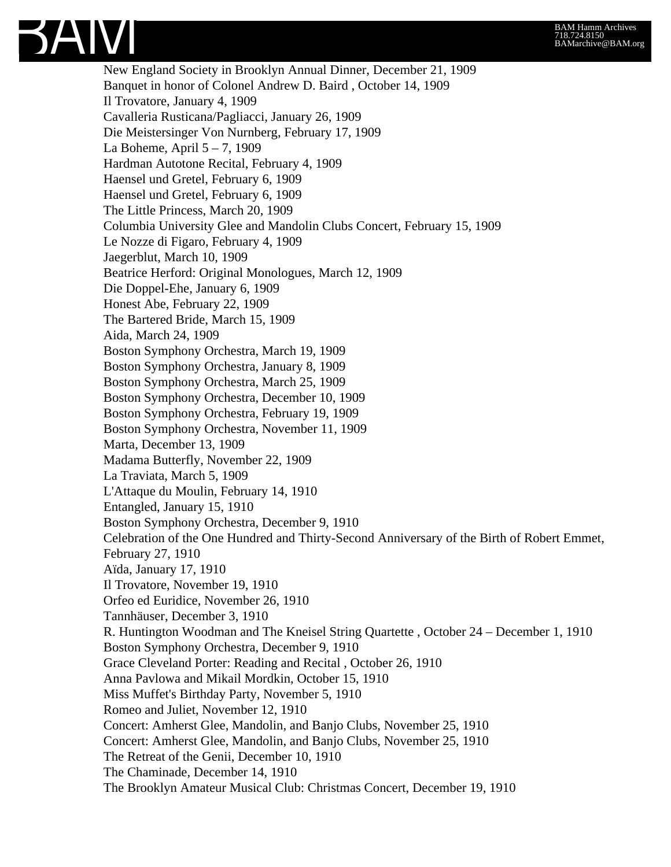

New England Society in Brooklyn Annual Dinner, December 21, 1909 Banquet in honor of Colonel Andrew D. Baird , October 14, 1909 Il Trovatore, January 4, 1909 Cavalleria Rusticana/Pagliacci, January 26, 1909 Die Meistersinger Von Nurnberg, February 17, 1909 La Boheme, April 5 – 7, 1909 Hardman Autotone Recital, February 4, 1909 Haensel und Gretel, February 6, 1909 Haensel und Gretel, February 6, 1909 The Little Princess, March 20, 1909 Columbia University Glee and Mandolin Clubs Concert, February 15, 1909 Le Nozze di Figaro, February 4, 1909 Jaegerblut, March 10, 1909 Beatrice Herford: Original Monologues, March 12, 1909 Die Doppel-Ehe, January 6, 1909 Honest Abe, February 22, 1909 The Bartered Bride, March 15, 1909 Aida, March 24, 1909 Boston Symphony Orchestra, March 19, 1909 Boston Symphony Orchestra, January 8, 1909 Boston Symphony Orchestra, March 25, 1909 Boston Symphony Orchestra, December 10, 1909 Boston Symphony Orchestra, February 19, 1909 Boston Symphony Orchestra, November 11, 1909 Marta, December 13, 1909 Madama Butterfly, November 22, 1909 La Traviata, March 5, 1909 L'Attaque du Moulin, February 14, 1910 Entangled, January 15, 1910 Boston Symphony Orchestra, December 9, 1910 Celebration of the One Hundred and Thirty-Second Anniversary of the Birth of Robert Emmet, February 27, 1910 Aïda, January 17, 1910 Il Trovatore, November 19, 1910 Orfeo ed Euridice, November 26, 1910 Tannhäuser, December 3, 1910 R. Huntington Woodman and The Kneisel String Quartette , October 24 – December 1, 1910 Boston Symphony Orchestra, December 9, 1910 Grace Cleveland Porter: Reading and Recital , October 26, 1910 Anna Pavlowa and Mikail Mordkin, October 15, 1910 Miss Muffet's Birthday Party, November 5, 1910 Romeo and Juliet, November 12, 1910 Concert: Amherst Glee, Mandolin, and Banjo Clubs, November 25, 1910 Concert: Amherst Glee, Mandolin, and Banjo Clubs, November 25, 1910 The Retreat of the Genii, December 10, 1910 The Chaminade, December 14, 1910 The Brooklyn Amateur Musical Club: Christmas Concert, December 19, 1910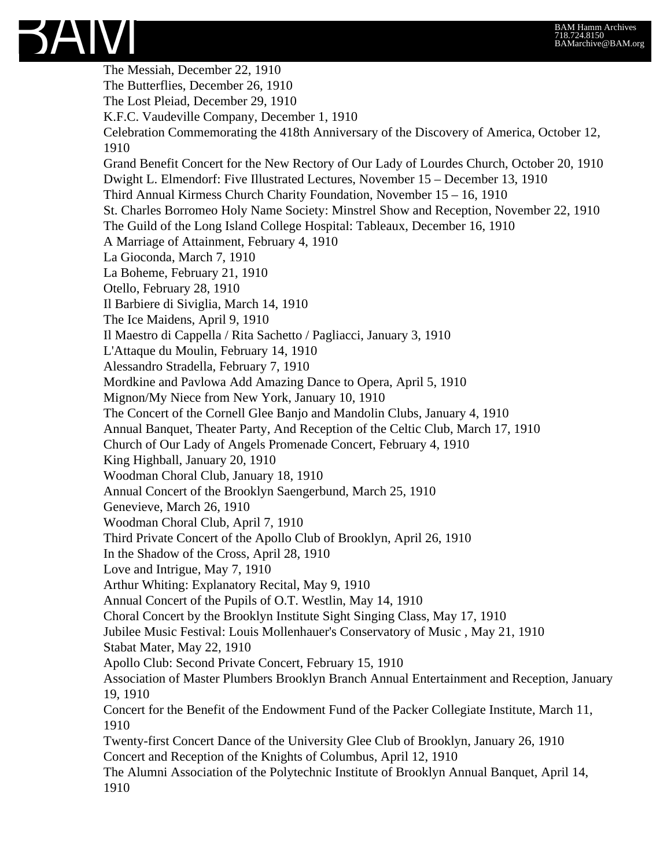

The Messiah, December 22, 1910 The Butterflies, December 26, 1910 The Lost Pleiad, December 29, 1910 K.F.C. Vaudeville Company, December 1, 1910 Celebration Commemorating the 418th Anniversary of the Discovery of America, October 12, 1910 Grand Benefit Concert for the New Rectory of Our Lady of Lourdes Church, October 20, 1910 Dwight L. Elmendorf: Five Illustrated Lectures, November 15 – December 13, 1910 Third Annual Kirmess Church Charity Foundation, November 15 – 16, 1910 St. Charles Borromeo Holy Name Society: Minstrel Show and Reception, November 22, 1910 The Guild of the Long Island College Hospital: Tableaux, December 16, 1910 A Marriage of Attainment, February 4, 1910 La Gioconda, March 7, 1910 La Boheme, February 21, 1910 Otello, February 28, 1910 Il Barbiere di Siviglia, March 14, 1910 The Ice Maidens, April 9, 1910 Il Maestro di Cappella / Rita Sachetto / Pagliacci, January 3, 1910 L'Attaque du Moulin, February 14, 1910 Alessandro Stradella, February 7, 1910 Mordkine and Pavlowa Add Amazing Dance to Opera, April 5, 1910 Mignon/My Niece from New York, January 10, 1910 The Concert of the Cornell Glee Banjo and Mandolin Clubs, January 4, 1910 Annual Banquet, Theater Party, And Reception of the Celtic Club, March 17, 1910 Church of Our Lady of Angels Promenade Concert, February 4, 1910 King Highball, January 20, 1910 Woodman Choral Club, January 18, 1910 Annual Concert of the Brooklyn Saengerbund, March 25, 1910 Genevieve, March 26, 1910 Woodman Choral Club, April 7, 1910 Third Private Concert of the Apollo Club of Brooklyn, April 26, 1910 In the Shadow of the Cross, April 28, 1910 Love and Intrigue, May 7, 1910 Arthur Whiting: Explanatory Recital, May 9, 1910 Annual Concert of the Pupils of O.T. Westlin, May 14, 1910 Choral Concert by the Brooklyn Institute Sight Singing Class, May 17, 1910 Jubilee Music Festival: Louis Mollenhauer's Conservatory of Music , May 21, 1910 Stabat Mater, May 22, 1910 Apollo Club: Second Private Concert, February 15, 1910 Association of Master Plumbers Brooklyn Branch Annual Entertainment and Reception, January 19, 1910 Concert for the Benefit of the Endowment Fund of the Packer Collegiate Institute, March 11, 1910 Twenty-first Concert Dance of the University Glee Club of Brooklyn, January 26, 1910 Concert and Reception of the Knights of Columbus, April 12, 1910 The Alumni Association of the Polytechnic Institute of Brooklyn Annual Banquet, April 14, 1910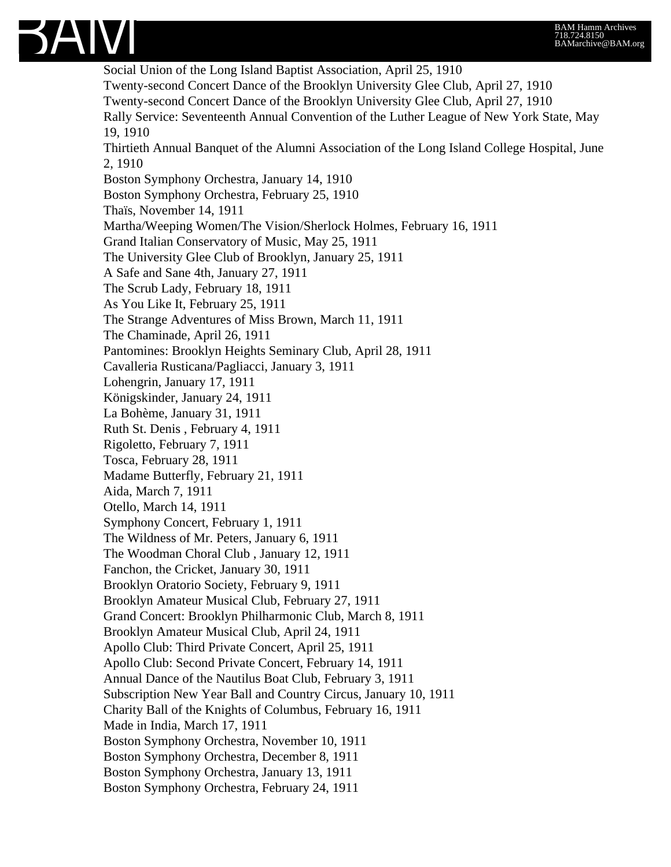

Social Union of the Long Island Baptist Association, April 25, 1910 Twenty-second Concert Dance of the Brooklyn University Glee Club, April 27, 1910 Twenty-second Concert Dance of the Brooklyn University Glee Club, April 27, 1910 Rally Service: Seventeenth Annual Convention of the Luther League of New York State, May 19, 1910 Thirtieth Annual Banquet of the Alumni Association of the Long Island College Hospital, June 2, 1910 Boston Symphony Orchestra, January 14, 1910 Boston Symphony Orchestra, February 25, 1910 Thaïs, November 14, 1911 Martha/Weeping Women/The Vision/Sherlock Holmes, February 16, 1911 Grand Italian Conservatory of Music, May 25, 1911 The University Glee Club of Brooklyn, January 25, 1911 A Safe and Sane 4th, January 27, 1911 The Scrub Lady, February 18, 1911 As You Like It, February 25, 1911 The Strange Adventures of Miss Brown, March 11, 1911 The Chaminade, April 26, 1911 Pantomines: Brooklyn Heights Seminary Club, April 28, 1911 Cavalleria Rusticana/Pagliacci, January 3, 1911 Lohengrin, January 17, 1911 Königskinder, January 24, 1911 La Bohème, January 31, 1911 Ruth St. Denis , February 4, 1911 Rigoletto, February 7, 1911 Tosca, February 28, 1911 Madame Butterfly, February 21, 1911 Aida, March 7, 1911 Otello, March 14, 1911 Symphony Concert, February 1, 1911 The Wildness of Mr. Peters, January 6, 1911 The Woodman Choral Club , January 12, 1911 Fanchon, the Cricket, January 30, 1911 Brooklyn Oratorio Society, February 9, 1911 Brooklyn Amateur Musical Club, February 27, 1911 Grand Concert: Brooklyn Philharmonic Club, March 8, 1911 Brooklyn Amateur Musical Club, April 24, 1911 Apollo Club: Third Private Concert, April 25, 1911 Apollo Club: Second Private Concert, February 14, 1911 Annual Dance of the Nautilus Boat Club, February 3, 1911 Subscription New Year Ball and Country Circus, January 10, 1911 Charity Ball of the Knights of Columbus, February 16, 1911 Made in India, March 17, 1911 Boston Symphony Orchestra, November 10, 1911 Boston Symphony Orchestra, December 8, 1911 Boston Symphony Orchestra, January 13, 1911 Boston Symphony Orchestra, February 24, 1911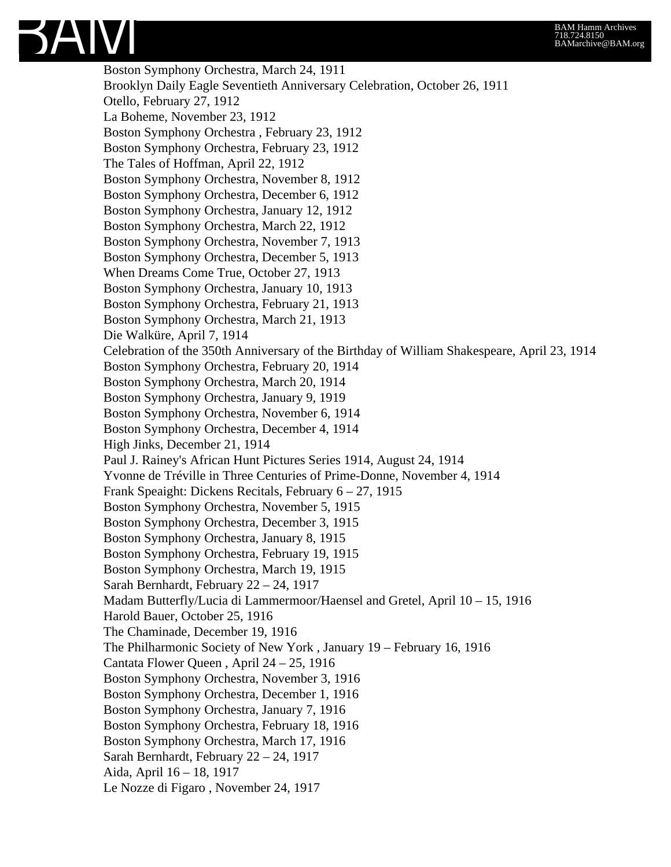Boston Symphony Orchestra, March 24, 1911 Brooklyn Daily Eagle Seventieth Anniversary Celebration, October 26, 1911 Otello, February 27, 1912 La Boheme, November 23, 1912 Boston Symphony Orchestra , February 23, 1912 Boston Symphony Orchestra, February 23, 1912 The Tales of Hoffman, April 22, 1912 Boston Symphony Orchestra, November 8, 1912 Boston Symphony Orchestra, December 6, 1912 Boston Symphony Orchestra, January 12, 1912 Boston Symphony Orchestra, March 22, 1912 Boston Symphony Orchestra, November 7, 1913 Boston Symphony Orchestra, December 5, 1913 When Dreams Come True, October 27, 1913 Boston Symphony Orchestra, January 10, 1913 Boston Symphony Orchestra, February 21, 1913 Boston Symphony Orchestra, March 21, 1913 Die Walküre, April 7, 1914 Celebration of the 350th Anniversary of the Birthday of William Shakespeare, April 23, 1914 Boston Symphony Orchestra, February 20, 1914 Boston Symphony Orchestra, March 20, 1914 Boston Symphony Orchestra, January 9, 1919 Boston Symphony Orchestra, November 6, 1914 Boston Symphony Orchestra, December 4, 1914 High Jinks, December 21, 1914 Paul J. Rainey's African Hunt Pictures Series 1914, August 24, 1914 Yvonne de Tréville in Three Centuries of Prime-Donne, November 4, 1914 Frank Speaight: Dickens Recitals, February 6 – 27, 1915 Boston Symphony Orchestra, November 5, 1915 Boston Symphony Orchestra, December 3, 1915 Boston Symphony Orchestra, January 8, 1915 Boston Symphony Orchestra, February 19, 1915 Boston Symphony Orchestra, March 19, 1915 Sarah Bernhardt, February 22 – 24, 1917 Madam Butterfly/Lucia di Lammermoor/Haensel and Gretel, April 10 – 15, 1916 Harold Bauer, October 25, 1916 The Chaminade, December 19, 1916 The Philharmonic Society of New York , January 19 – February 16, 1916 Cantata Flower Queen , April 24 – 25, 1916 Boston Symphony Orchestra, November 3, 1916 Boston Symphony Orchestra, December 1, 1916 Boston Symphony Orchestra, January 7, 1916 Boston Symphony Orchestra, February 18, 1916 Boston Symphony Orchestra, March 17, 1916 Sarah Bernhardt, February 22 – 24, 1917 Aida, April 16 – 18, 1917 Le Nozze di Figaro , November 24, 1917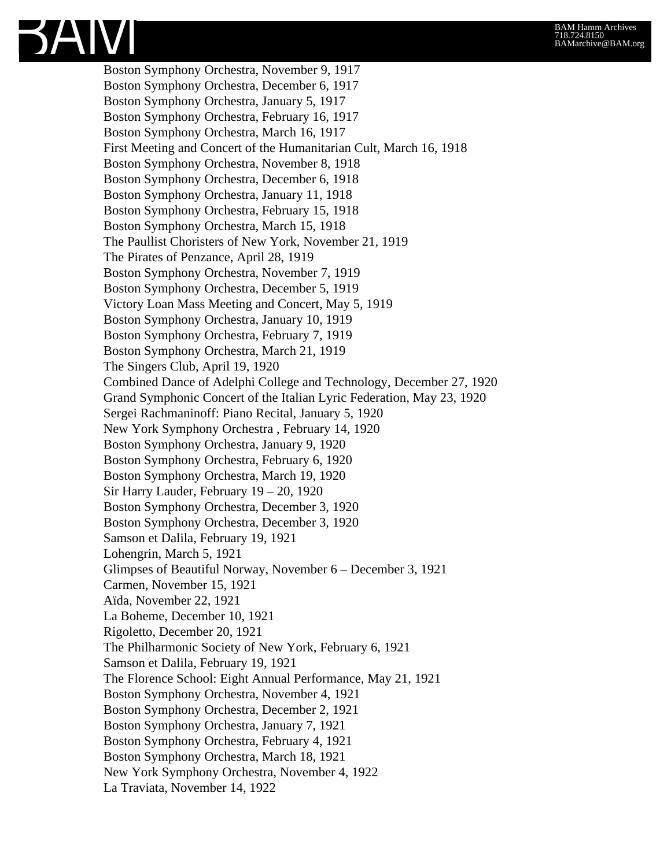

Boston Symphony Orchestra, November 9, 1917 Boston Symphony Orchestra, December 6, 1917 Boston Symphony Orchestra, January 5, 1917 Boston Symphony Orchestra, February 16, 1917 Boston Symphony Orchestra, March 16, 1917 First Meeting and Concert of the Humanitarian Cult, March 16, 1918 Boston Symphony Orchestra, November 8, 1918 Boston Symphony Orchestra, December 6, 1918 Boston Symphony Orchestra, January 11, 1918 Boston Symphony Orchestra, February 15, 1918 Boston Symphony Orchestra, March 15, 1918 The Paullist Choristers of New York, November 21, 1919 The Pirates of Penzance, April 28, 1919 Boston Symphony Orchestra, November 7, 1919 Boston Symphony Orchestra, December 5, 1919 Victory Loan Mass Meeting and Concert, May 5, 1919 Boston Symphony Orchestra, January 10, 1919 Boston Symphony Orchestra, February 7, 1919 Boston Symphony Orchestra, March 21, 1919 The Singers Club, April 19, 1920 Combined Dance of Adelphi College and Technology, December 27, 1920 Grand Symphonic Concert of the Italian Lyric Federation, May 23, 1920 Sergei Rachmaninoff: Piano Recital, January 5, 1920 New York Symphony Orchestra , February 14, 1920 Boston Symphony Orchestra, January 9, 1920 Boston Symphony Orchestra, February 6, 1920 Boston Symphony Orchestra, March 19, 1920 Sir Harry Lauder, February 19 – 20, 1920 Boston Symphony Orchestra, December 3, 1920 Boston Symphony Orchestra, December 3, 1920 Samson et Dalila, February 19, 1921 Lohengrin, March 5, 1921 Glimpses of Beautiful Norway, November 6 – December 3, 1921 Carmen, November 15, 1921 Aïda, November 22, 1921 La Boheme, December 10, 1921 Rigoletto, December 20, 1921 The Philharmonic Society of New York, February 6, 1921 Samson et Dalila, February 19, 1921 The Florence School: Eight Annual Performance, May 21, 1921 Boston Symphony Orchestra, November 4, 1921 Boston Symphony Orchestra, December 2, 1921 Boston Symphony Orchestra, January 7, 1921 Boston Symphony Orchestra, February 4, 1921 Boston Symphony Orchestra, March 18, 1921 New York Symphony Orchestra, November 4, 1922 La Traviata, November 14, 1922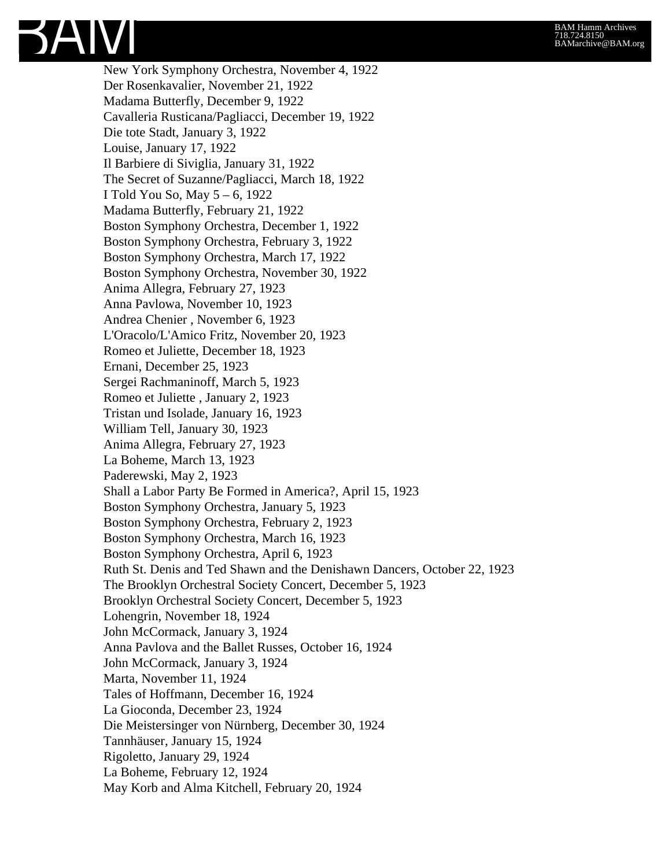New York Symphony Orchestra, November 4, 1922 Der Rosenkavalier, November 21, 1922 Madama Butterfly, December 9, 1922 Cavalleria Rusticana/Pagliacci, December 19, 1922 Die tote Stadt, January 3, 1922 Louise, January 17, 1922 Il Barbiere di Siviglia, January 31, 1922 The Secret of Suzanne/Pagliacci, March 18, 1922 I Told You So, May 5 – 6, 1922 Madama Butterfly, February 21, 1922 Boston Symphony Orchestra, December 1, 1922 Boston Symphony Orchestra, February 3, 1922 Boston Symphony Orchestra, March 17, 1922 Boston Symphony Orchestra, November 30, 1922 Anima Allegra, February 27, 1923 Anna Pavlowa, November 10, 1923 Andrea Chenier , November 6, 1923 L'Oracolo/L'Amico Fritz, November 20, 1923 Romeo et Juliette, December 18, 1923 Ernani, December 25, 1923 Sergei Rachmaninoff, March 5, 1923 Romeo et Juliette , January 2, 1923 Tristan und Isolade, January 16, 1923 William Tell, January 30, 1923 Anima Allegra, February 27, 1923 La Boheme, March 13, 1923 Paderewski, May 2, 1923 Shall a Labor Party Be Formed in America?, April 15, 1923 Boston Symphony Orchestra, January 5, 1923 Boston Symphony Orchestra, February 2, 1923 Boston Symphony Orchestra, March 16, 1923 Boston Symphony Orchestra, April 6, 1923 Ruth St. Denis and Ted Shawn and the Denishawn Dancers, October 22, 1923 The Brooklyn Orchestral Society Concert, December 5, 1923 Brooklyn Orchestral Society Concert, December 5, 1923 Lohengrin, November 18, 1924 John McCormack, January 3, 1924 Anna Pavlova and the Ballet Russes, October 16, 1924 John McCormack, January 3, 1924 Marta, November 11, 1924 Tales of Hoffmann, December 16, 1924 La Gioconda, December 23, 1924 Die Meistersinger von Nürnberg, December 30, 1924 Tannhäuser, January 15, 1924 Rigoletto, January 29, 1924 La Boheme, February 12, 1924 May Korb and Alma Kitchell, February 20, 1924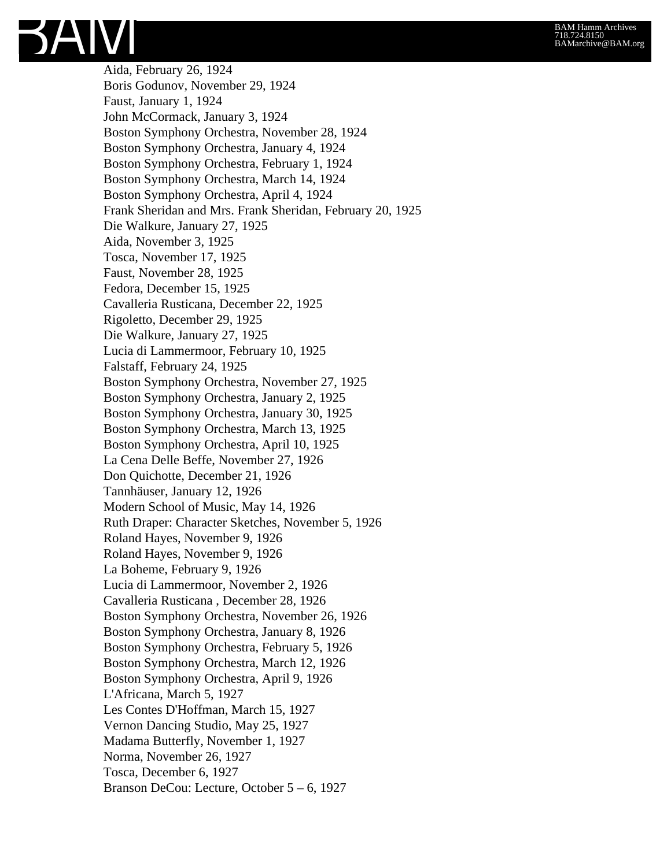

Aida, February 26, 1924 Boris Godunov, November 29, 1924 Faust, January 1, 1924 John McCormack, January 3, 1924 Boston Symphony Orchestra, November 28, 1924 Boston Symphony Orchestra, January 4, 1924 Boston Symphony Orchestra, February 1, 1924 Boston Symphony Orchestra, March 14, 1924 Boston Symphony Orchestra, April 4, 1924 Frank Sheridan and Mrs. Frank Sheridan, February 20, 1925 Die Walkure, January 27, 1925 Aida, November 3, 1925 Tosca, November 17, 1925 Faust, November 28, 1925 Fedora, December 15, 1925 Cavalleria Rusticana, December 22, 1925 Rigoletto, December 29, 1925 Die Walkure, January 27, 1925 Lucia di Lammermoor, February 10, 1925 Falstaff, February 24, 1925 Boston Symphony Orchestra, November 27, 1925 Boston Symphony Orchestra, January 2, 1925 Boston Symphony Orchestra, January 30, 1925 Boston Symphony Orchestra, March 13, 1925 Boston Symphony Orchestra, April 10, 1925 La Cena Delle Beffe, November 27, 1926 Don Quichotte, December 21, 1926 Tannhäuser, January 12, 1926 Modern School of Music, May 14, 1926 Ruth Draper: Character Sketches, November 5, 1926 Roland Hayes, November 9, 1926 Roland Hayes, November 9, 1926 La Boheme, February 9, 1926 Lucia di Lammermoor, November 2, 1926 Cavalleria Rusticana , December 28, 1926 Boston Symphony Orchestra, November 26, 1926 Boston Symphony Orchestra, January 8, 1926 Boston Symphony Orchestra, February 5, 1926 Boston Symphony Orchestra, March 12, 1926 Boston Symphony Orchestra, April 9, 1926 L'Africana, March 5, 1927 Les Contes D'Hoffman, March 15, 1927 Vernon Dancing Studio, May 25, 1927 Madama Butterfly, November 1, 1927 Norma, November 26, 1927 Tosca, December 6, 1927 Branson DeCou: Lecture, October 5 – 6, 1927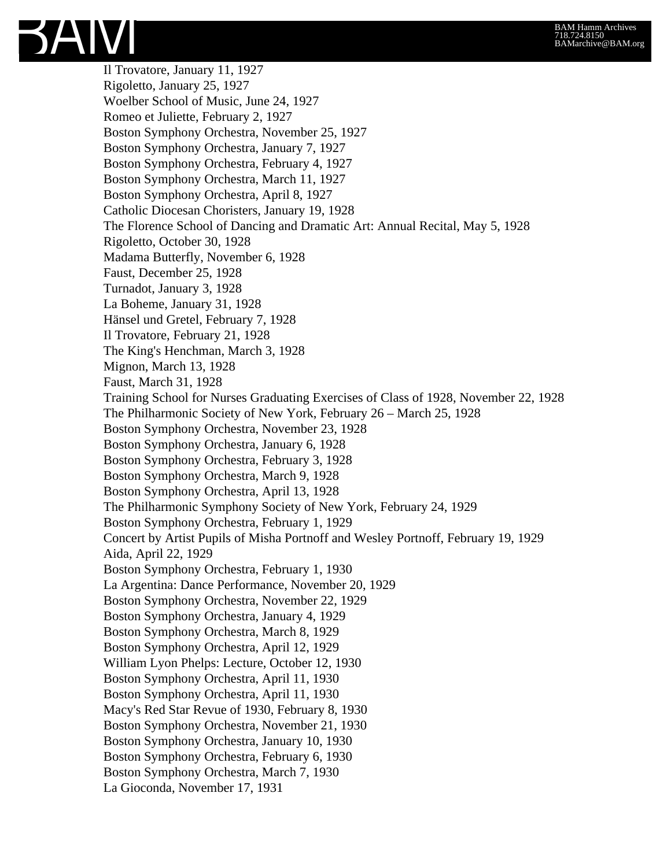

Il Trovatore, January 11, 1927 Rigoletto, January 25, 1927 Woelber School of Music, June 24, 1927 Romeo et Juliette, February 2, 1927 Boston Symphony Orchestra, November 25, 1927 Boston Symphony Orchestra, January 7, 1927 Boston Symphony Orchestra, February 4, 1927 Boston Symphony Orchestra, March 11, 1927 Boston Symphony Orchestra, April 8, 1927 Catholic Diocesan Choristers, January 19, 1928 The Florence School of Dancing and Dramatic Art: Annual Recital, May 5, 1928 Rigoletto, October 30, 1928 Madama Butterfly, November 6, 1928 Faust, December 25, 1928 Turnadot, January 3, 1928 La Boheme, January 31, 1928 Hänsel und Gretel, February 7, 1928 Il Trovatore, February 21, 1928 The King's Henchman, March 3, 1928 Mignon, March 13, 1928 Faust, March 31, 1928 Training School for Nurses Graduating Exercises of Class of 1928, November 22, 1928 The Philharmonic Society of New York, February 26 – March 25, 1928 Boston Symphony Orchestra, November 23, 1928 Boston Symphony Orchestra, January 6, 1928 Boston Symphony Orchestra, February 3, 1928 Boston Symphony Orchestra, March 9, 1928 Boston Symphony Orchestra, April 13, 1928 The Philharmonic Symphony Society of New York, February 24, 1929 Boston Symphony Orchestra, February 1, 1929 Concert by Artist Pupils of Misha Portnoff and Wesley Portnoff, February 19, 1929 Aida, April 22, 1929 Boston Symphony Orchestra, February 1, 1930 La Argentina: Dance Performance, November 20, 1929 Boston Symphony Orchestra, November 22, 1929 Boston Symphony Orchestra, January 4, 1929 Boston Symphony Orchestra, March 8, 1929 Boston Symphony Orchestra, April 12, 1929 William Lyon Phelps: Lecture, October 12, 1930 Boston Symphony Orchestra, April 11, 1930 Boston Symphony Orchestra, April 11, 1930 Macy's Red Star Revue of 1930, February 8, 1930 Boston Symphony Orchestra, November 21, 1930 Boston Symphony Orchestra, January 10, 1930 Boston Symphony Orchestra, February 6, 1930 Boston Symphony Orchestra, March 7, 1930 La Gioconda, November 17, 1931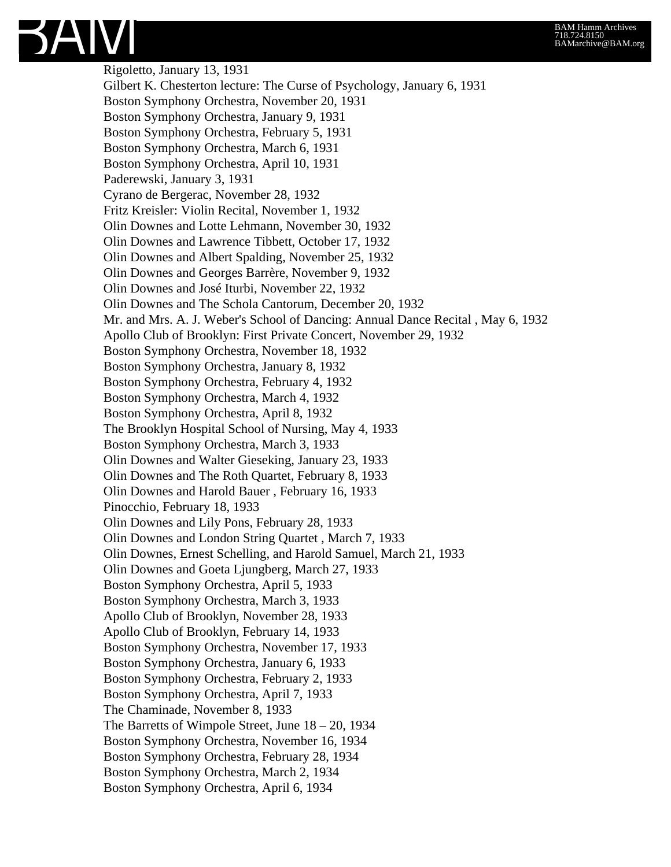## BAM Hamm Archives 718.724.8150 BAMarchive@BAM.org



Rigoletto, January 13, 1931 Gilbert K. Chesterton lecture: The Curse of Psychology, January 6, 1931 Boston Symphony Orchestra, November 20, 1931 Boston Symphony Orchestra, January 9, 1931 Boston Symphony Orchestra, February 5, 1931 Boston Symphony Orchestra, March 6, 1931 Boston Symphony Orchestra, April 10, 1931 Paderewski, January 3, 1931 Cyrano de Bergerac, November 28, 1932 Fritz Kreisler: Violin Recital, November 1, 1932 Olin Downes and Lotte Lehmann, November 30, 1932 Olin Downes and Lawrence Tibbett, October 17, 1932 Olin Downes and Albert Spalding, November 25, 1932 Olin Downes and Georges Barrère, November 9, 1932 Olin Downes and José Iturbi, November 22, 1932 Olin Downes and The Schola Cantorum, December 20, 1932 Mr. and Mrs. A. J. Weber's School of Dancing: Annual Dance Recital , May 6, 1932 Apollo Club of Brooklyn: First Private Concert, November 29, 1932 Boston Symphony Orchestra, November 18, 1932 Boston Symphony Orchestra, January 8, 1932 Boston Symphony Orchestra, February 4, 1932 Boston Symphony Orchestra, March 4, 1932 Boston Symphony Orchestra, April 8, 1932 The Brooklyn Hospital School of Nursing, May 4, 1933 Boston Symphony Orchestra, March 3, 1933 Olin Downes and Walter Gieseking, January 23, 1933 Olin Downes and The Roth Quartet, February 8, 1933 Olin Downes and Harold Bauer , February 16, 1933 Pinocchio, February 18, 1933 Olin Downes and Lily Pons, February 28, 1933 Olin Downes and London String Quartet , March 7, 1933 Olin Downes, Ernest Schelling, and Harold Samuel, March 21, 1933 Olin Downes and Goeta Ljungberg, March 27, 1933 Boston Symphony Orchestra, April 5, 1933 Boston Symphony Orchestra, March 3, 1933 Apollo Club of Brooklyn, November 28, 1933 Apollo Club of Brooklyn, February 14, 1933 Boston Symphony Orchestra, November 17, 1933 Boston Symphony Orchestra, January 6, 1933 Boston Symphony Orchestra, February 2, 1933 Boston Symphony Orchestra, April 7, 1933 The Chaminade, November 8, 1933 The Barretts of Wimpole Street, June 18 – 20, 1934 Boston Symphony Orchestra, November 16, 1934 Boston Symphony Orchestra, February 28, 1934 Boston Symphony Orchestra, March 2, 1934 Boston Symphony Orchestra, April 6, 1934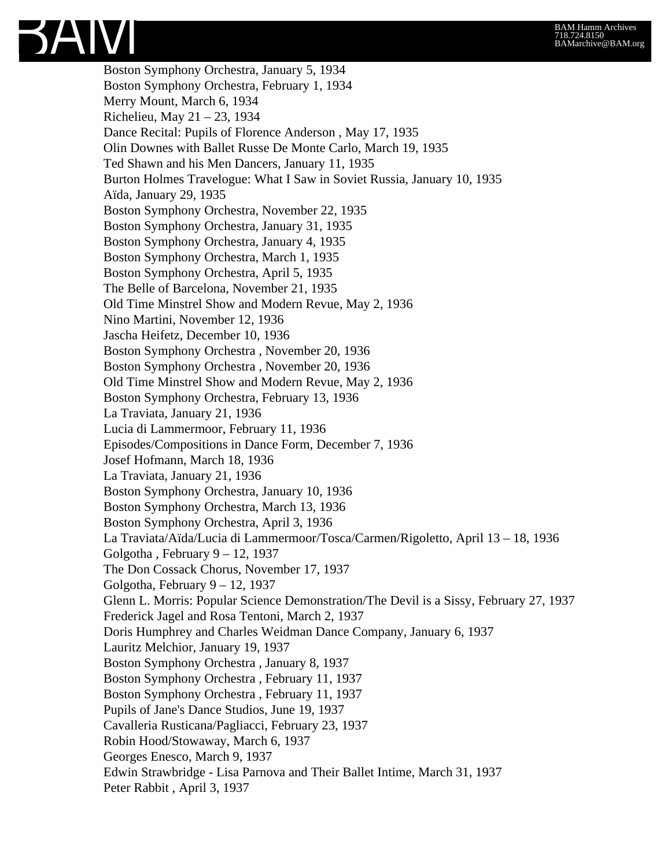

Boston Symphony Orchestra, January 5, 1934 Boston Symphony Orchestra, February 1, 1934 Merry Mount, March 6, 1934 Richelieu, May 21 – 23, 1934 Dance Recital: Pupils of Florence Anderson , May 17, 1935 Olin Downes with Ballet Russe De Monte Carlo, March 19, 1935 Ted Shawn and his Men Dancers, January 11, 1935 Burton Holmes Travelogue: What I Saw in Soviet Russia, January 10, 1935 Aïda, January 29, 1935 Boston Symphony Orchestra, November 22, 1935 Boston Symphony Orchestra, January 31, 1935 Boston Symphony Orchestra, January 4, 1935 Boston Symphony Orchestra, March 1, 1935 Boston Symphony Orchestra, April 5, 1935 The Belle of Barcelona, November 21, 1935 Old Time Minstrel Show and Modern Revue, May 2, 1936 Nino Martini, November 12, 1936 Jascha Heifetz, December 10, 1936 Boston Symphony Orchestra , November 20, 1936 Boston Symphony Orchestra , November 20, 1936 Old Time Minstrel Show and Modern Revue, May 2, 1936 Boston Symphony Orchestra, February 13, 1936 La Traviata, January 21, 1936 Lucia di Lammermoor, February 11, 1936 Episodes/Compositions in Dance Form, December 7, 1936 Josef Hofmann, March 18, 1936 La Traviata, January 21, 1936 Boston Symphony Orchestra, January 10, 1936 Boston Symphony Orchestra, March 13, 1936 Boston Symphony Orchestra, April 3, 1936 La Traviata/Aïda/Lucia di Lammermoor/Tosca/Carmen/Rigoletto, April 13 – 18, 1936 Golgotha , February 9 – 12, 1937 The Don Cossack Chorus, November 17, 1937 Golgotha, February 9 – 12, 1937 Glenn L. Morris: Popular Science Demonstration/The Devil is a Sissy, February 27, 1937 Frederick Jagel and Rosa Tentoni, March 2, 1937 Doris Humphrey and Charles Weidman Dance Company, January 6, 1937 Lauritz Melchior, January 19, 1937 Boston Symphony Orchestra , January 8, 1937 Boston Symphony Orchestra , February 11, 1937 Boston Symphony Orchestra , February 11, 1937 Pupils of Jane's Dance Studios, June 19, 1937 Cavalleria Rusticana/Pagliacci, February 23, 1937 Robin Hood/Stowaway, March 6, 1937 Georges Enesco, March 9, 1937 Edwin Strawbridge - Lisa Parnova and Their Ballet Intime, March 31, 1937 Peter Rabbit , April 3, 1937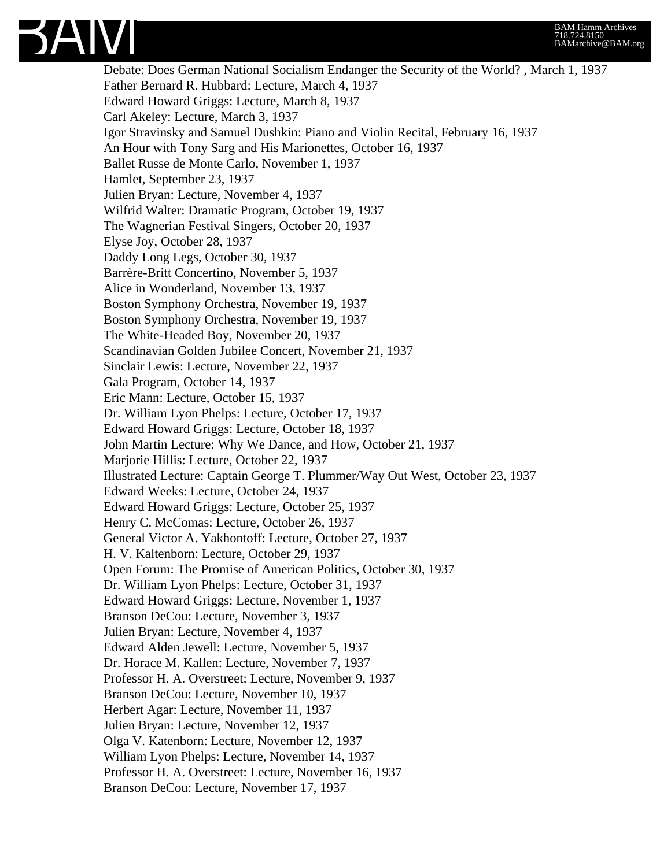

Debate: Does German National Socialism Endanger the Security of the World? , March 1, 1937 Father Bernard R. Hubbard: Lecture, March 4, 1937 Edward Howard Griggs: Lecture, March 8, 1937 Carl Akeley: Lecture, March 3, 1937 Igor Stravinsky and Samuel Dushkin: Piano and Violin Recital, February 16, 1937 An Hour with Tony Sarg and His Marionettes, October 16, 1937 Ballet Russe de Monte Carlo, November 1, 1937 Hamlet, September 23, 1937 Julien Bryan: Lecture, November 4, 1937 Wilfrid Walter: Dramatic Program, October 19, 1937 The Wagnerian Festival Singers, October 20, 1937 Elyse Joy, October 28, 1937 Daddy Long Legs, October 30, 1937 Barrère-Britt Concertino, November 5, 1937 Alice in Wonderland, November 13, 1937 Boston Symphony Orchestra, November 19, 1937 Boston Symphony Orchestra, November 19, 1937 The White-Headed Boy, November 20, 1937 Scandinavian Golden Jubilee Concert, November 21, 1937 Sinclair Lewis: Lecture, November 22, 1937 Gala Program, October 14, 1937 Eric Mann: Lecture, October 15, 1937 Dr. William Lyon Phelps: Lecture, October 17, 1937 Edward Howard Griggs: Lecture, October 18, 1937 John Martin Lecture: Why We Dance, and How, October 21, 1937 Marjorie Hillis: Lecture, October 22, 1937 Illustrated Lecture: Captain George T. Plummer/Way Out West, October 23, 1937 Edward Weeks: Lecture, October 24, 1937 Edward Howard Griggs: Lecture, October 25, 1937 Henry C. McComas: Lecture, October 26, 1937 General Victor A. Yakhontoff: Lecture, October 27, 1937 H. V. Kaltenborn: Lecture, October 29, 1937 Open Forum: The Promise of American Politics, October 30, 1937 Dr. William Lyon Phelps: Lecture, October 31, 1937 Edward Howard Griggs: Lecture, November 1, 1937 Branson DeCou: Lecture, November 3, 1937 Julien Bryan: Lecture, November 4, 1937 Edward Alden Jewell: Lecture, November 5, 1937 Dr. Horace M. Kallen: Lecture, November 7, 1937 Professor H. A. Overstreet: Lecture, November 9, 1937 Branson DeCou: Lecture, November 10, 1937 Herbert Agar: Lecture, November 11, 1937 Julien Bryan: Lecture, November 12, 1937 Olga V. Katenborn: Lecture, November 12, 1937 William Lyon Phelps: Lecture, November 14, 1937 Professor H. A. Overstreet: Lecture, November 16, 1937 Branson DeCou: Lecture, November 17, 1937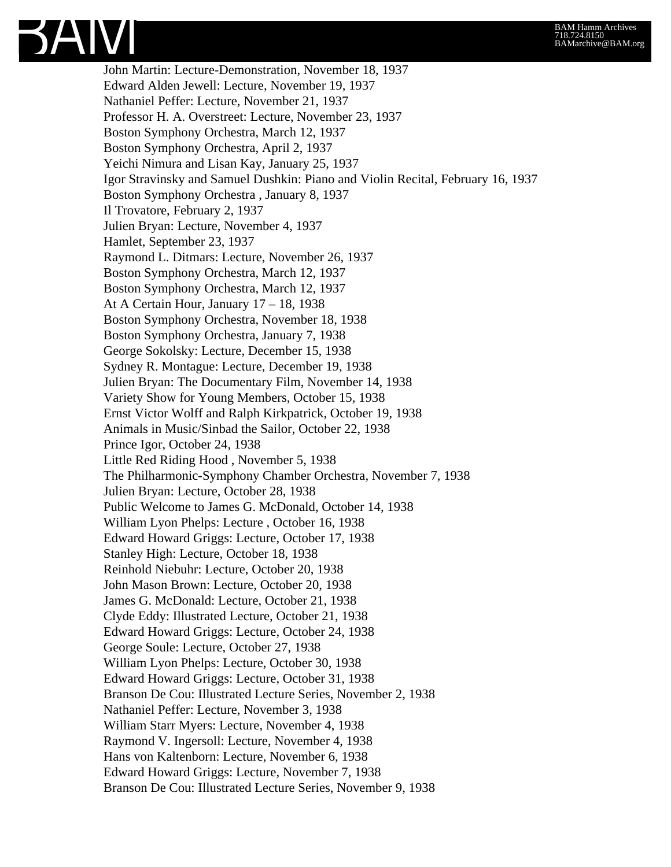

John Martin: Lecture-Demonstration, November 18, 1937 Edward Alden Jewell: Lecture, November 19, 1937 Nathaniel Peffer: Lecture, November 21, 1937 Professor H. A. Overstreet: Lecture, November 23, 1937 Boston Symphony Orchestra, March 12, 1937 Boston Symphony Orchestra, April 2, 1937 Yeichi Nimura and Lisan Kay, January 25, 1937 Igor Stravinsky and Samuel Dushkin: Piano and Violin Recital, February 16, 1937 Boston Symphony Orchestra , January 8, 1937 Il Trovatore, February 2, 1937 Julien Bryan: Lecture, November 4, 1937 Hamlet, September 23, 1937 Raymond L. Ditmars: Lecture, November 26, 1937 Boston Symphony Orchestra, March 12, 1937 Boston Symphony Orchestra, March 12, 1937 At A Certain Hour, January 17 – 18, 1938 Boston Symphony Orchestra, November 18, 1938 Boston Symphony Orchestra, January 7, 1938 George Sokolsky: Lecture, December 15, 1938 Sydney R. Montague: Lecture, December 19, 1938 Julien Bryan: The Documentary Film, November 14, 1938 Variety Show for Young Members, October 15, 1938 Ernst Victor Wolff and Ralph Kirkpatrick, October 19, 1938 Animals in Music/Sinbad the Sailor, October 22, 1938 Prince Igor, October 24, 1938 Little Red Riding Hood , November 5, 1938 The Philharmonic-Symphony Chamber Orchestra, November 7, 1938 Julien Bryan: Lecture, October 28, 1938 Public Welcome to James G. McDonald, October 14, 1938 William Lyon Phelps: Lecture , October 16, 1938 Edward Howard Griggs: Lecture, October 17, 1938 Stanley High: Lecture, October 18, 1938 Reinhold Niebuhr: Lecture, October 20, 1938 John Mason Brown: Lecture, October 20, 1938 James G. McDonald: Lecture, October 21, 1938 Clyde Eddy: Illustrated Lecture, October 21, 1938 Edward Howard Griggs: Lecture, October 24, 1938 George Soule: Lecture, October 27, 1938 William Lyon Phelps: Lecture, October 30, 1938 Edward Howard Griggs: Lecture, October 31, 1938 Branson De Cou: Illustrated Lecture Series, November 2, 1938 Nathaniel Peffer: Lecture, November 3, 1938 William Starr Myers: Lecture, November 4, 1938 Raymond V. Ingersoll: Lecture, November 4, 1938 Hans von Kaltenborn: Lecture, November 6, 1938 Edward Howard Griggs: Lecture, November 7, 1938 Branson De Cou: Illustrated Lecture Series, November 9, 1938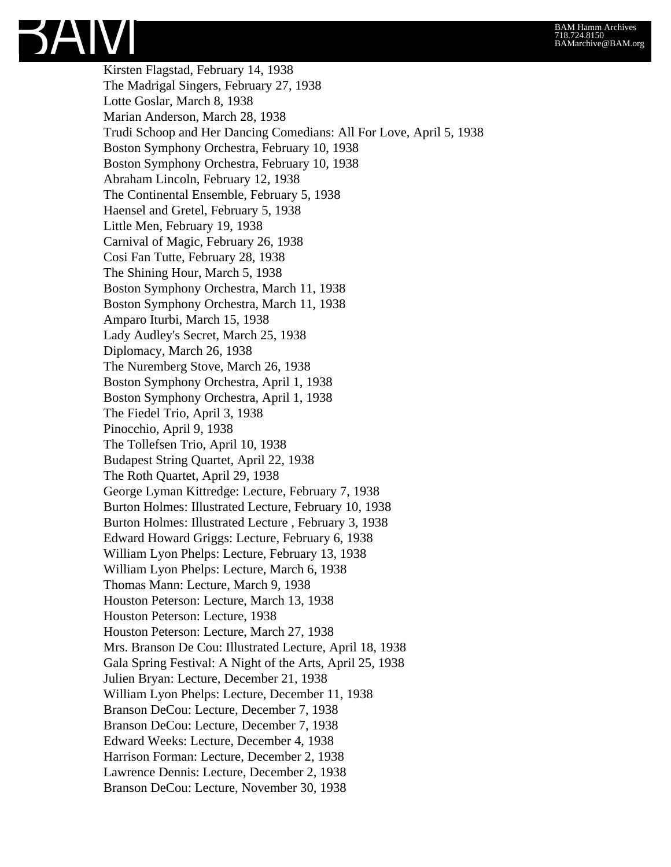Kirsten Flagstad, February 14, 1938 The Madrigal Singers, February 27, 1938 Lotte Goslar, March 8, 1938 Marian Anderson, March 28, 1938 Trudi Schoop and Her Dancing Comedians: All For Love, April 5, 1938 Boston Symphony Orchestra, February 10, 1938 Boston Symphony Orchestra, February 10, 1938 Abraham Lincoln, February 12, 1938 The Continental Ensemble, February 5, 1938 Haensel and Gretel, February 5, 1938 Little Men, February 19, 1938 Carnival of Magic, February 26, 1938 Cosi Fan Tutte, February 28, 1938 The Shining Hour, March 5, 1938 Boston Symphony Orchestra, March 11, 1938 Boston Symphony Orchestra, March 11, 1938 Amparo Iturbi, March 15, 1938 Lady Audley's Secret, March 25, 1938 Diplomacy, March 26, 1938 The Nuremberg Stove, March 26, 1938 Boston Symphony Orchestra, April 1, 1938 Boston Symphony Orchestra, April 1, 1938 The Fiedel Trio, April 3, 1938 Pinocchio, April 9, 1938 The Tollefsen Trio, April 10, 1938 Budapest String Quartet, April 22, 1938 The Roth Quartet, April 29, 1938 George Lyman Kittredge: Lecture, February 7, 1938 Burton Holmes: Illustrated Lecture, February 10, 1938 Burton Holmes: Illustrated Lecture , February 3, 1938 Edward Howard Griggs: Lecture, February 6, 1938 William Lyon Phelps: Lecture, February 13, 1938 William Lyon Phelps: Lecture, March 6, 1938 Thomas Mann: Lecture, March 9, 1938 Houston Peterson: Lecture, March 13, 1938 Houston Peterson: Lecture, 1938 Houston Peterson: Lecture, March 27, 1938 Mrs. Branson De Cou: Illustrated Lecture, April 18, 1938 Gala Spring Festival: A Night of the Arts, April 25, 1938 Julien Bryan: Lecture, December 21, 1938 William Lyon Phelps: Lecture, December 11, 1938 Branson DeCou: Lecture, December 7, 1938 Branson DeCou: Lecture, December 7, 1938 Edward Weeks: Lecture, December 4, 1938 Harrison Forman: Lecture, December 2, 1938 Lawrence Dennis: Lecture, December 2, 1938 Branson DeCou: Lecture, November 30, 1938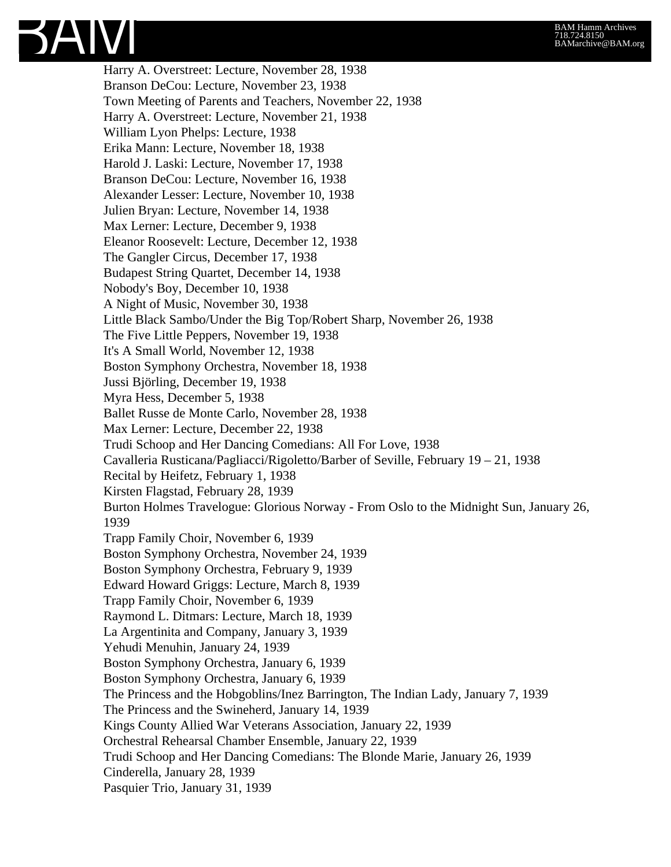Harry A. Overstreet: Lecture, November 28, 1938 Branson DeCou: Lecture, November 23, 1938 Town Meeting of Parents and Teachers, November 22, 1938 Harry A. Overstreet: Lecture, November 21, 1938 William Lyon Phelps: Lecture, 1938 Erika Mann: Lecture, November 18, 1938 Harold J. Laski: Lecture, November 17, 1938 Branson DeCou: Lecture, November 16, 1938 Alexander Lesser: Lecture, November 10, 1938 Julien Bryan: Lecture, November 14, 1938 Max Lerner: Lecture, December 9, 1938 Eleanor Roosevelt: Lecture, December 12, 1938 The Gangler Circus, December 17, 1938 Budapest String Quartet, December 14, 1938 Nobody's Boy, December 10, 1938 A Night of Music, November 30, 1938 Little Black Sambo/Under the Big Top/Robert Sharp, November 26, 1938 The Five Little Peppers, November 19, 1938 It's A Small World, November 12, 1938 Boston Symphony Orchestra, November 18, 1938 Jussi Björling, December 19, 1938 Myra Hess, December 5, 1938 Ballet Russe de Monte Carlo, November 28, 1938 Max Lerner: Lecture, December 22, 1938 Trudi Schoop and Her Dancing Comedians: All For Love, 1938 Cavalleria Rusticana/Pagliacci/Rigoletto/Barber of Seville, February 19 – 21, 1938 Recital by Heifetz, February 1, 1938 Kirsten Flagstad, February 28, 1939 Burton Holmes Travelogue: Glorious Norway - From Oslo to the Midnight Sun, January 26, 1939 Trapp Family Choir, November 6, 1939 Boston Symphony Orchestra, November 24, 1939 Boston Symphony Orchestra, February 9, 1939 Edward Howard Griggs: Lecture, March 8, 1939 Trapp Family Choir, November 6, 1939 Raymond L. Ditmars: Lecture, March 18, 1939 La Argentinita and Company, January 3, 1939 Yehudi Menuhin, January 24, 1939 Boston Symphony Orchestra, January 6, 1939 Boston Symphony Orchestra, January 6, 1939 The Princess and the Hobgoblins/Inez Barrington, The Indian Lady, January 7, 1939 The Princess and the Swineherd, January 14, 1939 Kings County Allied War Veterans Association, January 22, 1939 Orchestral Rehearsal Chamber Ensemble, January 22, 1939 Trudi Schoop and Her Dancing Comedians: The Blonde Marie, January 26, 1939 Cinderella, January 28, 1939 Pasquier Trio, January 31, 1939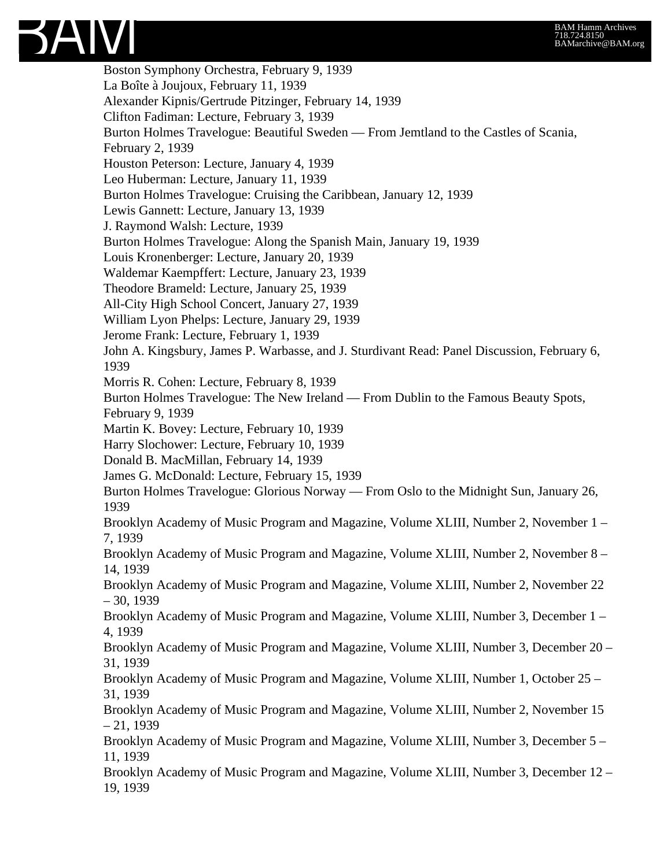3AIVI

Boston Symphony Orchestra, February 9, 1939 La Boîte à Joujoux, February 11, 1939 Alexander Kipnis/Gertrude Pitzinger, February 14, 1939 Clifton Fadiman: Lecture, February 3, 1939 Burton Holmes Travelogue: Beautiful Sweden — From Jemtland to the Castles of Scania, February 2, 1939 Houston Peterson: Lecture, January 4, 1939 Leo Huberman: Lecture, January 11, 1939 Burton Holmes Travelogue: Cruising the Caribbean, January 12, 1939 Lewis Gannett: Lecture, January 13, 1939 J. Raymond Walsh: Lecture, 1939 Burton Holmes Travelogue: Along the Spanish Main, January 19, 1939 Louis Kronenberger: Lecture, January 20, 1939 Waldemar Kaempffert: Lecture, January 23, 1939 Theodore Brameld: Lecture, January 25, 1939 All-City High School Concert, January 27, 1939 William Lyon Phelps: Lecture, January 29, 1939 Jerome Frank: Lecture, February 1, 1939 John A. Kingsbury, James P. Warbasse, and J. Sturdivant Read: Panel Discussion, February 6, 1939 Morris R. Cohen: Lecture, February 8, 1939 Burton Holmes Travelogue: The New Ireland — From Dublin to the Famous Beauty Spots, February 9, 1939 Martin K. Bovey: Lecture, February 10, 1939 Harry Slochower: Lecture, February 10, 1939 Donald B. MacMillan, February 14, 1939 James G. McDonald: Lecture, February 15, 1939 Burton Holmes Travelogue: Glorious Norway — From Oslo to the Midnight Sun, January 26, 1939 Brooklyn Academy of Music Program and Magazine, Volume XLIII, Number 2, November 1 – 7, 1939 Brooklyn Academy of Music Program and Magazine, Volume XLIII, Number 2, November 8 – 14, 1939 Brooklyn Academy of Music Program and Magazine, Volume XLIII, Number 2, November 22 – 30, 1939 Brooklyn Academy of Music Program and Magazine, Volume XLIII, Number 3, December 1 – 4, 1939 Brooklyn Academy of Music Program and Magazine, Volume XLIII, Number 3, December 20 – 31, 1939 Brooklyn Academy of Music Program and Magazine, Volume XLIII, Number 1, October 25 – 31, 1939 Brooklyn Academy of Music Program and Magazine, Volume XLIII, Number 2, November 15 – 21, 1939 Brooklyn Academy of Music Program and Magazine, Volume XLIII, Number 3, December 5 – 11, 1939 Brooklyn Academy of Music Program and Magazine, Volume XLIII, Number 3, December 12 – 19, 1939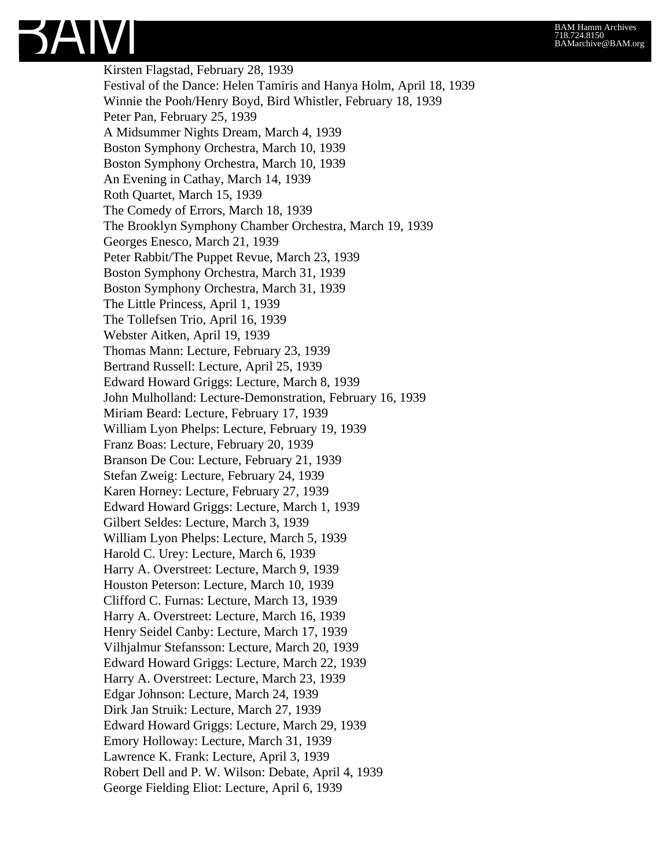

Kirsten Flagstad, February 28, 1939 Festival of the Dance: Helen Tamiris and Hanya Holm, April 18, 1939 Winnie the Pooh/Henry Boyd, Bird Whistler, February 18, 1939 Peter Pan, February 25, 1939 A Midsummer Nights Dream, March 4, 1939 Boston Symphony Orchestra, March 10, 1939 Boston Symphony Orchestra, March 10, 1939 An Evening in Cathay, March 14, 1939 Roth Quartet, March 15, 1939 The Comedy of Errors, March 18, 1939 The Brooklyn Symphony Chamber Orchestra, March 19, 1939 Georges Enesco, March 21, 1939 Peter Rabbit/The Puppet Revue, March 23, 1939 Boston Symphony Orchestra, March 31, 1939 Boston Symphony Orchestra, March 31, 1939 The Little Princess, April 1, 1939 The Tollefsen Trio, April 16, 1939 Webster Aitken, April 19, 1939 Thomas Mann: Lecture, February 23, 1939 Bertrand Russell: Lecture, April 25, 1939 Edward Howard Griggs: Lecture, March 8, 1939 John Mulholland: Lecture-Demonstration, February 16, 1939 Miriam Beard: Lecture, February 17, 1939 William Lyon Phelps: Lecture, February 19, 1939 Franz Boas: Lecture, February 20, 1939 Branson De Cou: Lecture, February 21, 1939 Stefan Zweig: Lecture, February 24, 1939 Karen Horney: Lecture, February 27, 1939 Edward Howard Griggs: Lecture, March 1, 1939 Gilbert Seldes: Lecture, March 3, 1939 William Lyon Phelps: Lecture, March 5, 1939 Harold C. Urey: Lecture, March 6, 1939 Harry A. Overstreet: Lecture, March 9, 1939 Houston Peterson: Lecture, March 10, 1939 Clifford C. Furnas: Lecture, March 13, 1939 Harry A. Overstreet: Lecture, March 16, 1939 Henry Seidel Canby: Lecture, March 17, 1939 Vilhjalmur Stefansson: Lecture, March 20, 1939 Edward Howard Griggs: Lecture, March 22, 1939 Harry A. Overstreet: Lecture, March 23, 1939 Edgar Johnson: Lecture, March 24, 1939 Dirk Jan Struik: Lecture, March 27, 1939 Edward Howard Griggs: Lecture, March 29, 1939 Emory Holloway: Lecture, March 31, 1939 Lawrence K. Frank: Lecture, April 3, 1939 Robert Dell and P. W. Wilson: Debate, April 4, 1939 George Fielding Eliot: Lecture, April 6, 1939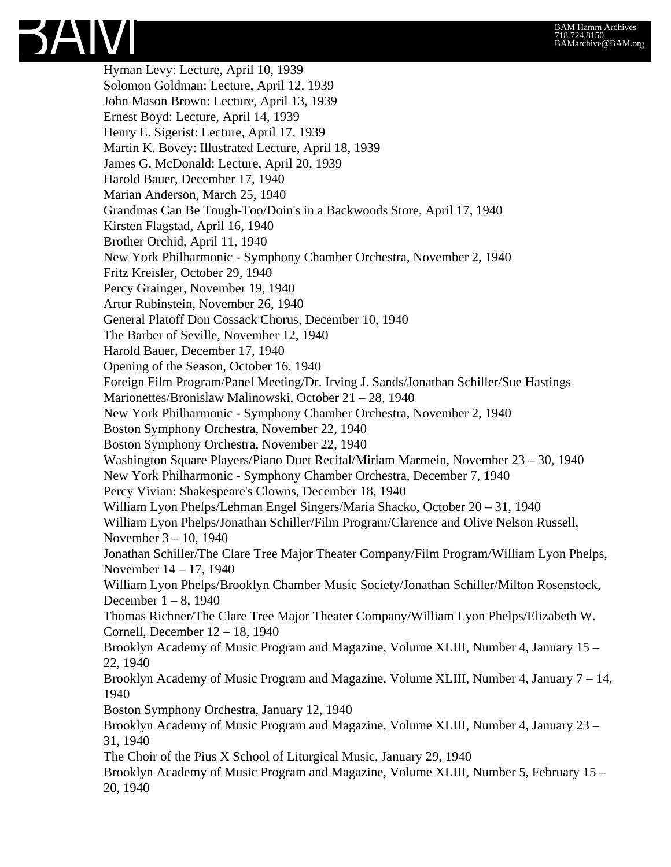

Hyman Levy: Lecture, April 10, 1939 Solomon Goldman: Lecture, April 12, 1939 John Mason Brown: Lecture, April 13, 1939 Ernest Boyd: Lecture, April 14, 1939 Henry E. Sigerist: Lecture, April 17, 1939 Martin K. Bovey: Illustrated Lecture, April 18, 1939 James G. McDonald: Lecture, April 20, 1939 Harold Bauer, December 17, 1940 Marian Anderson, March 25, 1940 Grandmas Can Be Tough-Too/Doin's in a Backwoods Store, April 17, 1940 Kirsten Flagstad, April 16, 1940 Brother Orchid, April 11, 1940 New York Philharmonic - Symphony Chamber Orchestra, November 2, 1940 Fritz Kreisler, October 29, 1940 Percy Grainger, November 19, 1940 Artur Rubinstein, November 26, 1940 General Platoff Don Cossack Chorus, December 10, 1940 The Barber of Seville, November 12, 1940 Harold Bauer, December 17, 1940 Opening of the Season, October 16, 1940 Foreign Film Program/Panel Meeting/Dr. Irving J. Sands/Jonathan Schiller/Sue Hastings Marionettes/Bronislaw Malinowski, October 21 – 28, 1940 New York Philharmonic - Symphony Chamber Orchestra, November 2, 1940 Boston Symphony Orchestra, November 22, 1940 Boston Symphony Orchestra, November 22, 1940 Washington Square Players/Piano Duet Recital/Miriam Marmein, November 23 – 30, 1940 New York Philharmonic - Symphony Chamber Orchestra, December 7, 1940 Percy Vivian: Shakespeare's Clowns, December 18, 1940 William Lyon Phelps/Lehman Engel Singers/Maria Shacko, October 20 – 31, 1940 William Lyon Phelps/Jonathan Schiller/Film Program/Clarence and Olive Nelson Russell, November 3 – 10, 1940 Jonathan Schiller/The Clare Tree Major Theater Company/Film Program/William Lyon Phelps, November 14 – 17, 1940 William Lyon Phelps/Brooklyn Chamber Music Society/Jonathan Schiller/Milton Rosenstock, December 1 – 8, 1940 Thomas Richner/The Clare Tree Major Theater Company/William Lyon Phelps/Elizabeth W. Cornell, December 12 – 18, 1940 Brooklyn Academy of Music Program and Magazine, Volume XLIII, Number 4, January 15 – 22, 1940 Brooklyn Academy of Music Program and Magazine, Volume XLIII, Number 4, January 7 – 14, 1940 Boston Symphony Orchestra, January 12, 1940 Brooklyn Academy of Music Program and Magazine, Volume XLIII, Number 4, January 23 – 31, 1940 The Choir of the Pius X School of Liturgical Music, January 29, 1940 Brooklyn Academy of Music Program and Magazine, Volume XLIII, Number 5, February 15 – 20, 1940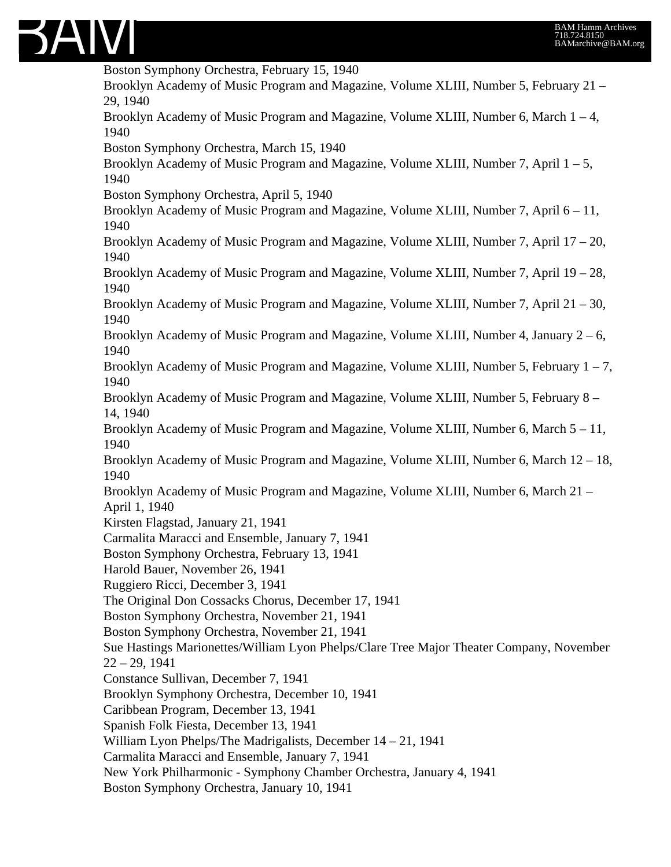

Boston Symphony Orchestra, February 15, 1940 Brooklyn Academy of Music Program and Magazine, Volume XLIII, Number 5, February 21 – 29, 1940 Brooklyn Academy of Music Program and Magazine, Volume XLIII, Number 6, March  $1 - 4$ , 1940 Boston Symphony Orchestra, March 15, 1940 Brooklyn Academy of Music Program and Magazine, Volume XLIII, Number 7, April  $1 - 5$ , 1940 Boston Symphony Orchestra, April 5, 1940 Brooklyn Academy of Music Program and Magazine, Volume XLIII, Number 7, April 6 – 11, 1940 Brooklyn Academy of Music Program and Magazine, Volume XLIII, Number 7, April 17 – 20, 1940 Brooklyn Academy of Music Program and Magazine, Volume XLIII, Number 7, April 19 – 28, 1940 Brooklyn Academy of Music Program and Magazine, Volume XLIII, Number 7, April 21 – 30, 1940 Brooklyn Academy of Music Program and Magazine, Volume XLIII, Number 4, January  $2-6$ , 1940 Brooklyn Academy of Music Program and Magazine, Volume XLIII, Number 5, February  $1 - 7$ , 1940 Brooklyn Academy of Music Program and Magazine, Volume XLIII, Number 5, February 8 – 14, 1940 Brooklyn Academy of Music Program and Magazine, Volume XLIII, Number 6, March 5 – 11, 1940 Brooklyn Academy of Music Program and Magazine, Volume XLIII, Number 6, March 12 – 18, 1940 Brooklyn Academy of Music Program and Magazine, Volume XLIII, Number 6, March 21 – April 1, 1940 Kirsten Flagstad, January 21, 1941 Carmalita Maracci and Ensemble, January 7, 1941 Boston Symphony Orchestra, February 13, 1941 Harold Bauer, November 26, 1941 Ruggiero Ricci, December 3, 1941 The Original Don Cossacks Chorus, December 17, 1941 Boston Symphony Orchestra, November 21, 1941 Boston Symphony Orchestra, November 21, 1941 Sue Hastings Marionettes/William Lyon Phelps/Clare Tree Major Theater Company, November 22 – 29, 1941 Constance Sullivan, December 7, 1941 Brooklyn Symphony Orchestra, December 10, 1941 Caribbean Program, December 13, 1941 Spanish Folk Fiesta, December 13, 1941 William Lyon Phelps/The Madrigalists, December 14 – 21, 1941 Carmalita Maracci and Ensemble, January 7, 1941 New York Philharmonic - Symphony Chamber Orchestra, January 4, 1941 Boston Symphony Orchestra, January 10, 1941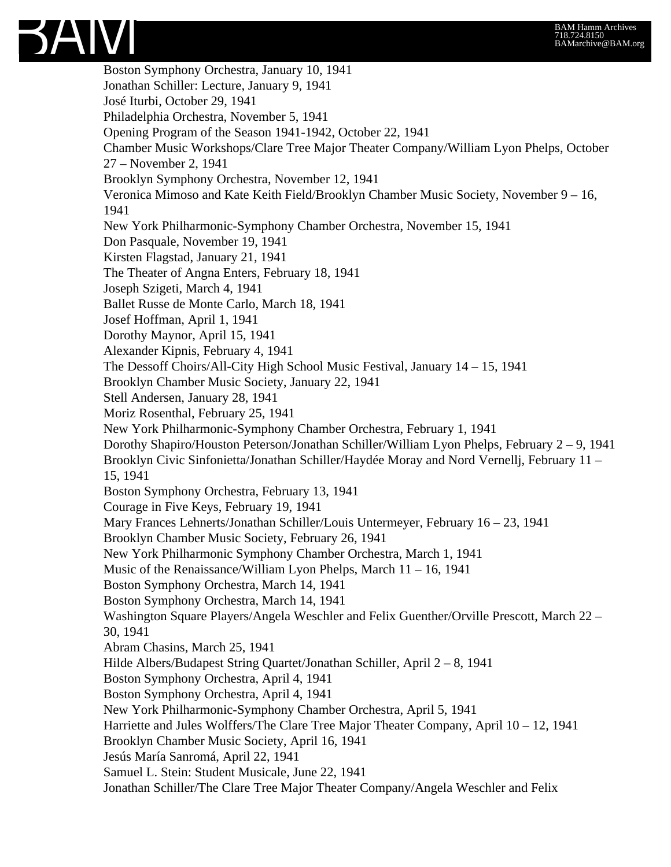

Boston Symphony Orchestra, January 10, 1941 Jonathan Schiller: Lecture, January 9, 1941 José Iturbi, October 29, 1941 Philadelphia Orchestra, November 5, 1941 Opening Program of the Season 1941-1942, October 22, 1941 Chamber Music Workshops/Clare Tree Major Theater Company/William Lyon Phelps, October 27 – November 2, 1941 Brooklyn Symphony Orchestra, November 12, 1941 Veronica Mimoso and Kate Keith Field/Brooklyn Chamber Music Society, November 9 – 16, 1941 New York Philharmonic-Symphony Chamber Orchestra, November 15, 1941 Don Pasquale, November 19, 1941 Kirsten Flagstad, January 21, 1941 The Theater of Angna Enters, February 18, 1941 Joseph Szigeti, March 4, 1941 Ballet Russe de Monte Carlo, March 18, 1941 Josef Hoffman, April 1, 1941 Dorothy Maynor, April 15, 1941 Alexander Kipnis, February 4, 1941 The Dessoff Choirs/All-City High School Music Festival, January 14 – 15, 1941 Brooklyn Chamber Music Society, January 22, 1941 Stell Andersen, January 28, 1941 Moriz Rosenthal, February 25, 1941 New York Philharmonic-Symphony Chamber Orchestra, February 1, 1941 Dorothy Shapiro/Houston Peterson/Jonathan Schiller/William Lyon Phelps, February 2 – 9, 1941 Brooklyn Civic Sinfonietta/Jonathan Schiller/Haydée Moray and Nord Vernellj, February 11 – 15, 1941 Boston Symphony Orchestra, February 13, 1941 Courage in Five Keys, February 19, 1941 Mary Frances Lehnerts/Jonathan Schiller/Louis Untermeyer, February 16 – 23, 1941 Brooklyn Chamber Music Society, February 26, 1941 New York Philharmonic Symphony Chamber Orchestra, March 1, 1941 Music of the Renaissance/William Lyon Phelps, March 11 – 16, 1941 Boston Symphony Orchestra, March 14, 1941 Boston Symphony Orchestra, March 14, 1941 Washington Square Players/Angela Weschler and Felix Guenther/Orville Prescott, March 22 – 30, 1941 Abram Chasins, March 25, 1941 Hilde Albers/Budapest String Quartet/Jonathan Schiller, April 2 – 8, 1941 Boston Symphony Orchestra, April 4, 1941 Boston Symphony Orchestra, April 4, 1941 New York Philharmonic-Symphony Chamber Orchestra, April 5, 1941 Harriette and Jules Wolffers/The Clare Tree Major Theater Company, April 10 – 12, 1941 Brooklyn Chamber Music Society, April 16, 1941 Jesús María Sanromá, April 22, 1941 Samuel L. Stein: Student Musicale, June 22, 1941 Jonathan Schiller/The Clare Tree Major Theater Company/Angela Weschler and Felix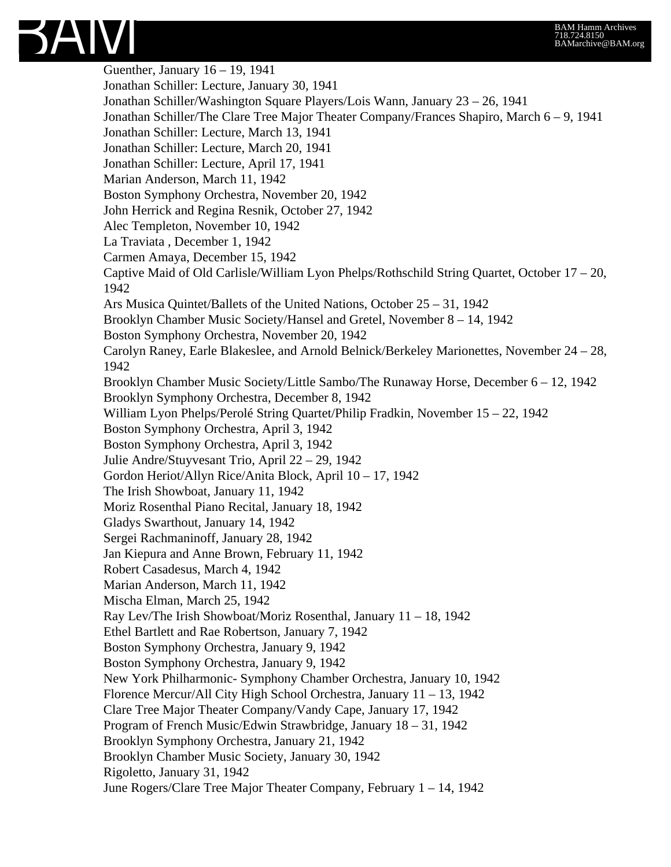## BAM Hamm Archives 718.724.8150 BAMarchive@BAM.org



Guenther, January 16 – 19, 1941 Jonathan Schiller: Lecture, January 30, 1941 Jonathan Schiller/Washington Square Players/Lois Wann, January 23 – 26, 1941 Jonathan Schiller/The Clare Tree Major Theater Company/Frances Shapiro, March 6 – 9, 1941 Jonathan Schiller: Lecture, March 13, 1941 Jonathan Schiller: Lecture, March 20, 1941 Jonathan Schiller: Lecture, April 17, 1941 Marian Anderson, March 11, 1942 Boston Symphony Orchestra, November 20, 1942 John Herrick and Regina Resnik, October 27, 1942 Alec Templeton, November 10, 1942 La Traviata , December 1, 1942 Carmen Amaya, December 15, 1942 Captive Maid of Old Carlisle/William Lyon Phelps/Rothschild String Quartet, October 17 – 20, 1942 Ars Musica Quintet/Ballets of the United Nations, October 25 – 31, 1942 Brooklyn Chamber Music Society/Hansel and Gretel, November 8 – 14, 1942 Boston Symphony Orchestra, November 20, 1942 Carolyn Raney, Earle Blakeslee, and Arnold Belnick/Berkeley Marionettes, November 24 – 28, 1942 Brooklyn Chamber Music Society/Little Sambo/The Runaway Horse, December 6 – 12, 1942 Brooklyn Symphony Orchestra, December 8, 1942 William Lyon Phelps/Perolé String Quartet/Philip Fradkin, November 15 – 22, 1942 Boston Symphony Orchestra, April 3, 1942 Boston Symphony Orchestra, April 3, 1942 Julie Andre/Stuyvesant Trio, April 22 – 29, 1942 Gordon Heriot/Allyn Rice/Anita Block, April 10 – 17, 1942 The Irish Showboat, January 11, 1942 Moriz Rosenthal Piano Recital, January 18, 1942 Gladys Swarthout, January 14, 1942 Sergei Rachmaninoff, January 28, 1942 Jan Kiepura and Anne Brown, February 11, 1942 Robert Casadesus, March 4, 1942 Marian Anderson, March 11, 1942 Mischa Elman, March 25, 1942 Ray Lev/The Irish Showboat/Moriz Rosenthal, January 11 – 18, 1942 Ethel Bartlett and Rae Robertson, January 7, 1942 Boston Symphony Orchestra, January 9, 1942 Boston Symphony Orchestra, January 9, 1942 New York Philharmonic- Symphony Chamber Orchestra, January 10, 1942 Florence Mercur/All City High School Orchestra, January 11 – 13, 1942 Clare Tree Major Theater Company/Vandy Cape, January 17, 1942 Program of French Music/Edwin Strawbridge, January 18 – 31, 1942 Brooklyn Symphony Orchestra, January 21, 1942 Brooklyn Chamber Music Society, January 30, 1942 Rigoletto, January 31, 1942 June Rogers/Clare Tree Major Theater Company, February 1 – 14, 1942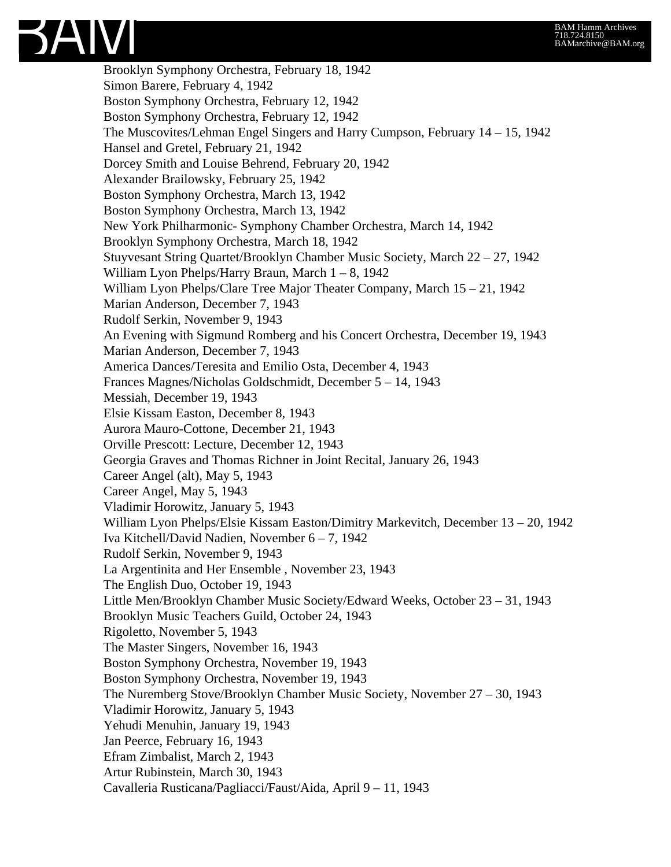

Brooklyn Symphony Orchestra, February 18, 1942 Simon Barere, February 4, 1942 Boston Symphony Orchestra, February 12, 1942 Boston Symphony Orchestra, February 12, 1942 The Muscovites/Lehman Engel Singers and Harry Cumpson, February 14 – 15, 1942 Hansel and Gretel, February 21, 1942 Dorcey Smith and Louise Behrend, February 20, 1942 Alexander Brailowsky, February 25, 1942 Boston Symphony Orchestra, March 13, 1942 Boston Symphony Orchestra, March 13, 1942 New York Philharmonic- Symphony Chamber Orchestra, March 14, 1942 Brooklyn Symphony Orchestra, March 18, 1942 Stuyvesant String Quartet/Brooklyn Chamber Music Society, March 22 – 27, 1942 William Lyon Phelps/Harry Braun, March 1 – 8, 1942 William Lyon Phelps/Clare Tree Major Theater Company, March 15 – 21, 1942 Marian Anderson, December 7, 1943 Rudolf Serkin, November 9, 1943 An Evening with Sigmund Romberg and his Concert Orchestra, December 19, 1943 Marian Anderson, December 7, 1943 America Dances/Teresita and Emilio Osta, December 4, 1943 Frances Magnes/Nicholas Goldschmidt, December 5 – 14, 1943 Messiah, December 19, 1943 Elsie Kissam Easton, December 8, 1943 Aurora Mauro-Cottone, December 21, 1943 Orville Prescott: Lecture, December 12, 1943 Georgia Graves and Thomas Richner in Joint Recital, January 26, 1943 Career Angel (alt), May 5, 1943 Career Angel, May 5, 1943 Vladimir Horowitz, January 5, 1943 William Lyon Phelps/Elsie Kissam Easton/Dimitry Markevitch, December 13 – 20, 1942 Iva Kitchell/David Nadien, November 6 – 7, 1942 Rudolf Serkin, November 9, 1943 La Argentinita and Her Ensemble , November 23, 1943 The English Duo, October 19, 1943 Little Men/Brooklyn Chamber Music Society/Edward Weeks, October 23 – 31, 1943 Brooklyn Music Teachers Guild, October 24, 1943 Rigoletto, November 5, 1943 The Master Singers, November 16, 1943 Boston Symphony Orchestra, November 19, 1943 Boston Symphony Orchestra, November 19, 1943 The Nuremberg Stove/Brooklyn Chamber Music Society, November 27 – 30, 1943 Vladimir Horowitz, January 5, 1943 Yehudi Menuhin, January 19, 1943 Jan Peerce, February 16, 1943 Efram Zimbalist, March 2, 1943 Artur Rubinstein, March 30, 1943 Cavalleria Rusticana/Pagliacci/Faust/Aida, April 9 – 11, 1943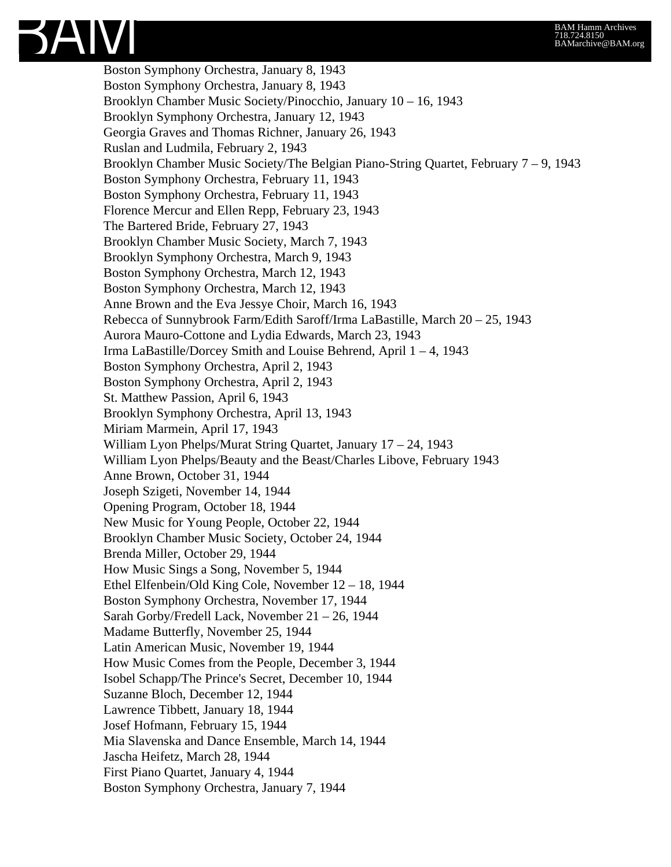

Boston Symphony Orchestra, January 8, 1943 Boston Symphony Orchestra, January 8, 1943 Brooklyn Chamber Music Society/Pinocchio, January 10 – 16, 1943 Brooklyn Symphony Orchestra, January 12, 1943 Georgia Graves and Thomas Richner, January 26, 1943 Ruslan and Ludmila, February 2, 1943 Brooklyn Chamber Music Society/The Belgian Piano-String Quartet, February 7 – 9, 1943 Boston Symphony Orchestra, February 11, 1943 Boston Symphony Orchestra, February 11, 1943 Florence Mercur and Ellen Repp, February 23, 1943 The Bartered Bride, February 27, 1943 Brooklyn Chamber Music Society, March 7, 1943 Brooklyn Symphony Orchestra, March 9, 1943 Boston Symphony Orchestra, March 12, 1943 Boston Symphony Orchestra, March 12, 1943 Anne Brown and the Eva Jessye Choir, March 16, 1943 Rebecca of Sunnybrook Farm/Edith Saroff/Irma LaBastille, March 20 – 25, 1943 Aurora Mauro-Cottone and Lydia Edwards, March 23, 1943 Irma LaBastille/Dorcey Smith and Louise Behrend, April 1 – 4, 1943 Boston Symphony Orchestra, April 2, 1943 Boston Symphony Orchestra, April 2, 1943 St. Matthew Passion, April 6, 1943 Brooklyn Symphony Orchestra, April 13, 1943 Miriam Marmein, April 17, 1943 William Lyon Phelps/Murat String Quartet, January 17 – 24, 1943 William Lyon Phelps/Beauty and the Beast/Charles Libove, February 1943 Anne Brown, October 31, 1944 Joseph Szigeti, November 14, 1944 Opening Program, October 18, 1944 New Music for Young People, October 22, 1944 Brooklyn Chamber Music Society, October 24, 1944 Brenda Miller, October 29, 1944 How Music Sings a Song, November 5, 1944 Ethel Elfenbein/Old King Cole, November 12 – 18, 1944 Boston Symphony Orchestra, November 17, 1944 Sarah Gorby/Fredell Lack, November 21 – 26, 1944 Madame Butterfly, November 25, 1944 Latin American Music, November 19, 1944 How Music Comes from the People, December 3, 1944 Isobel Schapp/The Prince's Secret, December 10, 1944 Suzanne Bloch, December 12, 1944 Lawrence Tibbett, January 18, 1944 Josef Hofmann, February 15, 1944 Mia Slavenska and Dance Ensemble, March 14, 1944 Jascha Heifetz, March 28, 1944 First Piano Quartet, January 4, 1944 Boston Symphony Orchestra, January 7, 1944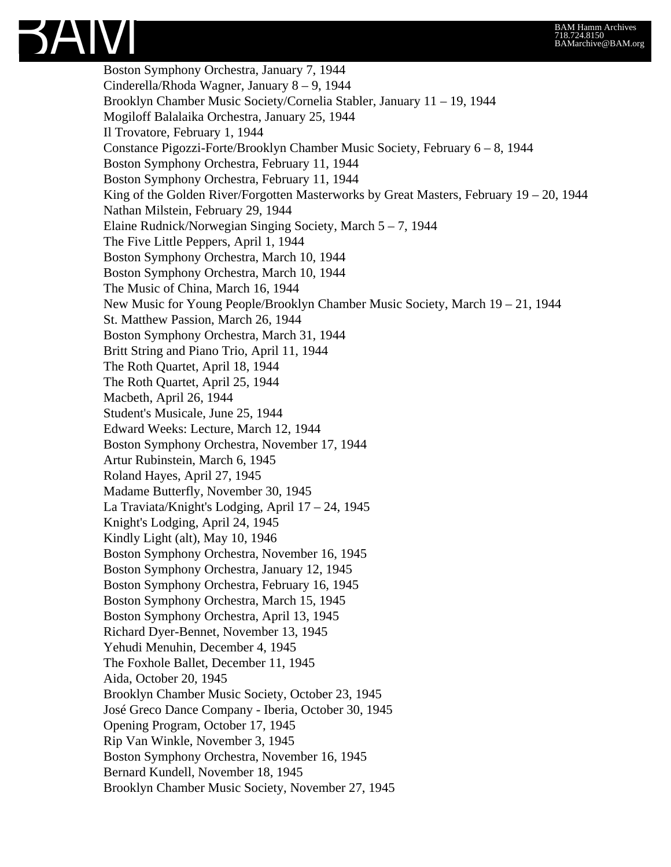

Boston Symphony Orchestra, January 7, 1944 Cinderella/Rhoda Wagner, January 8 – 9, 1944 Brooklyn Chamber Music Society/Cornelia Stabler, January 11 – 19, 1944 Mogiloff Balalaika Orchestra, January 25, 1944 Il Trovatore, February 1, 1944 Constance Pigozzi-Forte/Brooklyn Chamber Music Society, February 6 – 8, 1944 Boston Symphony Orchestra, February 11, 1944 Boston Symphony Orchestra, February 11, 1944 King of the Golden River/Forgotten Masterworks by Great Masters, February  $19 - 20$ , 1944 Nathan Milstein, February 29, 1944 Elaine Rudnick/Norwegian Singing Society, March 5 – 7, 1944 The Five Little Peppers, April 1, 1944 Boston Symphony Orchestra, March 10, 1944 Boston Symphony Orchestra, March 10, 1944 The Music of China, March 16, 1944 New Music for Young People/Brooklyn Chamber Music Society, March 19 – 21, 1944 St. Matthew Passion, March 26, 1944 Boston Symphony Orchestra, March 31, 1944 Britt String and Piano Trio, April 11, 1944 The Roth Quartet, April 18, 1944 The Roth Quartet, April 25, 1944 Macbeth, April 26, 1944 Student's Musicale, June 25, 1944 Edward Weeks: Lecture, March 12, 1944 Boston Symphony Orchestra, November 17, 1944 Artur Rubinstein, March 6, 1945 Roland Hayes, April 27, 1945 Madame Butterfly, November 30, 1945 La Traviata/Knight's Lodging, April 17 – 24, 1945 Knight's Lodging, April 24, 1945 Kindly Light (alt), May 10, 1946 Boston Symphony Orchestra, November 16, 1945 Boston Symphony Orchestra, January 12, 1945 Boston Symphony Orchestra, February 16, 1945 Boston Symphony Orchestra, March 15, 1945 Boston Symphony Orchestra, April 13, 1945 Richard Dyer-Bennet, November 13, 1945 Yehudi Menuhin, December 4, 1945 The Foxhole Ballet, December 11, 1945 Aida, October 20, 1945 Brooklyn Chamber Music Society, October 23, 1945 José Greco Dance Company - Iberia, October 30, 1945 Opening Program, October 17, 1945 Rip Van Winkle, November 3, 1945 Boston Symphony Orchestra, November 16, 1945 Bernard Kundell, November 18, 1945 Brooklyn Chamber Music Society, November 27, 1945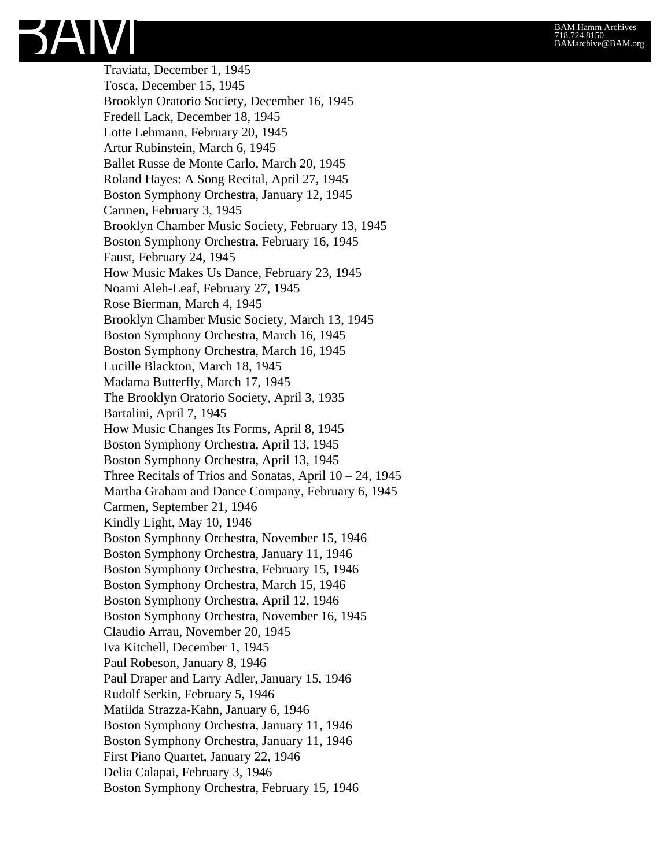Traviata, December 1, 1945 Tosca, December 15, 1945 Brooklyn Oratorio Society, December 16, 1945 Fredell Lack, December 18, 1945 Lotte Lehmann, February 20, 1945 Artur Rubinstein, March 6, 1945 Ballet Russe de Monte Carlo, March 20, 1945 Roland Hayes: A Song Recital, April 27, 1945 Boston Symphony Orchestra, January 12, 1945 Carmen, February 3, 1945 Brooklyn Chamber Music Society, February 13, 1945 Boston Symphony Orchestra, February 16, 1945 Faust, February 24, 1945 How Music Makes Us Dance, February 23, 1945 Noami Aleh-Leaf, February 27, 1945 Rose Bierman, March 4, 1945 Brooklyn Chamber Music Society, March 13, 1945 Boston Symphony Orchestra, March 16, 1945 Boston Symphony Orchestra, March 16, 1945 Lucille Blackton, March 18, 1945 Madama Butterfly, March 17, 1945 The Brooklyn Oratorio Society, April 3, 1935 Bartalini, April 7, 1945 How Music Changes Its Forms, April 8, 1945 Boston Symphony Orchestra, April 13, 1945 Boston Symphony Orchestra, April 13, 1945 Three Recitals of Trios and Sonatas, April  $10 - 24$ , 1945 Martha Graham and Dance Company, February 6, 1945 Carmen, September 21, 1946 Kindly Light, May 10, 1946 Boston Symphony Orchestra, November 15, 1946 Boston Symphony Orchestra, January 11, 1946 Boston Symphony Orchestra, February 15, 1946 Boston Symphony Orchestra, March 15, 1946 Boston Symphony Orchestra, April 12, 1946 Boston Symphony Orchestra, November 16, 1945 Claudio Arrau, November 20, 1945 Iva Kitchell, December 1, 1945 Paul Robeson, January 8, 1946 Paul Draper and Larry Adler, January 15, 1946 Rudolf Serkin, February 5, 1946 Matilda Strazza-Kahn, January 6, 1946 Boston Symphony Orchestra, January 11, 1946 Boston Symphony Orchestra, January 11, 1946 First Piano Quartet, January 22, 1946 Delia Calapai, February 3, 1946 Boston Symphony Orchestra, February 15, 1946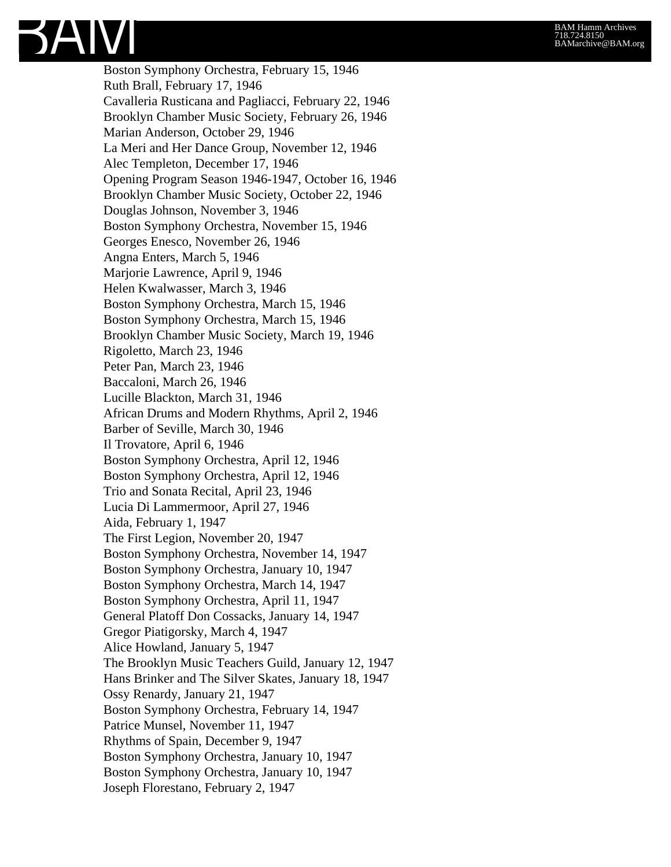Boston Symphony Orchestra, February 15, 1946 Ruth Brall, February 17, 1946 Cavalleria Rusticana and Pagliacci, February 22, 1946 Brooklyn Chamber Music Society, February 26, 1946 Marian Anderson, October 29, 1946 La Meri and Her Dance Group, November 12, 1946 Alec Templeton, December 17, 1946 Opening Program Season 1946-1947, October 16, 1946 Brooklyn Chamber Music Society, October 22, 1946 Douglas Johnson, November 3, 1946 Boston Symphony Orchestra, November 15, 1946 Georges Enesco, November 26, 1946 Angna Enters, March 5, 1946 Marjorie Lawrence, April 9, 1946 Helen Kwalwasser, March 3, 1946 Boston Symphony Orchestra, March 15, 1946 Boston Symphony Orchestra, March 15, 1946 Brooklyn Chamber Music Society, March 19, 1946 Rigoletto, March 23, 1946 Peter Pan, March 23, 1946 Baccaloni, March 26, 1946 Lucille Blackton, March 31, 1946 African Drums and Modern Rhythms, April 2, 1946 Barber of Seville, March 30, 1946 Il Trovatore, April 6, 1946 Boston Symphony Orchestra, April 12, 1946 Boston Symphony Orchestra, April 12, 1946 Trio and Sonata Recital, April 23, 1946 Lucia Di Lammermoor, April 27, 1946 Aida, February 1, 1947 The First Legion, November 20, 1947 Boston Symphony Orchestra, November 14, 1947 Boston Symphony Orchestra, January 10, 1947 Boston Symphony Orchestra, March 14, 1947 Boston Symphony Orchestra, April 11, 1947 General Platoff Don Cossacks, January 14, 1947 Gregor Piatigorsky, March 4, 1947 Alice Howland, January 5, 1947 The Brooklyn Music Teachers Guild, January 12, 1947 Hans Brinker and The Silver Skates, January 18, 1947 Ossy Renardy, January 21, 1947 Boston Symphony Orchestra, February 14, 1947 Patrice Munsel, November 11, 1947 Rhythms of Spain, December 9, 1947 Boston Symphony Orchestra, January 10, 1947 Boston Symphony Orchestra, January 10, 1947 Joseph Florestano, February 2, 1947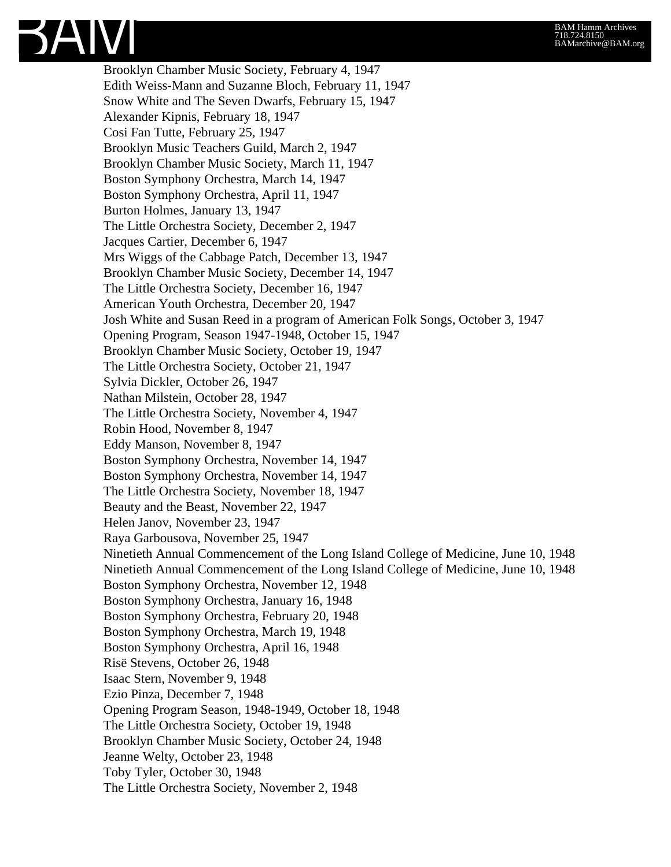Brooklyn Chamber Music Society, February 4, 1947 Edith Weiss-Mann and Suzanne Bloch, February 11, 1947 Snow White and The Seven Dwarfs, February 15, 1947 Alexander Kipnis, February 18, 1947 Cosi Fan Tutte, February 25, 1947 Brooklyn Music Teachers Guild, March 2, 1947 Brooklyn Chamber Music Society, March 11, 1947 Boston Symphony Orchestra, March 14, 1947 Boston Symphony Orchestra, April 11, 1947 Burton Holmes, January 13, 1947 The Little Orchestra Society, December 2, 1947 Jacques Cartier, December 6, 1947 Mrs Wiggs of the Cabbage Patch, December 13, 1947 Brooklyn Chamber Music Society, December 14, 1947 The Little Orchestra Society, December 16, 1947 American Youth Orchestra, December 20, 1947 Josh White and Susan Reed in a program of American Folk Songs, October 3, 1947 Opening Program, Season 1947-1948, October 15, 1947 Brooklyn Chamber Music Society, October 19, 1947 The Little Orchestra Society, October 21, 1947 Sylvia Dickler, October 26, 1947 Nathan Milstein, October 28, 1947 The Little Orchestra Society, November 4, 1947 Robin Hood, November 8, 1947 Eddy Manson, November 8, 1947 Boston Symphony Orchestra, November 14, 1947 Boston Symphony Orchestra, November 14, 1947 The Little Orchestra Society, November 18, 1947 Beauty and the Beast, November 22, 1947 Helen Janov, November 23, 1947 Raya Garbousova, November 25, 1947 Ninetieth Annual Commencement of the Long Island College of Medicine, June 10, 1948 Ninetieth Annual Commencement of the Long Island College of Medicine, June 10, 1948 Boston Symphony Orchestra, November 12, 1948 Boston Symphony Orchestra, January 16, 1948 Boston Symphony Orchestra, February 20, 1948 Boston Symphony Orchestra, March 19, 1948 Boston Symphony Orchestra, April 16, 1948 Risë Stevens, October 26, 1948 Isaac Stern, November 9, 1948 Ezio Pinza, December 7, 1948 Opening Program Season, 1948-1949, October 18, 1948 The Little Orchestra Society, October 19, 1948 Brooklyn Chamber Music Society, October 24, 1948 Jeanne Welty, October 23, 1948 Toby Tyler, October 30, 1948 The Little Orchestra Society, November 2, 1948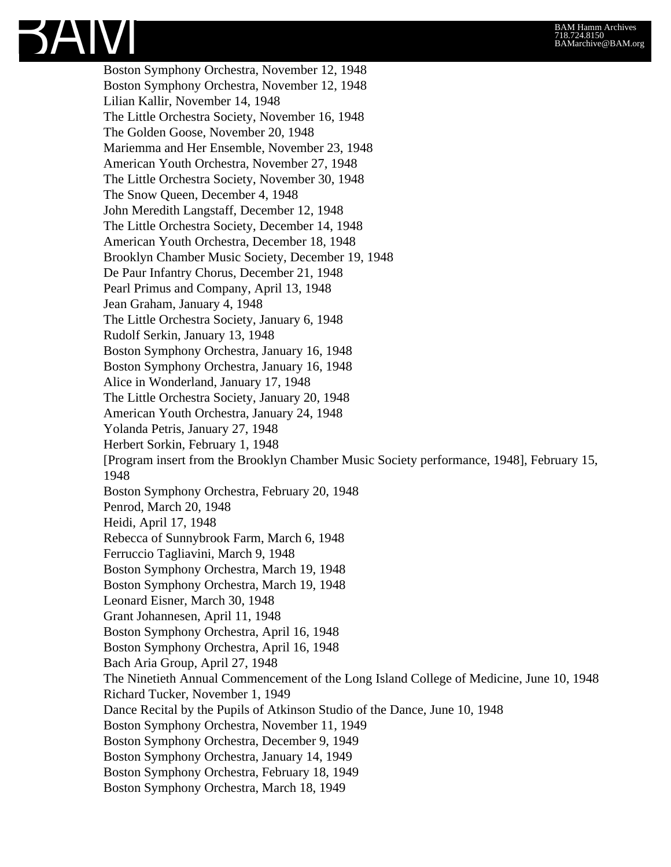Boston Symphony Orchestra, November 12, 1948 Boston Symphony Orchestra, November 12, 1948 Lilian Kallir, November 14, 1948 The Little Orchestra Society, November 16, 1948 The Golden Goose, November 20, 1948 Mariemma and Her Ensemble, November 23, 1948 American Youth Orchestra, November 27, 1948 The Little Orchestra Society, November 30, 1948 The Snow Queen, December 4, 1948 John Meredith Langstaff, December 12, 1948 The Little Orchestra Society, December 14, 1948 American Youth Orchestra, December 18, 1948 Brooklyn Chamber Music Society, December 19, 1948 De Paur Infantry Chorus, December 21, 1948 Pearl Primus and Company, April 13, 1948 Jean Graham, January 4, 1948 The Little Orchestra Society, January 6, 1948 Rudolf Serkin, January 13, 1948 Boston Symphony Orchestra, January 16, 1948 Boston Symphony Orchestra, January 16, 1948 Alice in Wonderland, January 17, 1948 The Little Orchestra Society, January 20, 1948 American Youth Orchestra, January 24, 1948 Yolanda Petris, January 27, 1948 Herbert Sorkin, February 1, 1948 [Program insert from the Brooklyn Chamber Music Society performance, 1948], February 15, 1948 Boston Symphony Orchestra, February 20, 1948 Penrod, March 20, 1948 Heidi, April 17, 1948 Rebecca of Sunnybrook Farm, March 6, 1948 Ferruccio Tagliavini, March 9, 1948 Boston Symphony Orchestra, March 19, 1948 Boston Symphony Orchestra, March 19, 1948 Leonard Eisner, March 30, 1948 Grant Johannesen, April 11, 1948 Boston Symphony Orchestra, April 16, 1948 Boston Symphony Orchestra, April 16, 1948 Bach Aria Group, April 27, 1948 The Ninetieth Annual Commencement of the Long Island College of Medicine, June 10, 1948 Richard Tucker, November 1, 1949 Dance Recital by the Pupils of Atkinson Studio of the Dance, June 10, 1948 Boston Symphony Orchestra, November 11, 1949 Boston Symphony Orchestra, December 9, 1949 Boston Symphony Orchestra, January 14, 1949 Boston Symphony Orchestra, February 18, 1949 Boston Symphony Orchestra, March 18, 1949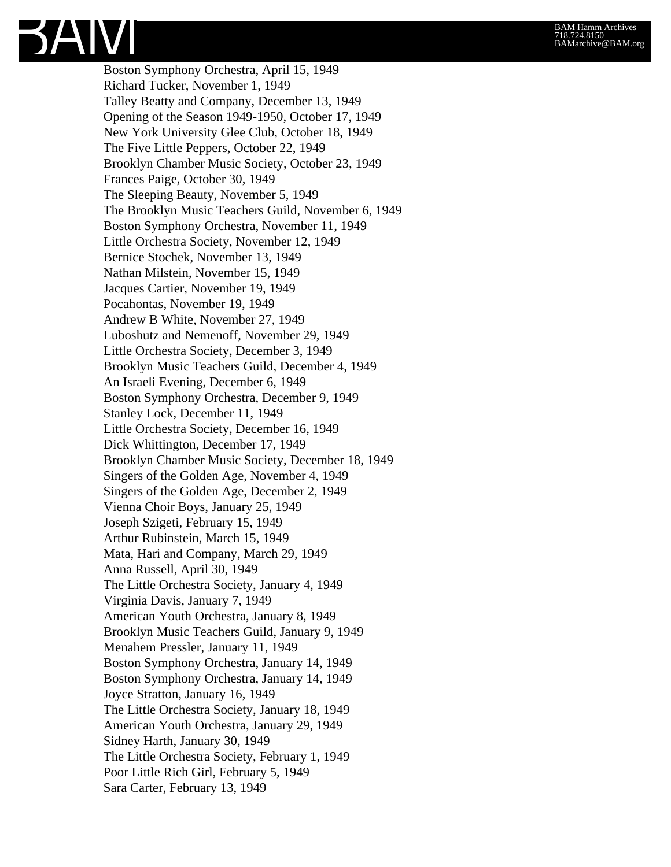Boston Symphony Orchestra, April 15, 1949 Richard Tucker, November 1, 1949 Talley Beatty and Company, December 13, 1949 Opening of the Season 1949-1950, October 17, 1949 New York University Glee Club, October 18, 1949 The Five Little Peppers, October 22, 1949 Brooklyn Chamber Music Society, October 23, 1949 Frances Paige, October 30, 1949 The Sleeping Beauty, November 5, 1949 The Brooklyn Music Teachers Guild, November 6, 1949 Boston Symphony Orchestra, November 11, 1949 Little Orchestra Society, November 12, 1949 Bernice Stochek, November 13, 1949 Nathan Milstein, November 15, 1949 Jacques Cartier, November 19, 1949 Pocahontas, November 19, 1949 Andrew B White, November 27, 1949 Luboshutz and Nemenoff, November 29, 1949 Little Orchestra Society, December 3, 1949 Brooklyn Music Teachers Guild, December 4, 1949 An Israeli Evening, December 6, 1949 Boston Symphony Orchestra, December 9, 1949 Stanley Lock, December 11, 1949 Little Orchestra Society, December 16, 1949 Dick Whittington, December 17, 1949 Brooklyn Chamber Music Society, December 18, 1949 Singers of the Golden Age, November 4, 1949 Singers of the Golden Age, December 2, 1949 Vienna Choir Boys, January 25, 1949 Joseph Szigeti, February 15, 1949 Arthur Rubinstein, March 15, 1949 Mata, Hari and Company, March 29, 1949 Anna Russell, April 30, 1949 The Little Orchestra Society, January 4, 1949 Virginia Davis, January 7, 1949 American Youth Orchestra, January 8, 1949 Brooklyn Music Teachers Guild, January 9, 1949 Menahem Pressler, January 11, 1949 Boston Symphony Orchestra, January 14, 1949 Boston Symphony Orchestra, January 14, 1949 Joyce Stratton, January 16, 1949 The Little Orchestra Society, January 18, 1949 American Youth Orchestra, January 29, 1949 Sidney Harth, January 30, 1949 The Little Orchestra Society, February 1, 1949 Poor Little Rich Girl, February 5, 1949 Sara Carter, February 13, 1949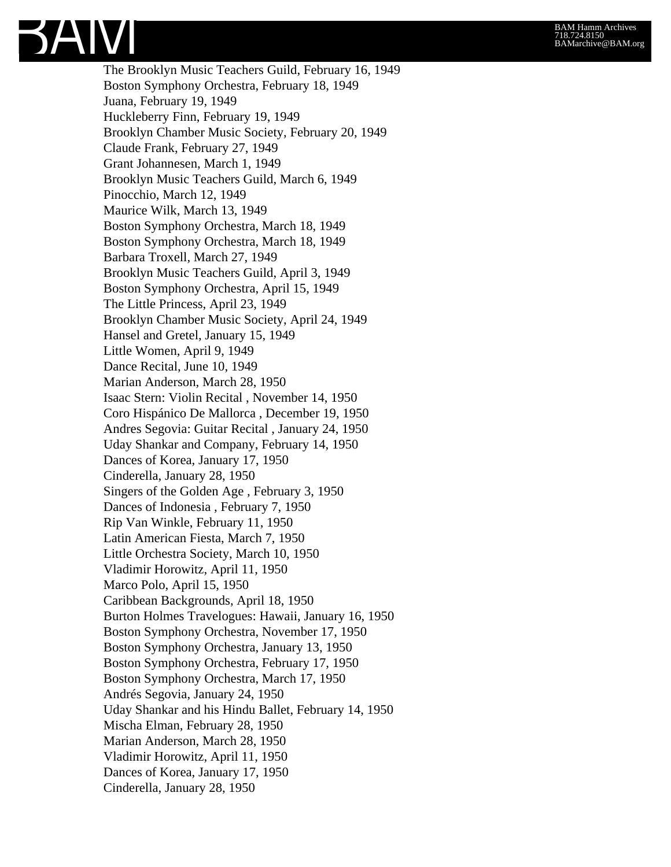The Brooklyn Music Teachers Guild, February 16, 1949 Boston Symphony Orchestra, February 18, 1949 Juana, February 19, 1949 Huckleberry Finn, February 19, 1949 Brooklyn Chamber Music Society, February 20, 1949 Claude Frank, February 27, 1949 Grant Johannesen, March 1, 1949 Brooklyn Music Teachers Guild, March 6, 1949 Pinocchio, March 12, 1949 Maurice Wilk, March 13, 1949 Boston Symphony Orchestra, March 18, 1949 Boston Symphony Orchestra, March 18, 1949 Barbara Troxell, March 27, 1949 Brooklyn Music Teachers Guild, April 3, 1949 Boston Symphony Orchestra, April 15, 1949 The Little Princess, April 23, 1949 Brooklyn Chamber Music Society, April 24, 1949 Hansel and Gretel, January 15, 1949 Little Women, April 9, 1949 Dance Recital, June 10, 1949 Marian Anderson, March 28, 1950 Isaac Stern: Violin Recital , November 14, 1950 Coro Hispánico De Mallorca , December 19, 1950 Andres Segovia: Guitar Recital , January 24, 1950 Uday Shankar and Company, February 14, 1950 Dances of Korea, January 17, 1950 Cinderella, January 28, 1950 Singers of the Golden Age , February 3, 1950 Dances of Indonesia , February 7, 1950 Rip Van Winkle, February 11, 1950 Latin American Fiesta, March 7, 1950 Little Orchestra Society, March 10, 1950 Vladimir Horowitz, April 11, 1950 Marco Polo, April 15, 1950 Caribbean Backgrounds, April 18, 1950 Burton Holmes Travelogues: Hawaii, January 16, 1950 Boston Symphony Orchestra, November 17, 1950 Boston Symphony Orchestra, January 13, 1950 Boston Symphony Orchestra, February 17, 1950 Boston Symphony Orchestra, March 17, 1950 Andrés Segovia, January 24, 1950 Uday Shankar and his Hindu Ballet, February 14, 1950 Mischa Elman, February 28, 1950 Marian Anderson, March 28, 1950 Vladimir Horowitz, April 11, 1950 Dances of Korea, January 17, 1950 Cinderella, January 28, 1950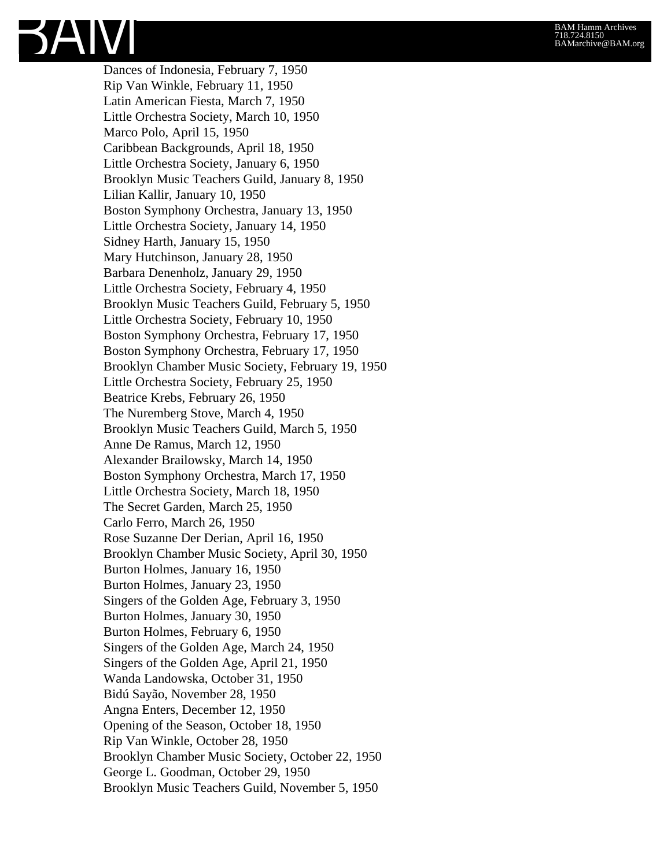Dances of Indonesia, February 7, 1950 Rip Van Winkle, February 11, 1950 Latin American Fiesta, March 7, 1950 Little Orchestra Society, March 10, 1950 Marco Polo, April 15, 1950 Caribbean Backgrounds, April 18, 1950 Little Orchestra Society, January 6, 1950 Brooklyn Music Teachers Guild, January 8, 1950 Lilian Kallir, January 10, 1950 Boston Symphony Orchestra, January 13, 1950 Little Orchestra Society, January 14, 1950 Sidney Harth, January 15, 1950 Mary Hutchinson, January 28, 1950 Barbara Denenholz, January 29, 1950 Little Orchestra Society, February 4, 1950 Brooklyn Music Teachers Guild, February 5, 1950 Little Orchestra Society, February 10, 1950 Boston Symphony Orchestra, February 17, 1950 Boston Symphony Orchestra, February 17, 1950 Brooklyn Chamber Music Society, February 19, 1950 Little Orchestra Society, February 25, 1950 Beatrice Krebs, February 26, 1950 The Nuremberg Stove, March 4, 1950 Brooklyn Music Teachers Guild, March 5, 1950 Anne De Ramus, March 12, 1950 Alexander Brailowsky, March 14, 1950 Boston Symphony Orchestra, March 17, 1950 Little Orchestra Society, March 18, 1950 The Secret Garden, March 25, 1950 Carlo Ferro, March 26, 1950 Rose Suzanne Der Derian, April 16, 1950 Brooklyn Chamber Music Society, April 30, 1950 Burton Holmes, January 16, 1950 Burton Holmes, January 23, 1950 Singers of the Golden Age, February 3, 1950 Burton Holmes, January 30, 1950 Burton Holmes, February 6, 1950 Singers of the Golden Age, March 24, 1950 Singers of the Golden Age, April 21, 1950 Wanda Landowska, October 31, 1950 Bidú Sayão, November 28, 1950 Angna Enters, December 12, 1950 Opening of the Season, October 18, 1950 Rip Van Winkle, October 28, 1950 Brooklyn Chamber Music Society, October 22, 1950 George L. Goodman, October 29, 1950 Brooklyn Music Teachers Guild, November 5, 1950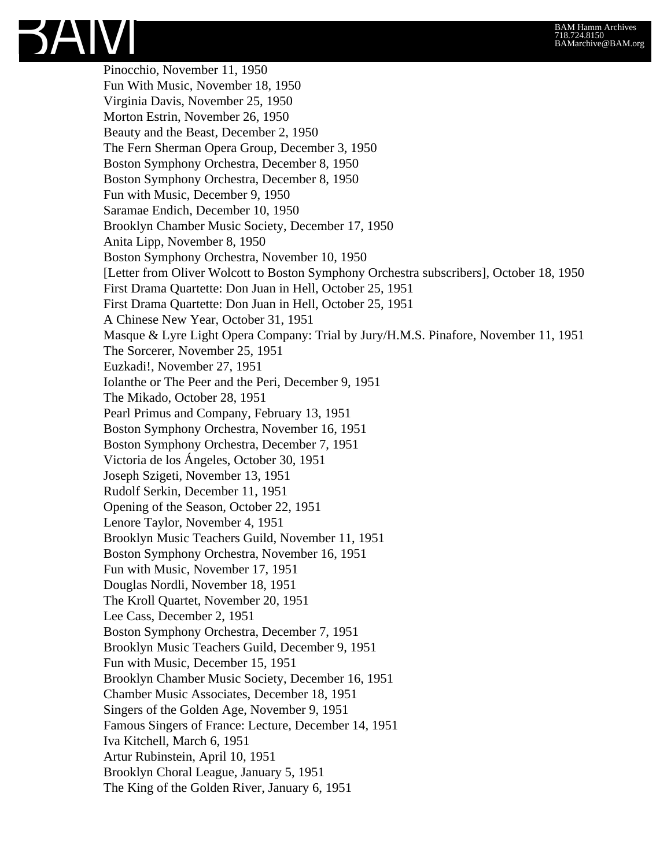Pinocchio, November 11, 1950 Fun With Music, November 18, 1950 Virginia Davis, November 25, 1950 Morton Estrin, November 26, 1950 Beauty and the Beast, December 2, 1950 The Fern Sherman Opera Group, December 3, 1950 Boston Symphony Orchestra, December 8, 1950 Boston Symphony Orchestra, December 8, 1950 Fun with Music, December 9, 1950 Saramae Endich, December 10, 1950 Brooklyn Chamber Music Society, December 17, 1950 Anita Lipp, November 8, 1950 Boston Symphony Orchestra, November 10, 1950 [Letter from Oliver Wolcott to Boston Symphony Orchestra subscribers], October 18, 1950 First Drama Quartette: Don Juan in Hell, October 25, 1951 First Drama Quartette: Don Juan in Hell, October 25, 1951 A Chinese New Year, October 31, 1951 Masque & Lyre Light Opera Company: Trial by Jury/H.M.S. Pinafore, November 11, 1951 The Sorcerer, November 25, 1951 Euzkadi!, November 27, 1951 Iolanthe or The Peer and the Peri, December 9, 1951 The Mikado, October 28, 1951 Pearl Primus and Company, February 13, 1951 Boston Symphony Orchestra, November 16, 1951 Boston Symphony Orchestra, December 7, 1951 Victoria de los Ángeles, October 30, 1951 Joseph Szigeti, November 13, 1951 Rudolf Serkin, December 11, 1951 Opening of the Season, October 22, 1951 Lenore Taylor, November 4, 1951 Brooklyn Music Teachers Guild, November 11, 1951 Boston Symphony Orchestra, November 16, 1951 Fun with Music, November 17, 1951 Douglas Nordli, November 18, 1951 The Kroll Quartet, November 20, 1951 Lee Cass, December 2, 1951 Boston Symphony Orchestra, December 7, 1951 Brooklyn Music Teachers Guild, December 9, 1951 Fun with Music, December 15, 1951 Brooklyn Chamber Music Society, December 16, 1951 Chamber Music Associates, December 18, 1951 Singers of the Golden Age, November 9, 1951 Famous Singers of France: Lecture, December 14, 1951 Iva Kitchell, March 6, 1951 Artur Rubinstein, April 10, 1951 Brooklyn Choral League, January 5, 1951 The King of the Golden River, January 6, 1951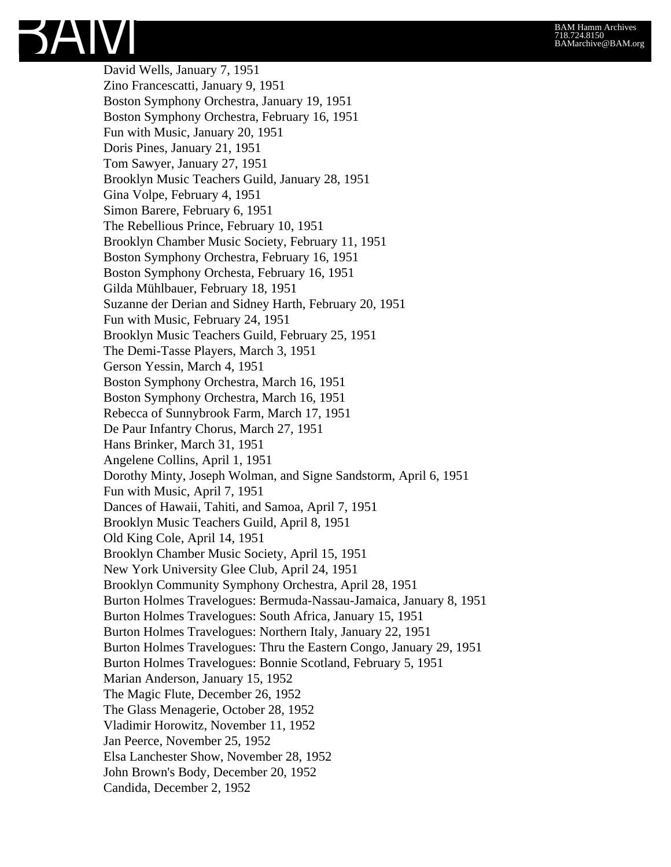David Wells, January 7, 1951 Zino Francescatti, January 9, 1951 Boston Symphony Orchestra, January 19, 1951 Boston Symphony Orchestra, February 16, 1951 Fun with Music, January 20, 1951 Doris Pines, January 21, 1951 Tom Sawyer, January 27, 1951 Brooklyn Music Teachers Guild, January 28, 1951 Gina Volpe, February 4, 1951 Simon Barere, February 6, 1951 The Rebellious Prince, February 10, 1951 Brooklyn Chamber Music Society, February 11, 1951 Boston Symphony Orchestra, February 16, 1951 Boston Symphony Orchesta, February 16, 1951 Gilda Mühlbauer, February 18, 1951 Suzanne der Derian and Sidney Harth, February 20, 1951 Fun with Music, February 24, 1951 Brooklyn Music Teachers Guild, February 25, 1951 The Demi-Tasse Players, March 3, 1951 Gerson Yessin, March 4, 1951 Boston Symphony Orchestra, March 16, 1951 Boston Symphony Orchestra, March 16, 1951 Rebecca of Sunnybrook Farm, March 17, 1951 De Paur Infantry Chorus, March 27, 1951 Hans Brinker, March 31, 1951 Angelene Collins, April 1, 1951 Dorothy Minty, Joseph Wolman, and Signe Sandstorm, April 6, 1951 Fun with Music, April 7, 1951 Dances of Hawaii, Tahiti, and Samoa, April 7, 1951 Brooklyn Music Teachers Guild, April 8, 1951 Old King Cole, April 14, 1951 Brooklyn Chamber Music Society, April 15, 1951 New York University Glee Club, April 24, 1951 Brooklyn Community Symphony Orchestra, April 28, 1951 Burton Holmes Travelogues: Bermuda-Nassau-Jamaica, January 8, 1951 Burton Holmes Travelogues: South Africa, January 15, 1951 Burton Holmes Travelogues: Northern Italy, January 22, 1951 Burton Holmes Travelogues: Thru the Eastern Congo, January 29, 1951 Burton Holmes Travelogues: Bonnie Scotland, February 5, 1951 Marian Anderson, January 15, 1952 The Magic Flute, December 26, 1952 The Glass Menagerie, October 28, 1952 Vladimir Horowitz, November 11, 1952 Jan Peerce, November 25, 1952 Elsa Lanchester Show, November 28, 1952 John Brown's Body, December 20, 1952 Candida, December 2, 1952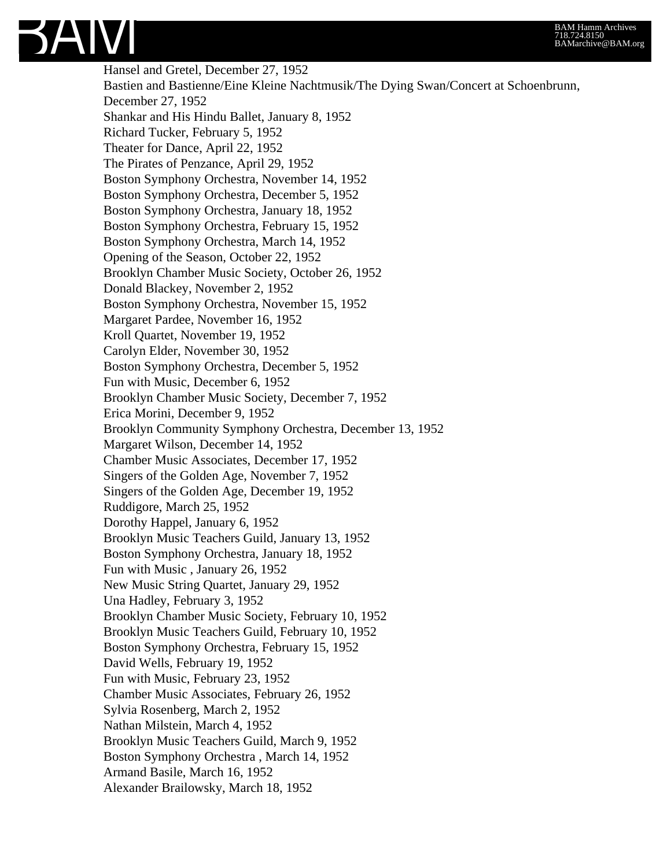Hansel and Gretel, December 27, 1952 Bastien and Bastienne/Eine Kleine Nachtmusik/The Dying Swan/Concert at Schoenbrunn, December 27, 1952 Shankar and His Hindu Ballet, January 8, 1952 Richard Tucker, February 5, 1952 Theater for Dance, April 22, 1952 The Pirates of Penzance, April 29, 1952 Boston Symphony Orchestra, November 14, 1952 Boston Symphony Orchestra, December 5, 1952 Boston Symphony Orchestra, January 18, 1952 Boston Symphony Orchestra, February 15, 1952 Boston Symphony Orchestra, March 14, 1952 Opening of the Season, October 22, 1952 Brooklyn Chamber Music Society, October 26, 1952 Donald Blackey, November 2, 1952 Boston Symphony Orchestra, November 15, 1952 Margaret Pardee, November 16, 1952 Kroll Quartet, November 19, 1952 Carolyn Elder, November 30, 1952 Boston Symphony Orchestra, December 5, 1952 Fun with Music, December 6, 1952 Brooklyn Chamber Music Society, December 7, 1952 Erica Morini, December 9, 1952 Brooklyn Community Symphony Orchestra, December 13, 1952 Margaret Wilson, December 14, 1952 Chamber Music Associates, December 17, 1952 Singers of the Golden Age, November 7, 1952 Singers of the Golden Age, December 19, 1952 Ruddigore, March 25, 1952 Dorothy Happel, January 6, 1952 Brooklyn Music Teachers Guild, January 13, 1952 Boston Symphony Orchestra, January 18, 1952 Fun with Music , January 26, 1952 New Music String Quartet, January 29, 1952 Una Hadley, February 3, 1952 Brooklyn Chamber Music Society, February 10, 1952 Brooklyn Music Teachers Guild, February 10, 1952 Boston Symphony Orchestra, February 15, 1952 David Wells, February 19, 1952 Fun with Music, February 23, 1952 Chamber Music Associates, February 26, 1952 Sylvia Rosenberg, March 2, 1952 Nathan Milstein, March 4, 1952 Brooklyn Music Teachers Guild, March 9, 1952 Boston Symphony Orchestra , March 14, 1952 Armand Basile, March 16, 1952 Alexander Brailowsky, March 18, 1952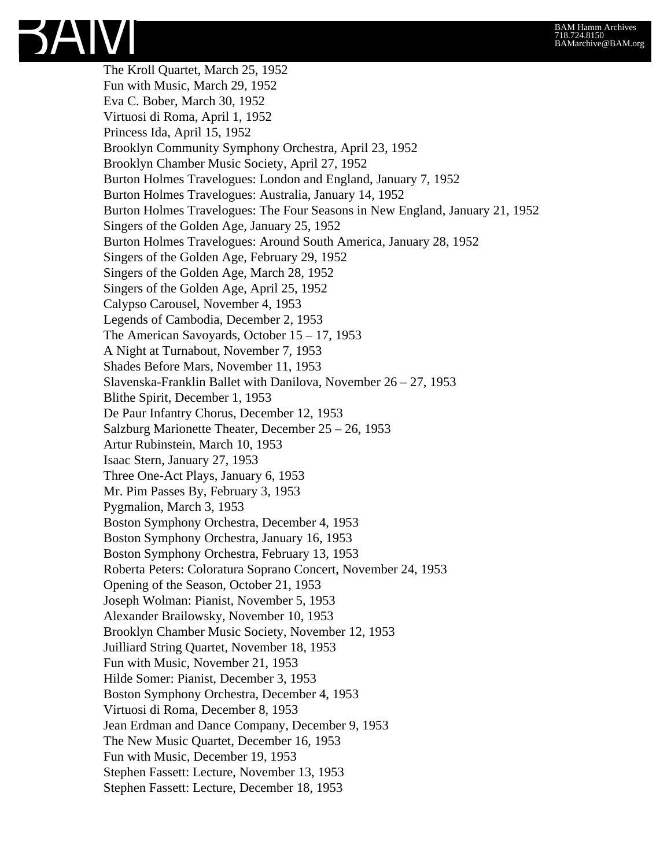The Kroll Quartet, March 25, 1952 Fun with Music, March 29, 1952 Eva C. Bober, March 30, 1952 Virtuosi di Roma, April 1, 1952 Princess Ida, April 15, 1952 Brooklyn Community Symphony Orchestra, April 23, 1952 Brooklyn Chamber Music Society, April 27, 1952 Burton Holmes Travelogues: London and England, January 7, 1952 Burton Holmes Travelogues: Australia, January 14, 1952 Burton Holmes Travelogues: The Four Seasons in New England, January 21, 1952 Singers of the Golden Age, January 25, 1952 Burton Holmes Travelogues: Around South America, January 28, 1952 Singers of the Golden Age, February 29, 1952 Singers of the Golden Age, March 28, 1952 Singers of the Golden Age, April 25, 1952 Calypso Carousel, November 4, 1953 Legends of Cambodia, December 2, 1953 The American Savoyards, October 15 – 17, 1953 A Night at Turnabout, November 7, 1953 Shades Before Mars, November 11, 1953 Slavenska-Franklin Ballet with Danilova, November 26 – 27, 1953 Blithe Spirit, December 1, 1953 De Paur Infantry Chorus, December 12, 1953 Salzburg Marionette Theater, December 25 – 26, 1953 Artur Rubinstein, March 10, 1953 Isaac Stern, January 27, 1953 Three One-Act Plays, January 6, 1953 Mr. Pim Passes By, February 3, 1953 Pygmalion, March 3, 1953 Boston Symphony Orchestra, December 4, 1953 Boston Symphony Orchestra, January 16, 1953 Boston Symphony Orchestra, February 13, 1953 Roberta Peters: Coloratura Soprano Concert, November 24, 1953 Opening of the Season, October 21, 1953 Joseph Wolman: Pianist, November 5, 1953 Alexander Brailowsky, November 10, 1953 Brooklyn Chamber Music Society, November 12, 1953 Juilliard String Quartet, November 18, 1953 Fun with Music, November 21, 1953 Hilde Somer: Pianist, December 3, 1953 Boston Symphony Orchestra, December 4, 1953 Virtuosi di Roma, December 8, 1953 Jean Erdman and Dance Company, December 9, 1953 The New Music Quartet, December 16, 1953 Fun with Music, December 19, 1953 Stephen Fassett: Lecture, November 13, 1953 Stephen Fassett: Lecture, December 18, 1953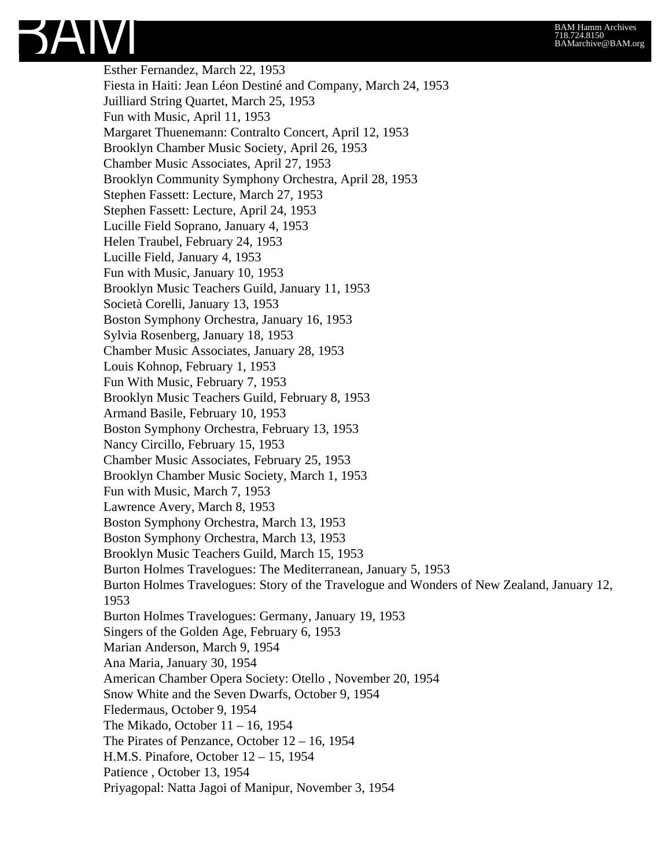Esther Fernandez, March 22, 1953 Fiesta in Haiti: Jean Léon Destiné and Company, March 24, 1953 Juilliard String Quartet, March 25, 1953 Fun with Music, April 11, 1953 Margaret Thuenemann: Contralto Concert, April 12, 1953 Brooklyn Chamber Music Society, April 26, 1953 Chamber Music Associates, April 27, 1953 Brooklyn Community Symphony Orchestra, April 28, 1953 Stephen Fassett: Lecture, March 27, 1953 Stephen Fassett: Lecture, April 24, 1953 Lucille Field Soprano, January 4, 1953 Helen Traubel, February 24, 1953 Lucille Field, January 4, 1953 Fun with Music, January 10, 1953 Brooklyn Music Teachers Guild, January 11, 1953 Società Corelli, January 13, 1953 Boston Symphony Orchestra, January 16, 1953 Sylvia Rosenberg, January 18, 1953 Chamber Music Associates, January 28, 1953 Louis Kohnop, February 1, 1953 Fun With Music, February 7, 1953 Brooklyn Music Teachers Guild, February 8, 1953 Armand Basile, February 10, 1953 Boston Symphony Orchestra, February 13, 1953 Nancy Circillo, February 15, 1953 Chamber Music Associates, February 25, 1953 Brooklyn Chamber Music Society, March 1, 1953 Fun with Music, March 7, 1953 Lawrence Avery, March 8, 1953 Boston Symphony Orchestra, March 13, 1953 Boston Symphony Orchestra, March 13, 1953 Brooklyn Music Teachers Guild, March 15, 1953 Burton Holmes Travelogues: The Mediterranean, January 5, 1953 Burton Holmes Travelogues: Story of the Travelogue and Wonders of New Zealand, January 12, 1953 Burton Holmes Travelogues: Germany, January 19, 1953 Singers of the Golden Age, February 6, 1953 Marian Anderson, March 9, 1954 Ana Maria, January 30, 1954 American Chamber Opera Society: Otello , November 20, 1954 Snow White and the Seven Dwarfs, October 9, 1954 Fledermaus, October 9, 1954 The Mikado, October 11 – 16, 1954 The Pirates of Penzance, October 12 – 16, 1954 H.M.S. Pinafore, October 12 – 15, 1954 Patience , October 13, 1954 Priyagopal: Natta Jagoi of Manipur, November 3, 1954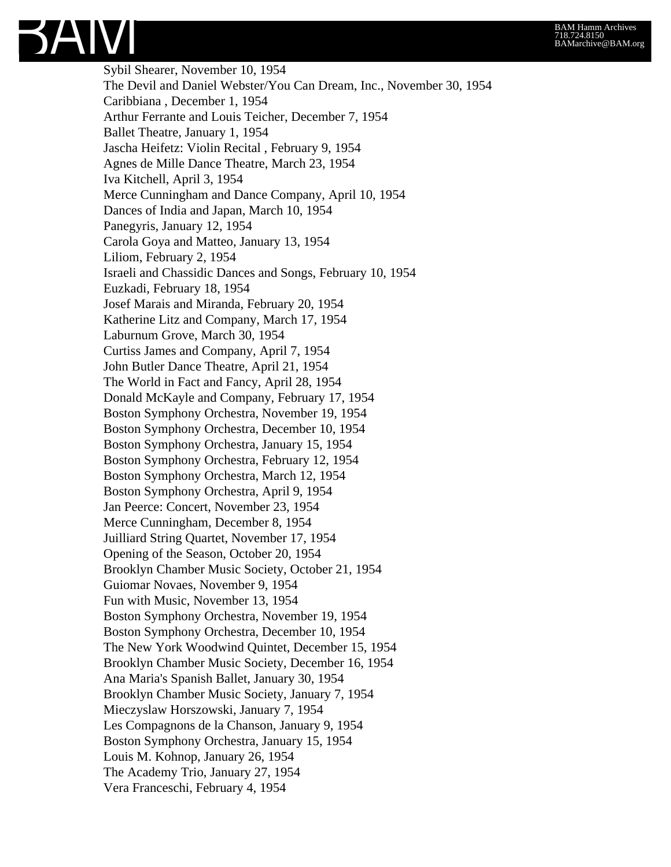Sybil Shearer, November 10, 1954 The Devil and Daniel Webster/You Can Dream, Inc., November 30, 1954 Caribbiana , December 1, 1954 Arthur Ferrante and Louis Teicher, December 7, 1954 Ballet Theatre, January 1, 1954 Jascha Heifetz: Violin Recital , February 9, 1954 Agnes de Mille Dance Theatre, March 23, 1954 Iva Kitchell, April 3, 1954 Merce Cunningham and Dance Company, April 10, 1954 Dances of India and Japan, March 10, 1954 Panegyris, January 12, 1954 Carola Goya and Matteo, January 13, 1954 Liliom, February 2, 1954 Israeli and Chassidic Dances and Songs, February 10, 1954 Euzkadi, February 18, 1954 Josef Marais and Miranda, February 20, 1954 Katherine Litz and Company, March 17, 1954 Laburnum Grove, March 30, 1954 Curtiss James and Company, April 7, 1954 John Butler Dance Theatre, April 21, 1954 The World in Fact and Fancy, April 28, 1954 Donald McKayle and Company, February 17, 1954 Boston Symphony Orchestra, November 19, 1954 Boston Symphony Orchestra, December 10, 1954 Boston Symphony Orchestra, January 15, 1954 Boston Symphony Orchestra, February 12, 1954 Boston Symphony Orchestra, March 12, 1954 Boston Symphony Orchestra, April 9, 1954 Jan Peerce: Concert, November 23, 1954 Merce Cunningham, December 8, 1954 Juilliard String Quartet, November 17, 1954 Opening of the Season, October 20, 1954 Brooklyn Chamber Music Society, October 21, 1954 Guiomar Novaes, November 9, 1954 Fun with Music, November 13, 1954 Boston Symphony Orchestra, November 19, 1954 Boston Symphony Orchestra, December 10, 1954 The New York Woodwind Quintet, December 15, 1954 Brooklyn Chamber Music Society, December 16, 1954 Ana Maria's Spanish Ballet, January 30, 1954 Brooklyn Chamber Music Society, January 7, 1954 Mieczyslaw Horszowski, January 7, 1954 Les Compagnons de la Chanson, January 9, 1954 Boston Symphony Orchestra, January 15, 1954 Louis M. Kohnop, January 26, 1954 The Academy Trio, January 27, 1954 Vera Franceschi, February 4, 1954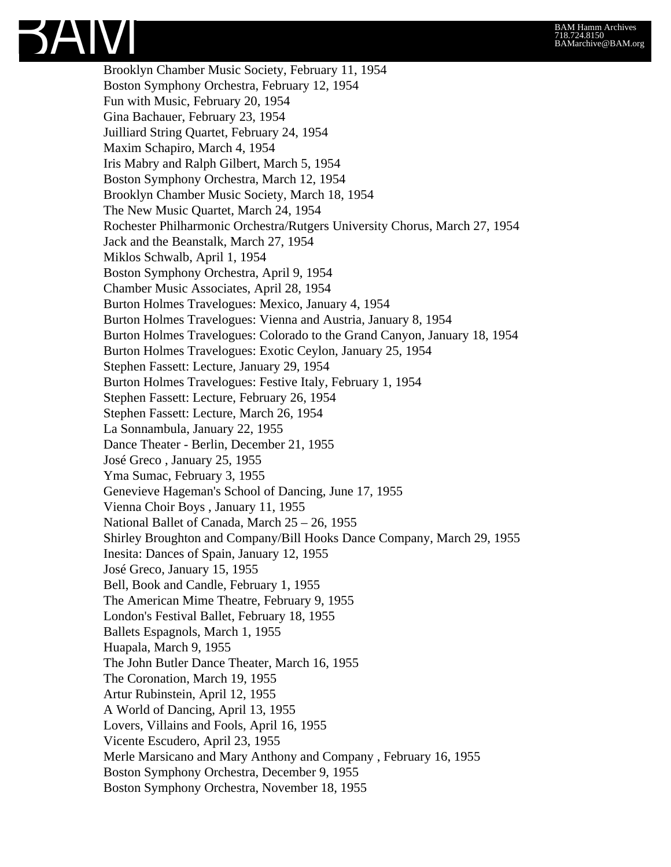Brooklyn Chamber Music Society, February 11, 1954 Boston Symphony Orchestra, February 12, 1954 Fun with Music, February 20, 1954 Gina Bachauer, February 23, 1954 Juilliard String Quartet, February 24, 1954 Maxim Schapiro, March 4, 1954 Iris Mabry and Ralph Gilbert, March 5, 1954 Boston Symphony Orchestra, March 12, 1954 Brooklyn Chamber Music Society, March 18, 1954 The New Music Quartet, March 24, 1954 Rochester Philharmonic Orchestra/Rutgers University Chorus, March 27, 1954 Jack and the Beanstalk, March 27, 1954 Miklos Schwalb, April 1, 1954 Boston Symphony Orchestra, April 9, 1954 Chamber Music Associates, April 28, 1954 Burton Holmes Travelogues: Mexico, January 4, 1954 Burton Holmes Travelogues: Vienna and Austria, January 8, 1954 Burton Holmes Travelogues: Colorado to the Grand Canyon, January 18, 1954 Burton Holmes Travelogues: Exotic Ceylon, January 25, 1954 Stephen Fassett: Lecture, January 29, 1954 Burton Holmes Travelogues: Festive Italy, February 1, 1954 Stephen Fassett: Lecture, February 26, 1954 Stephen Fassett: Lecture, March 26, 1954 La Sonnambula, January 22, 1955 Dance Theater - Berlin, December 21, 1955 José Greco , January 25, 1955 Yma Sumac, February 3, 1955 Genevieve Hageman's School of Dancing, June 17, 1955 Vienna Choir Boys , January 11, 1955 National Ballet of Canada, March 25 – 26, 1955 Shirley Broughton and Company/Bill Hooks Dance Company, March 29, 1955 Inesita: Dances of Spain, January 12, 1955 José Greco, January 15, 1955 Bell, Book and Candle, February 1, 1955 The American Mime Theatre, February 9, 1955 London's Festival Ballet, February 18, 1955 Ballets Espagnols, March 1, 1955 Huapala, March 9, 1955 The John Butler Dance Theater, March 16, 1955 The Coronation, March 19, 1955 Artur Rubinstein, April 12, 1955 A World of Dancing, April 13, 1955 Lovers, Villains and Fools, April 16, 1955 Vicente Escudero, April 23, 1955 Merle Marsicano and Mary Anthony and Company , February 16, 1955 Boston Symphony Orchestra, December 9, 1955 Boston Symphony Orchestra, November 18, 1955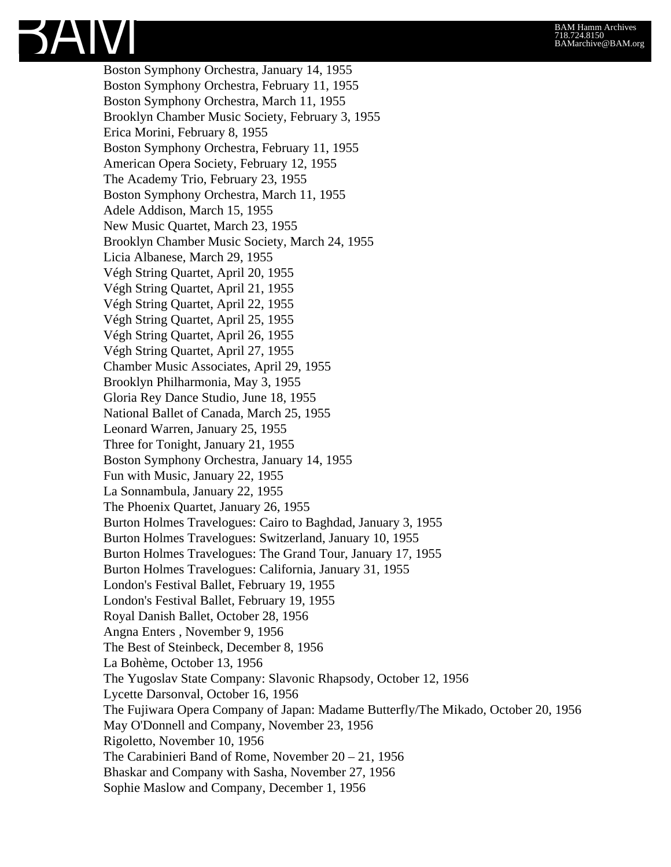Boston Symphony Orchestra, January 14, 1955 Boston Symphony Orchestra, February 11, 1955 Boston Symphony Orchestra, March 11, 1955 Brooklyn Chamber Music Society, February 3, 1955 Erica Morini, February 8, 1955 Boston Symphony Orchestra, February 11, 1955 American Opera Society, February 12, 1955 The Academy Trio, February 23, 1955 Boston Symphony Orchestra, March 11, 1955 Adele Addison, March 15, 1955 New Music Quartet, March 23, 1955 Brooklyn Chamber Music Society, March 24, 1955 Licia Albanese, March 29, 1955 Végh String Quartet, April 20, 1955 Végh String Quartet, April 21, 1955 Végh String Quartet, April 22, 1955 Végh String Quartet, April 25, 1955 Végh String Quartet, April 26, 1955 Végh String Quartet, April 27, 1955 Chamber Music Associates, April 29, 1955 Brooklyn Philharmonia, May 3, 1955 Gloria Rey Dance Studio, June 18, 1955 National Ballet of Canada, March 25, 1955 Leonard Warren, January 25, 1955 Three for Tonight, January 21, 1955 Boston Symphony Orchestra, January 14, 1955 Fun with Music, January 22, 1955 La Sonnambula, January 22, 1955 The Phoenix Quartet, January 26, 1955 Burton Holmes Travelogues: Cairo to Baghdad, January 3, 1955 Burton Holmes Travelogues: Switzerland, January 10, 1955 Burton Holmes Travelogues: The Grand Tour, January 17, 1955 Burton Holmes Travelogues: California, January 31, 1955 London's Festival Ballet, February 19, 1955 London's Festival Ballet, February 19, 1955 Royal Danish Ballet, October 28, 1956 Angna Enters , November 9, 1956 The Best of Steinbeck, December 8, 1956 La Bohème, October 13, 1956 The Yugoslav State Company: Slavonic Rhapsody, October 12, 1956 Lycette Darsonval, October 16, 1956 The Fujiwara Opera Company of Japan: Madame Butterfly/The Mikado, October 20, 1956 May O'Donnell and Company, November 23, 1956 Rigoletto, November 10, 1956 The Carabinieri Band of Rome, November 20 – 21, 1956 Bhaskar and Company with Sasha, November 27, 1956 Sophie Maslow and Company, December 1, 1956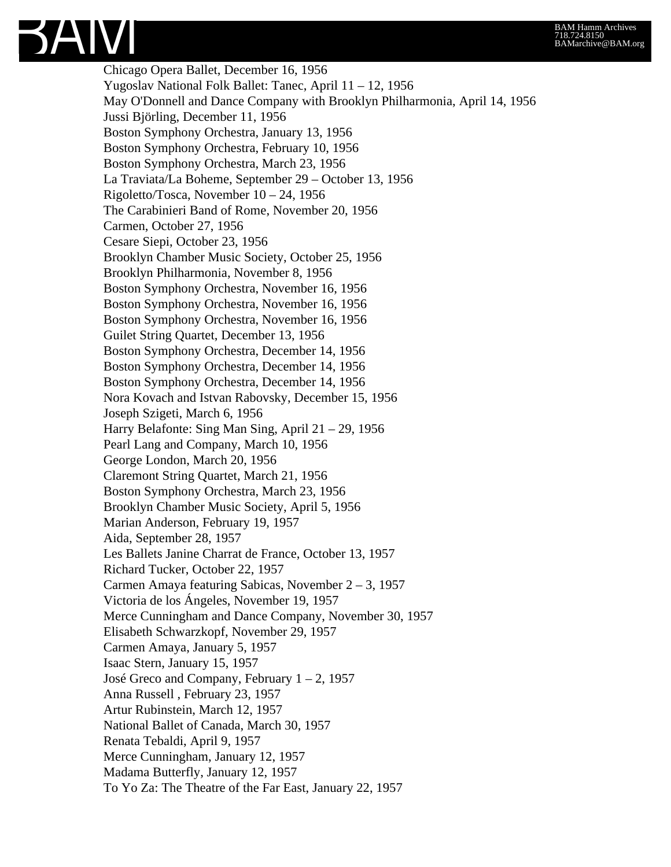Chicago Opera Ballet, December 16, 1956 Yugoslav National Folk Ballet: Tanec, April 11 – 12, 1956 May O'Donnell and Dance Company with Brooklyn Philharmonia, April 14, 1956 Jussi Björling, December 11, 1956 Boston Symphony Orchestra, January 13, 1956 Boston Symphony Orchestra, February 10, 1956 Boston Symphony Orchestra, March 23, 1956 La Traviata/La Boheme, September 29 – October 13, 1956 Rigoletto/Tosca, November 10 – 24, 1956 The Carabinieri Band of Rome, November 20, 1956 Carmen, October 27, 1956 Cesare Siepi, October 23, 1956 Brooklyn Chamber Music Society, October 25, 1956 Brooklyn Philharmonia, November 8, 1956 Boston Symphony Orchestra, November 16, 1956 Boston Symphony Orchestra, November 16, 1956 Boston Symphony Orchestra, November 16, 1956 Guilet String Quartet, December 13, 1956 Boston Symphony Orchestra, December 14, 1956 Boston Symphony Orchestra, December 14, 1956 Boston Symphony Orchestra, December 14, 1956 Nora Kovach and Istvan Rabovsky, December 15, 1956 Joseph Szigeti, March 6, 1956 Harry Belafonte: Sing Man Sing, April 21 – 29, 1956 Pearl Lang and Company, March 10, 1956 George London, March 20, 1956 Claremont String Quartet, March 21, 1956 Boston Symphony Orchestra, March 23, 1956 Brooklyn Chamber Music Society, April 5, 1956 Marian Anderson, February 19, 1957 Aida, September 28, 1957 Les Ballets Janine Charrat de France, October 13, 1957 Richard Tucker, October 22, 1957 Carmen Amaya featuring Sabicas, November 2 – 3, 1957 Victoria de los Ángeles, November 19, 1957 Merce Cunningham and Dance Company, November 30, 1957 Elisabeth Schwarzkopf, November 29, 1957 Carmen Amaya, January 5, 1957 Isaac Stern, January 15, 1957 José Greco and Company, February  $1 - 2$ , 1957 Anna Russell , February 23, 1957 Artur Rubinstein, March 12, 1957 National Ballet of Canada, March 30, 1957 Renata Tebaldi, April 9, 1957 Merce Cunningham, January 12, 1957 Madama Butterfly, January 12, 1957 To Yo Za: The Theatre of the Far East, January 22, 1957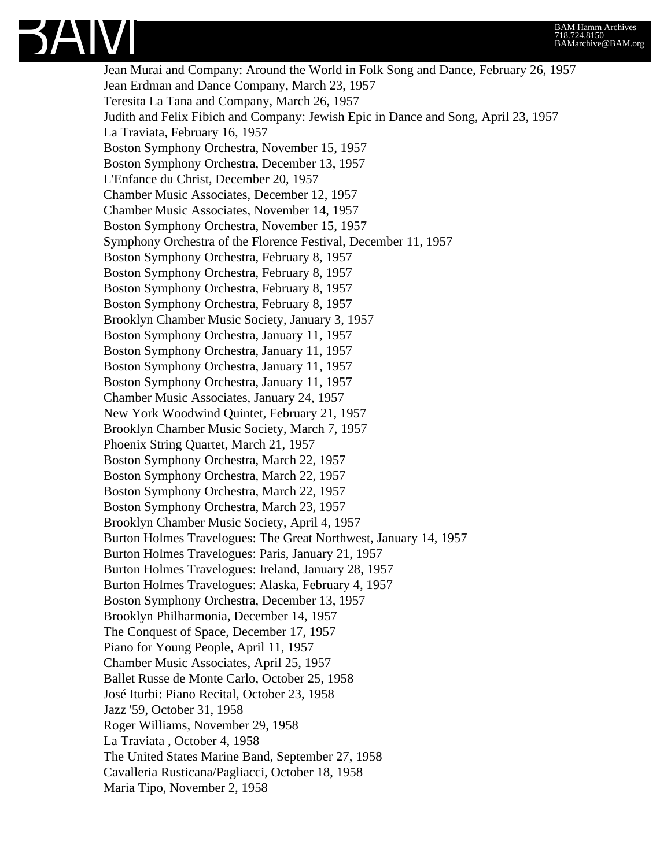

Jean Murai and Company: Around the World in Folk Song and Dance, February 26, 1957 Jean Erdman and Dance Company, March 23, 1957 Teresita La Tana and Company, March 26, 1957 Judith and Felix Fibich and Company: Jewish Epic in Dance and Song, April 23, 1957 La Traviata, February 16, 1957 Boston Symphony Orchestra, November 15, 1957 Boston Symphony Orchestra, December 13, 1957 L'Enfance du Christ, December 20, 1957 Chamber Music Associates, December 12, 1957 Chamber Music Associates, November 14, 1957 Boston Symphony Orchestra, November 15, 1957 Symphony Orchestra of the Florence Festival, December 11, 1957 Boston Symphony Orchestra, February 8, 1957 Boston Symphony Orchestra, February 8, 1957 Boston Symphony Orchestra, February 8, 1957 Boston Symphony Orchestra, February 8, 1957 Brooklyn Chamber Music Society, January 3, 1957 Boston Symphony Orchestra, January 11, 1957 Boston Symphony Orchestra, January 11, 1957 Boston Symphony Orchestra, January 11, 1957 Boston Symphony Orchestra, January 11, 1957 Chamber Music Associates, January 24, 1957 New York Woodwind Quintet, February 21, 1957 Brooklyn Chamber Music Society, March 7, 1957 Phoenix String Quartet, March 21, 1957 Boston Symphony Orchestra, March 22, 1957 Boston Symphony Orchestra, March 22, 1957 Boston Symphony Orchestra, March 22, 1957 Boston Symphony Orchestra, March 23, 1957 Brooklyn Chamber Music Society, April 4, 1957 Burton Holmes Travelogues: The Great Northwest, January 14, 1957 Burton Holmes Travelogues: Paris, January 21, 1957 Burton Holmes Travelogues: Ireland, January 28, 1957 Burton Holmes Travelogues: Alaska, February 4, 1957 Boston Symphony Orchestra, December 13, 1957 Brooklyn Philharmonia, December 14, 1957 The Conquest of Space, December 17, 1957 Piano for Young People, April 11, 1957 Chamber Music Associates, April 25, 1957 Ballet Russe de Monte Carlo, October 25, 1958 José Iturbi: Piano Recital, October 23, 1958 Jazz '59, October 31, 1958 Roger Williams, November 29, 1958 La Traviata , October 4, 1958 The United States Marine Band, September 27, 1958 Cavalleria Rusticana/Pagliacci, October 18, 1958 Maria Tipo, November 2, 1958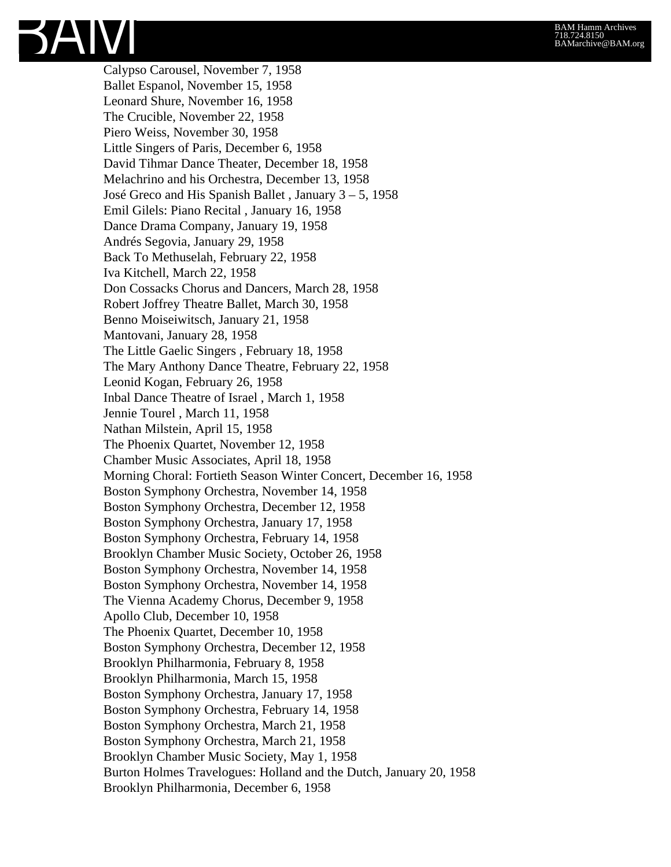Calypso Carousel, November 7, 1958 Ballet Espanol, November 15, 1958 Leonard Shure, November 16, 1958 The Crucible, November 22, 1958 Piero Weiss, November 30, 1958 Little Singers of Paris, December 6, 1958 David Tihmar Dance Theater, December 18, 1958 Melachrino and his Orchestra, December 13, 1958 José Greco and His Spanish Ballet , January 3 – 5, 1958 Emil Gilels: Piano Recital , January 16, 1958 Dance Drama Company, January 19, 1958 Andrés Segovia, January 29, 1958 Back To Methuselah, February 22, 1958 Iva Kitchell, March 22, 1958 Don Cossacks Chorus and Dancers, March 28, 1958 Robert Joffrey Theatre Ballet, March 30, 1958 Benno Moiseiwitsch, January 21, 1958 Mantovani, January 28, 1958 The Little Gaelic Singers , February 18, 1958 The Mary Anthony Dance Theatre, February 22, 1958 Leonid Kogan, February 26, 1958 Inbal Dance Theatre of Israel , March 1, 1958 Jennie Tourel , March 11, 1958 Nathan Milstein, April 15, 1958 The Phoenix Quartet, November 12, 1958 Chamber Music Associates, April 18, 1958 Morning Choral: Fortieth Season Winter Concert, December 16, 1958 Boston Symphony Orchestra, November 14, 1958 Boston Symphony Orchestra, December 12, 1958 Boston Symphony Orchestra, January 17, 1958 Boston Symphony Orchestra, February 14, 1958 Brooklyn Chamber Music Society, October 26, 1958 Boston Symphony Orchestra, November 14, 1958 Boston Symphony Orchestra, November 14, 1958 The Vienna Academy Chorus, December 9, 1958 Apollo Club, December 10, 1958 The Phoenix Quartet, December 10, 1958 Boston Symphony Orchestra, December 12, 1958 Brooklyn Philharmonia, February 8, 1958 Brooklyn Philharmonia, March 15, 1958 Boston Symphony Orchestra, January 17, 1958 Boston Symphony Orchestra, February 14, 1958 Boston Symphony Orchestra, March 21, 1958 Boston Symphony Orchestra, March 21, 1958 Brooklyn Chamber Music Society, May 1, 1958 Burton Holmes Travelogues: Holland and the Dutch, January 20, 1958 Brooklyn Philharmonia, December 6, 1958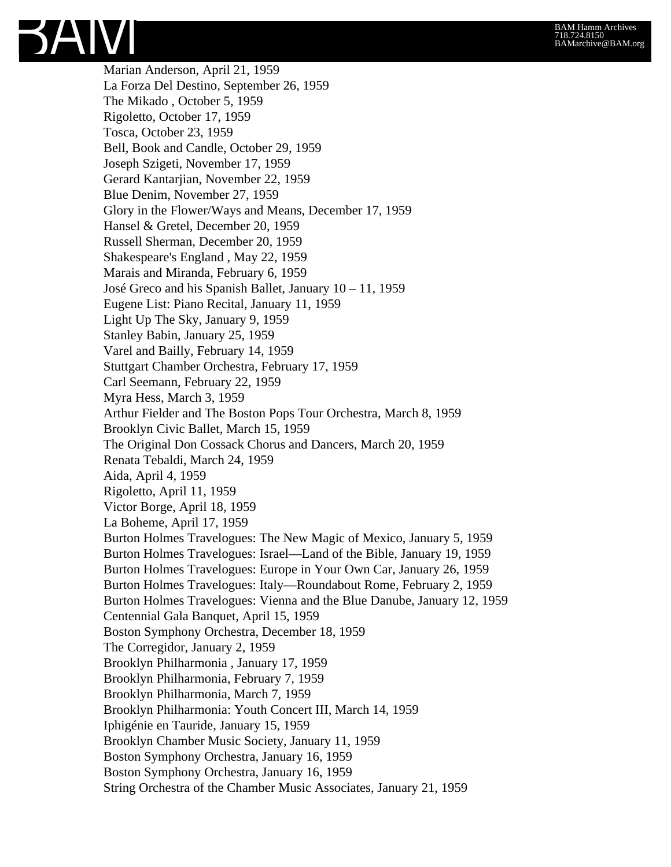Marian Anderson, April 21, 1959 La Forza Del Destino, September 26, 1959 The Mikado , October 5, 1959 Rigoletto, October 17, 1959 Tosca, October 23, 1959 Bell, Book and Candle, October 29, 1959 Joseph Szigeti, November 17, 1959 Gerard Kantarjian, November 22, 1959 Blue Denim, November 27, 1959 Glory in the Flower/Ways and Means, December 17, 1959 Hansel & Gretel, December 20, 1959 Russell Sherman, December 20, 1959 Shakespeare's England , May 22, 1959 Marais and Miranda, February 6, 1959 José Greco and his Spanish Ballet, January 10 – 11, 1959 Eugene List: Piano Recital, January 11, 1959 Light Up The Sky, January 9, 1959 Stanley Babin, January 25, 1959 Varel and Bailly, February 14, 1959 Stuttgart Chamber Orchestra, February 17, 1959 Carl Seemann, February 22, 1959 Myra Hess, March 3, 1959 Arthur Fielder and The Boston Pops Tour Orchestra, March 8, 1959 Brooklyn Civic Ballet, March 15, 1959 The Original Don Cossack Chorus and Dancers, March 20, 1959 Renata Tebaldi, March 24, 1959 Aida, April 4, 1959 Rigoletto, April 11, 1959 Victor Borge, April 18, 1959 La Boheme, April 17, 1959 Burton Holmes Travelogues: The New Magic of Mexico, January 5, 1959 Burton Holmes Travelogues: Israel—Land of the Bible, January 19, 1959 Burton Holmes Travelogues: Europe in Your Own Car, January 26, 1959 Burton Holmes Travelogues: Italy—Roundabout Rome, February 2, 1959 Burton Holmes Travelogues: Vienna and the Blue Danube, January 12, 1959 Centennial Gala Banquet, April 15, 1959 Boston Symphony Orchestra, December 18, 1959 The Corregidor, January 2, 1959 Brooklyn Philharmonia , January 17, 1959 Brooklyn Philharmonia, February 7, 1959 Brooklyn Philharmonia, March 7, 1959 Brooklyn Philharmonia: Youth Concert III, March 14, 1959 Iphigénie en Tauride, January 15, 1959 Brooklyn Chamber Music Society, January 11, 1959 Boston Symphony Orchestra, January 16, 1959 Boston Symphony Orchestra, January 16, 1959 String Orchestra of the Chamber Music Associates, January 21, 1959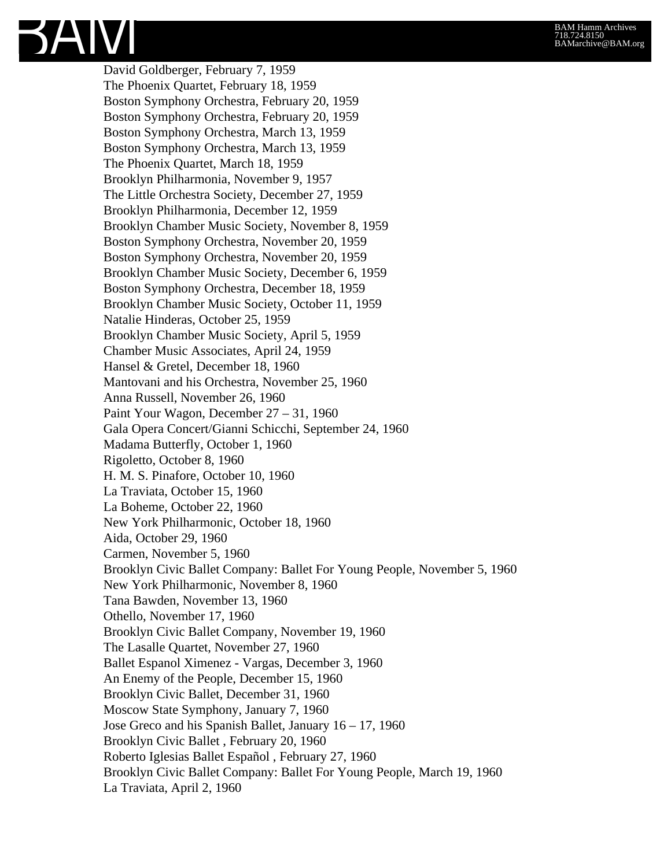David Goldberger, February 7, 1959 The Phoenix Quartet, February 18, 1959 Boston Symphony Orchestra, February 20, 1959 Boston Symphony Orchestra, February 20, 1959 Boston Symphony Orchestra, March 13, 1959 Boston Symphony Orchestra, March 13, 1959 The Phoenix Quartet, March 18, 1959 Brooklyn Philharmonia, November 9, 1957 The Little Orchestra Society, December 27, 1959 Brooklyn Philharmonia, December 12, 1959 Brooklyn Chamber Music Society, November 8, 1959 Boston Symphony Orchestra, November 20, 1959 Boston Symphony Orchestra, November 20, 1959 Brooklyn Chamber Music Society, December 6, 1959 Boston Symphony Orchestra, December 18, 1959 Brooklyn Chamber Music Society, October 11, 1959 Natalie Hinderas, October 25, 1959 Brooklyn Chamber Music Society, April 5, 1959 Chamber Music Associates, April 24, 1959 Hansel & Gretel, December 18, 1960 Mantovani and his Orchestra, November 25, 1960 Anna Russell, November 26, 1960 Paint Your Wagon, December 27 – 31, 1960 Gala Opera Concert/Gianni Schicchi, September 24, 1960 Madama Butterfly, October 1, 1960 Rigoletto, October 8, 1960 H. M. S. Pinafore, October 10, 1960 La Traviata, October 15, 1960 La Boheme, October 22, 1960 New York Philharmonic, October 18, 1960 Aida, October 29, 1960 Carmen, November 5, 1960 Brooklyn Civic Ballet Company: Ballet For Young People, November 5, 1960 New York Philharmonic, November 8, 1960 Tana Bawden, November 13, 1960 Othello, November 17, 1960 Brooklyn Civic Ballet Company, November 19, 1960 The Lasalle Quartet, November 27, 1960 Ballet Espanol Ximenez - Vargas, December 3, 1960 An Enemy of the People, December 15, 1960 Brooklyn Civic Ballet, December 31, 1960 Moscow State Symphony, January 7, 1960 Jose Greco and his Spanish Ballet, January 16 – 17, 1960 Brooklyn Civic Ballet , February 20, 1960 Roberto Iglesias Ballet Español , February 27, 1960 Brooklyn Civic Ballet Company: Ballet For Young People, March 19, 1960 La Traviata, April 2, 1960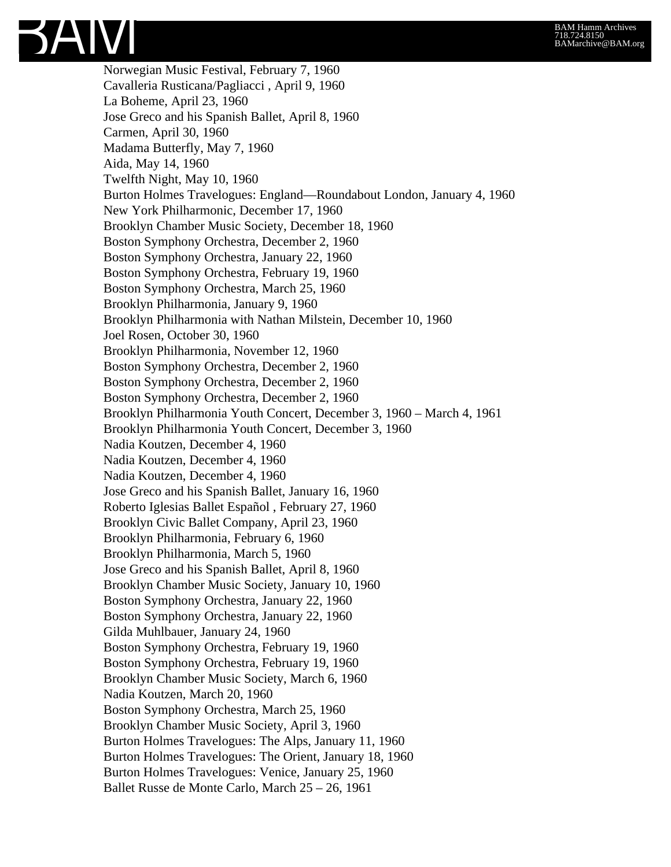

Norwegian Music Festival, February 7, 1960 Cavalleria Rusticana/Pagliacci , April 9, 1960 La Boheme, April 23, 1960 Jose Greco and his Spanish Ballet, April 8, 1960 Carmen, April 30, 1960 Madama Butterfly, May 7, 1960 Aida, May 14, 1960 Twelfth Night, May 10, 1960 Burton Holmes Travelogues: England—Roundabout London, January 4, 1960 New York Philharmonic, December 17, 1960 Brooklyn Chamber Music Society, December 18, 1960 Boston Symphony Orchestra, December 2, 1960 Boston Symphony Orchestra, January 22, 1960 Boston Symphony Orchestra, February 19, 1960 Boston Symphony Orchestra, March 25, 1960 Brooklyn Philharmonia, January 9, 1960 Brooklyn Philharmonia with Nathan Milstein, December 10, 1960 Joel Rosen, October 30, 1960 Brooklyn Philharmonia, November 12, 1960 Boston Symphony Orchestra, December 2, 1960 Boston Symphony Orchestra, December 2, 1960 Boston Symphony Orchestra, December 2, 1960 Brooklyn Philharmonia Youth Concert, December 3, 1960 – March 4, 1961 Brooklyn Philharmonia Youth Concert, December 3, 1960 Nadia Koutzen, December 4, 1960 Nadia Koutzen, December 4, 1960 Nadia Koutzen, December 4, 1960 Jose Greco and his Spanish Ballet, January 16, 1960 Roberto Iglesias Ballet Español , February 27, 1960 Brooklyn Civic Ballet Company, April 23, 1960 Brooklyn Philharmonia, February 6, 1960 Brooklyn Philharmonia, March 5, 1960 Jose Greco and his Spanish Ballet, April 8, 1960 Brooklyn Chamber Music Society, January 10, 1960 Boston Symphony Orchestra, January 22, 1960 Boston Symphony Orchestra, January 22, 1960 Gilda Muhlbauer, January 24, 1960 Boston Symphony Orchestra, February 19, 1960 Boston Symphony Orchestra, February 19, 1960 Brooklyn Chamber Music Society, March 6, 1960 Nadia Koutzen, March 20, 1960 Boston Symphony Orchestra, March 25, 1960 Brooklyn Chamber Music Society, April 3, 1960 Burton Holmes Travelogues: The Alps, January 11, 1960 Burton Holmes Travelogues: The Orient, January 18, 1960 Burton Holmes Travelogues: Venice, January 25, 1960 Ballet Russe de Monte Carlo, March 25 – 26, 1961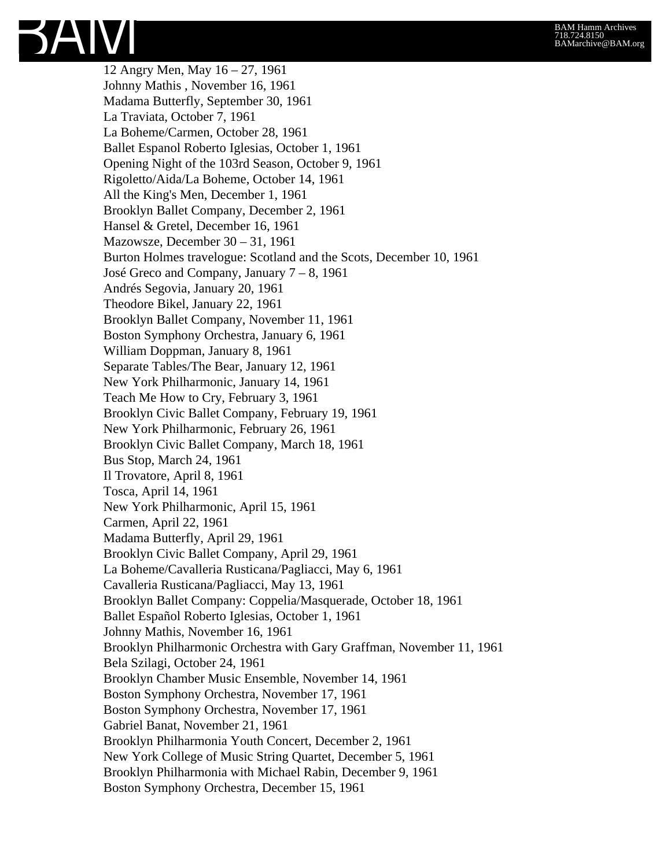12 Angry Men, May 16 – 27, 1961 Johnny Mathis , November 16, 1961 Madama Butterfly, September 30, 1961 La Traviata, October 7, 1961 La Boheme/Carmen, October 28, 1961 Ballet Espanol Roberto Iglesias, October 1, 1961 Opening Night of the 103rd Season, October 9, 1961 Rigoletto/Aida/La Boheme, October 14, 1961 All the King's Men, December 1, 1961 Brooklyn Ballet Company, December 2, 1961 Hansel & Gretel, December 16, 1961 Mazowsze, December 30 – 31, 1961 Burton Holmes travelogue: Scotland and the Scots, December 10, 1961 José Greco and Company, January 7 – 8, 1961 Andrés Segovia, January 20, 1961 Theodore Bikel, January 22, 1961 Brooklyn Ballet Company, November 11, 1961 Boston Symphony Orchestra, January 6, 1961 William Doppman, January 8, 1961 Separate Tables/The Bear, January 12, 1961 New York Philharmonic, January 14, 1961 Teach Me How to Cry, February 3, 1961 Brooklyn Civic Ballet Company, February 19, 1961 New York Philharmonic, February 26, 1961 Brooklyn Civic Ballet Company, March 18, 1961 Bus Stop, March 24, 1961 Il Trovatore, April 8, 1961 Tosca, April 14, 1961 New York Philharmonic, April 15, 1961 Carmen, April 22, 1961 Madama Butterfly, April 29, 1961 Brooklyn Civic Ballet Company, April 29, 1961 La Boheme/Cavalleria Rusticana/Pagliacci, May 6, 1961 Cavalleria Rusticana/Pagliacci, May 13, 1961 Brooklyn Ballet Company: Coppelia/Masquerade, October 18, 1961 Ballet Español Roberto Iglesias, October 1, 1961 Johnny Mathis, November 16, 1961 Brooklyn Philharmonic Orchestra with Gary Graffman, November 11, 1961 Bela Szilagi, October 24, 1961 Brooklyn Chamber Music Ensemble, November 14, 1961 Boston Symphony Orchestra, November 17, 1961 Boston Symphony Orchestra, November 17, 1961 Gabriel Banat, November 21, 1961 Brooklyn Philharmonia Youth Concert, December 2, 1961 New York College of Music String Quartet, December 5, 1961 Brooklyn Philharmonia with Michael Rabin, December 9, 1961 Boston Symphony Orchestra, December 15, 1961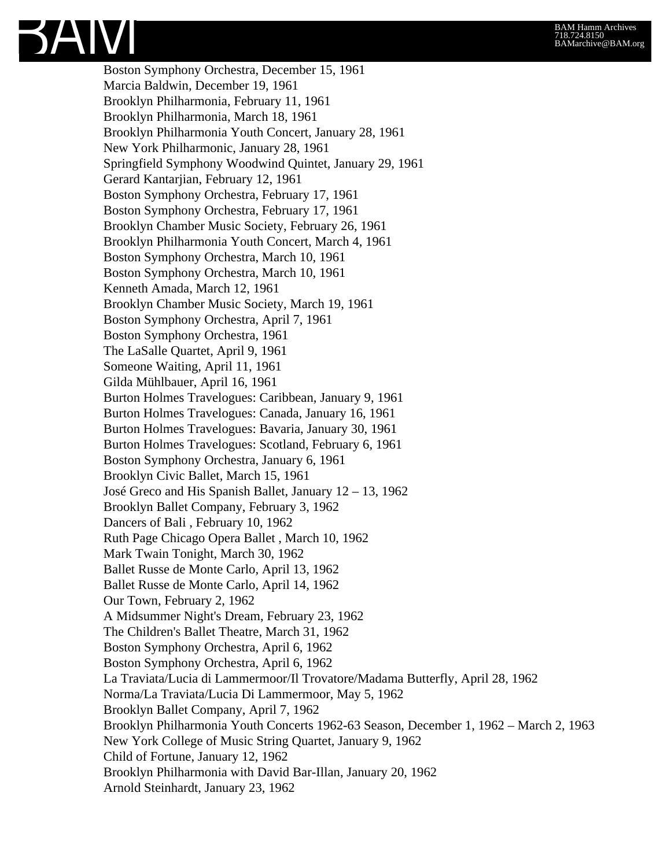

Boston Symphony Orchestra, December 15, 1961 Marcia Baldwin, December 19, 1961 Brooklyn Philharmonia, February 11, 1961 Brooklyn Philharmonia, March 18, 1961 Brooklyn Philharmonia Youth Concert, January 28, 1961 New York Philharmonic, January 28, 1961 Springfield Symphony Woodwind Quintet, January 29, 1961 Gerard Kantarjian, February 12, 1961 Boston Symphony Orchestra, February 17, 1961 Boston Symphony Orchestra, February 17, 1961 Brooklyn Chamber Music Society, February 26, 1961 Brooklyn Philharmonia Youth Concert, March 4, 1961 Boston Symphony Orchestra, March 10, 1961 Boston Symphony Orchestra, March 10, 1961 Kenneth Amada, March 12, 1961 Brooklyn Chamber Music Society, March 19, 1961 Boston Symphony Orchestra, April 7, 1961 Boston Symphony Orchestra, 1961 The LaSalle Quartet, April 9, 1961 Someone Waiting, April 11, 1961 Gilda Mühlbauer, April 16, 1961 Burton Holmes Travelogues: Caribbean, January 9, 1961 Burton Holmes Travelogues: Canada, January 16, 1961 Burton Holmes Travelogues: Bavaria, January 30, 1961 Burton Holmes Travelogues: Scotland, February 6, 1961 Boston Symphony Orchestra, January 6, 1961 Brooklyn Civic Ballet, March 15, 1961 José Greco and His Spanish Ballet, January 12 – 13, 1962 Brooklyn Ballet Company, February 3, 1962 Dancers of Bali , February 10, 1962 Ruth Page Chicago Opera Ballet , March 10, 1962 Mark Twain Tonight, March 30, 1962 Ballet Russe de Monte Carlo, April 13, 1962 Ballet Russe de Monte Carlo, April 14, 1962 Our Town, February 2, 1962 A Midsummer Night's Dream, February 23, 1962 The Children's Ballet Theatre, March 31, 1962 Boston Symphony Orchestra, April 6, 1962 Boston Symphony Orchestra, April 6, 1962 La Traviata/Lucia di Lammermoor/Il Trovatore/Madama Butterfly, April 28, 1962 Norma/La Traviata/Lucia Di Lammermoor, May 5, 1962 Brooklyn Ballet Company, April 7, 1962 Brooklyn Philharmonia Youth Concerts 1962-63 Season, December 1, 1962 – March 2, 1963 New York College of Music String Quartet, January 9, 1962 Child of Fortune, January 12, 1962 Brooklyn Philharmonia with David Bar-Illan, January 20, 1962 Arnold Steinhardt, January 23, 1962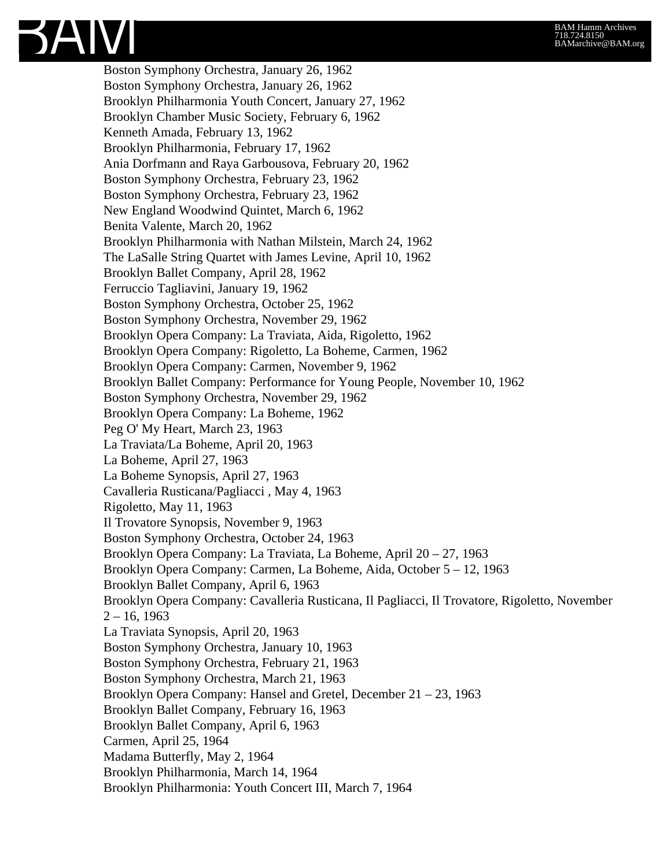Boston Symphony Orchestra, January 26, 1962 Boston Symphony Orchestra, January 26, 1962 Brooklyn Philharmonia Youth Concert, January 27, 1962 Brooklyn Chamber Music Society, February 6, 1962 Kenneth Amada, February 13, 1962 Brooklyn Philharmonia, February 17, 1962 Ania Dorfmann and Raya Garbousova, February 20, 1962 Boston Symphony Orchestra, February 23, 1962 Boston Symphony Orchestra, February 23, 1962 New England Woodwind Quintet, March 6, 1962 Benita Valente, March 20, 1962 Brooklyn Philharmonia with Nathan Milstein, March 24, 1962 The LaSalle String Quartet with James Levine, April 10, 1962 Brooklyn Ballet Company, April 28, 1962 Ferruccio Tagliavini, January 19, 1962 Boston Symphony Orchestra, October 25, 1962 Boston Symphony Orchestra, November 29, 1962 Brooklyn Opera Company: La Traviata, Aida, Rigoletto, 1962 Brooklyn Opera Company: Rigoletto, La Boheme, Carmen, 1962 Brooklyn Opera Company: Carmen, November 9, 1962 Brooklyn Ballet Company: Performance for Young People, November 10, 1962 Boston Symphony Orchestra, November 29, 1962 Brooklyn Opera Company: La Boheme, 1962 Peg O' My Heart, March 23, 1963 La Traviata/La Boheme, April 20, 1963 La Boheme, April 27, 1963 La Boheme Synopsis, April 27, 1963 Cavalleria Rusticana/Pagliacci , May 4, 1963 Rigoletto, May 11, 1963 Il Trovatore Synopsis, November 9, 1963 Boston Symphony Orchestra, October 24, 1963 Brooklyn Opera Company: La Traviata, La Boheme, April 20 – 27, 1963 Brooklyn Opera Company: Carmen, La Boheme, Aida, October 5 – 12, 1963 Brooklyn Ballet Company, April 6, 1963 Brooklyn Opera Company: Cavalleria Rusticana, Il Pagliacci, Il Trovatore, Rigoletto, November  $2 - 16$ , 1963 La Traviata Synopsis, April 20, 1963 Boston Symphony Orchestra, January 10, 1963 Boston Symphony Orchestra, February 21, 1963 Boston Symphony Orchestra, March 21, 1963 Brooklyn Opera Company: Hansel and Gretel, December 21 – 23, 1963 Brooklyn Ballet Company, February 16, 1963 Brooklyn Ballet Company, April 6, 1963 Carmen, April 25, 1964 Madama Butterfly, May 2, 1964 Brooklyn Philharmonia, March 14, 1964 Brooklyn Philharmonia: Youth Concert III, March 7, 1964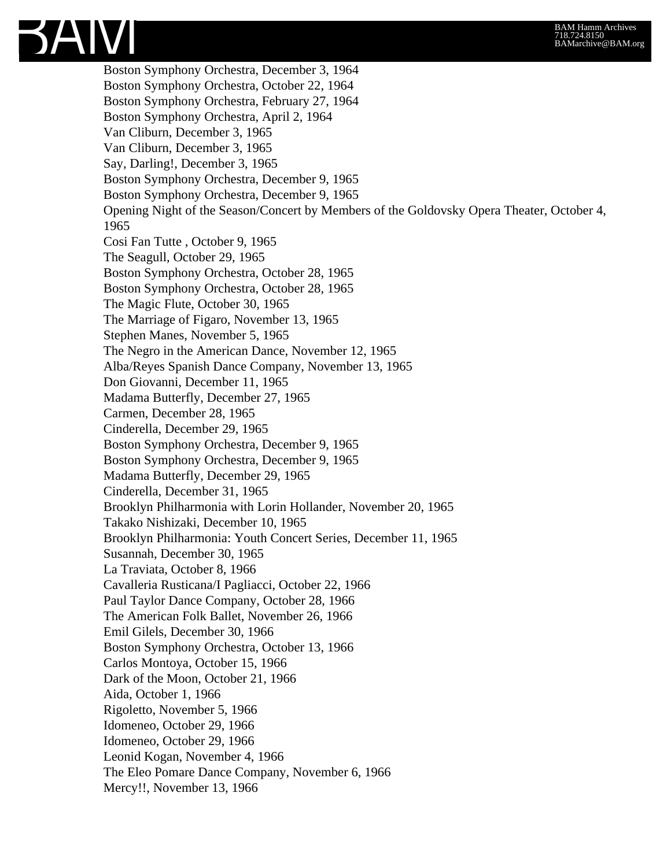

Boston Symphony Orchestra, December 3, 1964 Boston Symphony Orchestra, October 22, 1964 Boston Symphony Orchestra, February 27, 1964 Boston Symphony Orchestra, April 2, 1964 Van Cliburn, December 3, 1965 Van Cliburn, December 3, 1965 Say, Darling!, December 3, 1965 Boston Symphony Orchestra, December 9, 1965 Boston Symphony Orchestra, December 9, 1965 Opening Night of the Season/Concert by Members of the Goldovsky Opera Theater, October 4, 1965 Cosi Fan Tutte , October 9, 1965 The Seagull, October 29, 1965 Boston Symphony Orchestra, October 28, 1965 Boston Symphony Orchestra, October 28, 1965 The Magic Flute, October 30, 1965 The Marriage of Figaro, November 13, 1965 Stephen Manes, November 5, 1965 The Negro in the American Dance, November 12, 1965 Alba/Reyes Spanish Dance Company, November 13, 1965 Don Giovanni, December 11, 1965 Madama Butterfly, December 27, 1965 Carmen, December 28, 1965 Cinderella, December 29, 1965 Boston Symphony Orchestra, December 9, 1965 Boston Symphony Orchestra, December 9, 1965 Madama Butterfly, December 29, 1965 Cinderella, December 31, 1965 Brooklyn Philharmonia with Lorin Hollander, November 20, 1965 Takako Nishizaki, December 10, 1965 Brooklyn Philharmonia: Youth Concert Series, December 11, 1965 Susannah, December 30, 1965 La Traviata, October 8, 1966 Cavalleria Rusticana/I Pagliacci, October 22, 1966 Paul Taylor Dance Company, October 28, 1966 The American Folk Ballet, November 26, 1966 Emil Gilels, December 30, 1966 Boston Symphony Orchestra, October 13, 1966 Carlos Montoya, October 15, 1966 Dark of the Moon, October 21, 1966 Aida, October 1, 1966 Rigoletto, November 5, 1966 Idomeneo, October 29, 1966 Idomeneo, October 29, 1966 Leonid Kogan, November 4, 1966 The Eleo Pomare Dance Company, November 6, 1966 Mercy!!, November 13, 1966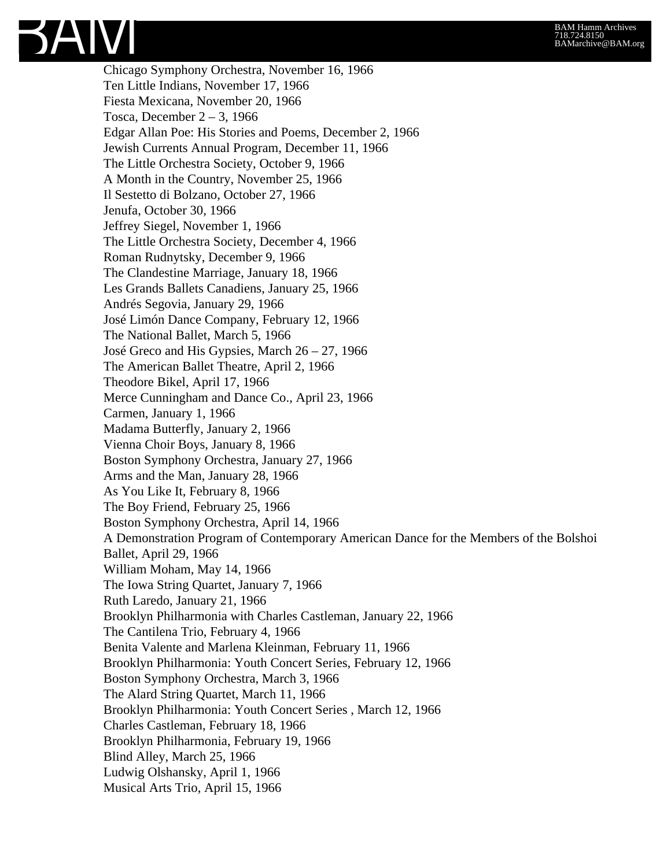Chicago Symphony Orchestra, November 16, 1966 Ten Little Indians, November 17, 1966 Fiesta Mexicana, November 20, 1966 Tosca, December  $2 - 3$ , 1966 Edgar Allan Poe: His Stories and Poems, December 2, 1966 Jewish Currents Annual Program, December 11, 1966 The Little Orchestra Society, October 9, 1966 A Month in the Country, November 25, 1966 Il Sestetto di Bolzano, October 27, 1966 Jenufa, October 30, 1966 Jeffrey Siegel, November 1, 1966 The Little Orchestra Society, December 4, 1966 Roman Rudnytsky, December 9, 1966 The Clandestine Marriage, January 18, 1966 Les Grands Ballets Canadiens, January 25, 1966 Andrés Segovia, January 29, 1966 José Limón Dance Company, February 12, 1966 The National Ballet, March 5, 1966 José Greco and His Gypsies, March 26 – 27, 1966 The American Ballet Theatre, April 2, 1966 Theodore Bikel, April 17, 1966 Merce Cunningham and Dance Co., April 23, 1966 Carmen, January 1, 1966 Madama Butterfly, January 2, 1966 Vienna Choir Boys, January 8, 1966 Boston Symphony Orchestra, January 27, 1966 Arms and the Man, January 28, 1966 As You Like It, February 8, 1966 The Boy Friend, February 25, 1966 Boston Symphony Orchestra, April 14, 1966 A Demonstration Program of Contemporary American Dance for the Members of the Bolshoi Ballet, April 29, 1966 William Moham, May 14, 1966 The Iowa String Quartet, January 7, 1966 Ruth Laredo, January 21, 1966 Brooklyn Philharmonia with Charles Castleman, January 22, 1966 The Cantilena Trio, February 4, 1966 Benita Valente and Marlena Kleinman, February 11, 1966 Brooklyn Philharmonia: Youth Concert Series, February 12, 1966 Boston Symphony Orchestra, March 3, 1966 The Alard String Quartet, March 11, 1966 Brooklyn Philharmonia: Youth Concert Series , March 12, 1966 Charles Castleman, February 18, 1966 Brooklyn Philharmonia, February 19, 1966 Blind Alley, March 25, 1966 Ludwig Olshansky, April 1, 1966 Musical Arts Trio, April 15, 1966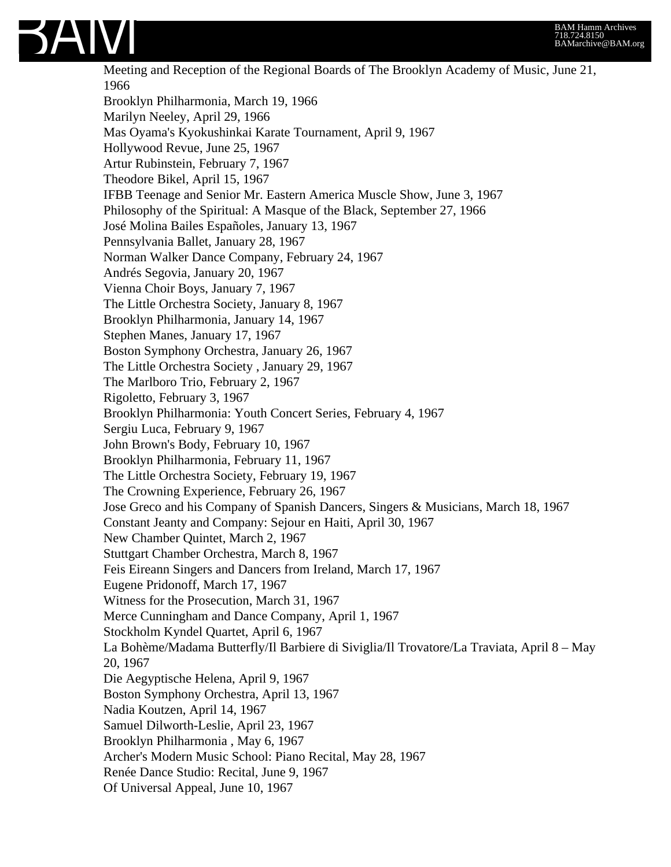

Meeting and Reception of the Regional Boards of The Brooklyn Academy of Music, June 21, 1966 Brooklyn Philharmonia, March 19, 1966 Marilyn Neeley, April 29, 1966 Mas Oyama's Kyokushinkai Karate Tournament, April 9, 1967 Hollywood Revue, June 25, 1967 Artur Rubinstein, February 7, 1967 Theodore Bikel, April 15, 1967 IFBB Teenage and Senior Mr. Eastern America Muscle Show, June 3, 1967 Philosophy of the Spiritual: A Masque of the Black, September 27, 1966 José Molina Bailes Españoles, January 13, 1967 Pennsylvania Ballet, January 28, 1967 Norman Walker Dance Company, February 24, 1967 Andrés Segovia, January 20, 1967 Vienna Choir Boys, January 7, 1967 The Little Orchestra Society, January 8, 1967 Brooklyn Philharmonia, January 14, 1967 Stephen Manes, January 17, 1967 Boston Symphony Orchestra, January 26, 1967 The Little Orchestra Society , January 29, 1967 The Marlboro Trio, February 2, 1967 Rigoletto, February 3, 1967 Brooklyn Philharmonia: Youth Concert Series, February 4, 1967 Sergiu Luca, February 9, 1967 John Brown's Body, February 10, 1967 Brooklyn Philharmonia, February 11, 1967 The Little Orchestra Society, February 19, 1967 The Crowning Experience, February 26, 1967 Jose Greco and his Company of Spanish Dancers, Singers & Musicians, March 18, 1967 Constant Jeanty and Company: Sejour en Haiti, April 30, 1967 New Chamber Quintet, March 2, 1967 Stuttgart Chamber Orchestra, March 8, 1967 Feis Eireann Singers and Dancers from Ireland, March 17, 1967 Eugene Pridonoff, March 17, 1967 Witness for the Prosecution, March 31, 1967 Merce Cunningham and Dance Company, April 1, 1967 Stockholm Kyndel Quartet, April 6, 1967 La Bohème/Madama Butterfly/Il Barbiere di Siviglia/Il Trovatore/La Traviata, April 8 – May 20, 1967 Die Aegyptische Helena, April 9, 1967 Boston Symphony Orchestra, April 13, 1967 Nadia Koutzen, April 14, 1967 Samuel Dilworth-Leslie, April 23, 1967 Brooklyn Philharmonia , May 6, 1967 Archer's Modern Music School: Piano Recital, May 28, 1967 Renée Dance Studio: Recital, June 9, 1967 Of Universal Appeal, June 10, 1967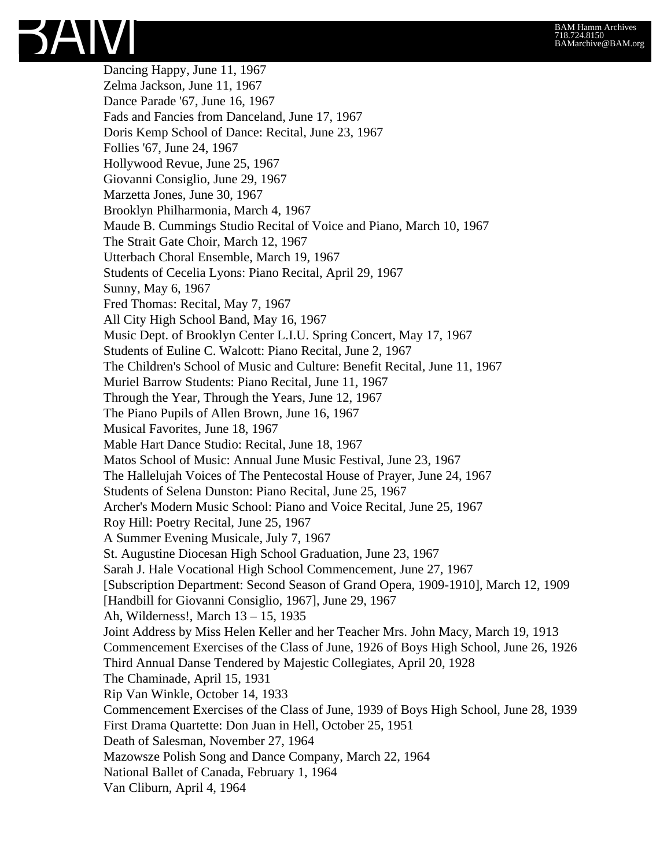#### BAM Hamm Archives 718.724.8150 BAMarchive@BAM.org

SAIVI

Dancing Happy, June 11, 1967 Zelma Jackson, June 11, 1967 Dance Parade '67, June 16, 1967 Fads and Fancies from Danceland, June 17, 1967 Doris Kemp School of Dance: Recital, June 23, 1967 Follies '67, June 24, 1967 Hollywood Revue, June 25, 1967 Giovanni Consiglio, June 29, 1967 Marzetta Jones, June 30, 1967 Brooklyn Philharmonia, March 4, 1967 Maude B. Cummings Studio Recital of Voice and Piano, March 10, 1967 The Strait Gate Choir, March 12, 1967 Utterbach Choral Ensemble, March 19, 1967 Students of Cecelia Lyons: Piano Recital, April 29, 1967 Sunny, May 6, 1967 Fred Thomas: Recital, May 7, 1967 All City High School Band, May 16, 1967 Music Dept. of Brooklyn Center L.I.U. Spring Concert, May 17, 1967 Students of Euline C. Walcott: Piano Recital, June 2, 1967 The Children's School of Music and Culture: Benefit Recital, June 11, 1967 Muriel Barrow Students: Piano Recital, June 11, 1967 Through the Year, Through the Years, June 12, 1967 The Piano Pupils of Allen Brown, June 16, 1967 Musical Favorites, June 18, 1967 Mable Hart Dance Studio: Recital, June 18, 1967 Matos School of Music: Annual June Music Festival, June 23, 1967 The Hallelujah Voices of The Pentecostal House of Prayer, June 24, 1967 Students of Selena Dunston: Piano Recital, June 25, 1967 Archer's Modern Music School: Piano and Voice Recital, June 25, 1967 Roy Hill: Poetry Recital, June 25, 1967 A Summer Evening Musicale, July 7, 1967 St. Augustine Diocesan High School Graduation, June 23, 1967 Sarah J. Hale Vocational High School Commencement, June 27, 1967 [Subscription Department: Second Season of Grand Opera, 1909-1910], March 12, 1909 [Handbill for Giovanni Consiglio, 1967], June 29, 1967 Ah, Wilderness!, March 13 – 15, 1935 Joint Address by Miss Helen Keller and her Teacher Mrs. John Macy, March 19, 1913 Commencement Exercises of the Class of June, 1926 of Boys High School, June 26, 1926 Third Annual Danse Tendered by Majestic Collegiates, April 20, 1928 The Chaminade, April 15, 1931 Rip Van Winkle, October 14, 1933 Commencement Exercises of the Class of June, 1939 of Boys High School, June 28, 1939 First Drama Quartette: Don Juan in Hell, October 25, 1951 Death of Salesman, November 27, 1964 Mazowsze Polish Song and Dance Company, March 22, 1964 National Ballet of Canada, February 1, 1964 Van Cliburn, April 4, 1964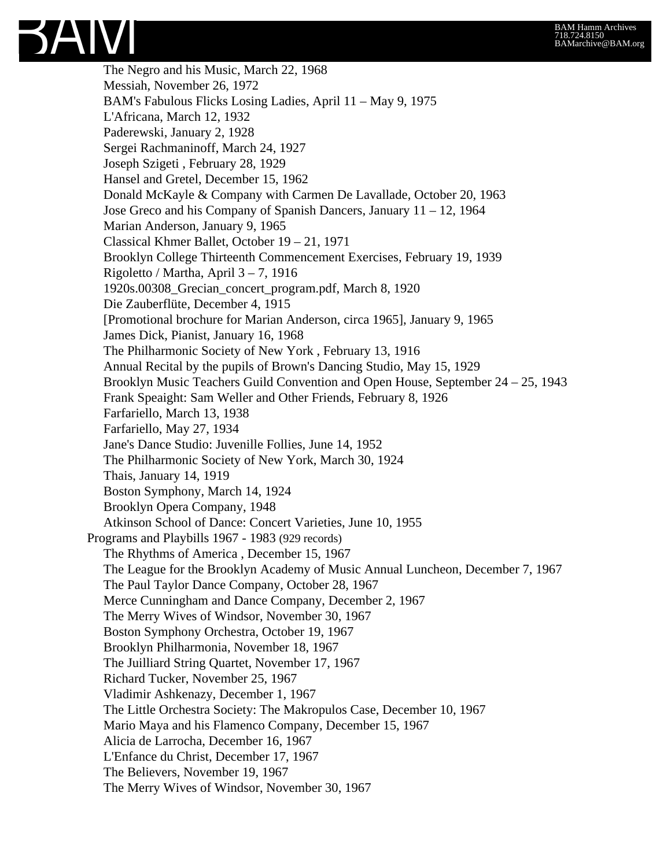The Negro and his Music, March 22, 1968 Messiah, November 26, 1972 BAM's Fabulous Flicks Losing Ladies, April 11 – May 9, 1975 L'Africana, March 12, 1932 Paderewski, January 2, 1928 Sergei Rachmaninoff, March 24, 1927 Joseph Szigeti , February 28, 1929 Hansel and Gretel, December 15, 1962 Donald McKayle & Company with Carmen De Lavallade, October 20, 1963 Jose Greco and his Company of Spanish Dancers, January 11 – 12, 1964 Marian Anderson, January 9, 1965 Classical Khmer Ballet, October 19 – 21, 1971 Brooklyn College Thirteenth Commencement Exercises, February 19, 1939 Rigoletto / Martha, April 3 – 7, 1916 1920s.00308\_Grecian\_concert\_program.pdf, March 8, 1920 Die Zauberflüte, December 4, 1915 [Promotional brochure for Marian Anderson, circa 1965], January 9, 1965 James Dick, Pianist, January 16, 1968 The Philharmonic Society of New York , February 13, 1916 Annual Recital by the pupils of Brown's Dancing Studio, May 15, 1929 Brooklyn Music Teachers Guild Convention and Open House, September 24 – 25, 1943 Frank Speaight: Sam Weller and Other Friends, February 8, 1926 Farfariello, March 13, 1938 Farfariello, May 27, 1934 Jane's Dance Studio: Juvenille Follies, June 14, 1952 The Philharmonic Society of New York, March 30, 1924 Thais, January 14, 1919 Boston Symphony, March 14, 1924 Brooklyn Opera Company, 1948 Atkinson School of Dance: Concert Varieties, June 10, 1955 Programs and Playbills 1967 - 1983 (929 records) The Rhythms of America , December 15, 1967 The League for the Brooklyn Academy of Music Annual Luncheon, December 7, 1967 The Paul Taylor Dance Company, October 28, 1967 Merce Cunningham and Dance Company, December 2, 1967 The Merry Wives of Windsor, November 30, 1967 Boston Symphony Orchestra, October 19, 1967 Brooklyn Philharmonia, November 18, 1967 The Juilliard String Quartet, November 17, 1967 Richard Tucker, November 25, 1967 Vladimir Ashkenazy, December 1, 1967 The Little Orchestra Society: The Makropulos Case, December 10, 1967 Mario Maya and his Flamenco Company, December 15, 1967 Alicia de Larrocha, December 16, 1967 L'Enfance du Christ, December 17, 1967 The Believers, November 19, 1967 The Merry Wives of Windsor, November 30, 1967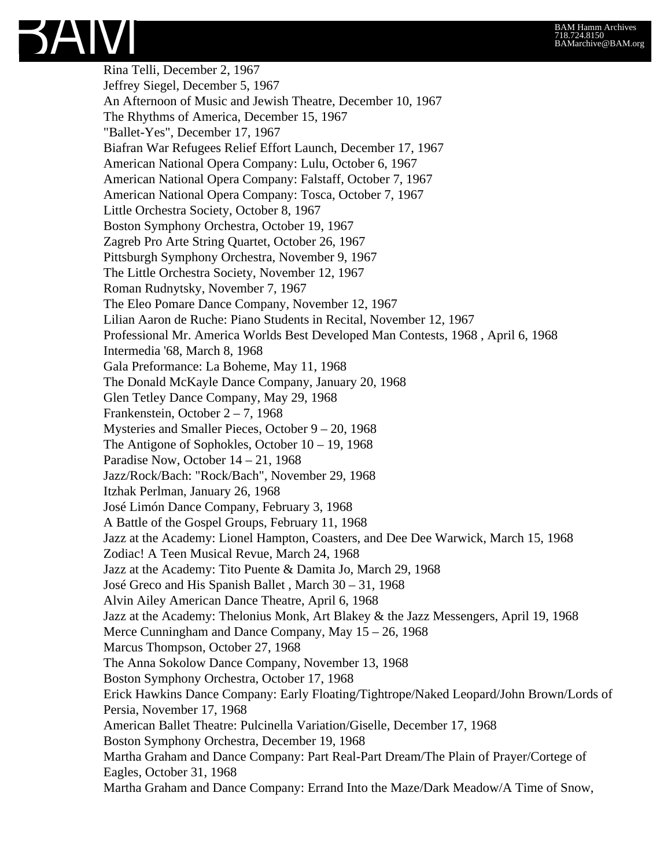

Rina Telli, December 2, 1967 Jeffrey Siegel, December 5, 1967 An Afternoon of Music and Jewish Theatre, December 10, 1967 The Rhythms of America, December 15, 1967 "Ballet-Yes", December 17, 1967 Biafran War Refugees Relief Effort Launch, December 17, 1967 American National Opera Company: Lulu, October 6, 1967 American National Opera Company: Falstaff, October 7, 1967 American National Opera Company: Tosca, October 7, 1967 Little Orchestra Society, October 8, 1967 Boston Symphony Orchestra, October 19, 1967 Zagreb Pro Arte String Quartet, October 26, 1967 Pittsburgh Symphony Orchestra, November 9, 1967 The Little Orchestra Society, November 12, 1967 Roman Rudnytsky, November 7, 1967 The Eleo Pomare Dance Company, November 12, 1967 Lilian Aaron de Ruche: Piano Students in Recital, November 12, 1967 Professional Mr. America Worlds Best Developed Man Contests, 1968 , April 6, 1968 Intermedia '68, March 8, 1968 Gala Preformance: La Boheme, May 11, 1968 The Donald McKayle Dance Company, January 20, 1968 Glen Tetley Dance Company, May 29, 1968 Frankenstein, October 2 – 7, 1968 Mysteries and Smaller Pieces, October 9 – 20, 1968 The Antigone of Sophokles, October 10 – 19, 1968 Paradise Now, October 14 – 21, 1968 Jazz/Rock/Bach: "Rock/Bach", November 29, 1968 Itzhak Perlman, January 26, 1968 José Limón Dance Company, February 3, 1968 A Battle of the Gospel Groups, February 11, 1968 Jazz at the Academy: Lionel Hampton, Coasters, and Dee Dee Warwick, March 15, 1968 Zodiac! A Teen Musical Revue, March 24, 1968 Jazz at the Academy: Tito Puente & Damita Jo, March 29, 1968 José Greco and His Spanish Ballet , March 30 – 31, 1968 Alvin Ailey American Dance Theatre, April 6, 1968 Jazz at the Academy: Thelonius Monk, Art Blakey & the Jazz Messengers, April 19, 1968 Merce Cunningham and Dance Company, May 15 – 26, 1968 Marcus Thompson, October 27, 1968 The Anna Sokolow Dance Company, November 13, 1968 Boston Symphony Orchestra, October 17, 1968 Erick Hawkins Dance Company: Early Floating/Tightrope/Naked Leopard/John Brown/Lords of Persia, November 17, 1968 American Ballet Theatre: Pulcinella Variation/Giselle, December 17, 1968 Boston Symphony Orchestra, December 19, 1968 Martha Graham and Dance Company: Part Real-Part Dream/The Plain of Prayer/Cortege of Eagles, October 31, 1968 Martha Graham and Dance Company: Errand Into the Maze/Dark Meadow/A Time of Snow,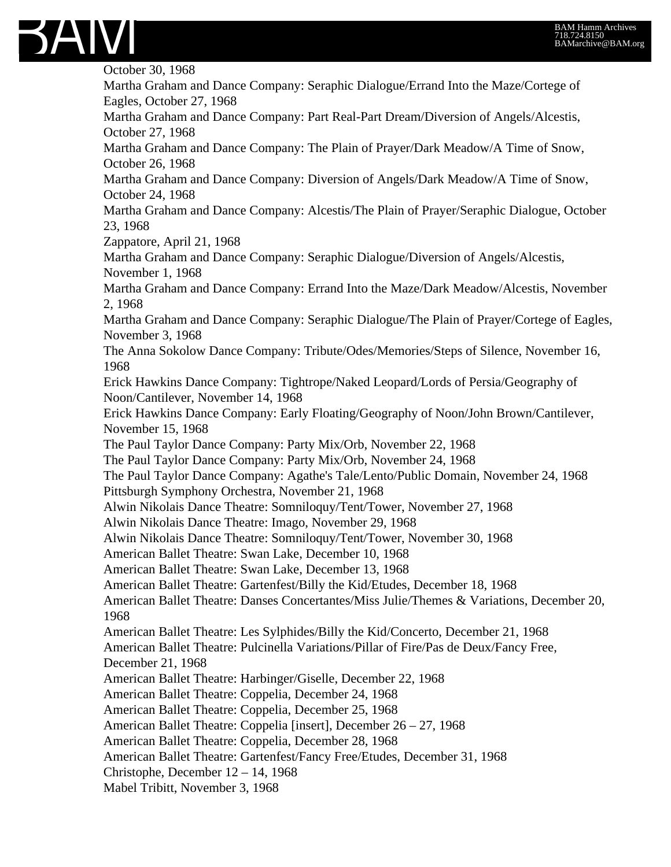

October 30, 1968 Martha Graham and Dance Company: Seraphic Dialogue/Errand Into the Maze/Cortege of Eagles, October 27, 1968 Martha Graham and Dance Company: Part Real-Part Dream/Diversion of Angels/Alcestis, October 27, 1968 Martha Graham and Dance Company: The Plain of Prayer/Dark Meadow/A Time of Snow, October 26, 1968 Martha Graham and Dance Company: Diversion of Angels/Dark Meadow/A Time of Snow, October 24, 1968 Martha Graham and Dance Company: Alcestis/The Plain of Prayer/Seraphic Dialogue, October 23, 1968 Zappatore, April 21, 1968 Martha Graham and Dance Company: Seraphic Dialogue/Diversion of Angels/Alcestis, November 1, 1968 Martha Graham and Dance Company: Errand Into the Maze/Dark Meadow/Alcestis, November 2, 1968 Martha Graham and Dance Company: Seraphic Dialogue/The Plain of Prayer/Cortege of Eagles, November 3, 1968 The Anna Sokolow Dance Company: Tribute/Odes/Memories/Steps of Silence, November 16, 1968 Erick Hawkins Dance Company: Tightrope/Naked Leopard/Lords of Persia/Geography of Noon/Cantilever, November 14, 1968 Erick Hawkins Dance Company: Early Floating/Geography of Noon/John Brown/Cantilever, November 15, 1968 The Paul Taylor Dance Company: Party Mix/Orb, November 22, 1968 The Paul Taylor Dance Company: Party Mix/Orb, November 24, 1968 The Paul Taylor Dance Company: Agathe's Tale/Lento/Public Domain, November 24, 1968 Pittsburgh Symphony Orchestra, November 21, 1968 Alwin Nikolais Dance Theatre: Somniloquy/Tent/Tower, November 27, 1968 Alwin Nikolais Dance Theatre: Imago, November 29, 1968 Alwin Nikolais Dance Theatre: Somniloquy/Tent/Tower, November 30, 1968 American Ballet Theatre: Swan Lake, December 10, 1968 American Ballet Theatre: Swan Lake, December 13, 1968 American Ballet Theatre: Gartenfest/Billy the Kid/Etudes, December 18, 1968 American Ballet Theatre: Danses Concertantes/Miss Julie/Themes & Variations, December 20, 1968 American Ballet Theatre: Les Sylphides/Billy the Kid/Concerto, December 21, 1968 American Ballet Theatre: Pulcinella Variations/Pillar of Fire/Pas de Deux/Fancy Free, December 21, 1968 American Ballet Theatre: Harbinger/Giselle, December 22, 1968 American Ballet Theatre: Coppelia, December 24, 1968 American Ballet Theatre: Coppelia, December 25, 1968 American Ballet Theatre: Coppelia [insert], December 26 – 27, 1968 American Ballet Theatre: Coppelia, December 28, 1968 American Ballet Theatre: Gartenfest/Fancy Free/Etudes, December 31, 1968 Christophe, December 12 – 14, 1968 Mabel Tribitt, November 3, 1968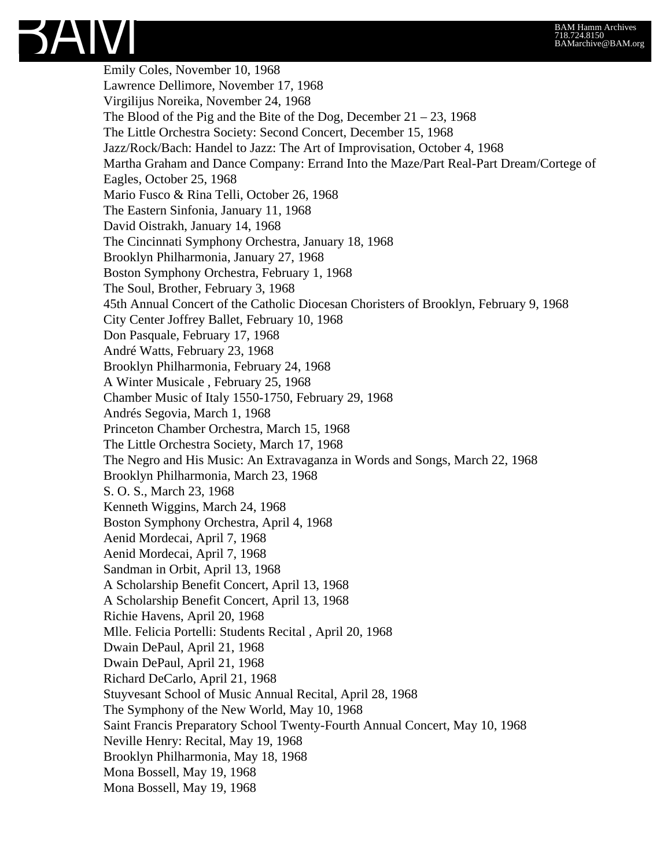

Emily Coles, November 10, 1968 Lawrence Dellimore, November 17, 1968 Virgilijus Noreika, November 24, 1968 The Blood of the Pig and the Bite of the Dog, December  $21 - 23$ , 1968 The Little Orchestra Society: Second Concert, December 15, 1968 Jazz/Rock/Bach: Handel to Jazz: The Art of Improvisation, October 4, 1968 Martha Graham and Dance Company: Errand Into the Maze/Part Real-Part Dream/Cortege of Eagles, October 25, 1968 Mario Fusco & Rina Telli, October 26, 1968 The Eastern Sinfonia, January 11, 1968 David Oistrakh, January 14, 1968 The Cincinnati Symphony Orchestra, January 18, 1968 Brooklyn Philharmonia, January 27, 1968 Boston Symphony Orchestra, February 1, 1968 The Soul, Brother, February 3, 1968 45th Annual Concert of the Catholic Diocesan Choristers of Brooklyn, February 9, 1968 City Center Joffrey Ballet, February 10, 1968 Don Pasquale, February 17, 1968 André Watts, February 23, 1968 Brooklyn Philharmonia, February 24, 1968 A Winter Musicale , February 25, 1968 Chamber Music of Italy 1550-1750, February 29, 1968 Andrés Segovia, March 1, 1968 Princeton Chamber Orchestra, March 15, 1968 The Little Orchestra Society, March 17, 1968 The Negro and His Music: An Extravaganza in Words and Songs, March 22, 1968 Brooklyn Philharmonia, March 23, 1968 S. O. S., March 23, 1968 Kenneth Wiggins, March 24, 1968 Boston Symphony Orchestra, April 4, 1968 Aenid Mordecai, April 7, 1968 Aenid Mordecai, April 7, 1968 Sandman in Orbit, April 13, 1968 A Scholarship Benefit Concert, April 13, 1968 A Scholarship Benefit Concert, April 13, 1968 Richie Havens, April 20, 1968 Mlle. Felicia Portelli: Students Recital , April 20, 1968 Dwain DePaul, April 21, 1968 Dwain DePaul, April 21, 1968 Richard DeCarlo, April 21, 1968 Stuyvesant School of Music Annual Recital, April 28, 1968 The Symphony of the New World, May 10, 1968 Saint Francis Preparatory School Twenty-Fourth Annual Concert, May 10, 1968 Neville Henry: Recital, May 19, 1968 Brooklyn Philharmonia, May 18, 1968 Mona Bossell, May 19, 1968 Mona Bossell, May 19, 1968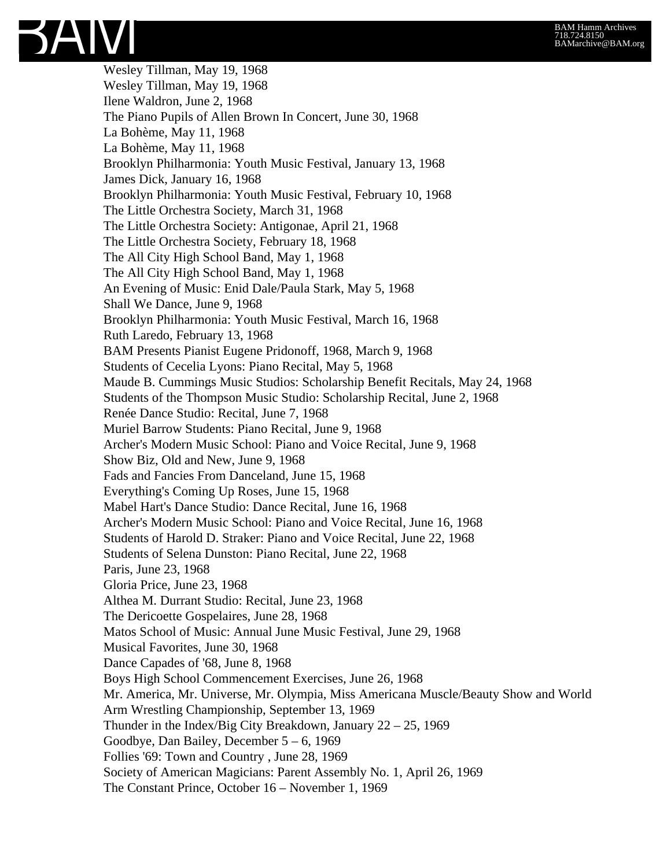Wesley Tillman, May 19, 1968 Wesley Tillman, May 19, 1968 Ilene Waldron, June 2, 1968 The Piano Pupils of Allen Brown In Concert, June 30, 1968 La Bohème, May 11, 1968 La Bohème, May 11, 1968 Brooklyn Philharmonia: Youth Music Festival, January 13, 1968 James Dick, January 16, 1968 Brooklyn Philharmonia: Youth Music Festival, February 10, 1968 The Little Orchestra Society, March 31, 1968 The Little Orchestra Society: Antigonae, April 21, 1968 The Little Orchestra Society, February 18, 1968 The All City High School Band, May 1, 1968 The All City High School Band, May 1, 1968 An Evening of Music: Enid Dale/Paula Stark, May 5, 1968 Shall We Dance, June 9, 1968 Brooklyn Philharmonia: Youth Music Festival, March 16, 1968 Ruth Laredo, February 13, 1968 BAM Presents Pianist Eugene Pridonoff, 1968, March 9, 1968 Students of Cecelia Lyons: Piano Recital, May 5, 1968 Maude B. Cummings Music Studios: Scholarship Benefit Recitals, May 24, 1968 Students of the Thompson Music Studio: Scholarship Recital, June 2, 1968 Renée Dance Studio: Recital, June 7, 1968 Muriel Barrow Students: Piano Recital, June 9, 1968 Archer's Modern Music School: Piano and Voice Recital, June 9, 1968 Show Biz, Old and New, June 9, 1968 Fads and Fancies From Danceland, June 15, 1968 Everything's Coming Up Roses, June 15, 1968 Mabel Hart's Dance Studio: Dance Recital, June 16, 1968 Archer's Modern Music School: Piano and Voice Recital, June 16, 1968 Students of Harold D. Straker: Piano and Voice Recital, June 22, 1968 Students of Selena Dunston: Piano Recital, June 22, 1968 Paris, June 23, 1968 Gloria Price, June 23, 1968 Althea M. Durrant Studio: Recital, June 23, 1968 The Dericoette Gospelaires, June 28, 1968 Matos School of Music: Annual June Music Festival, June 29, 1968 Musical Favorites, June 30, 1968 Dance Capades of '68, June 8, 1968 Boys High School Commencement Exercises, June 26, 1968 Mr. America, Mr. Universe, Mr. Olympia, Miss Americana Muscle/Beauty Show and World Arm Wrestling Championship, September 13, 1969 Thunder in the Index/Big City Breakdown, January 22 – 25, 1969 Goodbye, Dan Bailey, December 5 – 6, 1969 Follies '69: Town and Country , June 28, 1969 Society of American Magicians: Parent Assembly No. 1, April 26, 1969 The Constant Prince, October 16 – November 1, 1969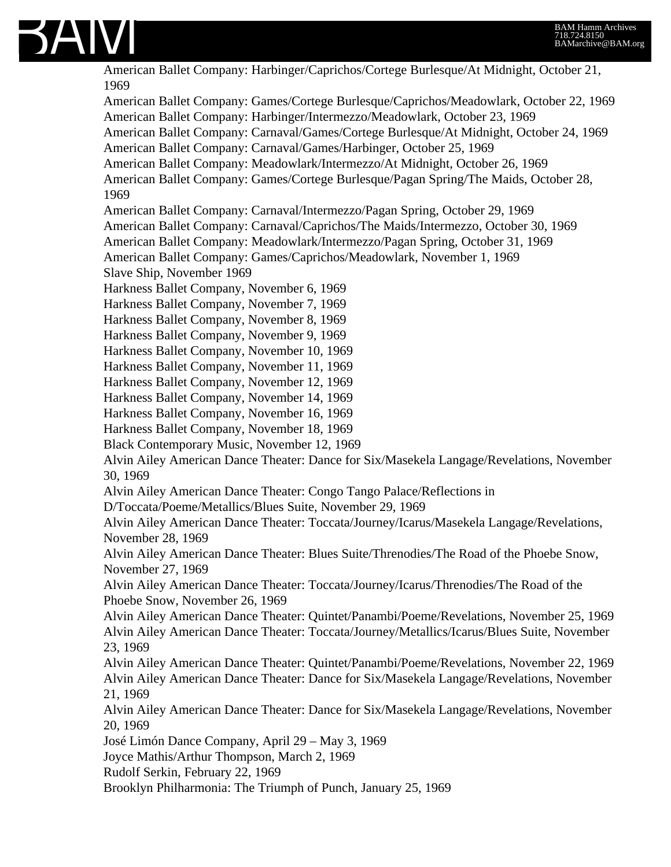

American Ballet Company: Harbinger/Caprichos/Cortege Burlesque/At Midnight, October 21, 1969 American Ballet Company: Games/Cortege Burlesque/Caprichos/Meadowlark, October 22, 1969 American Ballet Company: Harbinger/Intermezzo/Meadowlark, October 23, 1969 American Ballet Company: Carnaval/Games/Cortege Burlesque/At Midnight, October 24, 1969 American Ballet Company: Carnaval/Games/Harbinger, October 25, 1969 American Ballet Company: Meadowlark/Intermezzo/At Midnight, October 26, 1969 American Ballet Company: Games/Cortege Burlesque/Pagan Spring/The Maids, October 28, 1969 American Ballet Company: Carnaval/Intermezzo/Pagan Spring, October 29, 1969 American Ballet Company: Carnaval/Caprichos/The Maids/Intermezzo, October 30, 1969 American Ballet Company: Meadowlark/Intermezzo/Pagan Spring, October 31, 1969 American Ballet Company: Games/Caprichos/Meadowlark, November 1, 1969 Slave Ship, November 1969 Harkness Ballet Company, November 6, 1969 Harkness Ballet Company, November 7, 1969 Harkness Ballet Company, November 8, 1969 Harkness Ballet Company, November 9, 1969 Harkness Ballet Company, November 10, 1969 Harkness Ballet Company, November 11, 1969 Harkness Ballet Company, November 12, 1969 Harkness Ballet Company, November 14, 1969 Harkness Ballet Company, November 16, 1969 Harkness Ballet Company, November 18, 1969 Black Contemporary Music, November 12, 1969 Alvin Ailey American Dance Theater: Dance for Six/Masekela Langage/Revelations, November 30, 1969 Alvin Ailey American Dance Theater: Congo Tango Palace/Reflections in D/Toccata/Poeme/Metallics/Blues Suite, November 29, 1969 Alvin Ailey American Dance Theater: Toccata/Journey/Icarus/Masekela Langage/Revelations, November 28, 1969 Alvin Ailey American Dance Theater: Blues Suite/Threnodies/The Road of the Phoebe Snow, November 27, 1969 Alvin Ailey American Dance Theater: Toccata/Journey/Icarus/Threnodies/The Road of the Phoebe Snow, November 26, 1969 Alvin Ailey American Dance Theater: Quintet/Panambi/Poeme/Revelations, November 25, 1969 Alvin Ailey American Dance Theater: Toccata/Journey/Metallics/Icarus/Blues Suite, November 23, 1969 Alvin Ailey American Dance Theater: Quintet/Panambi/Poeme/Revelations, November 22, 1969 Alvin Ailey American Dance Theater: Dance for Six/Masekela Langage/Revelations, November 21, 1969 Alvin Ailey American Dance Theater: Dance for Six/Masekela Langage/Revelations, November 20, 1969 José Limón Dance Company, April 29 – May 3, 1969 Joyce Mathis/Arthur Thompson, March 2, 1969 Rudolf Serkin, February 22, 1969 Brooklyn Philharmonia: The Triumph of Punch, January 25, 1969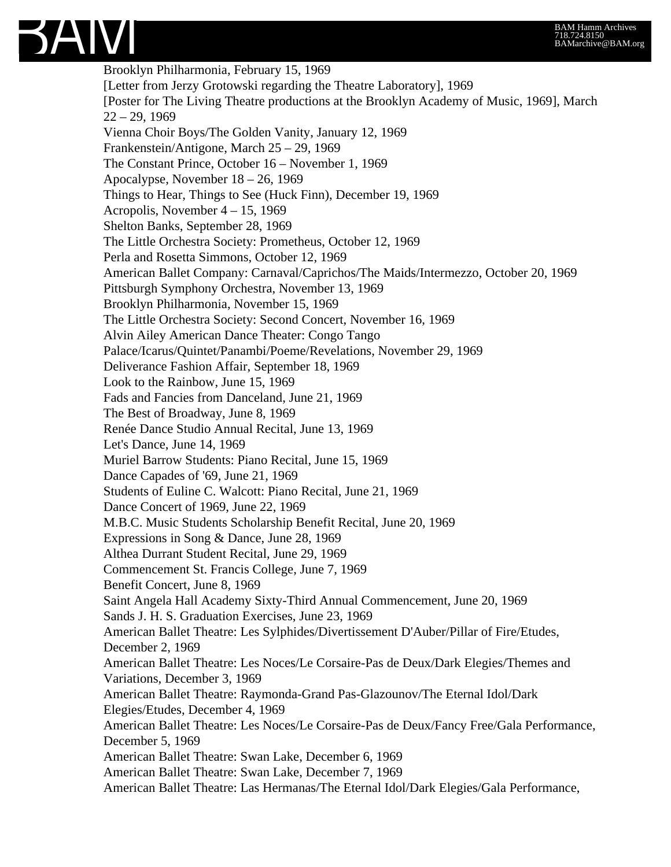

Brooklyn Philharmonia, February 15, 1969 [Letter from Jerzy Grotowski regarding the Theatre Laboratory], 1969 [Poster for The Living Theatre productions at the Brooklyn Academy of Music, 1969], March  $22 - 29, 1969$ Vienna Choir Boys/The Golden Vanity, January 12, 1969 Frankenstein/Antigone, March 25 – 29, 1969 The Constant Prince, October 16 – November 1, 1969 Apocalypse, November 18 – 26, 1969 Things to Hear, Things to See (Huck Finn), December 19, 1969 Acropolis, November 4 – 15, 1969 Shelton Banks, September 28, 1969 The Little Orchestra Society: Prometheus, October 12, 1969 Perla and Rosetta Simmons, October 12, 1969 American Ballet Company: Carnaval/Caprichos/The Maids/Intermezzo, October 20, 1969 Pittsburgh Symphony Orchestra, November 13, 1969 Brooklyn Philharmonia, November 15, 1969 The Little Orchestra Society: Second Concert, November 16, 1969 Alvin Ailey American Dance Theater: Congo Tango Palace/Icarus/Quintet/Panambi/Poeme/Revelations, November 29, 1969 Deliverance Fashion Affair, September 18, 1969 Look to the Rainbow, June 15, 1969 Fads and Fancies from Danceland, June 21, 1969 The Best of Broadway, June 8, 1969 Renée Dance Studio Annual Recital, June 13, 1969 Let's Dance, June 14, 1969 Muriel Barrow Students: Piano Recital, June 15, 1969 Dance Capades of '69, June 21, 1969 Students of Euline C. Walcott: Piano Recital, June 21, 1969 Dance Concert of 1969, June 22, 1969 M.B.C. Music Students Scholarship Benefit Recital, June 20, 1969 Expressions in Song & Dance, June 28, 1969 Althea Durrant Student Recital, June 29, 1969 Commencement St. Francis College, June 7, 1969 Benefit Concert, June 8, 1969 Saint Angela Hall Academy Sixty-Third Annual Commencement, June 20, 1969 Sands J. H. S. Graduation Exercises, June 23, 1969 American Ballet Theatre: Les Sylphides/Divertissement D'Auber/Pillar of Fire/Etudes, December 2, 1969 American Ballet Theatre: Les Noces/Le Corsaire-Pas de Deux/Dark Elegies/Themes and Variations, December 3, 1969 American Ballet Theatre: Raymonda-Grand Pas-Glazounov/The Eternal Idol/Dark Elegies/Etudes, December 4, 1969 American Ballet Theatre: Les Noces/Le Corsaire-Pas de Deux/Fancy Free/Gala Performance, December 5, 1969 American Ballet Theatre: Swan Lake, December 6, 1969 American Ballet Theatre: Swan Lake, December 7, 1969 American Ballet Theatre: Las Hermanas/The Eternal Idol/Dark Elegies/Gala Performance,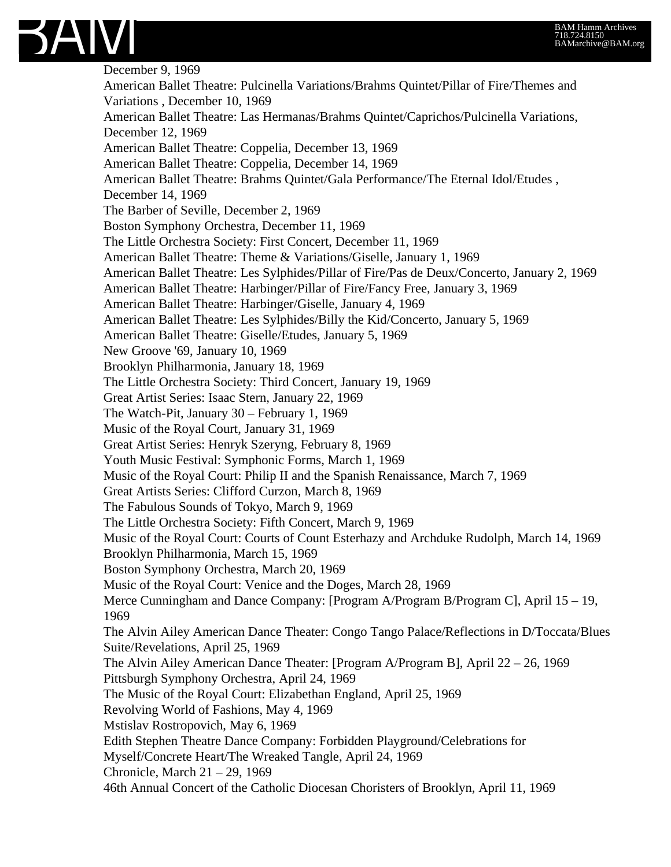

December 9, 1969 American Ballet Theatre: Pulcinella Variations/Brahms Quintet/Pillar of Fire/Themes and Variations , December 10, 1969 American Ballet Theatre: Las Hermanas/Brahms Quintet/Caprichos/Pulcinella Variations, December 12, 1969 American Ballet Theatre: Coppelia, December 13, 1969 American Ballet Theatre: Coppelia, December 14, 1969 American Ballet Theatre: Brahms Quintet/Gala Performance/The Eternal Idol/Etudes , December 14, 1969 The Barber of Seville, December 2, 1969 Boston Symphony Orchestra, December 11, 1969 The Little Orchestra Society: First Concert, December 11, 1969 American Ballet Theatre: Theme & Variations/Giselle, January 1, 1969 American Ballet Theatre: Les Sylphides/Pillar of Fire/Pas de Deux/Concerto, January 2, 1969 American Ballet Theatre: Harbinger/Pillar of Fire/Fancy Free, January 3, 1969 American Ballet Theatre: Harbinger/Giselle, January 4, 1969 American Ballet Theatre: Les Sylphides/Billy the Kid/Concerto, January 5, 1969 American Ballet Theatre: Giselle/Etudes, January 5, 1969 New Groove '69, January 10, 1969 Brooklyn Philharmonia, January 18, 1969 The Little Orchestra Society: Third Concert, January 19, 1969 Great Artist Series: Isaac Stern, January 22, 1969 The Watch-Pit, January 30 – February 1, 1969 Music of the Royal Court, January 31, 1969 Great Artist Series: Henryk Szeryng, February 8, 1969 Youth Music Festival: Symphonic Forms, March 1, 1969 Music of the Royal Court: Philip II and the Spanish Renaissance, March 7, 1969 Great Artists Series: Clifford Curzon, March 8, 1969 The Fabulous Sounds of Tokyo, March 9, 1969 The Little Orchestra Society: Fifth Concert, March 9, 1969 Music of the Royal Court: Courts of Count Esterhazy and Archduke Rudolph, March 14, 1969 Brooklyn Philharmonia, March 15, 1969 Boston Symphony Orchestra, March 20, 1969 Music of the Royal Court: Venice and the Doges, March 28, 1969 Merce Cunningham and Dance Company: [Program A/Program B/Program C], April 15 – 19, 1969 The Alvin Ailey American Dance Theater: Congo Tango Palace/Reflections in D/Toccata/Blues Suite/Revelations, April 25, 1969 The Alvin Ailey American Dance Theater: [Program A/Program B], April 22 – 26, 1969 Pittsburgh Symphony Orchestra, April 24, 1969 The Music of the Royal Court: Elizabethan England, April 25, 1969 Revolving World of Fashions, May 4, 1969 Mstislav Rostropovich, May 6, 1969 Edith Stephen Theatre Dance Company: Forbidden Playground/Celebrations for Myself/Concrete Heart/The Wreaked Tangle, April 24, 1969 Chronicle, March 21 – 29, 1969 46th Annual Concert of the Catholic Diocesan Choristers of Brooklyn, April 11, 1969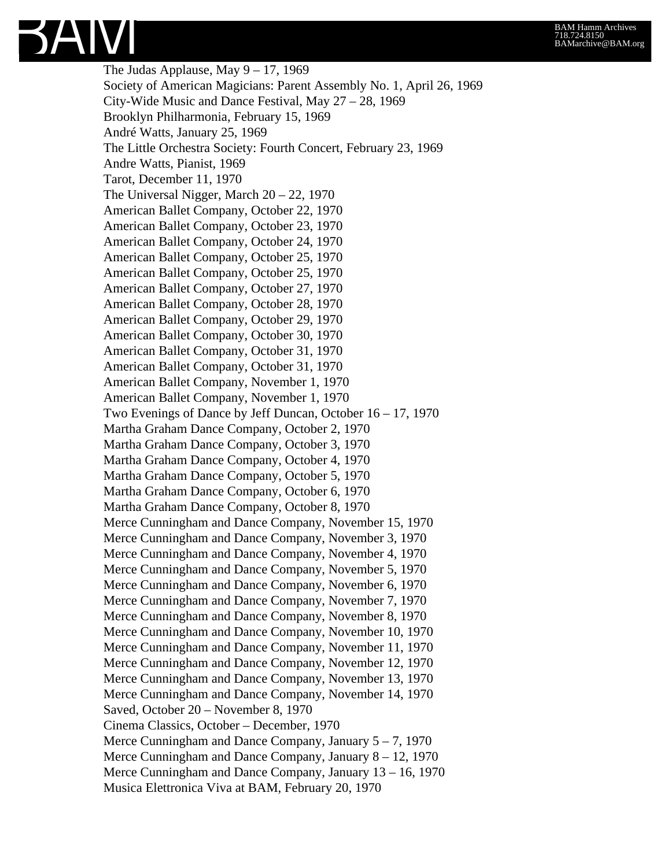The Judas Applause, May  $9 - 17$ , 1969 Society of American Magicians: Parent Assembly No. 1, April 26, 1969 City-Wide Music and Dance Festival, May 27 – 28, 1969 Brooklyn Philharmonia, February 15, 1969 André Watts, January 25, 1969 The Little Orchestra Society: Fourth Concert, February 23, 1969 Andre Watts, Pianist, 1969 Tarot, December 11, 1970 The Universal Nigger, March 20 – 22, 1970 American Ballet Company, October 22, 1970 American Ballet Company, October 23, 1970 American Ballet Company, October 24, 1970 American Ballet Company, October 25, 1970 American Ballet Company, October 25, 1970 American Ballet Company, October 27, 1970 American Ballet Company, October 28, 1970 American Ballet Company, October 29, 1970 American Ballet Company, October 30, 1970 American Ballet Company, October 31, 1970 American Ballet Company, October 31, 1970 American Ballet Company, November 1, 1970 American Ballet Company, November 1, 1970 Two Evenings of Dance by Jeff Duncan, October 16 – 17, 1970 Martha Graham Dance Company, October 2, 1970 Martha Graham Dance Company, October 3, 1970 Martha Graham Dance Company, October 4, 1970 Martha Graham Dance Company, October 5, 1970 Martha Graham Dance Company, October 6, 1970 Martha Graham Dance Company, October 8, 1970 Merce Cunningham and Dance Company, November 15, 1970 Merce Cunningham and Dance Company, November 3, 1970 Merce Cunningham and Dance Company, November 4, 1970 Merce Cunningham and Dance Company, November 5, 1970 Merce Cunningham and Dance Company, November 6, 1970 Merce Cunningham and Dance Company, November 7, 1970 Merce Cunningham and Dance Company, November 8, 1970 Merce Cunningham and Dance Company, November 10, 1970 Merce Cunningham and Dance Company, November 11, 1970 Merce Cunningham and Dance Company, November 12, 1970 Merce Cunningham and Dance Company, November 13, 1970 Merce Cunningham and Dance Company, November 14, 1970 Saved, October 20 – November 8, 1970 Cinema Classics, October – December, 1970 Merce Cunningham and Dance Company, January  $5 - 7$ , 1970 Merce Cunningham and Dance Company, January 8 – 12, 1970 Merce Cunningham and Dance Company, January 13 – 16, 1970 Musica Elettronica Viva at BAM, February 20, 1970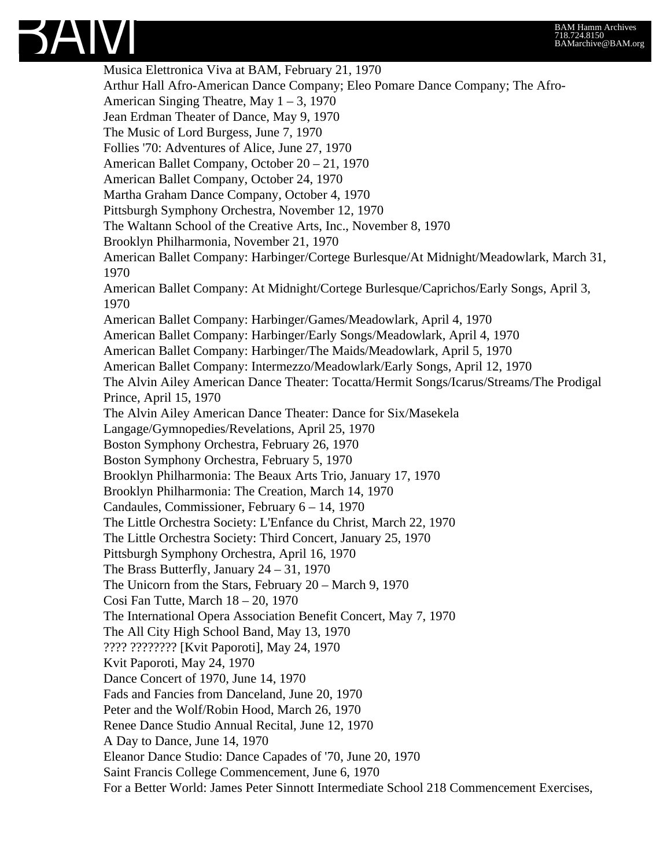

Musica Elettronica Viva at BAM, February 21, 1970 Arthur Hall Afro-American Dance Company; Eleo Pomare Dance Company; The Afro-American Singing Theatre, May  $1 - 3$ , 1970 Jean Erdman Theater of Dance, May 9, 1970 The Music of Lord Burgess, June 7, 1970 Follies '70: Adventures of Alice, June 27, 1970 American Ballet Company, October 20 – 21, 1970 American Ballet Company, October 24, 1970 Martha Graham Dance Company, October 4, 1970 Pittsburgh Symphony Orchestra, November 12, 1970 The Waltann School of the Creative Arts, Inc., November 8, 1970 Brooklyn Philharmonia, November 21, 1970 American Ballet Company: Harbinger/Cortege Burlesque/At Midnight/Meadowlark, March 31, 1970 American Ballet Company: At Midnight/Cortege Burlesque/Caprichos/Early Songs, April 3, 1970 American Ballet Company: Harbinger/Games/Meadowlark, April 4, 1970 American Ballet Company: Harbinger/Early Songs/Meadowlark, April 4, 1970 American Ballet Company: Harbinger/The Maids/Meadowlark, April 5, 1970 American Ballet Company: Intermezzo/Meadowlark/Early Songs, April 12, 1970 The Alvin Ailey American Dance Theater: Tocatta/Hermit Songs/Icarus/Streams/The Prodigal Prince, April 15, 1970 The Alvin Ailey American Dance Theater: Dance for Six/Masekela Langage/Gymnopedies/Revelations, April 25, 1970 Boston Symphony Orchestra, February 26, 1970 Boston Symphony Orchestra, February 5, 1970 Brooklyn Philharmonia: The Beaux Arts Trio, January 17, 1970 Brooklyn Philharmonia: The Creation, March 14, 1970 Candaules, Commissioner, February 6 – 14, 1970 The Little Orchestra Society: L'Enfance du Christ, March 22, 1970 The Little Orchestra Society: Third Concert, January 25, 1970 Pittsburgh Symphony Orchestra, April 16, 1970 The Brass Butterfly, January 24 – 31, 1970 The Unicorn from the Stars, February 20 – March 9, 1970 Cosi Fan Tutte, March 18 – 20, 1970 The International Opera Association Benefit Concert, May 7, 1970 The All City High School Band, May 13, 1970 ???? ???????? [Kvit Paporoti], May 24, 1970 Kvit Paporoti, May 24, 1970 Dance Concert of 1970, June 14, 1970 Fads and Fancies from Danceland, June 20, 1970 Peter and the Wolf/Robin Hood, March 26, 1970 Renee Dance Studio Annual Recital, June 12, 1970 A Day to Dance, June 14, 1970 Eleanor Dance Studio: Dance Capades of '70, June 20, 1970 Saint Francis College Commencement, June 6, 1970 For a Better World: James Peter Sinnott Intermediate School 218 Commencement Exercises,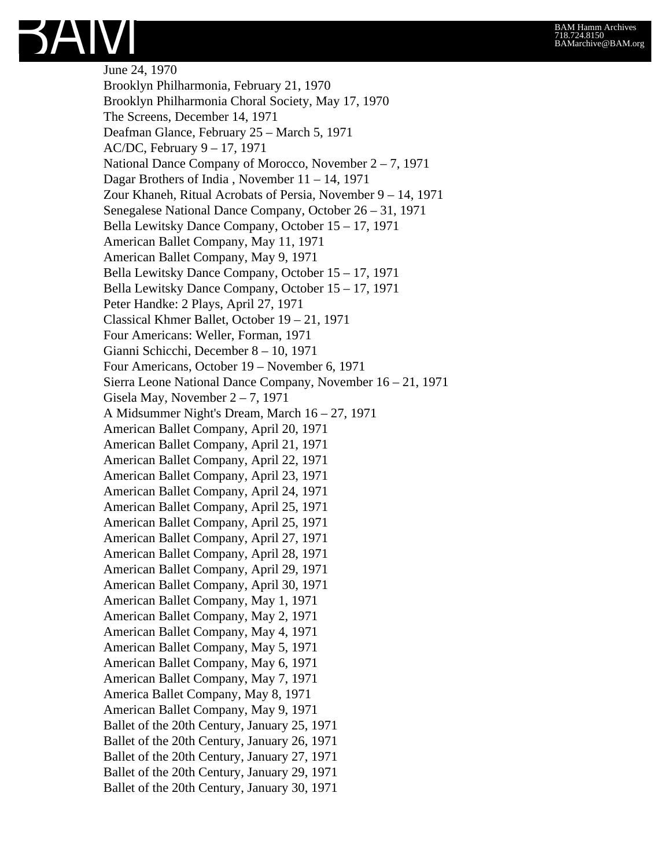

June 24, 1970 Brooklyn Philharmonia, February 21, 1970 Brooklyn Philharmonia Choral Society, May 17, 1970 The Screens, December 14, 1971 Deafman Glance, February 25 – March 5, 1971 AC/DC, February 9 – 17, 1971 National Dance Company of Morocco, November 2 – 7, 1971 Dagar Brothers of India , November 11 – 14, 1971 Zour Khaneh, Ritual Acrobats of Persia, November 9 – 14, 1971 Senegalese National Dance Company, October 26 – 31, 1971 Bella Lewitsky Dance Company, October 15 – 17, 1971 American Ballet Company, May 11, 1971 American Ballet Company, May 9, 1971 Bella Lewitsky Dance Company, October 15 – 17, 1971 Bella Lewitsky Dance Company, October 15 – 17, 1971 Peter Handke: 2 Plays, April 27, 1971 Classical Khmer Ballet, October 19 – 21, 1971 Four Americans: Weller, Forman, 1971 Gianni Schicchi, December 8 – 10, 1971 Four Americans, October 19 – November 6, 1971 Sierra Leone National Dance Company, November 16 – 21, 1971 Gisela May, November 2 – 7, 1971 A Midsummer Night's Dream, March 16 – 27, 1971 American Ballet Company, April 20, 1971 American Ballet Company, April 21, 1971 American Ballet Company, April 22, 1971 American Ballet Company, April 23, 1971 American Ballet Company, April 24, 1971 American Ballet Company, April 25, 1971 American Ballet Company, April 25, 1971 American Ballet Company, April 27, 1971 American Ballet Company, April 28, 1971 American Ballet Company, April 29, 1971 American Ballet Company, April 30, 1971 American Ballet Company, May 1, 1971 American Ballet Company, May 2, 1971 American Ballet Company, May 4, 1971 American Ballet Company, May 5, 1971 American Ballet Company, May 6, 1971 American Ballet Company, May 7, 1971 America Ballet Company, May 8, 1971 American Ballet Company, May 9, 1971 Ballet of the 20th Century, January 25, 1971 Ballet of the 20th Century, January 26, 1971 Ballet of the 20th Century, January 27, 1971 Ballet of the 20th Century, January 29, 1971 Ballet of the 20th Century, January 30, 1971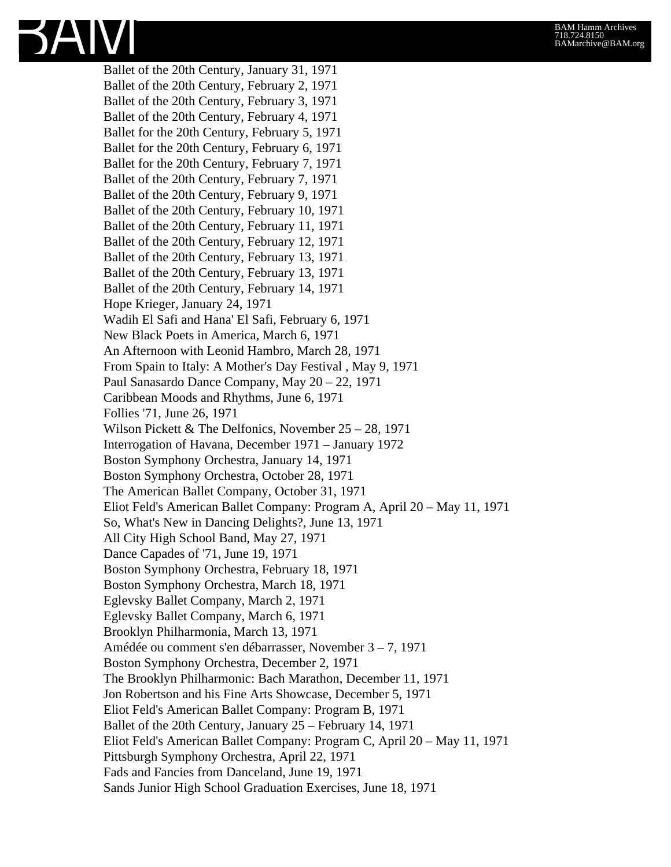Ballet of the 20th Century, January 31, 1971 Ballet of the 20th Century, February 2, 1971 Ballet of the 20th Century, February 3, 1971 Ballet of the 20th Century, February 4, 1971 Ballet for the 20th Century, February 5, 1971 Ballet for the 20th Century, February 6, 1971 Ballet for the 20th Century, February 7, 1971 Ballet of the 20th Century, February 7, 1971 Ballet of the 20th Century, February 9, 1971 Ballet of the 20th Century, February 10, 1971 Ballet of the 20th Century, February 11, 1971 Ballet of the 20th Century, February 12, 1971 Ballet of the 20th Century, February 13, 1971 Ballet of the 20th Century, February 13, 1971 Ballet of the 20th Century, February 14, 1971 Hope Krieger, January 24, 1971 Wadih El Safi and Hana' El Safi, February 6, 1971 New Black Poets in America, March 6, 1971 An Afternoon with Leonid Hambro, March 28, 1971 From Spain to Italy: A Mother's Day Festival , May 9, 1971 Paul Sanasardo Dance Company, May 20 – 22, 1971 Caribbean Moods and Rhythms, June 6, 1971 Follies '71, June 26, 1971 Wilson Pickett & The Delfonics, November 25 – 28, 1971 Interrogation of Havana, December 1971 – January 1972 Boston Symphony Orchestra, January 14, 1971 Boston Symphony Orchestra, October 28, 1971 The American Ballet Company, October 31, 1971 Eliot Feld's American Ballet Company: Program A, April 20 – May 11, 1971 So, What's New in Dancing Delights?, June 13, 1971 All City High School Band, May 27, 1971 Dance Capades of '71, June 19, 1971 Boston Symphony Orchestra, February 18, 1971 Boston Symphony Orchestra, March 18, 1971 Eglevsky Ballet Company, March 2, 1971 Eglevsky Ballet Company, March 6, 1971 Brooklyn Philharmonia, March 13, 1971 Amédée ou comment s'en débarrasser, November 3 – 7, 1971 Boston Symphony Orchestra, December 2, 1971 The Brooklyn Philharmonic: Bach Marathon, December 11, 1971 Jon Robertson and his Fine Arts Showcase, December 5, 1971 Eliot Feld's American Ballet Company: Program B, 1971 Ballet of the 20th Century, January 25 – February 14, 1971 Eliot Feld's American Ballet Company: Program C, April 20 – May 11, 1971 Pittsburgh Symphony Orchestra, April 22, 1971 Fads and Fancies from Danceland, June 19, 1971 Sands Junior High School Graduation Exercises, June 18, 1971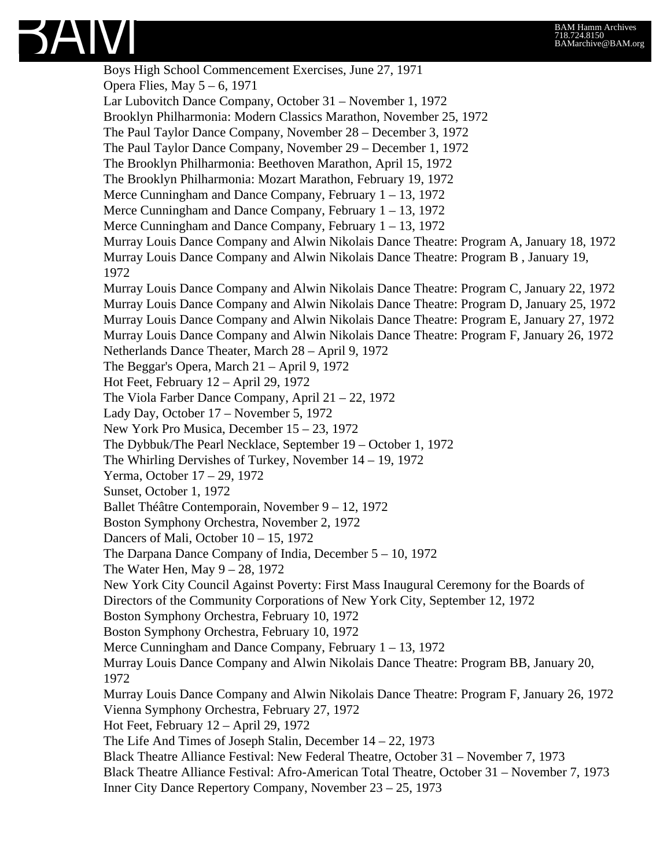

Boys High School Commencement Exercises, June 27, 1971 Opera Flies, May 5 – 6, 1971 Lar Lubovitch Dance Company, October 31 – November 1, 1972 Brooklyn Philharmonia: Modern Classics Marathon, November 25, 1972 The Paul Taylor Dance Company, November 28 – December 3, 1972 The Paul Taylor Dance Company, November 29 – December 1, 1972 The Brooklyn Philharmonia: Beethoven Marathon, April 15, 1972 The Brooklyn Philharmonia: Mozart Marathon, February 19, 1972 Merce Cunningham and Dance Company, February 1 – 13, 1972 Merce Cunningham and Dance Company, February 1 – 13, 1972 Merce Cunningham and Dance Company, February 1 – 13, 1972 Murray Louis Dance Company and Alwin Nikolais Dance Theatre: Program A, January 18, 1972 Murray Louis Dance Company and Alwin Nikolais Dance Theatre: Program B , January 19, 1972 Murray Louis Dance Company and Alwin Nikolais Dance Theatre: Program C, January 22, 1972 Murray Louis Dance Company and Alwin Nikolais Dance Theatre: Program D, January 25, 1972 Murray Louis Dance Company and Alwin Nikolais Dance Theatre: Program E, January 27, 1972 Murray Louis Dance Company and Alwin Nikolais Dance Theatre: Program F, January 26, 1972 Netherlands Dance Theater, March 28 – April 9, 1972 The Beggar's Opera, March 21 – April 9, 1972 Hot Feet, February 12 – April 29, 1972 The Viola Farber Dance Company, April 21 – 22, 1972 Lady Day, October 17 – November 5, 1972 New York Pro Musica, December 15 – 23, 1972 The Dybbuk/The Pearl Necklace, September 19 – October 1, 1972 The Whirling Dervishes of Turkey, November 14 – 19, 1972 Yerma, October 17 – 29, 1972 Sunset, October 1, 1972 Ballet Théâtre Contemporain, November 9 – 12, 1972 Boston Symphony Orchestra, November 2, 1972 Dancers of Mali, October 10 – 15, 1972 The Darpana Dance Company of India, December 5 – 10, 1972 The Water Hen, May 9 – 28, 1972 New York City Council Against Poverty: First Mass Inaugural Ceremony for the Boards of Directors of the Community Corporations of New York City, September 12, 1972 Boston Symphony Orchestra, February 10, 1972 Boston Symphony Orchestra, February 10, 1972 Merce Cunningham and Dance Company, February 1 – 13, 1972 Murray Louis Dance Company and Alwin Nikolais Dance Theatre: Program BB, January 20, 1972 Murray Louis Dance Company and Alwin Nikolais Dance Theatre: Program F, January 26, 1972 Vienna Symphony Orchestra, February 27, 1972 Hot Feet, February 12 – April 29, 1972 The Life And Times of Joseph Stalin, December 14 – 22, 1973 Black Theatre Alliance Festival: New Federal Theatre, October 31 – November 7, 1973 Black Theatre Alliance Festival: Afro-American Total Theatre, October 31 – November 7, 1973 Inner City Dance Repertory Company, November 23 – 25, 1973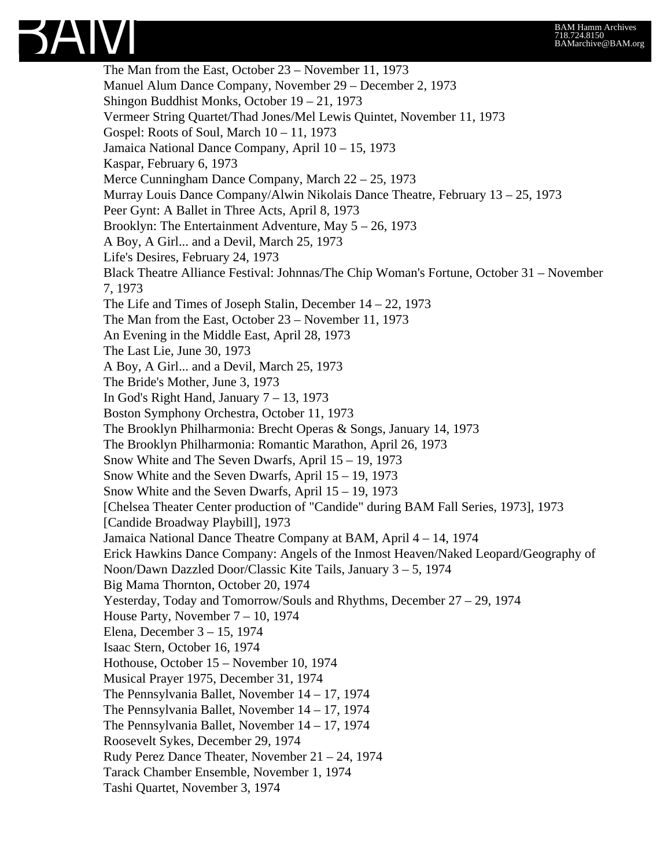

The Man from the East, October 23 – November 11, 1973 Manuel Alum Dance Company, November 29 – December 2, 1973 Shingon Buddhist Monks, October 19 – 21, 1973 Vermeer String Quartet/Thad Jones/Mel Lewis Quintet, November 11, 1973 Gospel: Roots of Soul, March 10 – 11, 1973 Jamaica National Dance Company, April 10 – 15, 1973 Kaspar, February 6, 1973 Merce Cunningham Dance Company, March 22 – 25, 1973 Murray Louis Dance Company/Alwin Nikolais Dance Theatre, February 13 – 25, 1973 Peer Gynt: A Ballet in Three Acts, April 8, 1973 Brooklyn: The Entertainment Adventure, May 5 – 26, 1973 A Boy, A Girl... and a Devil, March 25, 1973 Life's Desires, February 24, 1973 Black Theatre Alliance Festival: Johnnas/The Chip Woman's Fortune, October 31 – November 7, 1973 The Life and Times of Joseph Stalin, December 14 – 22, 1973 The Man from the East, October 23 – November 11, 1973 An Evening in the Middle East, April 28, 1973 The Last Lie, June 30, 1973 A Boy, A Girl... and a Devil, March 25, 1973 The Bride's Mother, June 3, 1973 In God's Right Hand, January  $7 - 13$ , 1973 Boston Symphony Orchestra, October 11, 1973 The Brooklyn Philharmonia: Brecht Operas & Songs, January 14, 1973 The Brooklyn Philharmonia: Romantic Marathon, April 26, 1973 Snow White and The Seven Dwarfs, April 15 – 19, 1973 Snow White and the Seven Dwarfs, April 15 – 19, 1973 Snow White and the Seven Dwarfs, April 15 – 19, 1973 [Chelsea Theater Center production of "Candide" during BAM Fall Series, 1973], 1973 [Candide Broadway Playbill], 1973 Jamaica National Dance Theatre Company at BAM, April 4 – 14, 1974 Erick Hawkins Dance Company: Angels of the Inmost Heaven/Naked Leopard/Geography of Noon/Dawn Dazzled Door/Classic Kite Tails, January 3 – 5, 1974 Big Mama Thornton, October 20, 1974 Yesterday, Today and Tomorrow/Souls and Rhythms, December 27 – 29, 1974 House Party, November 7 – 10, 1974 Elena, December 3 – 15, 1974 Isaac Stern, October 16, 1974 Hothouse, October 15 – November 10, 1974 Musical Prayer 1975, December 31, 1974 The Pennsylvania Ballet, November 14 – 17, 1974 The Pennsylvania Ballet, November 14 – 17, 1974 The Pennsylvania Ballet, November 14 – 17, 1974 Roosevelt Sykes, December 29, 1974 Rudy Perez Dance Theater, November 21 – 24, 1974 Tarack Chamber Ensemble, November 1, 1974 Tashi Quartet, November 3, 1974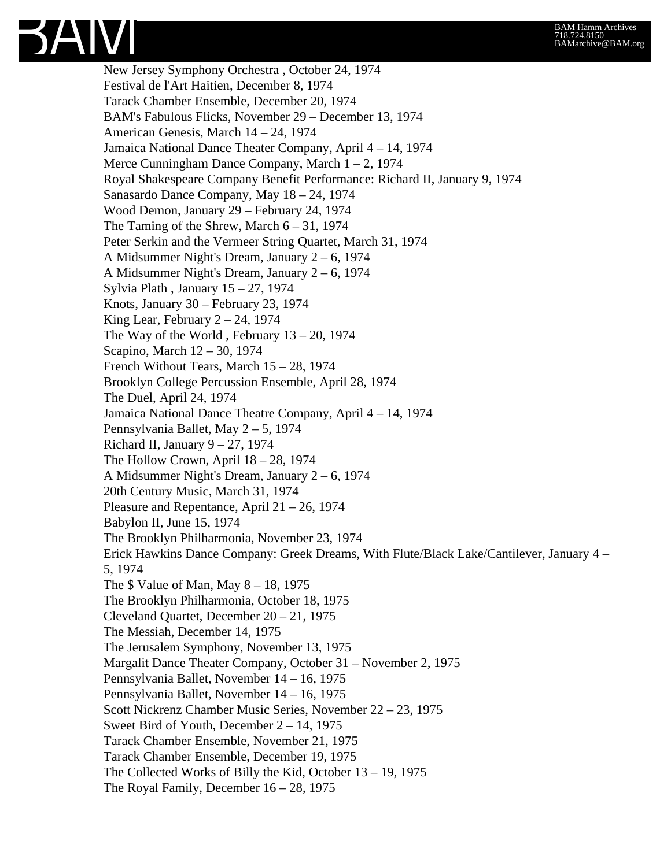

New Jersey Symphony Orchestra , October 24, 1974 Festival de l'Art Haitien, December 8, 1974 Tarack Chamber Ensemble, December 20, 1974 BAM's Fabulous Flicks, November 29 – December 13, 1974 American Genesis, March 14 – 24, 1974 Jamaica National Dance Theater Company, April 4 – 14, 1974 Merce Cunningham Dance Company, March 1 – 2, 1974 Royal Shakespeare Company Benefit Performance: Richard II, January 9, 1974 Sanasardo Dance Company, May 18 – 24, 1974 Wood Demon, January 29 – February 24, 1974 The Taming of the Shrew, March  $6 - 31$ , 1974 Peter Serkin and the Vermeer String Quartet, March 31, 1974 A Midsummer Night's Dream, January 2 – 6, 1974 A Midsummer Night's Dream, January 2 – 6, 1974 Sylvia Plath , January 15 – 27, 1974 Knots, January 30 – February 23, 1974 King Lear, February  $2 - 24$ , 1974 The Way of the World, February  $13 - 20$ , 1974 Scapino, March 12 – 30, 1974 French Without Tears, March 15 – 28, 1974 Brooklyn College Percussion Ensemble, April 28, 1974 The Duel, April 24, 1974 Jamaica National Dance Theatre Company, April 4 – 14, 1974 Pennsylvania Ballet, May 2 – 5, 1974 Richard II, January  $9 - 27$ , 1974 The Hollow Crown, April  $18 - 28$ , 1974 A Midsummer Night's Dream, January 2 – 6, 1974 20th Century Music, March 31, 1974 Pleasure and Repentance, April 21 – 26, 1974 Babylon II, June 15, 1974 The Brooklyn Philharmonia, November 23, 1974 Erick Hawkins Dance Company: Greek Dreams, With Flute/Black Lake/Cantilever, January 4 – 5, 1974 The \$ Value of Man, May 8 – 18, 1975 The Brooklyn Philharmonia, October 18, 1975 Cleveland Quartet, December 20 – 21, 1975 The Messiah, December 14, 1975 The Jerusalem Symphony, November 13, 1975 Margalit Dance Theater Company, October 31 – November 2, 1975 Pennsylvania Ballet, November 14 – 16, 1975 Pennsylvania Ballet, November 14 – 16, 1975 Scott Nickrenz Chamber Music Series, November 22 – 23, 1975 Sweet Bird of Youth, December 2 – 14, 1975 Tarack Chamber Ensemble, November 21, 1975 Tarack Chamber Ensemble, December 19, 1975 The Collected Works of Billy the Kid, October 13 – 19, 1975 The Royal Family, December 16 – 28, 1975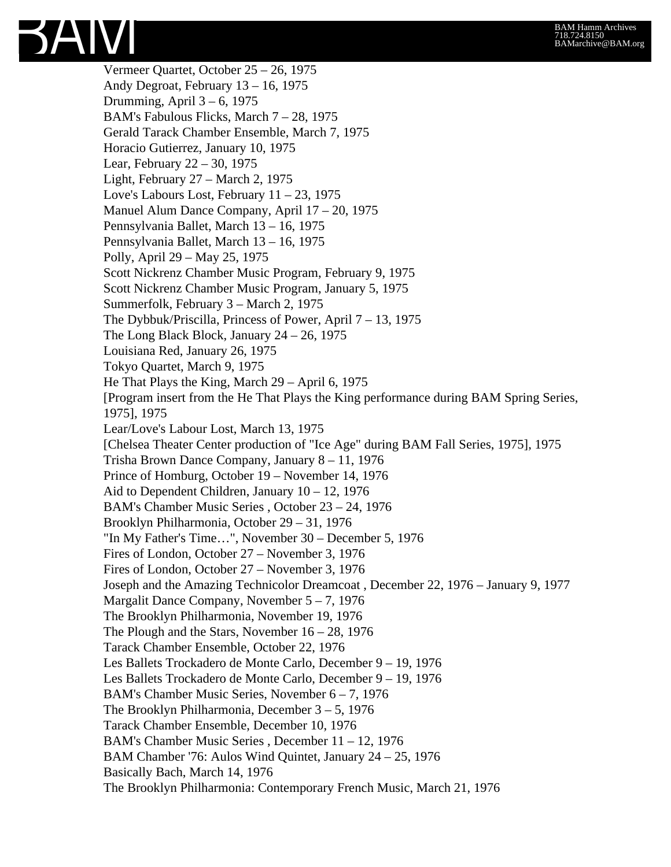

Vermeer Quartet, October 25 – 26, 1975 Andy Degroat, February 13 – 16, 1975 Drumming, April  $3 - 6$ , 1975 BAM's Fabulous Flicks, March 7 – 28, 1975 Gerald Tarack Chamber Ensemble, March 7, 1975 Horacio Gutierrez, January 10, 1975 Lear, February 22 – 30, 1975 Light, February 27 – March 2, 1975 Love's Labours Lost, February  $11 - 23$ , 1975 Manuel Alum Dance Company, April 17 – 20, 1975 Pennsylvania Ballet, March 13 – 16, 1975 Pennsylvania Ballet, March 13 – 16, 1975 Polly, April 29 – May 25, 1975 Scott Nickrenz Chamber Music Program, February 9, 1975 Scott Nickrenz Chamber Music Program, January 5, 1975 Summerfolk, February 3 – March 2, 1975 The Dybbuk/Priscilla, Princess of Power, April 7 – 13, 1975 The Long Black Block, January  $24 - 26$ , 1975 Louisiana Red, January 26, 1975 Tokyo Quartet, March 9, 1975 He That Plays the King, March 29 – April 6, 1975 [Program insert from the He That Plays the King performance during BAM Spring Series, 1975], 1975 Lear/Love's Labour Lost, March 13, 1975 [Chelsea Theater Center production of "Ice Age" during BAM Fall Series, 1975], 1975 Trisha Brown Dance Company, January 8 – 11, 1976 Prince of Homburg, October 19 – November 14, 1976 Aid to Dependent Children, January 10 – 12, 1976 BAM's Chamber Music Series , October 23 – 24, 1976 Brooklyn Philharmonia, October 29 – 31, 1976 "In My Father's Time…", November 30 – December 5, 1976 Fires of London, October 27 – November 3, 1976 Fires of London, October 27 – November 3, 1976 Joseph and the Amazing Technicolor Dreamcoat , December 22, 1976 – January 9, 1977 Margalit Dance Company, November 5 – 7, 1976 The Brooklyn Philharmonia, November 19, 1976 The Plough and the Stars, November 16 – 28, 1976 Tarack Chamber Ensemble, October 22, 1976 Les Ballets Trockadero de Monte Carlo, December 9 – 19, 1976 Les Ballets Trockadero de Monte Carlo, December 9 – 19, 1976 BAM's Chamber Music Series, November 6 – 7, 1976 The Brooklyn Philharmonia, December 3 – 5, 1976 Tarack Chamber Ensemble, December 10, 1976 BAM's Chamber Music Series , December 11 – 12, 1976 BAM Chamber '76: Aulos Wind Quintet, January 24 – 25, 1976 Basically Bach, March 14, 1976 The Brooklyn Philharmonia: Contemporary French Music, March 21, 1976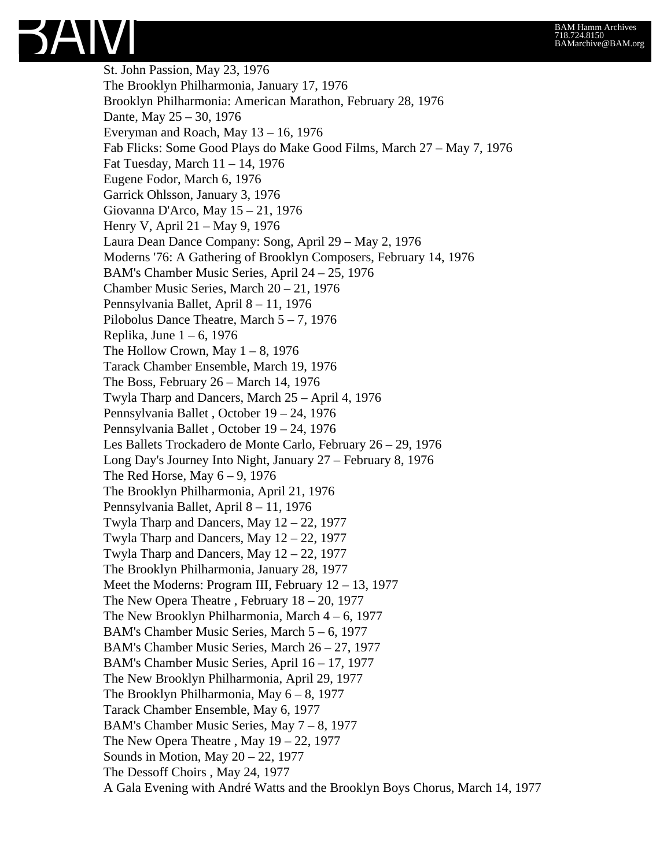SAIVI St. John Passion, May 23, 1976 The Brooklyn Philharmonia, January 17, 1976

Brooklyn Philharmonia: American Marathon, February 28, 1976 Dante, May 25 – 30, 1976 Everyman and Roach, May 13 – 16, 1976 Fab Flicks: Some Good Plays do Make Good Films, March 27 – May 7, 1976 Fat Tuesday, March 11 – 14, 1976 Eugene Fodor, March 6, 1976 Garrick Ohlsson, January 3, 1976 Giovanna D'Arco, May 15 – 21, 1976 Henry V, April 21 – May 9, 1976 Laura Dean Dance Company: Song, April 29 – May 2, 1976 Moderns '76: A Gathering of Brooklyn Composers, February 14, 1976 BAM's Chamber Music Series, April 24 – 25, 1976 Chamber Music Series, March 20 – 21, 1976 Pennsylvania Ballet, April 8 – 11, 1976 Pilobolus Dance Theatre, March 5 – 7, 1976 Replika, June  $1 - 6$ , 1976 The Hollow Crown, May  $1 - 8$ , 1976 Tarack Chamber Ensemble, March 19, 1976 The Boss, February 26 – March 14, 1976 Twyla Tharp and Dancers, March 25 – April 4, 1976 Pennsylvania Ballet , October 19 – 24, 1976 Pennsylvania Ballet , October 19 – 24, 1976 Les Ballets Trockadero de Monte Carlo, February 26 – 29, 1976 Long Day's Journey Into Night, January 27 – February 8, 1976 The Red Horse, May  $6 - 9$ , 1976 The Brooklyn Philharmonia, April 21, 1976 Pennsylvania Ballet, April 8 – 11, 1976 Twyla Tharp and Dancers, May 12 – 22, 1977 Twyla Tharp and Dancers, May 12 – 22, 1977 Twyla Tharp and Dancers, May  $12 - 22$ , 1977 The Brooklyn Philharmonia, January 28, 1977 Meet the Moderns: Program III, February 12 – 13, 1977 The New Opera Theatre , February 18 – 20, 1977 The New Brooklyn Philharmonia, March 4 – 6, 1977 BAM's Chamber Music Series, March 5 – 6, 1977 BAM's Chamber Music Series, March 26 – 27, 1977 BAM's Chamber Music Series, April 16 – 17, 1977 The New Brooklyn Philharmonia, April 29, 1977 The Brooklyn Philharmonia, May 6 – 8, 1977 Tarack Chamber Ensemble, May 6, 1977 BAM's Chamber Music Series, May 7 – 8, 1977 The New Opera Theatre, May  $19 - 22$ , 1977 Sounds in Motion, May 20 – 22, 1977 The Dessoff Choirs , May 24, 1977

A Gala Evening with André Watts and the Brooklyn Boys Chorus, March 14, 1977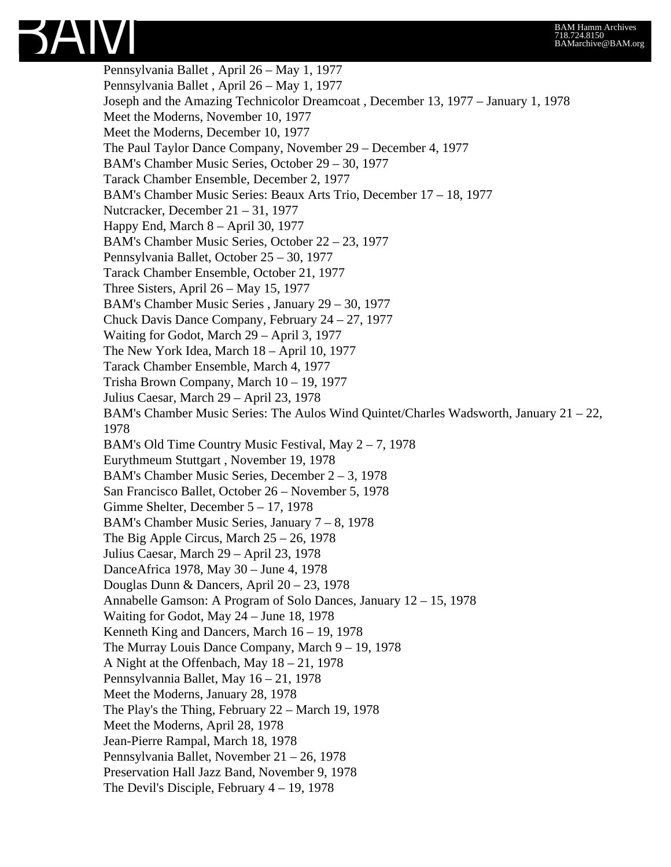

Pennsylvania Ballet , April 26 – May 1, 1977 Pennsylvania Ballet , April 26 – May 1, 1977 Joseph and the Amazing Technicolor Dreamcoat , December 13, 1977 – January 1, 1978 Meet the Moderns, November 10, 1977 Meet the Moderns, December 10, 1977 The Paul Taylor Dance Company, November 29 – December 4, 1977 BAM's Chamber Music Series, October 29 – 30, 1977 Tarack Chamber Ensemble, December 2, 1977 BAM's Chamber Music Series: Beaux Arts Trio, December 17 – 18, 1977 Nutcracker, December 21 – 31, 1977 Happy End, March 8 – April 30, 1977 BAM's Chamber Music Series, October 22 – 23, 1977 Pennsylvania Ballet, October 25 – 30, 1977 Tarack Chamber Ensemble, October 21, 1977 Three Sisters, April 26 – May 15, 1977 BAM's Chamber Music Series , January 29 – 30, 1977 Chuck Davis Dance Company, February 24 – 27, 1977 Waiting for Godot, March 29 – April 3, 1977 The New York Idea, March 18 – April 10, 1977 Tarack Chamber Ensemble, March 4, 1977 Trisha Brown Company, March 10 – 19, 1977 Julius Caesar, March 29 – April 23, 1978 BAM's Chamber Music Series: The Aulos Wind Quintet/Charles Wadsworth, January 21 – 22, 1978 BAM's Old Time Country Music Festival, May 2 – 7, 1978 Eurythmeum Stuttgart , November 19, 1978 BAM's Chamber Music Series, December 2 – 3, 1978 San Francisco Ballet, October 26 – November 5, 1978 Gimme Shelter, December 5 – 17, 1978 BAM's Chamber Music Series, January 7 – 8, 1978 The Big Apple Circus, March 25 – 26, 1978 Julius Caesar, March 29 – April 23, 1978 DanceAfrica 1978, May 30 – June 4, 1978 Douglas Dunn & Dancers, April 20 – 23, 1978 Annabelle Gamson: A Program of Solo Dances, January 12 – 15, 1978 Waiting for Godot, May 24 – June 18, 1978 Kenneth King and Dancers, March 16 – 19, 1978 The Murray Louis Dance Company, March 9 – 19, 1978 A Night at the Offenbach, May 18 – 21, 1978 Pennsylvannia Ballet, May 16 – 21, 1978 Meet the Moderns, January 28, 1978 The Play's the Thing, February 22 – March 19, 1978 Meet the Moderns, April 28, 1978 Jean-Pierre Rampal, March 18, 1978 Pennsylvania Ballet, November 21 – 26, 1978 Preservation Hall Jazz Band, November 9, 1978 The Devil's Disciple, February 4 – 19, 1978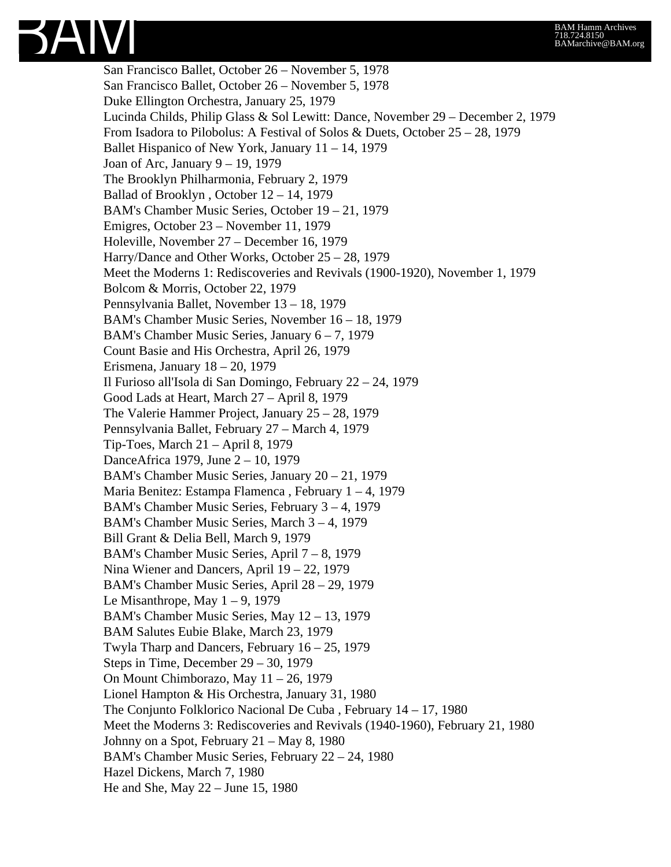

San Francisco Ballet, October 26 – November 5, 1978 San Francisco Ballet, October 26 – November 5, 1978 Duke Ellington Orchestra, January 25, 1979 Lucinda Childs, Philip Glass & Sol Lewitt: Dance, November 29 – December 2, 1979 From Isadora to Pilobolus: A Festival of Solos & Duets, October 25 – 28, 1979 Ballet Hispanico of New York, January 11 – 14, 1979 Joan of Arc, January 9 – 19, 1979 The Brooklyn Philharmonia, February 2, 1979 Ballad of Brooklyn , October 12 – 14, 1979 BAM's Chamber Music Series, October 19 – 21, 1979 Emigres, October 23 – November 11, 1979 Holeville, November 27 – December 16, 1979 Harry/Dance and Other Works, October 25 – 28, 1979 Meet the Moderns 1: Rediscoveries and Revivals (1900-1920), November 1, 1979 Bolcom & Morris, October 22, 1979 Pennsylvania Ballet, November 13 – 18, 1979 BAM's Chamber Music Series, November 16 – 18, 1979 BAM's Chamber Music Series, January 6 – 7, 1979 Count Basie and His Orchestra, April 26, 1979 Erismena, January 18 – 20, 1979 Il Furioso all'Isola di San Domingo, February 22 – 24, 1979 Good Lads at Heart, March 27 – April 8, 1979 The Valerie Hammer Project, January 25 – 28, 1979 Pennsylvania Ballet, February 27 – March 4, 1979 Tip-Toes, March 21 – April 8, 1979 DanceAfrica 1979, June 2 – 10, 1979 BAM's Chamber Music Series, January 20 – 21, 1979 Maria Benitez: Estampa Flamenca , February 1 – 4, 1979 BAM's Chamber Music Series, February 3 – 4, 1979 BAM's Chamber Music Series, March 3 – 4, 1979 Bill Grant & Delia Bell, March 9, 1979 BAM's Chamber Music Series, April 7 – 8, 1979 Nina Wiener and Dancers, April 19 – 22, 1979 BAM's Chamber Music Series, April 28 – 29, 1979 Le Misanthrope, May  $1 - 9$ , 1979 BAM's Chamber Music Series, May 12 – 13, 1979 BAM Salutes Eubie Blake, March 23, 1979 Twyla Tharp and Dancers, February 16 – 25, 1979 Steps in Time, December 29 – 30, 1979 On Mount Chimborazo, May 11 – 26, 1979 Lionel Hampton & His Orchestra, January 31, 1980 The Conjunto Folklorico Nacional De Cuba , February 14 – 17, 1980 Meet the Moderns 3: Rediscoveries and Revivals (1940-1960), February 21, 1980 Johnny on a Spot, February 21 – May 8, 1980 BAM's Chamber Music Series, February 22 – 24, 1980 Hazel Dickens, March 7, 1980 He and She, May 22 – June 15, 1980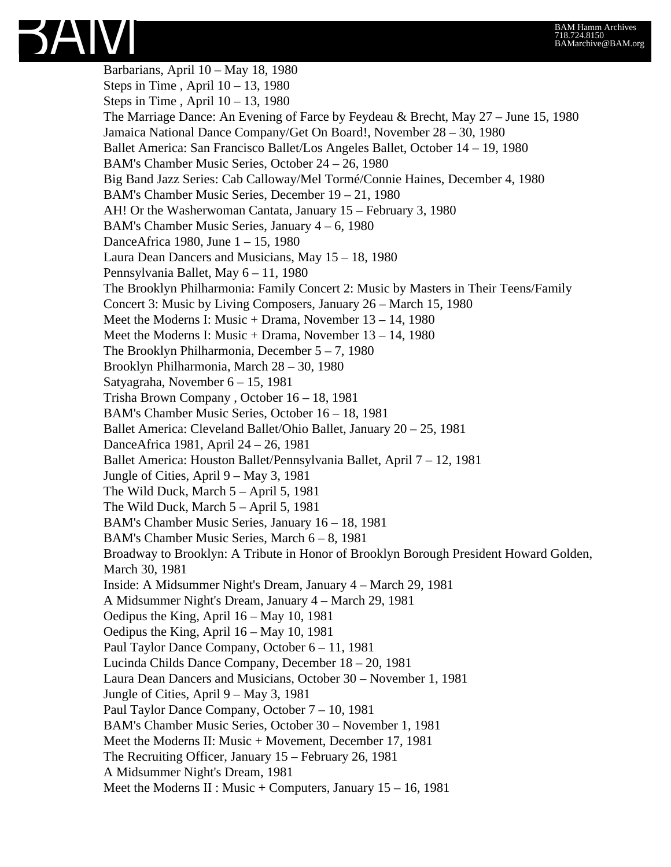#### BAM Hamm Archives 718.724.8150 BAMarchive@BAM.org



Barbarians, April 10 – May 18, 1980 Steps in Time, April  $10 - 13$ , 1980 Steps in Time, April  $10 - 13$ , 1980 The Marriage Dance: An Evening of Farce by Feydeau & Brecht, May 27 – June 15, 1980 Jamaica National Dance Company/Get On Board!, November 28 – 30, 1980 Ballet America: San Francisco Ballet/Los Angeles Ballet, October 14 – 19, 1980 BAM's Chamber Music Series, October 24 – 26, 1980 Big Band Jazz Series: Cab Calloway/Mel Tormé/Connie Haines, December 4, 1980 BAM's Chamber Music Series, December 19 – 21, 1980 AH! Or the Washerwoman Cantata, January 15 – February 3, 1980 BAM's Chamber Music Series, January 4 – 6, 1980 DanceAfrica 1980, June 1 – 15, 1980 Laura Dean Dancers and Musicians, May 15 – 18, 1980 Pennsylvania Ballet, May 6 – 11, 1980 The Brooklyn Philharmonia: Family Concert 2: Music by Masters in Their Teens/Family Concert 3: Music by Living Composers, January 26 – March 15, 1980 Meet the Moderns I: Music + Drama, November 13 – 14, 1980 Meet the Moderns I: Music + Drama, November 13 – 14, 1980 The Brooklyn Philharmonia, December 5 – 7, 1980 Brooklyn Philharmonia, March 28 – 30, 1980 Satyagraha, November 6 – 15, 1981 Trisha Brown Company , October 16 – 18, 1981 BAM's Chamber Music Series, October 16 – 18, 1981 Ballet America: Cleveland Ballet/Ohio Ballet, January 20 – 25, 1981 DanceAfrica 1981, April 24 – 26, 1981 Ballet America: Houston Ballet/Pennsylvania Ballet, April 7 – 12, 1981 Jungle of Cities, April 9 – May 3, 1981 The Wild Duck, March 5 – April 5, 1981 The Wild Duck, March 5 – April 5, 1981 BAM's Chamber Music Series, January 16 – 18, 1981 BAM's Chamber Music Series, March 6 – 8, 1981 Broadway to Brooklyn: A Tribute in Honor of Brooklyn Borough President Howard Golden, March 30, 1981 Inside: A Midsummer Night's Dream, January 4 – March 29, 1981 A Midsummer Night's Dream, January 4 – March 29, 1981 Oedipus the King, April 16 – May 10, 1981 Oedipus the King, April 16 – May 10, 1981 Paul Taylor Dance Company, October 6 – 11, 1981 Lucinda Childs Dance Company, December 18 – 20, 1981 Laura Dean Dancers and Musicians, October 30 – November 1, 1981 Jungle of Cities, April 9 – May 3, 1981 Paul Taylor Dance Company, October 7 – 10, 1981 BAM's Chamber Music Series, October 30 – November 1, 1981 Meet the Moderns II: Music + Movement, December 17, 1981 The Recruiting Officer, January 15 – February 26, 1981 A Midsummer Night's Dream, 1981 Meet the Moderns II : Music + Computers, January  $15 - 16$ , 1981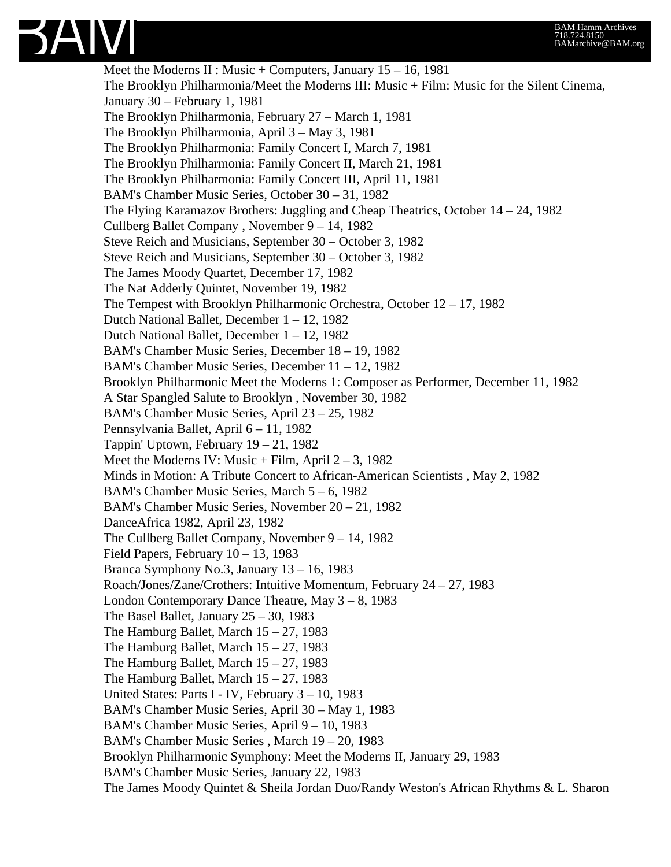

Meet the Moderns II : Music + Computers, January  $15 - 16$ , 1981 The Brooklyn Philharmonia/Meet the Moderns III: Music + Film: Music for the Silent Cinema, January 30 – February 1, 1981 The Brooklyn Philharmonia, February 27 – March 1, 1981 The Brooklyn Philharmonia, April 3 – May 3, 1981 The Brooklyn Philharmonia: Family Concert I, March 7, 1981 The Brooklyn Philharmonia: Family Concert II, March 21, 1981 The Brooklyn Philharmonia: Family Concert III, April 11, 1981 BAM's Chamber Music Series, October 30 – 31, 1982 The Flying Karamazov Brothers: Juggling and Cheap Theatrics, October 14 – 24, 1982 Cullberg Ballet Company , November 9 – 14, 1982 Steve Reich and Musicians, September 30 – October 3, 1982 Steve Reich and Musicians, September 30 – October 3, 1982 The James Moody Quartet, December 17, 1982 The Nat Adderly Quintet, November 19, 1982 The Tempest with Brooklyn Philharmonic Orchestra, October 12 – 17, 1982 Dutch National Ballet, December 1 – 12, 1982 Dutch National Ballet, December 1 – 12, 1982 BAM's Chamber Music Series, December 18 – 19, 1982 BAM's Chamber Music Series, December 11 – 12, 1982 Brooklyn Philharmonic Meet the Moderns 1: Composer as Performer, December 11, 1982 A Star Spangled Salute to Brooklyn , November 30, 1982 BAM's Chamber Music Series, April 23 – 25, 1982 Pennsylvania Ballet, April 6 – 11, 1982 Tappin' Uptown, February 19 – 21, 1982 Meet the Moderns IV: Music + Film, April  $2 - 3$ , 1982 Minds in Motion: A Tribute Concert to African-American Scientists , May 2, 1982 BAM's Chamber Music Series, March 5 – 6, 1982 BAM's Chamber Music Series, November 20 – 21, 1982 DanceAfrica 1982, April 23, 1982 The Cullberg Ballet Company, November 9 – 14, 1982 Field Papers, February 10 – 13, 1983 Branca Symphony No.3, January 13 – 16, 1983 Roach/Jones/Zane/Crothers: Intuitive Momentum, February 24 – 27, 1983 London Contemporary Dance Theatre, May  $3 - 8$ , 1983 The Basel Ballet, January 25 – 30, 1983 The Hamburg Ballet, March 15 – 27, 1983 The Hamburg Ballet, March 15 – 27, 1983 The Hamburg Ballet, March  $15 - 27$ , 1983 The Hamburg Ballet, March 15 – 27, 1983 United States: Parts I - IV, February 3 – 10, 1983 BAM's Chamber Music Series, April 30 – May 1, 1983 BAM's Chamber Music Series, April 9 – 10, 1983 BAM's Chamber Music Series , March 19 – 20, 1983 Brooklyn Philharmonic Symphony: Meet the Moderns II, January 29, 1983 BAM's Chamber Music Series, January 22, 1983 The James Moody Quintet & Sheila Jordan Duo/Randy Weston's African Rhythms & L. Sharon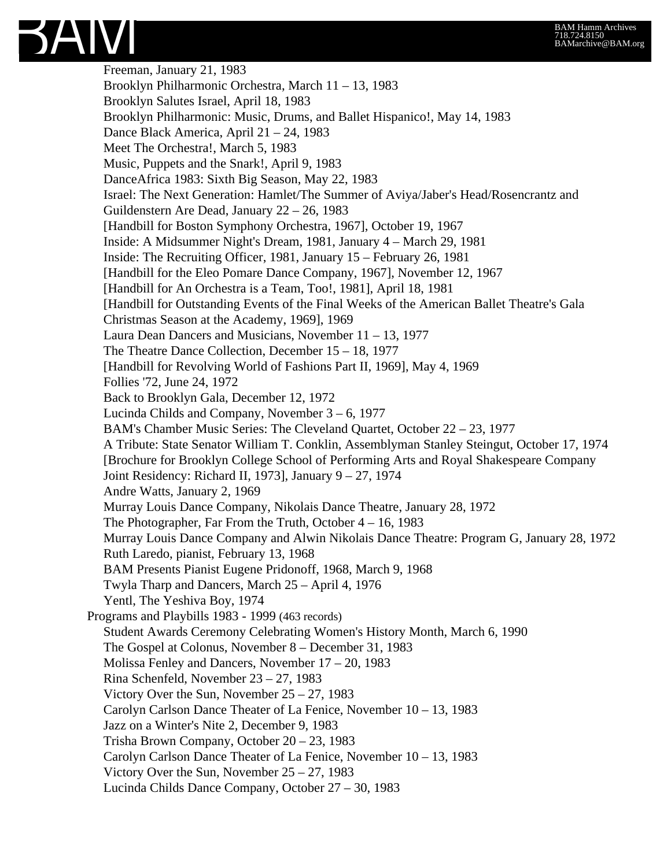

Freeman, January 21, 1983 Brooklyn Philharmonic Orchestra, March 11 – 13, 1983 Brooklyn Salutes Israel, April 18, 1983 Brooklyn Philharmonic: Music, Drums, and Ballet Hispanico!, May 14, 1983 Dance Black America, April 21 – 24, 1983 Meet The Orchestra!, March 5, 1983 Music, Puppets and the Snark!, April 9, 1983 DanceAfrica 1983: Sixth Big Season, May 22, 1983 Israel: The Next Generation: Hamlet/The Summer of Aviya/Jaber's Head/Rosencrantz and Guildenstern Are Dead, January 22 – 26, 1983 [Handbill for Boston Symphony Orchestra, 1967], October 19, 1967 Inside: A Midsummer Night's Dream, 1981, January 4 – March 29, 1981 Inside: The Recruiting Officer, 1981, January 15 – February 26, 1981 [Handbill for the Eleo Pomare Dance Company, 1967], November 12, 1967 [Handbill for An Orchestra is a Team, Too!, 1981], April 18, 1981 [Handbill for Outstanding Events of the Final Weeks of the American Ballet Theatre's Gala Christmas Season at the Academy, 1969], 1969 Laura Dean Dancers and Musicians, November 11 – 13, 1977 The Theatre Dance Collection, December 15 – 18, 1977 [Handbill for Revolving World of Fashions Part II, 1969], May 4, 1969 Follies '72, June 24, 1972 Back to Brooklyn Gala, December 12, 1972 Lucinda Childs and Company, November 3 – 6, 1977 BAM's Chamber Music Series: The Cleveland Quartet, October 22 – 23, 1977 A Tribute: State Senator William T. Conklin, Assemblyman Stanley Steingut, October 17, 1974 [Brochure for Brooklyn College School of Performing Arts and Royal Shakespeare Company Joint Residency: Richard II, 1973], January 9 – 27, 1974 Andre Watts, January 2, 1969 Murray Louis Dance Company, Nikolais Dance Theatre, January 28, 1972 The Photographer, Far From the Truth, October  $4 - 16$ , 1983 Murray Louis Dance Company and Alwin Nikolais Dance Theatre: Program G, January 28, 1972 Ruth Laredo, pianist, February 13, 1968 BAM Presents Pianist Eugene Pridonoff, 1968, March 9, 1968 Twyla Tharp and Dancers, March 25 – April 4, 1976 Yentl, The Yeshiva Boy, 1974 Programs and Playbills 1983 - 1999 (463 records) Student Awards Ceremony Celebrating Women's History Month, March 6, 1990 The Gospel at Colonus, November 8 – December 31, 1983 Molissa Fenley and Dancers, November 17 – 20, 1983 Rina Schenfeld, November 23 – 27, 1983 Victory Over the Sun, November 25 – 27, 1983 Carolyn Carlson Dance Theater of La Fenice, November 10 – 13, 1983 Jazz on a Winter's Nite 2, December 9, 1983 Trisha Brown Company, October 20 – 23, 1983 Carolyn Carlson Dance Theater of La Fenice, November 10 – 13, 1983 Victory Over the Sun, November 25 – 27, 1983 Lucinda Childs Dance Company, October 27 – 30, 1983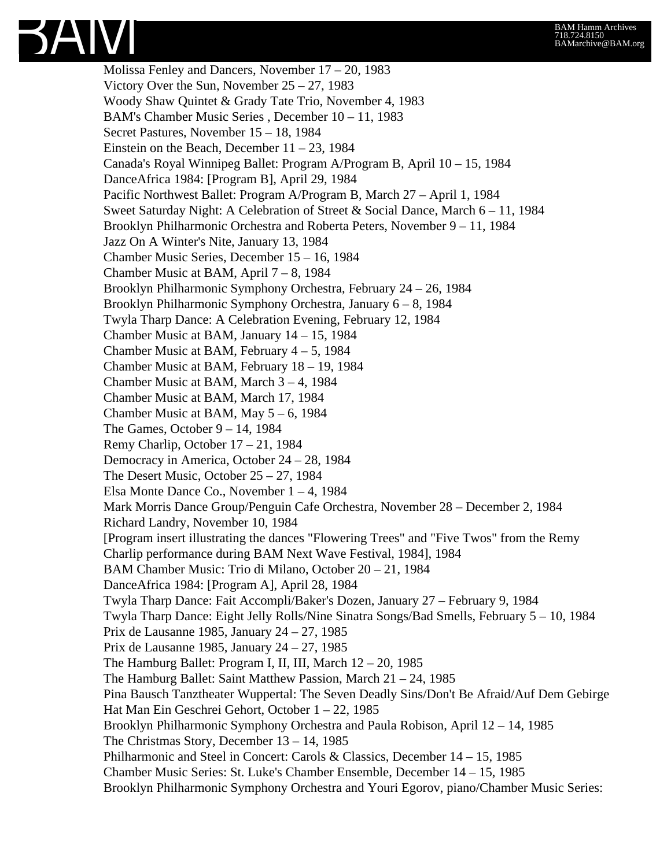

Molissa Fenley and Dancers, November 17 – 20, 1983 Victory Over the Sun, November 25 – 27, 1983 Woody Shaw Quintet & Grady Tate Trio, November 4, 1983 BAM's Chamber Music Series , December 10 – 11, 1983 Secret Pastures, November 15 – 18, 1984 Einstein on the Beach, December  $11 - 23$ , 1984 Canada's Royal Winnipeg Ballet: Program A/Program B, April 10 – 15, 1984 DanceAfrica 1984: [Program B], April 29, 1984 Pacific Northwest Ballet: Program A/Program B, March 27 – April 1, 1984 Sweet Saturday Night: A Celebration of Street & Social Dance, March 6 – 11, 1984 Brooklyn Philharmonic Orchestra and Roberta Peters, November 9 – 11, 1984 Jazz On A Winter's Nite, January 13, 1984 Chamber Music Series, December 15 – 16, 1984 Chamber Music at BAM, April 7 – 8, 1984 Brooklyn Philharmonic Symphony Orchestra, February 24 – 26, 1984 Brooklyn Philharmonic Symphony Orchestra, January 6 – 8, 1984 Twyla Tharp Dance: A Celebration Evening, February 12, 1984 Chamber Music at BAM, January 14 – 15, 1984 Chamber Music at BAM, February 4 – 5, 1984 Chamber Music at BAM, February 18 – 19, 1984 Chamber Music at BAM, March 3 – 4, 1984 Chamber Music at BAM, March 17, 1984 Chamber Music at BAM, May 5 – 6, 1984 The Games, October 9 – 14, 1984 Remy Charlip, October 17 – 21, 1984 Democracy in America, October 24 – 28, 1984 The Desert Music, October 25 – 27, 1984 Elsa Monte Dance Co., November 1 – 4, 1984 Mark Morris Dance Group/Penguin Cafe Orchestra, November 28 – December 2, 1984 Richard Landry, November 10, 1984 [Program insert illustrating the dances "Flowering Trees" and "Five Twos" from the Remy Charlip performance during BAM Next Wave Festival, 1984], 1984 BAM Chamber Music: Trio di Milano, October 20 – 21, 1984 DanceAfrica 1984: [Program A], April 28, 1984 Twyla Tharp Dance: Fait Accompli/Baker's Dozen, January 27 – February 9, 1984 Twyla Tharp Dance: Eight Jelly Rolls/Nine Sinatra Songs/Bad Smells, February 5 – 10, 1984 Prix de Lausanne 1985, January 24 – 27, 1985 Prix de Lausanne 1985, January 24 – 27, 1985 The Hamburg Ballet: Program I, II, III, March  $12 - 20$ , 1985 The Hamburg Ballet: Saint Matthew Passion, March 21 – 24, 1985 Pina Bausch Tanztheater Wuppertal: The Seven Deadly Sins/Don't Be Afraid/Auf Dem Gebirge Hat Man Ein Geschrei Gehort, October 1 – 22, 1985 Brooklyn Philharmonic Symphony Orchestra and Paula Robison, April 12 – 14, 1985 The Christmas Story, December 13 – 14, 1985 Philharmonic and Steel in Concert: Carols & Classics, December 14 – 15, 1985 Chamber Music Series: St. Luke's Chamber Ensemble, December 14 – 15, 1985 Brooklyn Philharmonic Symphony Orchestra and Youri Egorov, piano/Chamber Music Series: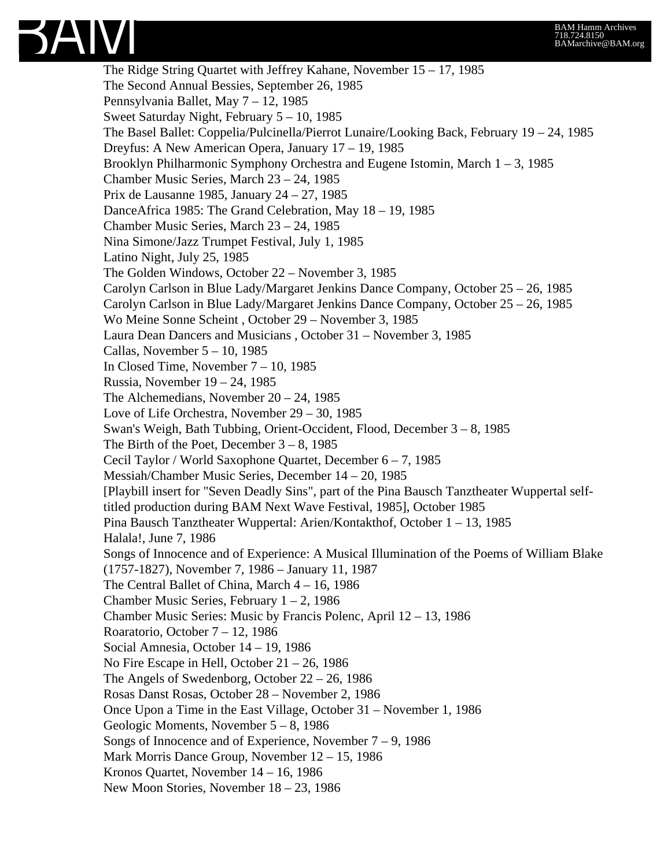

The Ridge String Quartet with Jeffrey Kahane, November 15 – 17, 1985 The Second Annual Bessies, September 26, 1985 Pennsylvania Ballet, May 7 – 12, 1985 Sweet Saturday Night, February 5 – 10, 1985 The Basel Ballet: Coppelia/Pulcinella/Pierrot Lunaire/Looking Back, February 19 – 24, 1985 Dreyfus: A New American Opera, January 17 – 19, 1985 Brooklyn Philharmonic Symphony Orchestra and Eugene Istomin, March 1 – 3, 1985 Chamber Music Series, March 23 – 24, 1985 Prix de Lausanne 1985, January 24 – 27, 1985 DanceAfrica 1985: The Grand Celebration, May 18 – 19, 1985 Chamber Music Series, March 23 – 24, 1985 Nina Simone/Jazz Trumpet Festival, July 1, 1985 Latino Night, July 25, 1985 The Golden Windows, October 22 – November 3, 1985 Carolyn Carlson in Blue Lady/Margaret Jenkins Dance Company, October 25 – 26, 1985 Carolyn Carlson in Blue Lady/Margaret Jenkins Dance Company, October 25 – 26, 1985 Wo Meine Sonne Scheint , October 29 – November 3, 1985 Laura Dean Dancers and Musicians , October 31 – November 3, 1985 Callas, November 5 – 10, 1985 In Closed Time, November 7 – 10, 1985 Russia, November 19 – 24, 1985 The Alchemedians, November 20 – 24, 1985 Love of Life Orchestra, November 29 – 30, 1985 Swan's Weigh, Bath Tubbing, Orient-Occident, Flood, December 3 – 8, 1985 The Birth of the Poet, December  $3 - 8$ , 1985 Cecil Taylor / World Saxophone Quartet, December 6 – 7, 1985 Messiah/Chamber Music Series, December 14 – 20, 1985 [Playbill insert for "Seven Deadly Sins", part of the Pina Bausch Tanztheater Wuppertal selftitled production during BAM Next Wave Festival, 1985], October 1985 Pina Bausch Tanztheater Wuppertal: Arien/Kontakthof, October 1 – 13, 1985 Halala!, June 7, 1986 Songs of Innocence and of Experience: A Musical Illumination of the Poems of William Blake (1757-1827), November 7, 1986 – January 11, 1987 The Central Ballet of China, March 4 – 16, 1986 Chamber Music Series, February 1 – 2, 1986 Chamber Music Series: Music by Francis Polenc, April 12 – 13, 1986 Roaratorio, October 7 – 12, 1986 Social Amnesia, October 14 – 19, 1986 No Fire Escape in Hell, October 21 – 26, 1986 The Angels of Swedenborg, October 22 – 26, 1986 Rosas Danst Rosas, October 28 – November 2, 1986 Once Upon a Time in the East Village, October 31 – November 1, 1986 Geologic Moments, November 5 – 8, 1986 Songs of Innocence and of Experience, November  $7 - 9$ , 1986 Mark Morris Dance Group, November 12 – 15, 1986 Kronos Quartet, November 14 – 16, 1986 New Moon Stories, November 18 – 23, 1986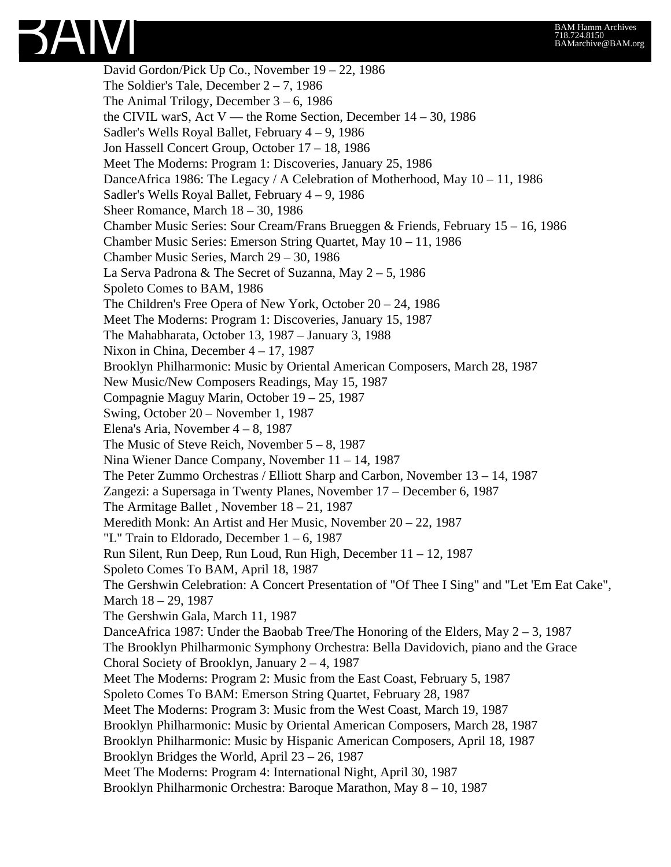

David Gordon/Pick Up Co., November 19 – 22, 1986 The Soldier's Tale, December  $2 - 7$ , 1986 The Animal Trilogy, December  $3 - 6$ , 1986 the CIVIL warS, Act V — the Rome Section, December  $14 - 30$ , 1986 Sadler's Wells Royal Ballet, February 4 – 9, 1986 Jon Hassell Concert Group, October 17 – 18, 1986 Meet The Moderns: Program 1: Discoveries, January 25, 1986 DanceAfrica 1986: The Legacy / A Celebration of Motherhood, May 10 – 11, 1986 Sadler's Wells Royal Ballet, February 4 – 9, 1986 Sheer Romance, March 18 – 30, 1986 Chamber Music Series: Sour Cream/Frans Brueggen & Friends, February 15 – 16, 1986 Chamber Music Series: Emerson String Quartet, May 10 – 11, 1986 Chamber Music Series, March 29 – 30, 1986 La Serva Padrona & The Secret of Suzanna, May 2 – 5, 1986 Spoleto Comes to BAM, 1986 The Children's Free Opera of New York, October 20 – 24, 1986 Meet The Moderns: Program 1: Discoveries, January 15, 1987 The Mahabharata, October 13, 1987 – January 3, 1988 Nixon in China, December 4 – 17, 1987 Brooklyn Philharmonic: Music by Oriental American Composers, March 28, 1987 New Music/New Composers Readings, May 15, 1987 Compagnie Maguy Marin, October 19 – 25, 1987 Swing, October 20 – November 1, 1987 Elena's Aria, November 4 – 8, 1987 The Music of Steve Reich, November 5 – 8, 1987 Nina Wiener Dance Company, November 11 – 14, 1987 The Peter Zummo Orchestras / Elliott Sharp and Carbon, November 13 – 14, 1987 Zangezi: a Supersaga in Twenty Planes, November 17 – December 6, 1987 The Armitage Ballet , November 18 – 21, 1987 Meredith Monk: An Artist and Her Music, November 20 – 22, 1987 "L" Train to Eldorado, December  $1 - 6$ , 1987 Run Silent, Run Deep, Run Loud, Run High, December 11 – 12, 1987 Spoleto Comes To BAM, April 18, 1987 The Gershwin Celebration: A Concert Presentation of "Of Thee I Sing" and "Let 'Em Eat Cake", March 18 – 29, 1987 The Gershwin Gala, March 11, 1987 DanceAfrica 1987: Under the Baobab Tree/The Honoring of the Elders, May 2 – 3, 1987 The Brooklyn Philharmonic Symphony Orchestra: Bella Davidovich, piano and the Grace Choral Society of Brooklyn, January  $2 - 4$ , 1987 Meet The Moderns: Program 2: Music from the East Coast, February 5, 1987 Spoleto Comes To BAM: Emerson String Quartet, February 28, 1987 Meet The Moderns: Program 3: Music from the West Coast, March 19, 1987 Brooklyn Philharmonic: Music by Oriental American Composers, March 28, 1987 Brooklyn Philharmonic: Music by Hispanic American Composers, April 18, 1987 Brooklyn Bridges the World, April 23 – 26, 1987 Meet The Moderns: Program 4: International Night, April 30, 1987 Brooklyn Philharmonic Orchestra: Baroque Marathon, May 8 – 10, 1987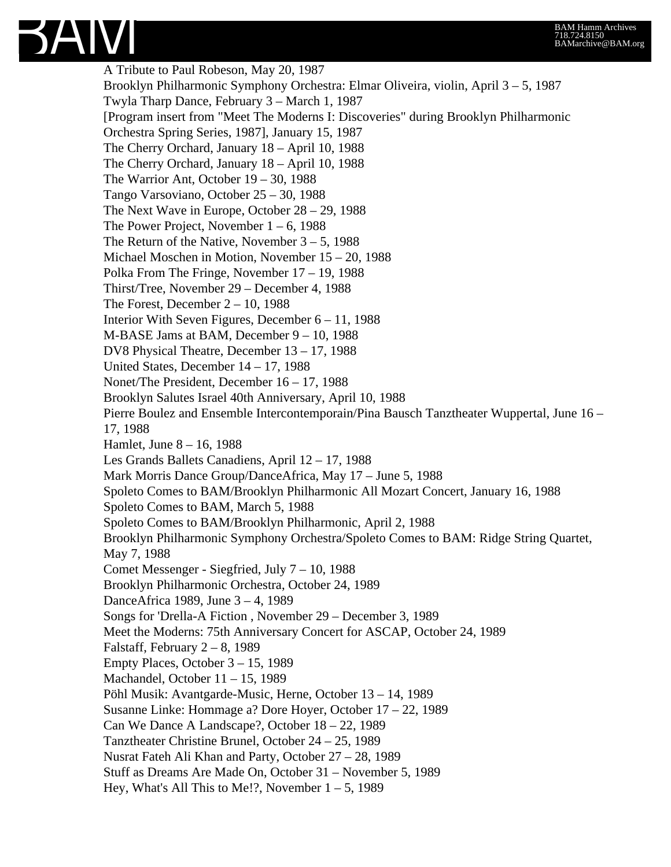#### BAM Hamm Archives 718.724.8150 BAMarchive@BAM.org



A Tribute to Paul Robeson, May 20, 1987 Brooklyn Philharmonic Symphony Orchestra: Elmar Oliveira, violin, April 3 – 5, 1987 Twyla Tharp Dance, February 3 – March 1, 1987 [Program insert from "Meet The Moderns I: Discoveries" during Brooklyn Philharmonic Orchestra Spring Series, 1987], January 15, 1987 The Cherry Orchard, January 18 – April 10, 1988 The Cherry Orchard, January 18 – April 10, 1988 The Warrior Ant, October 19 – 30, 1988 Tango Varsoviano, October 25 – 30, 1988 The Next Wave in Europe, October 28 – 29, 1988 The Power Project, November  $1 - 6$ , 1988 The Return of the Native, November  $3 - 5$ , 1988 Michael Moschen in Motion, November 15 – 20, 1988 Polka From The Fringe, November 17 – 19, 1988 Thirst/Tree, November 29 – December 4, 1988 The Forest, December  $2 - 10$ , 1988 Interior With Seven Figures, December 6 – 11, 1988 M-BASE Jams at BAM, December 9 – 10, 1988 DV8 Physical Theatre, December 13 – 17, 1988 United States, December 14 – 17, 1988 Nonet/The President, December 16 – 17, 1988 Brooklyn Salutes Israel 40th Anniversary, April 10, 1988 Pierre Boulez and Ensemble Intercontemporain/Pina Bausch Tanztheater Wuppertal, June 16 – 17, 1988 Hamlet, June 8 – 16, 1988 Les Grands Ballets Canadiens, April 12 – 17, 1988 Mark Morris Dance Group/DanceAfrica, May 17 – June 5, 1988 Spoleto Comes to BAM/Brooklyn Philharmonic All Mozart Concert, January 16, 1988 Spoleto Comes to BAM, March 5, 1988 Spoleto Comes to BAM/Brooklyn Philharmonic, April 2, 1988 Brooklyn Philharmonic Symphony Orchestra/Spoleto Comes to BAM: Ridge String Quartet, May 7, 1988 Comet Messenger - Siegfried, July 7 – 10, 1988 Brooklyn Philharmonic Orchestra, October 24, 1989 DanceAfrica 1989, June 3 – 4, 1989 Songs for 'Drella-A Fiction , November 29 – December 3, 1989 Meet the Moderns: 75th Anniversary Concert for ASCAP, October 24, 1989 Falstaff, February  $2 - 8$ , 1989 Empty Places, October 3 – 15, 1989 Machandel, October 11 – 15, 1989 Pöhl Musik: Avantgarde-Music, Herne, October 13 – 14, 1989 Susanne Linke: Hommage a? Dore Hoyer, October 17 – 22, 1989 Can We Dance A Landscape?, October 18 – 22, 1989 Tanztheater Christine Brunel, October 24 – 25, 1989 Nusrat Fateh Ali Khan and Party, October 27 – 28, 1989 Stuff as Dreams Are Made On, October 31 – November 5, 1989 Hey, What's All This to Me!?, November  $1 - 5$ , 1989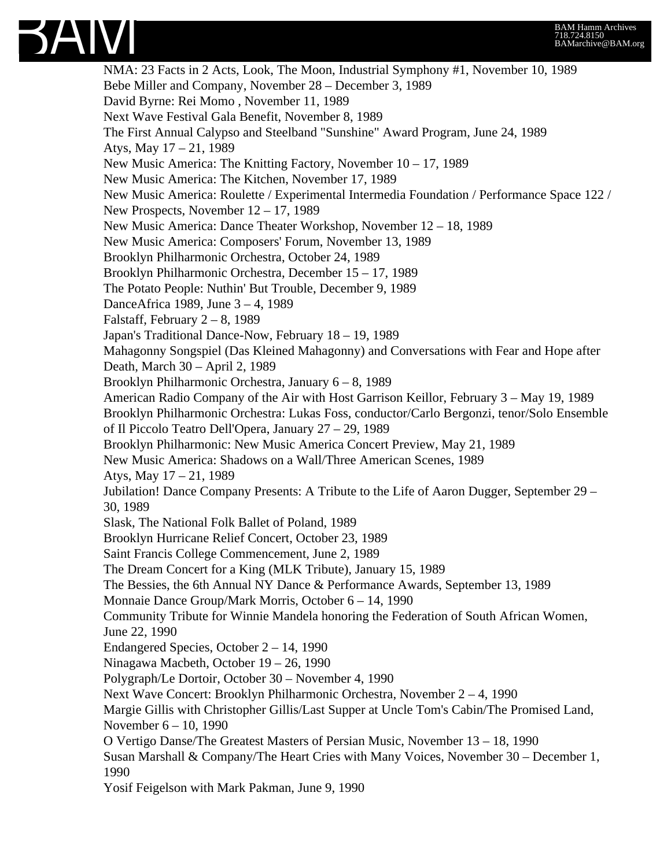

NMA: 23 Facts in 2 Acts, Look, The Moon, Industrial Symphony #1, November 10, 1989 Bebe Miller and Company, November 28 – December 3, 1989 David Byrne: Rei Momo , November 11, 1989 Next Wave Festival Gala Benefit, November 8, 1989 The First Annual Calypso and Steelband "Sunshine" Award Program, June 24, 1989 Atys, May 17 – 21, 1989 New Music America: The Knitting Factory, November 10 – 17, 1989 New Music America: The Kitchen, November 17, 1989 New Music America: Roulette / Experimental Intermedia Foundation / Performance Space 122 / New Prospects, November 12 – 17, 1989 New Music America: Dance Theater Workshop, November 12 – 18, 1989 New Music America: Composers' Forum, November 13, 1989 Brooklyn Philharmonic Orchestra, October 24, 1989 Brooklyn Philharmonic Orchestra, December 15 – 17, 1989 The Potato People: Nuthin' But Trouble, December 9, 1989 DanceAfrica 1989, June 3 – 4, 1989 Falstaff, February  $2 - 8$ , 1989 Japan's Traditional Dance-Now, February 18 – 19, 1989 Mahagonny Songspiel (Das Kleined Mahagonny) and Conversations with Fear and Hope after Death, March 30 – April 2, 1989 Brooklyn Philharmonic Orchestra, January 6 – 8, 1989 American Radio Company of the Air with Host Garrison Keillor, February 3 – May 19, 1989 Brooklyn Philharmonic Orchestra: Lukas Foss, conductor/Carlo Bergonzi, tenor/Solo Ensemble of Il Piccolo Teatro Dell'Opera, January 27 – 29, 1989 Brooklyn Philharmonic: New Music America Concert Preview, May 21, 1989 New Music America: Shadows on a Wall/Three American Scenes, 1989 Atys, May 17 – 21, 1989 Jubilation! Dance Company Presents: A Tribute to the Life of Aaron Dugger, September 29 – 30, 1989 Slask, The National Folk Ballet of Poland, 1989 Brooklyn Hurricane Relief Concert, October 23, 1989 Saint Francis College Commencement, June 2, 1989 The Dream Concert for a King (MLK Tribute), January 15, 1989 The Bessies, the 6th Annual NY Dance & Performance Awards, September 13, 1989 Monnaie Dance Group/Mark Morris, October 6 – 14, 1990 Community Tribute for Winnie Mandela honoring the Federation of South African Women, June 22, 1990 Endangered Species, October 2 – 14, 1990 Ninagawa Macbeth, October 19 – 26, 1990 Polygraph/Le Dortoir, October 30 – November 4, 1990 Next Wave Concert: Brooklyn Philharmonic Orchestra, November 2 – 4, 1990 Margie Gillis with Christopher Gillis/Last Supper at Uncle Tom's Cabin/The Promised Land, November 6 – 10, 1990 O Vertigo Danse/The Greatest Masters of Persian Music, November 13 – 18, 1990 Susan Marshall & Company/The Heart Cries with Many Voices, November 30 – December 1, 1990 Yosif Feigelson with Mark Pakman, June 9, 1990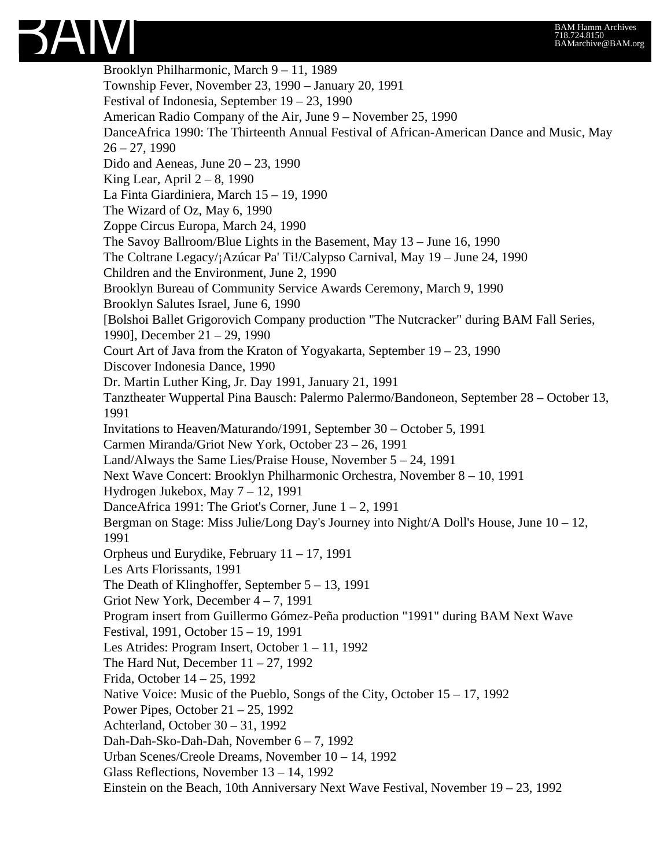

Brooklyn Philharmonic, March 9 – 11, 1989 Township Fever, November 23, 1990 – January 20, 1991 Festival of Indonesia, September 19 – 23, 1990 American Radio Company of the Air, June 9 – November 25, 1990 DanceAfrica 1990: The Thirteenth Annual Festival of African-American Dance and Music, May  $26 - 27$ , 1990 Dido and Aeneas, June  $20 - 23$ , 1990 King Lear, April  $2 - 8$ , 1990 La Finta Giardiniera, March 15 – 19, 1990 The Wizard of Oz, May 6, 1990 Zoppe Circus Europa, March 24, 1990 The Savoy Ballroom/Blue Lights in the Basement, May 13 – June 16, 1990 The Coltrane Legacy/¡Azúcar Pa' Ti!/Calypso Carnival, May 19 – June 24, 1990 Children and the Environment, June 2, 1990 Brooklyn Bureau of Community Service Awards Ceremony, March 9, 1990 Brooklyn Salutes Israel, June 6, 1990 [Bolshoi Ballet Grigorovich Company production "The Nutcracker" during BAM Fall Series, 1990], December 21 – 29, 1990 Court Art of Java from the Kraton of Yogyakarta, September 19 – 23, 1990 Discover Indonesia Dance, 1990 Dr. Martin Luther King, Jr. Day 1991, January 21, 1991 Tanztheater Wuppertal Pina Bausch: Palermo Palermo/Bandoneon, September 28 – October 13, 1991 Invitations to Heaven/Maturando/1991, September 30 – October 5, 1991 Carmen Miranda/Griot New York, October 23 – 26, 1991 Land/Always the Same Lies/Praise House, November 5 – 24, 1991 Next Wave Concert: Brooklyn Philharmonic Orchestra, November 8 – 10, 1991 Hydrogen Jukebox, May 7 – 12, 1991 DanceAfrica 1991: The Griot's Corner, June  $1 - 2$ , 1991 Bergman on Stage: Miss Julie/Long Day's Journey into Night/A Doll's House, June 10 – 12, 1991 Orpheus und Eurydike, February 11 – 17, 1991 Les Arts Florissants, 1991 The Death of Klinghoffer, September 5 – 13, 1991 Griot New York, December 4 – 7, 1991 Program insert from Guillermo Gómez-Peña production "1991" during BAM Next Wave Festival, 1991, October 15 – 19, 1991 Les Atrides: Program Insert, October 1 – 11, 1992 The Hard Nut, December  $11 - 27$ , 1992 Frida, October 14 – 25, 1992 Native Voice: Music of the Pueblo, Songs of the City, October 15 – 17, 1992 Power Pipes, October 21 – 25, 1992 Achterland, October 30 – 31, 1992 Dah-Dah-Sko-Dah-Dah, November 6 – 7, 1992 Urban Scenes/Creole Dreams, November 10 – 14, 1992 Glass Reflections, November 13 – 14, 1992 Einstein on the Beach, 10th Anniversary Next Wave Festival, November 19 – 23, 1992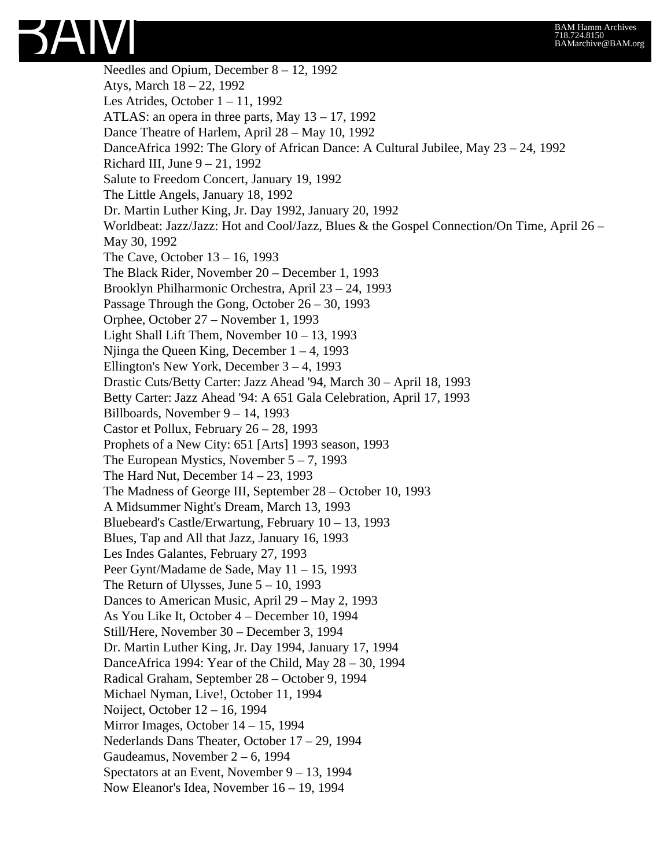

Needles and Opium, December 8 – 12, 1992 Atys, March 18 – 22, 1992 Les Atrides, October 1 – 11, 1992 ATLAS: an opera in three parts, May 13 – 17, 1992 Dance Theatre of Harlem, April 28 – May 10, 1992 DanceAfrica 1992: The Glory of African Dance: A Cultural Jubilee, May 23 – 24, 1992 Richard III, June  $9 - 21$ , 1992 Salute to Freedom Concert, January 19, 1992 The Little Angels, January 18, 1992 Dr. Martin Luther King, Jr. Day 1992, January 20, 1992 Worldbeat: Jazz/Jazz: Hot and Cool/Jazz, Blues & the Gospel Connection/On Time, April 26 – May 30, 1992 The Cave, October 13 – 16, 1993 The Black Rider, November 20 – December 1, 1993 Brooklyn Philharmonic Orchestra, April 23 – 24, 1993 Passage Through the Gong, October 26 – 30, 1993 Orphee, October 27 – November 1, 1993 Light Shall Lift Them, November 10 – 13, 1993 Niinga the Queen King, December  $1 - 4$ , 1993 Ellington's New York, December 3 – 4, 1993 Drastic Cuts/Betty Carter: Jazz Ahead '94, March 30 – April 18, 1993 Betty Carter: Jazz Ahead '94: A 651 Gala Celebration, April 17, 1993 Billboards, November 9 – 14, 1993 Castor et Pollux, February 26 – 28, 1993 Prophets of a New City: 651 [Arts] 1993 season, 1993 The European Mystics, November  $5 - 7$ , 1993 The Hard Nut, December  $14 - 23$ , 1993 The Madness of George III, September 28 – October 10, 1993 A Midsummer Night's Dream, March 13, 1993 Bluebeard's Castle/Erwartung, February 10 – 13, 1993 Blues, Tap and All that Jazz, January 16, 1993 Les Indes Galantes, February 27, 1993 Peer Gynt/Madame de Sade, May 11 – 15, 1993 The Return of Ulysses, June  $5 - 10$ , 1993 Dances to American Music, April 29 – May 2, 1993 As You Like It, October 4 – December 10, 1994 Still/Here, November 30 – December 3, 1994 Dr. Martin Luther King, Jr. Day 1994, January 17, 1994 DanceAfrica 1994: Year of the Child, May 28 – 30, 1994 Radical Graham, September 28 – October 9, 1994 Michael Nyman, Live!, October 11, 1994 Noiject, October 12 – 16, 1994 Mirror Images, October 14 – 15, 1994 Nederlands Dans Theater, October 17 – 29, 1994 Gaudeamus, November 2 – 6, 1994 Spectators at an Event, November 9 – 13, 1994 Now Eleanor's Idea, November 16 – 19, 1994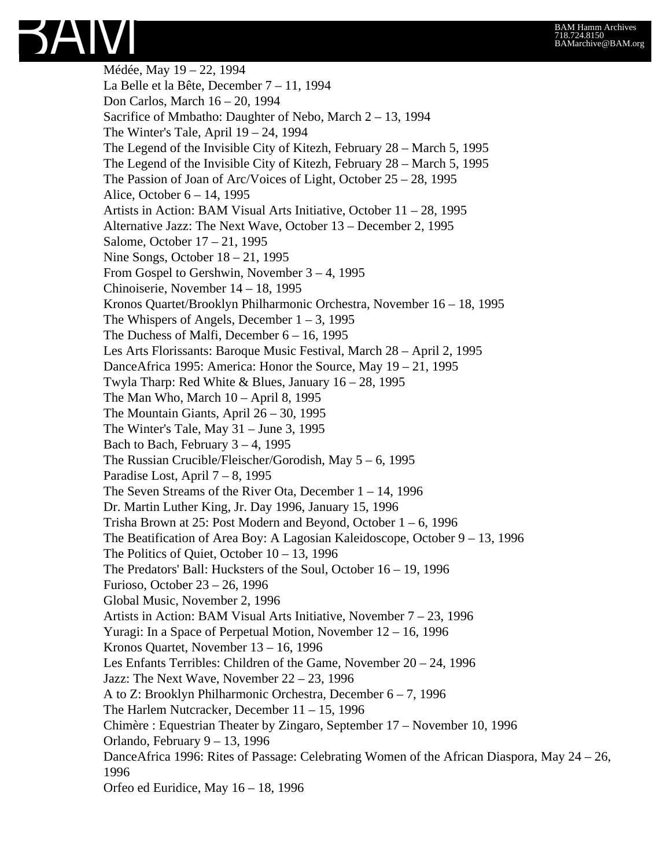Médée, May 19 – 22, 1994 La Belle et la Bête, December 7 – 11, 1994 Don Carlos, March 16 – 20, 1994 Sacrifice of Mmbatho: Daughter of Nebo, March 2 – 13, 1994 The Winter's Tale, April 19 – 24, 1994 The Legend of the Invisible City of Kitezh, February 28 – March 5, 1995 The Legend of the Invisible City of Kitezh, February 28 – March 5, 1995 The Passion of Joan of Arc/Voices of Light, October 25 – 28, 1995 Alice, October 6 – 14, 1995 Artists in Action: BAM Visual Arts Initiative, October 11 – 28, 1995 Alternative Jazz: The Next Wave, October 13 – December 2, 1995 Salome, October 17 – 21, 1995 Nine Songs, October 18 – 21, 1995 From Gospel to Gershwin, November 3 – 4, 1995 Chinoiserie, November 14 – 18, 1995 Kronos Quartet/Brooklyn Philharmonic Orchestra, November 16 – 18, 1995 The Whispers of Angels, December  $1 - 3$ , 1995 The Duchess of Malfi, December 6 – 16, 1995 Les Arts Florissants: Baroque Music Festival, March 28 – April 2, 1995 DanceAfrica 1995: America: Honor the Source, May 19 – 21, 1995 Twyla Tharp: Red White & Blues, January 16 – 28, 1995 The Man Who, March  $10 -$ April 8, 1995 The Mountain Giants, April 26 – 30, 1995 The Winter's Tale, May 31 – June 3, 1995 Bach to Bach, February  $3 - 4$ , 1995 The Russian Crucible/Fleischer/Gorodish, May 5 – 6, 1995 Paradise Lost, April 7 – 8, 1995 The Seven Streams of the River Ota, December 1 – 14, 1996 Dr. Martin Luther King, Jr. Day 1996, January 15, 1996 Trisha Brown at 25: Post Modern and Beyond, October 1 – 6, 1996 The Beatification of Area Boy: A Lagosian Kaleidoscope, October 9 – 13, 1996 The Politics of Quiet, October  $10 - 13$ , 1996 The Predators' Ball: Hucksters of the Soul, October 16 – 19, 1996 Furioso, October 23 – 26, 1996 Global Music, November 2, 1996 Artists in Action: BAM Visual Arts Initiative, November 7 – 23, 1996 Yuragi: In a Space of Perpetual Motion, November 12 – 16, 1996 Kronos Quartet, November 13 – 16, 1996 Les Enfants Terribles: Children of the Game, November 20 – 24, 1996 Jazz: The Next Wave, November 22 – 23, 1996 A to Z: Brooklyn Philharmonic Orchestra, December 6 – 7, 1996 The Harlem Nutcracker, December 11 – 15, 1996 Chimère : Equestrian Theater by Zingaro, September 17 – November 10, 1996 Orlando, February 9 – 13, 1996 DanceAfrica 1996: Rites of Passage: Celebrating Women of the African Diaspora, May 24 – 26, 1996 Orfeo ed Euridice, May 16 – 18, 1996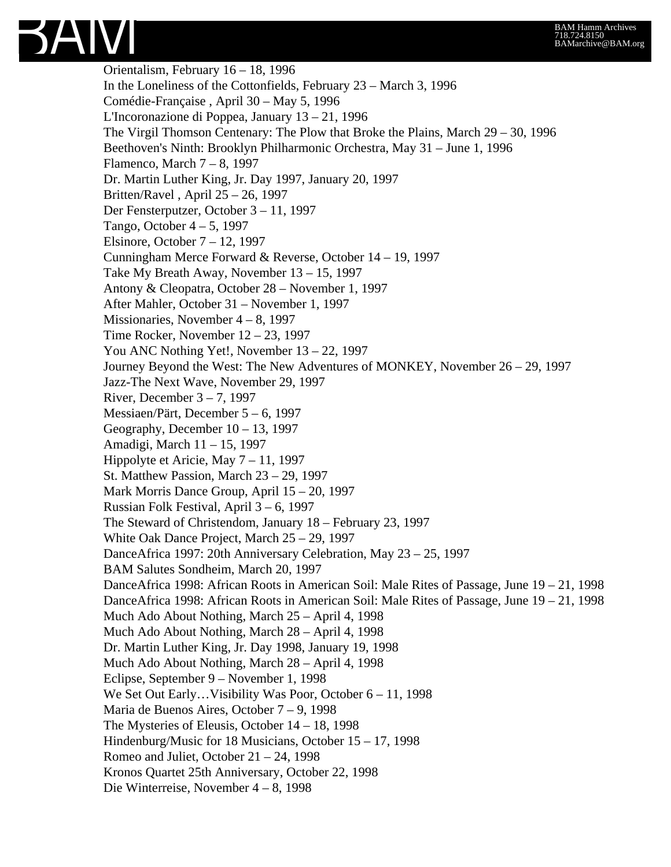

Orientalism, February 16 – 18, 1996 In the Loneliness of the Cottonfields, February 23 – March 3, 1996 Comédie-Française , April 30 – May 5, 1996 L'Incoronazione di Poppea, January 13 – 21, 1996 The Virgil Thomson Centenary: The Plow that Broke the Plains, March 29 – 30, 1996 Beethoven's Ninth: Brooklyn Philharmonic Orchestra, May 31 – June 1, 1996 Flamenco, March 7 – 8, 1997 Dr. Martin Luther King, Jr. Day 1997, January 20, 1997 Britten/Ravel , April 25 – 26, 1997 Der Fensterputzer, October 3 – 11, 1997 Tango, October 4 – 5, 1997 Elsinore, October 7 – 12, 1997 Cunningham Merce Forward & Reverse, October 14 – 19, 1997 Take My Breath Away, November 13 – 15, 1997 Antony & Cleopatra, October 28 – November 1, 1997 After Mahler, October 31 – November 1, 1997 Missionaries, November 4 – 8, 1997 Time Rocker, November 12 – 23, 1997 You ANC Nothing Yet!, November 13 – 22, 1997 Journey Beyond the West: The New Adventures of MONKEY, November 26 – 29, 1997 Jazz-The Next Wave, November 29, 1997 River, December  $3 - 7$ , 1997 Messiaen/Pärt, December 5 – 6, 1997 Geography, December 10 – 13, 1997 Amadigi, March 11 – 15, 1997 Hippolyte et Aricie, May 7 – 11, 1997 St. Matthew Passion, March 23 – 29, 1997 Mark Morris Dance Group, April 15 – 20, 1997 Russian Folk Festival, April 3 – 6, 1997 The Steward of Christendom, January 18 – February 23, 1997 White Oak Dance Project, March 25 – 29, 1997 DanceAfrica 1997: 20th Anniversary Celebration, May 23 – 25, 1997 BAM Salutes Sondheim, March 20, 1997 DanceAfrica 1998: African Roots in American Soil: Male Rites of Passage, June 19 – 21, 1998 DanceAfrica 1998: African Roots in American Soil: Male Rites of Passage, June 19 – 21, 1998 Much Ado About Nothing, March 25 – April 4, 1998 Much Ado About Nothing, March 28 – April 4, 1998 Dr. Martin Luther King, Jr. Day 1998, January 19, 1998 Much Ado About Nothing, March 28 – April 4, 1998 Eclipse, September 9 – November 1, 1998 We Set Out Early... Visibility Was Poor, October 6 – 11, 1998 Maria de Buenos Aires, October 7 – 9, 1998 The Mysteries of Eleusis, October 14 – 18, 1998 Hindenburg/Music for 18 Musicians, October 15 – 17, 1998 Romeo and Juliet, October 21 – 24, 1998 Kronos Quartet 25th Anniversary, October 22, 1998 Die Winterreise, November 4 – 8, 1998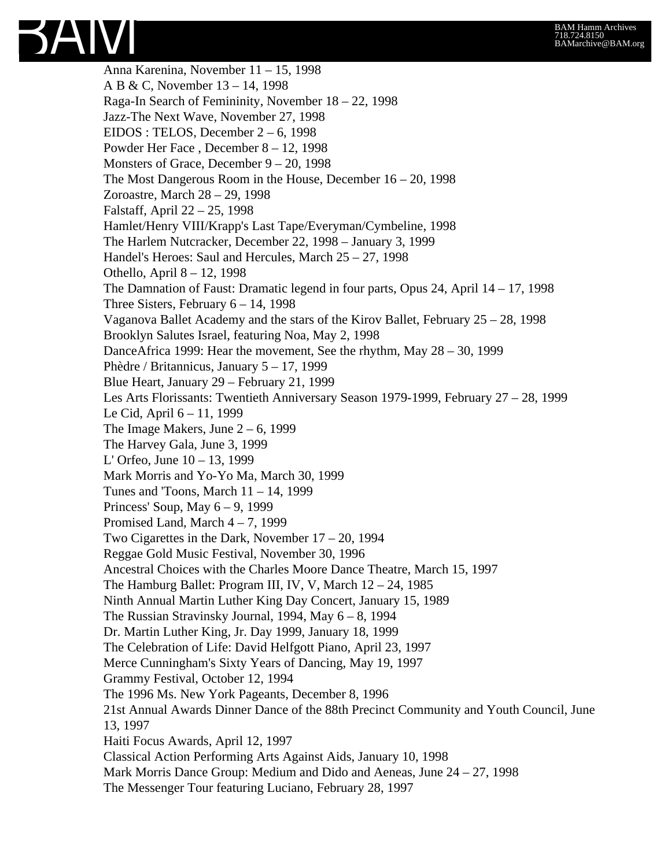

Anna Karenina, November 11 – 15, 1998 A B & C, November 13 – 14, 1998 Raga-In Search of Femininity, November 18 – 22, 1998 Jazz-The Next Wave, November 27, 1998 EIDOS : TELOS, December 2 – 6, 1998 Powder Her Face , December 8 – 12, 1998 Monsters of Grace, December 9 – 20, 1998 The Most Dangerous Room in the House, December 16 – 20, 1998 Zoroastre, March 28 – 29, 1998 Falstaff, April 22 – 25, 1998 Hamlet/Henry VIII/Krapp's Last Tape/Everyman/Cymbeline, 1998 The Harlem Nutcracker, December 22, 1998 – January 3, 1999 Handel's Heroes: Saul and Hercules, March 25 – 27, 1998 Othello, April 8 – 12, 1998 The Damnation of Faust: Dramatic legend in four parts, Opus 24, April 14 – 17, 1998 Three Sisters, February  $6 - 14$ , 1998 Vaganova Ballet Academy and the stars of the Kirov Ballet, February 25 – 28, 1998 Brooklyn Salutes Israel, featuring Noa, May 2, 1998 DanceAfrica 1999: Hear the movement, See the rhythm, May 28 – 30, 1999 Phèdre / Britannicus, January 5 – 17, 1999 Blue Heart, January 29 – February 21, 1999 Les Arts Florissants: Twentieth Anniversary Season 1979-1999, February 27 – 28, 1999 Le Cid, April 6 – 11, 1999 The Image Makers, June  $2 - 6$ , 1999 The Harvey Gala, June 3, 1999 L' Orfeo, June 10 – 13, 1999 Mark Morris and Yo-Yo Ma, March 30, 1999 Tunes and 'Toons, March 11 – 14, 1999 Princess' Soup, May 6 – 9, 1999 Promised Land, March 4 – 7, 1999 Two Cigarettes in the Dark, November 17 – 20, 1994 Reggae Gold Music Festival, November 30, 1996 Ancestral Choices with the Charles Moore Dance Theatre, March 15, 1997 The Hamburg Ballet: Program III, IV, V, March 12 – 24, 1985 Ninth Annual Martin Luther King Day Concert, January 15, 1989 The Russian Stravinsky Journal, 1994, May 6 – 8, 1994 Dr. Martin Luther King, Jr. Day 1999, January 18, 1999 The Celebration of Life: David Helfgott Piano, April 23, 1997 Merce Cunningham's Sixty Years of Dancing, May 19, 1997 Grammy Festival, October 12, 1994 The 1996 Ms. New York Pageants, December 8, 1996 21st Annual Awards Dinner Dance of the 88th Precinct Community and Youth Council, June 13, 1997 Haiti Focus Awards, April 12, 1997 Classical Action Performing Arts Against Aids, January 10, 1998 Mark Morris Dance Group: Medium and Dido and Aeneas, June 24 – 27, 1998 The Messenger Tour featuring Luciano, February 28, 1997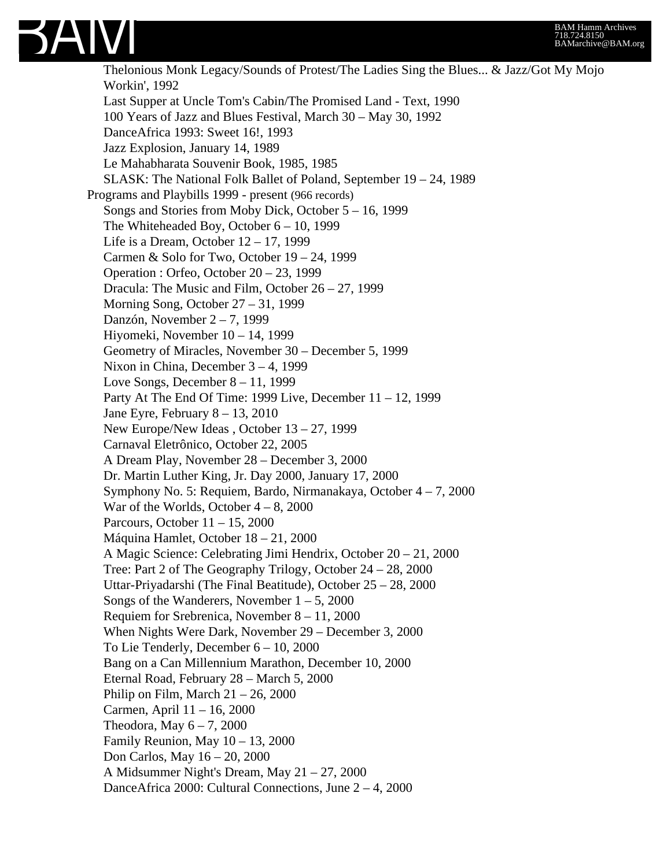

Thelonious Monk Legacy/Sounds of Protest/The Ladies Sing the Blues... & Jazz/Got My Mojo Workin', 1992 Last Supper at Uncle Tom's Cabin/The Promised Land - Text, 1990 100 Years of Jazz and Blues Festival, March 30 – May 30, 1992 DanceAfrica 1993: Sweet 16!, 1993 Jazz Explosion, January 14, 1989 Le Mahabharata Souvenir Book, 1985, 1985 SLASK: The National Folk Ballet of Poland, September 19 – 24, 1989 Programs and Playbills 1999 - present (966 records) Songs and Stories from Moby Dick, October 5 – 16, 1999 The Whiteheaded Boy, October 6 – 10, 1999 Life is a Dream, October 12 – 17, 1999 Carmen & Solo for Two, October 19 – 24, 1999 Operation : Orfeo, October 20 – 23, 1999 Dracula: The Music and Film, October 26 – 27, 1999 Morning Song, October 27 – 31, 1999 Danzón, November 2 – 7, 1999 Hiyomeki, November 10 – 14, 1999 Geometry of Miracles, November 30 – December 5, 1999 Nixon in China, December 3 – 4, 1999 Love Songs, December 8 – 11, 1999 Party At The End Of Time: 1999 Live, December 11 – 12, 1999 Jane Eyre, February  $8 - 13$ , 2010 New Europe/New Ideas , October 13 – 27, 1999 Carnaval Eletrônico, October 22, 2005 A Dream Play, November 28 – December 3, 2000 Dr. Martin Luther King, Jr. Day 2000, January 17, 2000 Symphony No. 5: Requiem, Bardo, Nirmanakaya, October 4 – 7, 2000 War of the Worlds, October  $4 - 8$ , 2000 Parcours, October 11 – 15, 2000 Máquina Hamlet, October 18 – 21, 2000 A Magic Science: Celebrating Jimi Hendrix, October 20 – 21, 2000 Tree: Part 2 of The Geography Trilogy, October 24 – 28, 2000 Uttar-Priyadarshi (The Final Beatitude), October 25 – 28, 2000 Songs of the Wanderers, November  $1 - 5$ , 2000 Requiem for Srebrenica, November 8 – 11, 2000 When Nights Were Dark, November 29 – December 3, 2000 To Lie Tenderly, December 6 – 10, 2000 Bang on a Can Millennium Marathon, December 10, 2000 Eternal Road, February 28 – March 5, 2000 Philip on Film, March  $21 - 26$ , 2000 Carmen, April 11 – 16, 2000 Theodora, May  $6 - 7$ , 2000 Family Reunion, May  $10 - 13$ , 2000 Don Carlos, May 16 – 20, 2000 A Midsummer Night's Dream, May 21 – 27, 2000 DanceAfrica 2000: Cultural Connections, June 2 – 4, 2000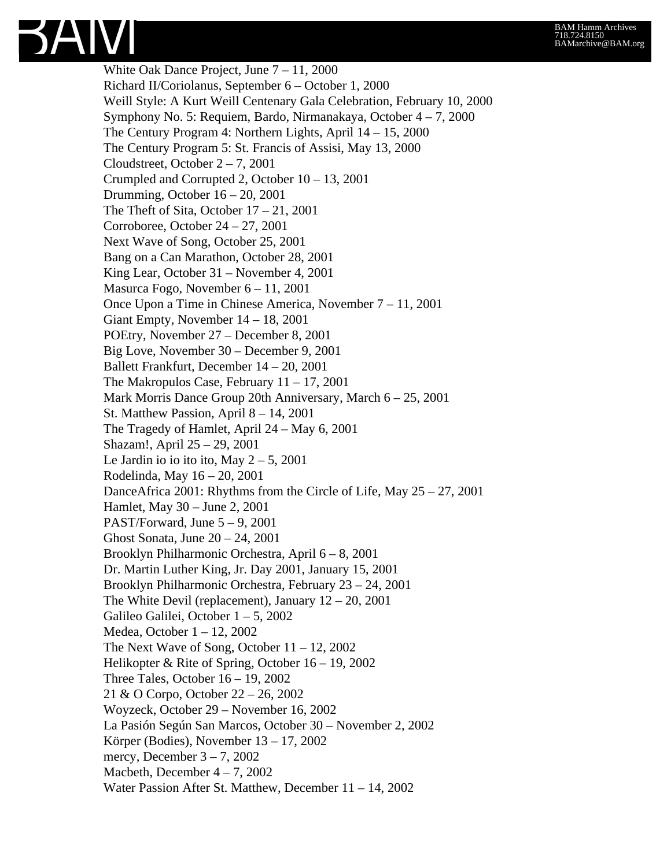

White Oak Dance Project, June 7 – 11, 2000 Richard II/Coriolanus, September 6 – October 1, 2000 Weill Style: A Kurt Weill Centenary Gala Celebration, February 10, 2000 Symphony No. 5: Requiem, Bardo, Nirmanakaya, October 4 – 7, 2000 The Century Program 4: Northern Lights, April 14 – 15, 2000 The Century Program 5: St. Francis of Assisi, May 13, 2000 Cloudstreet, October 2 – 7, 2001 Crumpled and Corrupted 2, October 10 – 13, 2001 Drumming, October 16 – 20, 2001 The Theft of Sita, October  $17 - 21$ , 2001 Corroboree, October 24 – 27, 2001 Next Wave of Song, October 25, 2001 Bang on a Can Marathon, October 28, 2001 King Lear, October 31 – November 4, 2001 Masurca Fogo, November 6 – 11, 2001 Once Upon a Time in Chinese America, November 7 – 11, 2001 Giant Empty, November 14 – 18, 2001 POEtry, November 27 – December 8, 2001 Big Love, November 30 – December 9, 2001 Ballett Frankfurt, December 14 – 20, 2001 The Makropulos Case, February 11 – 17, 2001 Mark Morris Dance Group 20th Anniversary, March 6 – 25, 2001 St. Matthew Passion, April 8 – 14, 2001 The Tragedy of Hamlet, April 24 – May 6, 2001 Shazam!, April 25 – 29, 2001 Le Jardin io io ito ito, May  $2 - 5$ , 2001 Rodelinda, May 16 – 20, 2001 DanceAfrica 2001: Rhythms from the Circle of Life, May 25 – 27, 2001 Hamlet, May 30 – June 2, 2001 PAST/Forward, June  $5 - 9$ , 2001 Ghost Sonata, June 20 – 24, 2001 Brooklyn Philharmonic Orchestra, April 6 – 8, 2001 Dr. Martin Luther King, Jr. Day 2001, January 15, 2001 Brooklyn Philharmonic Orchestra, February 23 – 24, 2001 The White Devil (replacement), January  $12 - 20$ , 2001 Galileo Galilei, October 1 – 5, 2002 Medea, October 1 – 12, 2002 The Next Wave of Song, October 11 – 12, 2002 Helikopter & Rite of Spring, October 16 – 19, 2002 Three Tales, October 16 – 19, 2002 21 & O Corpo, October 22 – 26, 2002 Woyzeck, October 29 – November 16, 2002 La Pasión Según San Marcos, October 30 – November 2, 2002 Körper (Bodies), November 13 – 17, 2002 mercy, December  $3 - 7$ , 2002 Macbeth, December  $4 - 7$ , 2002 Water Passion After St. Matthew, December 11 – 14, 2002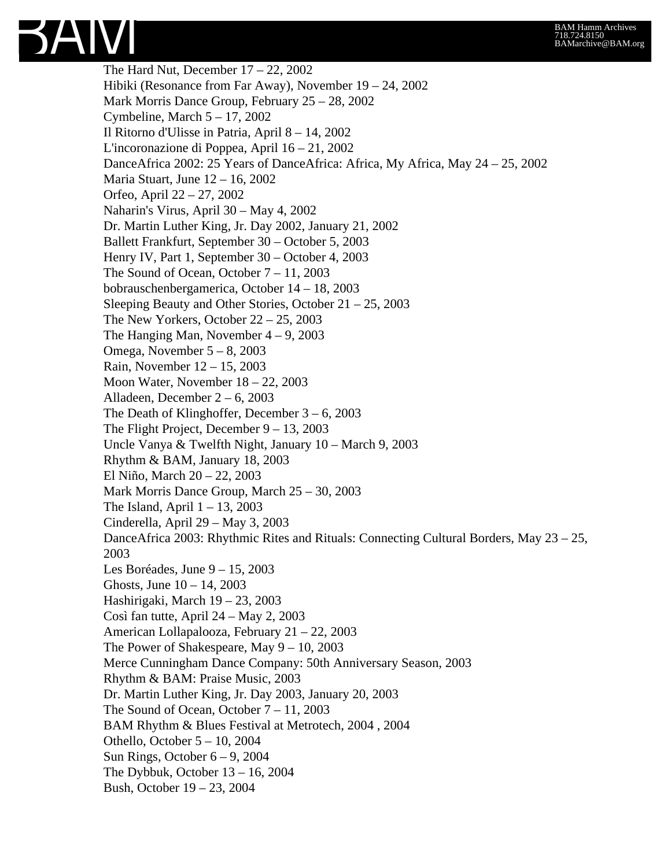The Hard Nut, December  $17 - 22$ , 2002 Hibiki (Resonance from Far Away), November 19 – 24, 2002 Mark Morris Dance Group, February 25 – 28, 2002 Cymbeline, March 5 – 17, 2002 Il Ritorno d'Ulisse in Patria, April 8 – 14, 2002 L'incoronazione di Poppea, April 16 – 21, 2002 DanceAfrica 2002: 25 Years of DanceAfrica: Africa, My Africa, May 24 – 25, 2002 Maria Stuart, June 12 – 16, 2002 Orfeo, April 22 – 27, 2002 Naharin's Virus, April 30 – May 4, 2002 Dr. Martin Luther King, Jr. Day 2002, January 21, 2002 Ballett Frankfurt, September 30 – October 5, 2003 Henry IV, Part 1, September 30 – October 4, 2003 The Sound of Ocean, October 7 – 11, 2003 bobrauschenbergamerica, October 14 – 18, 2003 Sleeping Beauty and Other Stories, October 21 – 25, 2003 The New Yorkers, October 22 – 25, 2003 The Hanging Man, November  $4 - 9$ , 2003 Omega, November 5 – 8, 2003 Rain, November 12 – 15, 2003 Moon Water, November 18 – 22, 2003 Alladeen, December 2 – 6, 2003 The Death of Klinghoffer, December  $3 - 6$ , 2003 The Flight Project, December 9 – 13, 2003 Uncle Vanya & Twelfth Night, January 10 – March 9, 2003 Rhythm & BAM, January 18, 2003 El Niño, March 20 – 22, 2003 Mark Morris Dance Group, March 25 – 30, 2003 The Island, April  $1 - 13$ , 2003 Cinderella, April 29 – May 3, 2003 DanceAfrica 2003: Rhythmic Rites and Rituals: Connecting Cultural Borders, May 23 – 25, 2003 Les Boréades, June 9 – 15, 2003 Ghosts, June 10 – 14, 2003 Hashirigaki, March 19 – 23, 2003 Così fan tutte, April 24 – May 2, 2003 American Lollapalooza, February 21 – 22, 2003 The Power of Shakespeare, May 9 – 10, 2003 Merce Cunningham Dance Company: 50th Anniversary Season, 2003 Rhythm & BAM: Praise Music, 2003 Dr. Martin Luther King, Jr. Day 2003, January 20, 2003 The Sound of Ocean, October  $7 - 11$ , 2003 BAM Rhythm & Blues Festival at Metrotech, 2004 , 2004 Othello, October 5 – 10, 2004 Sun Rings, October 6 – 9, 2004 The Dybbuk, October 13 – 16, 2004 Bush, October 19 – 23, 2004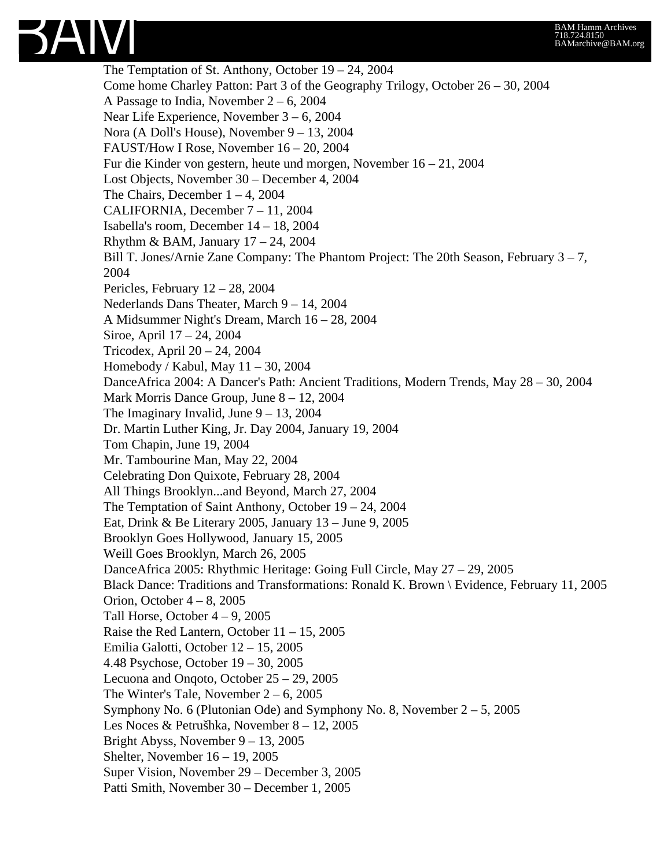

The Temptation of St. Anthony, October 19 – 24, 2004 Come home Charley Patton: Part 3 of the Geography Trilogy, October  $26 - 30$ , 2004 A Passage to India, November 2 – 6, 2004 Near Life Experience, November 3 – 6, 2004 Nora (A Doll's House), November 9 – 13, 2004 FAUST/How I Rose, November 16 – 20, 2004 Fur die Kinder von gestern, heute und morgen, November 16 – 21, 2004 Lost Objects, November 30 – December 4, 2004 The Chairs, December  $1 - 4$ , 2004 CALIFORNIA, December 7 – 11, 2004 Isabella's room, December 14 – 18, 2004 Rhythm & BAM, January 17 – 24, 2004 Bill T. Jones/Arnie Zane Company: The Phantom Project: The 20th Season, February  $3 - 7$ , 2004 Pericles, February 12 – 28, 2004 Nederlands Dans Theater, March 9 – 14, 2004 A Midsummer Night's Dream, March 16 – 28, 2004 Siroe, April 17 – 24, 2004 Tricodex, April 20 – 24, 2004 Homebody / Kabul, May 11 – 30, 2004 DanceAfrica 2004: A Dancer's Path: Ancient Traditions, Modern Trends, May 28 – 30, 2004 Mark Morris Dance Group, June 8 – 12, 2004 The Imaginary Invalid, June  $9 - 13$ , 2004 Dr. Martin Luther King, Jr. Day 2004, January 19, 2004 Tom Chapin, June 19, 2004 Mr. Tambourine Man, May 22, 2004 Celebrating Don Quixote, February 28, 2004 All Things Brooklyn...and Beyond, March 27, 2004 The Temptation of Saint Anthony, October 19 – 24, 2004 Eat, Drink & Be Literary 2005, January 13 – June 9, 2005 Brooklyn Goes Hollywood, January 15, 2005 Weill Goes Brooklyn, March 26, 2005 DanceAfrica 2005: Rhythmic Heritage: Going Full Circle, May 27 – 29, 2005 Black Dance: Traditions and Transformations: Ronald K. Brown \ Evidence, February 11, 2005 Orion, October  $4 - 8$ , 2005 Tall Horse, October  $4 - 9$ , 2005 Raise the Red Lantern, October  $11 - 15$ , 2005 Emilia Galotti, October 12 – 15, 2005 4.48 Psychose, October 19 – 30, 2005 Lecuona and Onqoto, October 25 – 29, 2005 The Winter's Tale, November  $2 - 6$ , 2005 Symphony No. 6 (Plutonian Ode) and Symphony No. 8, November 2 – 5, 2005 Les Noces & Petrušhka, November 8 – 12, 2005 Bright Abyss, November 9 – 13, 2005 Shelter, November 16 – 19, 2005 Super Vision, November 29 – December 3, 2005 Patti Smith, November 30 – December 1, 2005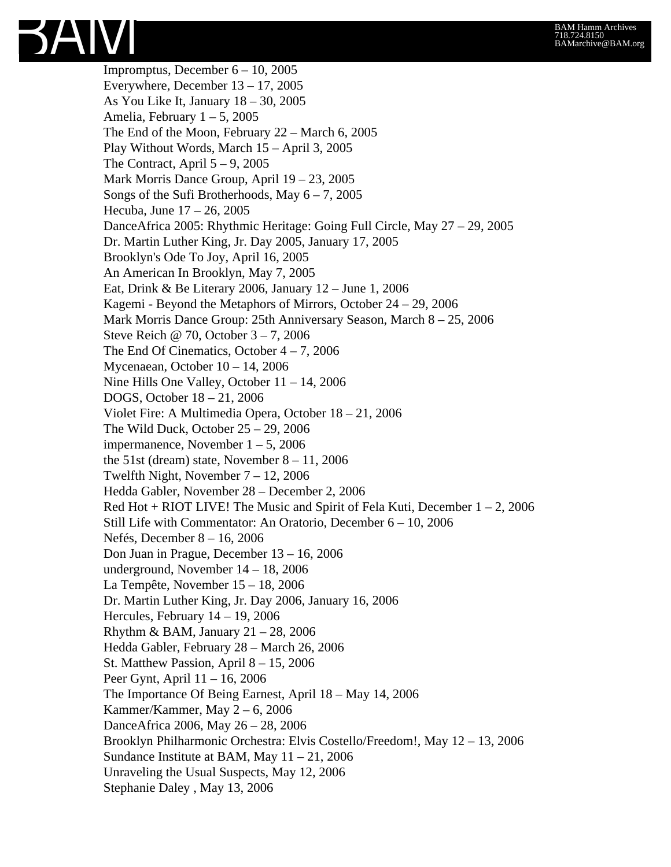Impromptus, December 6 – 10, 2005 Everywhere, December 13 – 17, 2005 As You Like It, January 18 – 30, 2005 Amelia, February  $1 - 5$ , 2005 The End of the Moon, February 22 – March 6, 2005 Play Without Words, March 15 – April 3, 2005 The Contract, April  $5 - 9$ , 2005 Mark Morris Dance Group, April 19 – 23, 2005 Songs of the Sufi Brotherhoods, May  $6 - 7$ , 2005 Hecuba, June 17 – 26, 2005 DanceAfrica 2005: Rhythmic Heritage: Going Full Circle, May 27 – 29, 2005 Dr. Martin Luther King, Jr. Day 2005, January 17, 2005 Brooklyn's Ode To Joy, April 16, 2005 An American In Brooklyn, May 7, 2005 Eat, Drink & Be Literary 2006, January 12 – June 1, 2006 Kagemi - Beyond the Metaphors of Mirrors, October 24 – 29, 2006 Mark Morris Dance Group: 25th Anniversary Season, March 8 – 25, 2006 Steve Reich @ 70, October 3 – 7, 2006 The End Of Cinematics, October  $4 - 7$ , 2006 Mycenaean, October 10 – 14, 2006 Nine Hills One Valley, October 11 – 14, 2006 DOGS, October 18 – 21, 2006 Violet Fire: A Multimedia Opera, October 18 – 21, 2006 The Wild Duck, October  $25 - 29$ , 2006 impermanence, November  $1 - 5$ , 2006 the 51st (dream) state, November  $8 - 11$ , 2006 Twelfth Night, November 7 – 12, 2006 Hedda Gabler, November 28 – December 2, 2006 Red Hot + RIOT LIVE! The Music and Spirit of Fela Kuti, December 1 – 2, 2006 Still Life with Commentator: An Oratorio, December 6 – 10, 2006 Nefés, December 8 – 16, 2006 Don Juan in Prague, December 13 – 16, 2006 underground, November 14 – 18, 2006 La Tempête, November 15 – 18, 2006 Dr. Martin Luther King, Jr. Day 2006, January 16, 2006 Hercules, February 14 – 19, 2006 Rhythm & BAM, January  $21 - 28$ , 2006 Hedda Gabler, February 28 – March 26, 2006 St. Matthew Passion, April 8 – 15, 2006 Peer Gynt, April 11 – 16, 2006 The Importance Of Being Earnest, April 18 – May 14, 2006 Kammer/Kammer, May  $2 - 6$ , 2006 DanceAfrica 2006, May 26 – 28, 2006 Brooklyn Philharmonic Orchestra: Elvis Costello/Freedom!, May 12 – 13, 2006 Sundance Institute at BAM, May 11 – 21, 2006 Unraveling the Usual Suspects, May 12, 2006 Stephanie Daley , May 13, 2006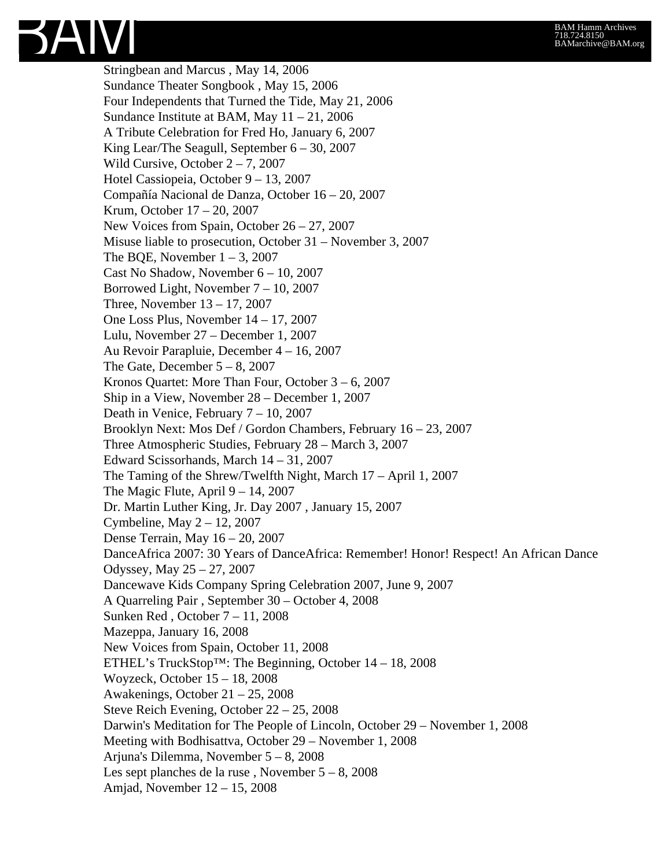Stringbean and Marcus , May 14, 2006 Sundance Theater Songbook , May 15, 2006 Four Independents that Turned the Tide, May 21, 2006 Sundance Institute at BAM, May  $11 - 21$ , 2006 A Tribute Celebration for Fred Ho, January 6, 2007 King Lear/The Seagull, September 6 – 30, 2007 Wild Cursive, October 2 – 7, 2007 Hotel Cassiopeia, October 9 – 13, 2007 Compañía Nacional de Danza, October 16 – 20, 2007 Krum, October 17 – 20, 2007 New Voices from Spain, October 26 – 27, 2007 Misuse liable to prosecution, October 31 – November 3, 2007 The BQE, November  $1 - 3$ , 2007 Cast No Shadow, November 6 – 10, 2007 Borrowed Light, November 7 – 10, 2007 Three, November 13 – 17, 2007 One Loss Plus, November 14 – 17, 2007 Lulu, November 27 – December 1, 2007 Au Revoir Parapluie, December 4 – 16, 2007 The Gate, December  $5 - 8$ , 2007 Kronos Quartet: More Than Four, October 3 – 6, 2007 Ship in a View, November 28 – December 1, 2007 Death in Venice, February 7 – 10, 2007 Brooklyn Next: Mos Def / Gordon Chambers, February 16 – 23, 2007 Three Atmospheric Studies, February 28 – March 3, 2007 Edward Scissorhands, March 14 – 31, 2007 The Taming of the Shrew/Twelfth Night, March 17 – April 1, 2007 The Magic Flute, April  $9 - 14$ , 2007 Dr. Martin Luther King, Jr. Day 2007 , January 15, 2007 Cymbeline, May 2 – 12, 2007 Dense Terrain, May 16 – 20, 2007 DanceAfrica 2007: 30 Years of DanceAfrica: Remember! Honor! Respect! An African Dance Odyssey, May 25 – 27, 2007 Dancewave Kids Company Spring Celebration 2007, June 9, 2007 A Quarreling Pair , September 30 – October 4, 2008 Sunken Red , October 7 – 11, 2008 Mazeppa, January 16, 2008 New Voices from Spain, October 11, 2008 ETHEL's TruckStop<sup>TM</sup>: The Beginning, October  $14 - 18$ , 2008 Woyzeck, October 15 – 18, 2008 Awakenings, October 21 – 25, 2008 Steve Reich Evening, October 22 – 25, 2008 Darwin's Meditation for The People of Lincoln, October 29 – November 1, 2008 Meeting with Bodhisattva, October 29 – November 1, 2008 Arjuna's Dilemma, November 5 – 8, 2008 Les sept planches de la ruse, November  $5 - 8$ , 2008 Amjad, November 12 – 15, 2008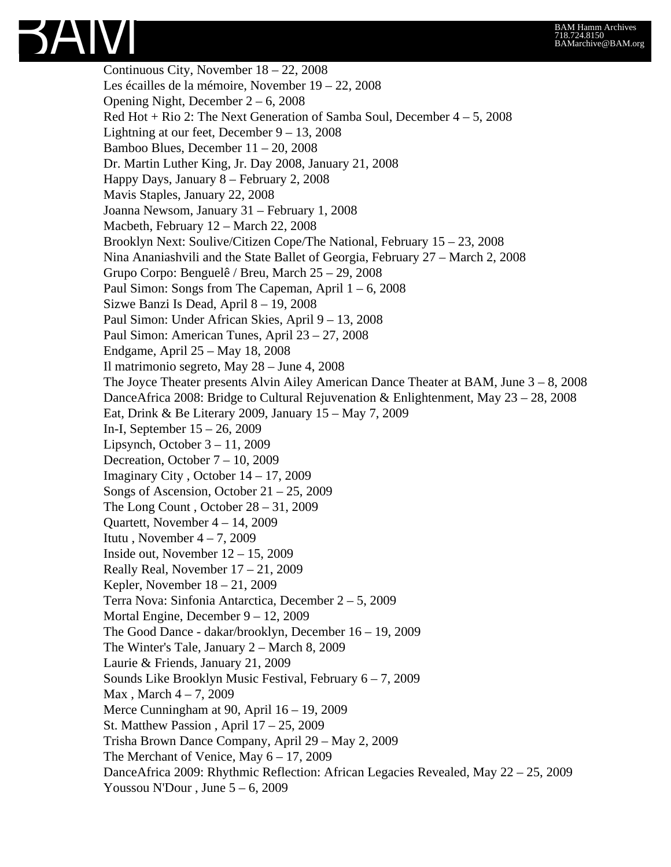Continuous City, November 18 – 22, 2008 Les écailles de la mémoire, November 19 – 22, 2008 Opening Night, December 2 – 6, 2008 Red Hot + Rio 2: The Next Generation of Samba Soul, December  $4 - 5$ , 2008 Lightning at our feet, December 9 – 13, 2008 Bamboo Blues, December 11 – 20, 2008 Dr. Martin Luther King, Jr. Day 2008, January 21, 2008 Happy Days, January 8 – February 2, 2008 Mavis Staples, January 22, 2008 Joanna Newsom, January 31 – February 1, 2008 Macbeth, February 12 – March 22, 2008 Brooklyn Next: Soulive/Citizen Cope/The National, February 15 – 23, 2008 Nina Ananiashvili and the State Ballet of Georgia, February 27 – March 2, 2008 Grupo Corpo: Benguelê / Breu, March 25 – 29, 2008 Paul Simon: Songs from The Capeman, April  $1 - 6$ , 2008 Sizwe Banzi Is Dead, April 8 – 19, 2008 Paul Simon: Under African Skies, April 9 – 13, 2008 Paul Simon: American Tunes, April 23 – 27, 2008 Endgame, April 25 – May 18, 2008 Il matrimonio segreto, May 28 – June 4, 2008 The Joyce Theater presents Alvin Ailey American Dance Theater at BAM, June 3 – 8, 2008 DanceAfrica 2008: Bridge to Cultural Rejuvenation & Enlightenment, May 23 – 28, 2008 Eat, Drink & Be Literary 2009, January 15 – May 7, 2009 In-I, September 15 – 26, 2009 Lipsynch, October  $3 - 11$ , 2009 Decreation, October 7 – 10, 2009 Imaginary City , October 14 – 17, 2009 Songs of Ascension, October 21 – 25, 2009 The Long Count , October 28 – 31, 2009 Quartett, November 4 – 14, 2009 Itutu, November  $4 - 7$ , 2009 Inside out, November  $12 - 15$ , 2009 Really Real, November 17 – 21, 2009 Kepler, November 18 – 21, 2009 Terra Nova: Sinfonia Antarctica, December 2 – 5, 2009 Mortal Engine, December 9 – 12, 2009 The Good Dance - dakar/brooklyn, December 16 – 19, 2009 The Winter's Tale, January 2 – March 8, 2009 Laurie & Friends, January 21, 2009 Sounds Like Brooklyn Music Festival, February 6 – 7, 2009 Max , March 4 – 7, 2009 Merce Cunningham at 90, April 16 – 19, 2009 St. Matthew Passion , April 17 – 25, 2009 Trisha Brown Dance Company, April 29 – May 2, 2009 The Merchant of Venice, May 6 – 17, 2009 DanceAfrica 2009: Rhythmic Reflection: African Legacies Revealed, May 22 – 25, 2009 Youssou N'Dour, June  $5 - 6$ , 2009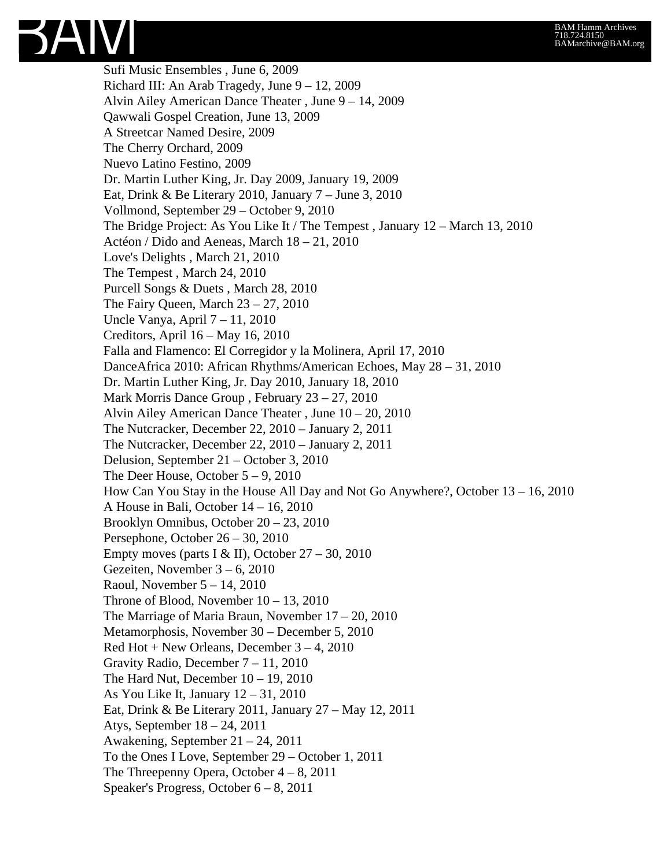Sufi Music Ensembles , June 6, 2009 Richard III: An Arab Tragedy, June 9 – 12, 2009 Alvin Ailey American Dance Theater , June 9 – 14, 2009 Qawwali Gospel Creation, June 13, 2009 A Streetcar Named Desire, 2009 The Cherry Orchard, 2009 Nuevo Latino Festino, 2009 Dr. Martin Luther King, Jr. Day 2009, January 19, 2009 Eat, Drink & Be Literary 2010, January 7 – June 3, 2010 Vollmond, September 29 – October 9, 2010 The Bridge Project: As You Like It / The Tempest , January 12 – March 13, 2010 Actéon / Dido and Aeneas, March 18 – 21, 2010 Love's Delights , March 21, 2010 The Tempest , March 24, 2010 Purcell Songs & Duets , March 28, 2010 The Fairy Queen, March  $23 - 27$ , 2010 Uncle Vanya, April 7 – 11, 2010 Creditors, April 16 – May 16, 2010 Falla and Flamenco: El Corregidor y la Molinera, April 17, 2010 DanceAfrica 2010: African Rhythms/American Echoes, May 28 – 31, 2010 Dr. Martin Luther King, Jr. Day 2010, January 18, 2010 Mark Morris Dance Group , February 23 – 27, 2010 Alvin Ailey American Dance Theater , June 10 – 20, 2010 The Nutcracker, December 22, 2010 – January 2, 2011 The Nutcracker, December 22, 2010 – January 2, 2011 Delusion, September 21 – October 3, 2010 The Deer House, October  $5 - 9$ , 2010 How Can You Stay in the House All Day and Not Go Anywhere?, October 13 – 16, 2010 A House in Bali, October 14 – 16, 2010 Brooklyn Omnibus, October 20 – 23, 2010 Persephone, October 26 – 30, 2010 Empty moves (parts I & II), October  $27 - 30$ , 2010 Gezeiten, November 3 – 6, 2010 Raoul, November 5 – 14, 2010 Throne of Blood, November 10 – 13, 2010 The Marriage of Maria Braun, November 17 – 20, 2010 Metamorphosis, November 30 – December 5, 2010 Red Hot + New Orleans, December  $3 - 4$ , 2010 Gravity Radio, December 7 – 11, 2010 The Hard Nut, December 10 – 19, 2010 As You Like It, January 12 – 31, 2010 Eat, Drink & Be Literary 2011, January 27 – May 12, 2011 Atys, September 18 – 24, 2011 Awakening, September 21 – 24, 2011 To the Ones I Love, September 29 – October 1, 2011 The Threepenny Opera, October  $4-8$ , 2011 Speaker's Progress, October 6 – 8, 2011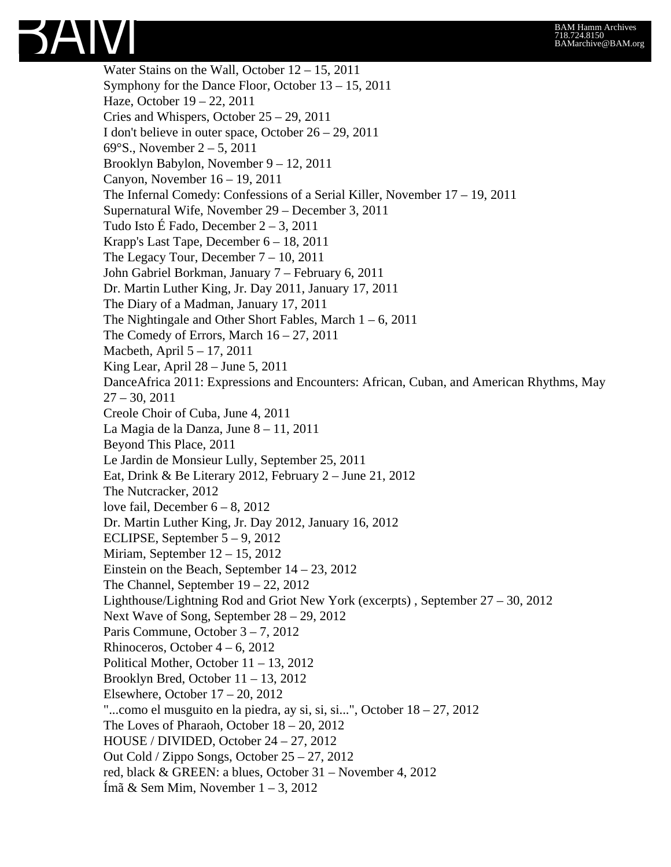

Water Stains on the Wall, October 12 – 15, 2011 Symphony for the Dance Floor, October 13 – 15, 2011 Haze, October 19 – 22, 2011 Cries and Whispers, October 25 – 29, 2011 I don't believe in outer space, October 26 – 29, 2011 69°S., November 2 – 5, 2011 Brooklyn Babylon, November 9 – 12, 2011 Canyon, November 16 – 19, 2011 The Infernal Comedy: Confessions of a Serial Killer, November 17 – 19, 2011 Supernatural Wife, November 29 – December 3, 2011 Tudo Isto É Fado, December 2 – 3, 2011 Krapp's Last Tape, December 6 – 18, 2011 The Legacy Tour, December 7 – 10, 2011 John Gabriel Borkman, January 7 – February 6, 2011 Dr. Martin Luther King, Jr. Day 2011, January 17, 2011 The Diary of a Madman, January 17, 2011 The Nightingale and Other Short Fables, March  $1 - 6$ , 2011 The Comedy of Errors, March  $16 - 27$ , 2011 Macbeth, April 5 – 17, 2011 King Lear, April 28 – June 5, 2011 DanceAfrica 2011: Expressions and Encounters: African, Cuban, and American Rhythms, May 27 – 30, 2011 Creole Choir of Cuba, June 4, 2011 La Magia de la Danza, June 8 – 11, 2011 Beyond This Place, 2011 Le Jardin de Monsieur Lully, September 25, 2011 Eat, Drink & Be Literary 2012, February 2 – June 21, 2012 The Nutcracker, 2012 love fail, December  $6 - 8$ , 2012 Dr. Martin Luther King, Jr. Day 2012, January 16, 2012 ECLIPSE, September 5 – 9, 2012 Miriam, September 12 – 15, 2012 Einstein on the Beach, September 14 – 23, 2012 The Channel, September 19 – 22, 2012 Lighthouse/Lightning Rod and Griot New York (excerpts) , September 27 – 30, 2012 Next Wave of Song, September 28 – 29, 2012 Paris Commune, October 3 – 7, 2012 Rhinoceros, October  $4 - 6$ , 2012 Political Mother, October 11 – 13, 2012 Brooklyn Bred, October 11 – 13, 2012 Elsewhere, October 17 – 20, 2012 "...como el musguito en la piedra, ay si, si, si...", October 18 – 27, 2012 The Loves of Pharaoh, October 18 – 20, 2012 HOUSE / DIVIDED, October 24 – 27, 2012 Out Cold / Zippo Songs, October 25 – 27, 2012 red, black & GREEN: a blues, October 31 – November 4, 2012 Ímã & Sem Mim, November 1 – 3, 2012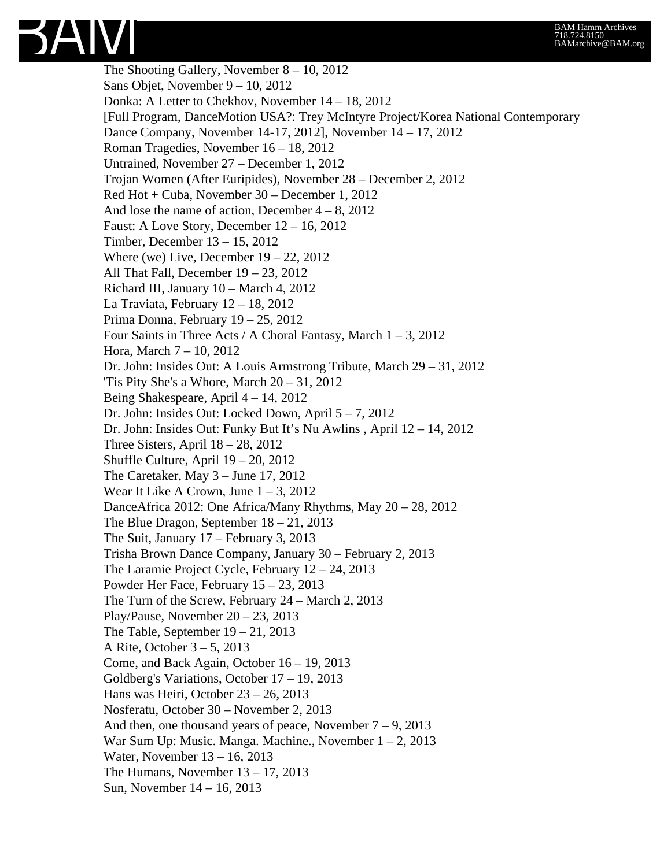The Shooting Gallery, November 8 – 10, 2012 Sans Objet, November 9 – 10, 2012 Donka: A Letter to Chekhov, November 14 – 18, 2012 [Full Program, DanceMotion USA?: Trey McIntyre Project/Korea National Contemporary Dance Company, November 14-17, 2012], November 14 – 17, 2012 Roman Tragedies, November 16 – 18, 2012 Untrained, November 27 – December 1, 2012 Trojan Women (After Euripides), November 28 – December 2, 2012 Red Hot + Cuba, November 30 – December 1, 2012 And lose the name of action, December  $4 - 8$ , 2012 Faust: A Love Story, December 12 – 16, 2012 Timber, December 13 – 15, 2012 Where (we) Live, December  $19 - 22$ ,  $2012$ All That Fall, December 19 – 23, 2012 Richard III, January 10 – March 4, 2012 La Traviata, February 12 – 18, 2012 Prima Donna, February 19 – 25, 2012 Four Saints in Three Acts / A Choral Fantasy, March  $1 - 3$ , 2012 Hora, March 7 – 10, 2012 Dr. John: Insides Out: A Louis Armstrong Tribute, March 29 – 31, 2012 'Tis Pity She's a Whore, March 20 – 31, 2012 Being Shakespeare, April 4 – 14, 2012 Dr. John: Insides Out: Locked Down, April 5 – 7, 2012 Dr. John: Insides Out: Funky But It's Nu Awlins , April 12 – 14, 2012 Three Sisters, April  $18 - 28$ , 2012 Shuffle Culture, April 19 – 20, 2012 The Caretaker, May 3 – June 17, 2012 Wear It Like A Crown, June  $1 - 3$ , 2012 DanceAfrica 2012: One Africa/Many Rhythms, May 20 – 28, 2012 The Blue Dragon, September 18 – 21, 2013 The Suit, January 17 – February 3, 2013 Trisha Brown Dance Company, January 30 – February 2, 2013 The Laramie Project Cycle, February 12 – 24, 2013 Powder Her Face, February 15 – 23, 2013 The Turn of the Screw, February 24 – March 2, 2013 Play/Pause, November 20 – 23, 2013 The Table, September  $19 - 21$ , 2013 A Rite, October 3 – 5, 2013 Come, and Back Again, October 16 – 19, 2013 Goldberg's Variations, October 17 – 19, 2013 Hans was Heiri, October 23 – 26, 2013 Nosferatu, October 30 – November 2, 2013 And then, one thousand years of peace, November  $7 - 9$ , 2013 War Sum Up: Music. Manga. Machine., November  $1 - 2$ , 2013 Water, November 13 – 16, 2013 The Humans, November  $13 - 17$ , 2013 Sun, November 14 – 16, 2013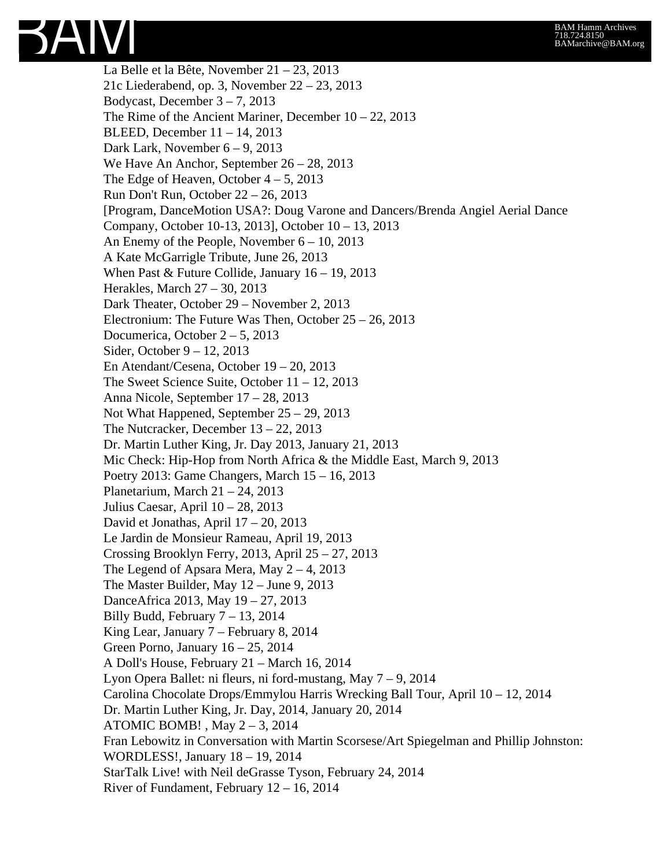La Belle et la Bête, November 21 – 23, 2013 21c Liederabend, op. 3, November 22 – 23, 2013 Bodycast, December 3 – 7, 2013 The Rime of the Ancient Mariner, December 10 – 22, 2013 BLEED, December 11 – 14, 2013 Dark Lark, November 6 – 9, 2013 We Have An Anchor, September 26 – 28, 2013 The Edge of Heaven, October  $4 - 5$ , 2013 Run Don't Run, October 22 – 26, 2013 [Program, DanceMotion USA?: Doug Varone and Dancers/Brenda Angiel Aerial Dance Company, October 10-13, 2013], October 10 – 13, 2013 An Enemy of the People, November 6 – 10, 2013 A Kate McGarrigle Tribute, June 26, 2013 When Past & Future Collide, January 16 – 19, 2013 Herakles, March 27 – 30, 2013 Dark Theater, October 29 – November 2, 2013 Electronium: The Future Was Then, October 25 – 26, 2013 Documerica, October 2 – 5, 2013 Sider, October 9 – 12, 2013 En Atendant/Cesena, October 19 – 20, 2013 The Sweet Science Suite, October 11 – 12, 2013 Anna Nicole, September 17 – 28, 2013 Not What Happened, September 25 – 29, 2013 The Nutcracker, December 13 – 22, 2013 Dr. Martin Luther King, Jr. Day 2013, January 21, 2013 Mic Check: Hip-Hop from North Africa & the Middle East, March 9, 2013 Poetry 2013: Game Changers, March 15 – 16, 2013 Planetarium, March  $21 - 24$ , 2013 Julius Caesar, April 10 – 28, 2013 David et Jonathas, April 17 – 20, 2013 Le Jardin de Monsieur Rameau, April 19, 2013 Crossing Brooklyn Ferry, 2013, April 25 – 27, 2013 The Legend of Apsara Mera, May  $2 - 4$ , 2013 The Master Builder, May 12 – June 9, 2013 DanceAfrica 2013, May 19 – 27, 2013 Billy Budd, February  $7 - 13$ , 2014 King Lear, January 7 – February 8, 2014 Green Porno, January  $16 - 25$ , 2014 A Doll's House, February 21 – March 16, 2014 Lyon Opera Ballet: ni fleurs, ni ford-mustang, May 7 – 9, 2014 Carolina Chocolate Drops/Emmylou Harris Wrecking Ball Tour, April 10 – 12, 2014 Dr. Martin Luther King, Jr. Day, 2014, January 20, 2014 ATOMIC BOMB! , May 2 – 3, 2014 Fran Lebowitz in Conversation with Martin Scorsese/Art Spiegelman and Phillip Johnston: WORDLESS!, January 18 – 19, 2014 StarTalk Live! with Neil deGrasse Tyson, February 24, 2014 River of Fundament, February 12 – 16, 2014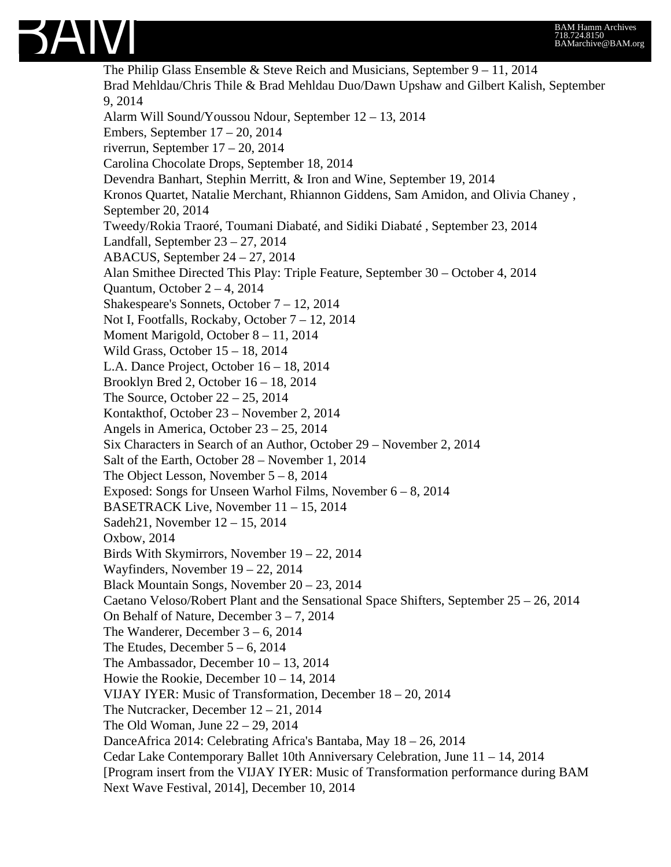

The Philip Glass Ensemble & Steve Reich and Musicians, September 9 – 11, 2014 Brad Mehldau/Chris Thile & Brad Mehldau Duo/Dawn Upshaw and Gilbert Kalish, September 9, 2014 Alarm Will Sound/Youssou Ndour, September 12 – 13, 2014 Embers, September 17 – 20, 2014 riverrun, September 17 – 20, 2014 Carolina Chocolate Drops, September 18, 2014 Devendra Banhart, Stephin Merritt, & Iron and Wine, September 19, 2014 Kronos Quartet, Natalie Merchant, Rhiannon Giddens, Sam Amidon, and Olivia Chaney , September 20, 2014 Tweedy/Rokia Traoré, Toumani Diabaté, and Sidiki Diabaté , September 23, 2014 Landfall, September 23 – 27, 2014 ABACUS, September 24 – 27, 2014 Alan Smithee Directed This Play: Triple Feature, September 30 – October 4, 2014 Quantum, October  $2 - 4$ , 2014 Shakespeare's Sonnets, October 7 – 12, 2014 Not I, Footfalls, Rockaby, October 7 – 12, 2014 Moment Marigold, October 8 – 11, 2014 Wild Grass, October 15 – 18, 2014 L.A. Dance Project, October 16 – 18, 2014 Brooklyn Bred 2, October 16 – 18, 2014 The Source, October 22 – 25, 2014 Kontakthof, October 23 – November 2, 2014 Angels in America, October 23 – 25, 2014 Six Characters in Search of an Author, October 29 – November 2, 2014 Salt of the Earth, October 28 – November 1, 2014 The Object Lesson, November  $5 - 8$ , 2014 Exposed: Songs for Unseen Warhol Films, November  $6 - 8$ , 2014 BASETRACK Live, November 11 – 15, 2014 Sadeh21, November 12 – 15, 2014 Oxbow, 2014 Birds With Skymirrors, November 19 – 22, 2014 Wayfinders, November 19 – 22, 2014 Black Mountain Songs, November 20 – 23, 2014 Caetano Veloso/Robert Plant and the Sensational Space Shifters, September  $25 - 26$ , 2014 On Behalf of Nature, December 3 – 7, 2014 The Wanderer, December 3 – 6, 2014 The Etudes, December  $5 - 6$ , 2014 The Ambassador, December 10 – 13, 2014 Howie the Rookie, December 10 – 14, 2014 VIJAY IYER: Music of Transformation, December 18 – 20, 2014 The Nutcracker, December 12 – 21, 2014 The Old Woman, June 22 – 29, 2014 DanceAfrica 2014: Celebrating Africa's Bantaba, May 18 – 26, 2014 Cedar Lake Contemporary Ballet 10th Anniversary Celebration, June 11 – 14, 2014 [Program insert from the VIJAY IYER: Music of Transformation performance during BAM Next Wave Festival, 2014], December 10, 2014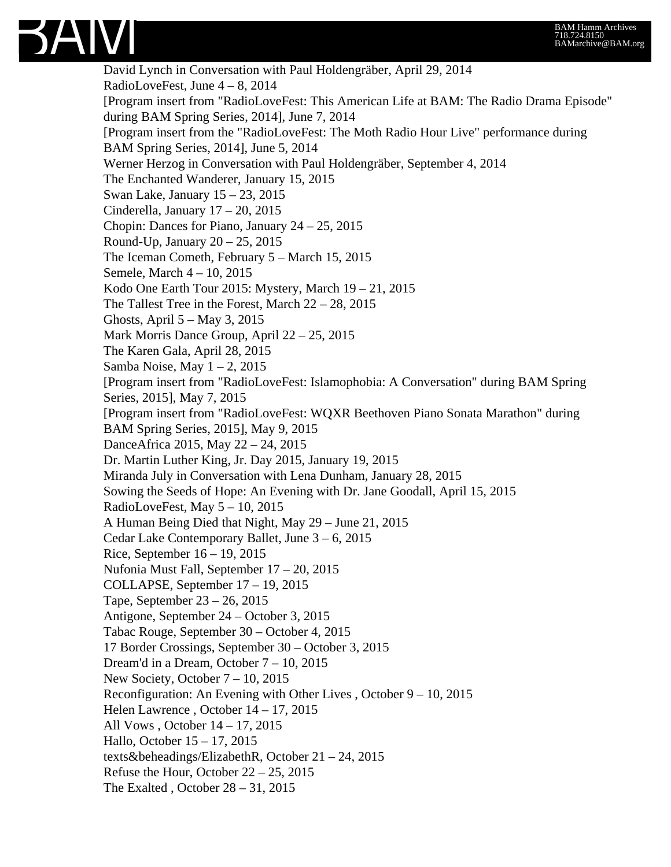

David Lynch in Conversation with Paul Holdengräber, April 29, 2014 RadioLoveFest, June 4 – 8, 2014 [Program insert from "RadioLoveFest: This American Life at BAM: The Radio Drama Episode" during BAM Spring Series, 2014], June 7, 2014 [Program insert from the "RadioLoveFest: The Moth Radio Hour Live" performance during BAM Spring Series, 2014], June 5, 2014 Werner Herzog in Conversation with Paul Holdengräber, September 4, 2014 The Enchanted Wanderer, January 15, 2015 Swan Lake, January 15 – 23, 2015 Cinderella, January 17 – 20, 2015 Chopin: Dances for Piano, January 24 – 25, 2015 Round-Up, January 20 – 25, 2015 The Iceman Cometh, February 5 – March 15, 2015 Semele, March 4 – 10, 2015 Kodo One Earth Tour 2015: Mystery, March 19 – 21, 2015 The Tallest Tree in the Forest, March  $22 - 28$ , 2015 Ghosts, April 5 – May 3, 2015 Mark Morris Dance Group, April 22 – 25, 2015 The Karen Gala, April 28, 2015 Samba Noise, May  $1 - 2$ , 2015 [Program insert from "RadioLoveFest: Islamophobia: A Conversation" during BAM Spring Series, 2015], May 7, 2015 [Program insert from "RadioLoveFest: WQXR Beethoven Piano Sonata Marathon" during BAM Spring Series, 2015], May 9, 2015 DanceAfrica 2015, May 22 – 24, 2015 Dr. Martin Luther King, Jr. Day 2015, January 19, 2015 Miranda July in Conversation with Lena Dunham, January 28, 2015 Sowing the Seeds of Hope: An Evening with Dr. Jane Goodall, April 15, 2015 RadioLoveFest, May 5 – 10, 2015 A Human Being Died that Night, May 29 – June 21, 2015 Cedar Lake Contemporary Ballet, June 3 – 6, 2015 Rice, September 16 – 19, 2015 Nufonia Must Fall, September 17 – 20, 2015 COLLAPSE, September 17 – 19, 2015 Tape, September 23 – 26, 2015 Antigone, September 24 – October 3, 2015 Tabac Rouge, September 30 – October 4, 2015 17 Border Crossings, September 30 – October 3, 2015 Dream'd in a Dream, October 7 – 10, 2015 New Society, October 7 – 10, 2015 Reconfiguration: An Evening with Other Lives , October 9 – 10, 2015 Helen Lawrence , October 14 – 17, 2015 All Vows , October 14 – 17, 2015 Hallo, October 15 – 17, 2015 texts&beheadings/ElizabethR, October 21 – 24, 2015 Refuse the Hour, October 22 – 25, 2015 The Exalted , October  $28 - 31$ , 2015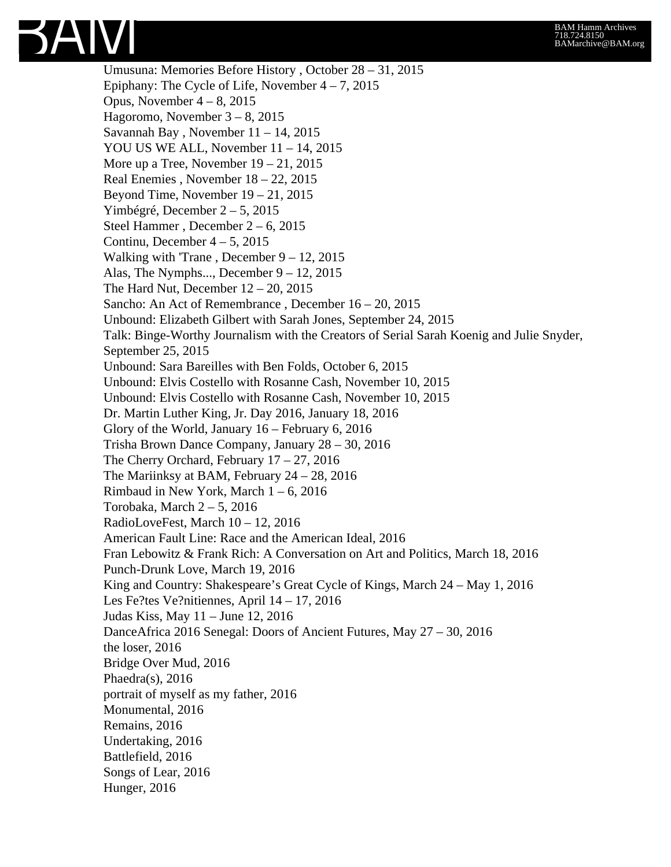## SAIVI

Umusuna: Memories Before History , October 28 – 31, 2015 Epiphany: The Cycle of Life, November  $4 - 7$ , 2015 Opus, November  $4 - 8$ , 2015 Hagoromo, November 3 – 8, 2015 Savannah Bay , November 11 – 14, 2015 YOU US WE ALL, November 11 – 14, 2015 More up a Tree, November  $19 - 21$ , 2015 Real Enemies , November 18 – 22, 2015 Beyond Time, November 19 – 21, 2015 Yimbégré, December 2 – 5, 2015 Steel Hammer , December 2 – 6, 2015 Continu, December  $4 - 5$ , 2015 Walking with 'Trane, December  $9 - 12$ , 2015 Alas, The Nymphs..., December 9 – 12, 2015 The Hard Nut, December  $12 - 20$ ,  $2015$ Sancho: An Act of Remembrance , December 16 – 20, 2015 Unbound: Elizabeth Gilbert with Sarah Jones, September 24, 2015 Talk: Binge-Worthy Journalism with the Creators of Serial Sarah Koenig and Julie Snyder, September 25, 2015 Unbound: Sara Bareilles with Ben Folds, October 6, 2015 Unbound: Elvis Costello with Rosanne Cash, November 10, 2015 Unbound: Elvis Costello with Rosanne Cash, November 10, 2015 Dr. Martin Luther King, Jr. Day 2016, January 18, 2016 Glory of the World, January 16 – February 6, 2016 Trisha Brown Dance Company, January 28 – 30, 2016 The Cherry Orchard, February  $17 - 27$ ,  $2016$ The Mariinksy at BAM, February 24 – 28, 2016 Rimbaud in New York, March  $1 - 6$ , 2016 Torobaka, March  $2 - 5$ , 2016 RadioLoveFest, March 10 – 12, 2016 American Fault Line: Race and the American Ideal, 2016 Fran Lebowitz & Frank Rich: A Conversation on Art and Politics, March 18, 2016 Punch-Drunk Love, March 19, 2016 King and Country: Shakespeare's Great Cycle of Kings, March 24 – May 1, 2016 Les Fe?tes Ve?nitiennes, April 14 – 17, 2016 Judas Kiss, May 11 – June 12, 2016 DanceAfrica 2016 Senegal: Doors of Ancient Futures, May 27 – 30, 2016 the loser, 2016 Bridge Over Mud, 2016 Phaedra(s), 2016 portrait of myself as my father, 2016 Monumental, 2016 Remains, 2016 Undertaking, 2016 Battlefield, 2016 Songs of Lear, 2016 Hunger, 2016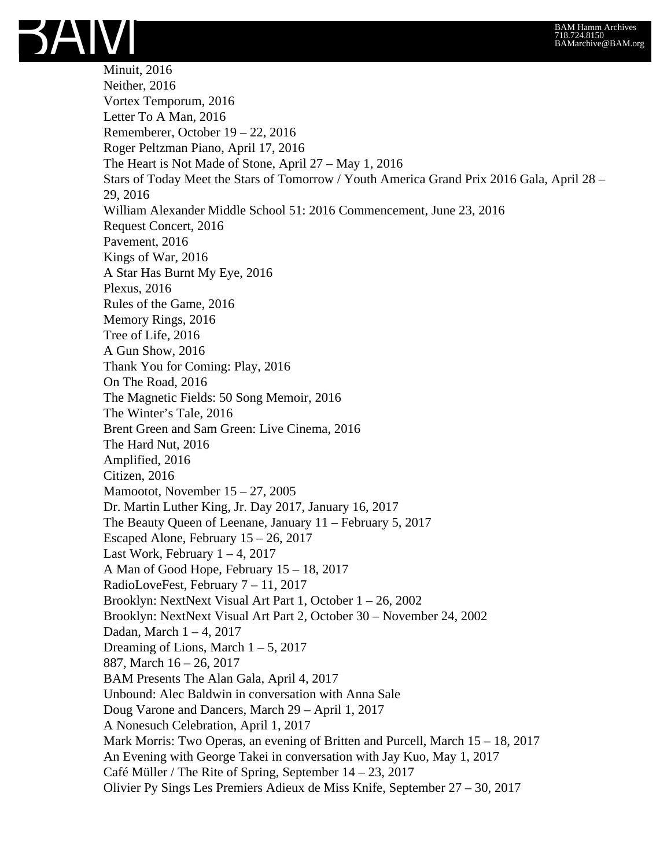

Minuit, 2016 Neither, 2016 Vortex Temporum, 2016 Letter To A Man, 2016 Rememberer, October 19 – 22, 2016 Roger Peltzman Piano, April 17, 2016 The Heart is Not Made of Stone, April 27 – May 1, 2016 Stars of Today Meet the Stars of Tomorrow / Youth America Grand Prix 2016 Gala, April 28 – 29, 2016 William Alexander Middle School 51: 2016 Commencement, June 23, 2016 Request Concert, 2016 Pavement, 2016 Kings of War, 2016 A Star Has Burnt My Eye, 2016 Plexus, 2016 Rules of the Game, 2016 Memory Rings, 2016 Tree of Life, 2016 A Gun Show, 2016 Thank You for Coming: Play, 2016 On The Road, 2016 The Magnetic Fields: 50 Song Memoir, 2016 The Winter's Tale, 2016 Brent Green and Sam Green: Live Cinema, 2016 The Hard Nut, 2016 Amplified, 2016 Citizen, 2016 Mamootot, November 15 – 27, 2005 Dr. Martin Luther King, Jr. Day 2017, January 16, 2017 The Beauty Queen of Leenane, January 11 – February 5, 2017 Escaped Alone, February 15 – 26, 2017 Last Work, February  $1 - 4$ , 2017 A Man of Good Hope, February 15 – 18, 2017 RadioLoveFest, February 7 – 11, 2017 Brooklyn: NextNext Visual Art Part 1, October 1 – 26, 2002 Brooklyn: NextNext Visual Art Part 2, October 30 – November 24, 2002 Dadan, March 1 – 4, 2017 Dreaming of Lions, March  $1 - 5$ , 2017 887, March 16 – 26, 2017 BAM Presents The Alan Gala, April 4, 2017 Unbound: Alec Baldwin in conversation with Anna Sale Doug Varone and Dancers, March 29 – April 1, 2017 A Nonesuch Celebration, April 1, 2017 Mark Morris: Two Operas, an evening of Britten and Purcell, March 15 – 18, 2017 An Evening with George Takei in conversation with Jay Kuo, May 1, 2017 Café Müller / The Rite of Spring, September 14 – 23, 2017 Olivier Py Sings Les Premiers Adieux de Miss Knife, September 27 – 30, 2017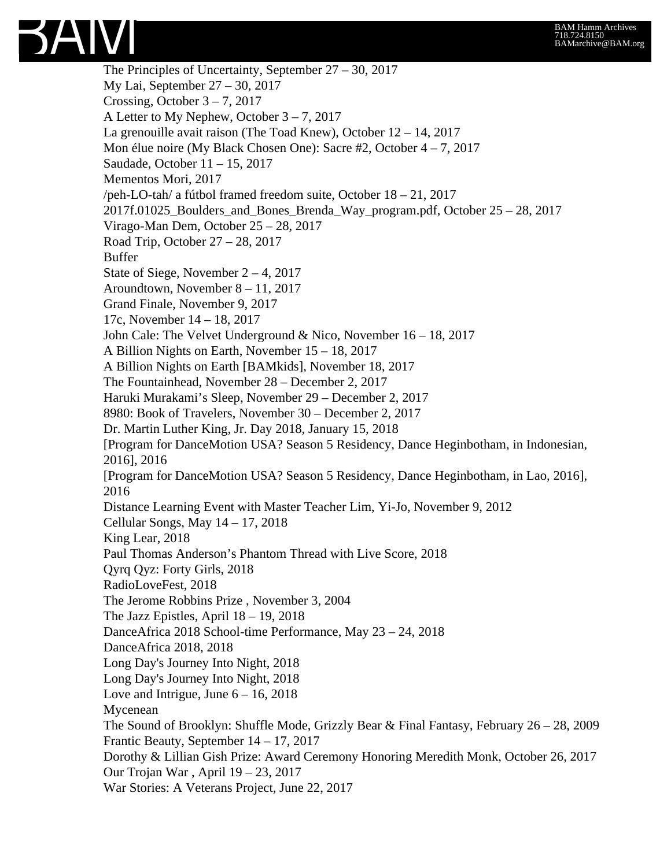

The Principles of Uncertainty, September 27 – 30, 2017 My Lai, September 27 – 30, 2017 Crossing, October  $3 - 7$ , 2017 A Letter to My Nephew, October 3 – 7, 2017 La grenouille avait raison (The Toad Knew), October 12 – 14, 2017 Mon élue noire (My Black Chosen One): Sacre #2, October 4 – 7, 2017 Saudade, October 11 – 15, 2017 Mementos Mori, 2017 /peh-LO-tah/ a fútbol framed freedom suite, October 18 – 21, 2017 2017f.01025\_Boulders\_and\_Bones\_Brenda\_Way\_program.pdf, October 25 – 28, 2017 Virago-Man Dem, October 25 – 28, 2017 Road Trip, October 27 – 28, 2017 Buffer State of Siege, November 2 – 4, 2017 Aroundtown, November 8 – 11, 2017 Grand Finale, November 9, 2017 17c, November 14 – 18, 2017 John Cale: The Velvet Underground & Nico, November 16 – 18, 2017 A Billion Nights on Earth, November 15 – 18, 2017 A Billion Nights on Earth [BAMkids], November 18, 2017 The Fountainhead, November 28 – December 2, 2017 Haruki Murakami's Sleep, November 29 – December 2, 2017 8980: Book of Travelers, November 30 – December 2, 2017 Dr. Martin Luther King, Jr. Day 2018, January 15, 2018 [Program for DanceMotion USA? Season 5 Residency, Dance Heginbotham, in Indonesian, 2016], 2016 [Program for DanceMotion USA? Season 5 Residency, Dance Heginbotham, in Lao, 2016], 2016 Distance Learning Event with Master Teacher Lim, Yi-Jo, November 9, 2012 Cellular Songs, May 14 – 17, 2018 King Lear, 2018 Paul Thomas Anderson's Phantom Thread with Live Score, 2018 Qyrq Qyz: Forty Girls, 2018 RadioLoveFest, 2018 The Jerome Robbins Prize , November 3, 2004 The Jazz Epistles, April 18 – 19, 2018 DanceAfrica 2018 School-time Performance, May 23 – 24, 2018 DanceAfrica 2018, 2018 Long Day's Journey Into Night, 2018 Long Day's Journey Into Night, 2018 Love and Intrigue, June  $6 - 16$ , 2018 Mycenean The Sound of Brooklyn: Shuffle Mode, Grizzly Bear & Final Fantasy, February 26 – 28, 2009 Frantic Beauty, September 14 – 17, 2017 Dorothy & Lillian Gish Prize: Award Ceremony Honoring Meredith Monk, October 26, 2017 Our Trojan War , April 19 – 23, 2017 War Stories: A Veterans Project, June 22, 2017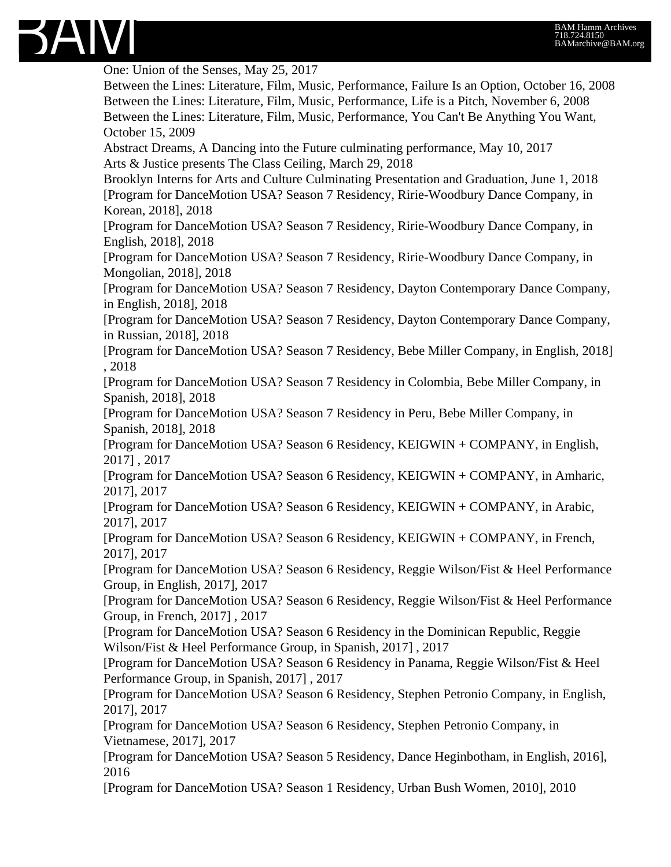

One: Union of the Senses, May 25, 2017 Between the Lines: Literature, Film, Music, Performance, Failure Is an Option, October 16, 2008 Between the Lines: Literature, Film, Music, Performance, Life is a Pitch, November 6, 2008 Between the Lines: Literature, Film, Music, Performance, You Can't Be Anything You Want, October 15, 2009 Abstract Dreams, A Dancing into the Future culminating performance, May 10, 2017 Arts & Justice presents The Class Ceiling, March 29, 2018 Brooklyn Interns for Arts and Culture Culminating Presentation and Graduation, June 1, 2018 [Program for DanceMotion USA? Season 7 Residency, Ririe-Woodbury Dance Company, in Korean, 2018], 2018 [Program for DanceMotion USA? Season 7 Residency, Ririe-Woodbury Dance Company, in English, 2018], 2018 [Program for DanceMotion USA? Season 7 Residency, Ririe-Woodbury Dance Company, in Mongolian, 2018], 2018 [Program for DanceMotion USA? Season 7 Residency, Dayton Contemporary Dance Company, in English, 2018], 2018 [Program for DanceMotion USA? Season 7 Residency, Dayton Contemporary Dance Company, in Russian, 2018], 2018 [Program for DanceMotion USA? Season 7 Residency, Bebe Miller Company, in English, 2018] , 2018 [Program for DanceMotion USA? Season 7 Residency in Colombia, Bebe Miller Company, in Spanish, 2018], 2018 [Program for DanceMotion USA? Season 7 Residency in Peru, Bebe Miller Company, in Spanish, 2018], 2018 [Program for DanceMotion USA? Season 6 Residency, KEIGWIN + COMPANY, in English, 2017] , 2017 [Program for DanceMotion USA? Season 6 Residency, KEIGWIN + COMPANY, in Amharic, 2017], 2017 [Program for DanceMotion USA? Season 6 Residency, KEIGWIN + COMPANY, in Arabic, 2017], 2017 [Program for DanceMotion USA? Season 6 Residency, KEIGWIN + COMPANY, in French, 2017], 2017 [Program for DanceMotion USA? Season 6 Residency, Reggie Wilson/Fist & Heel Performance Group, in English, 2017], 2017 [Program for DanceMotion USA? Season 6 Residency, Reggie Wilson/Fist & Heel Performance Group, in French, 2017] , 2017 [Program for DanceMotion USA? Season 6 Residency in the Dominican Republic, Reggie Wilson/Fist & Heel Performance Group, in Spanish, 2017] , 2017 [Program for DanceMotion USA? Season 6 Residency in Panama, Reggie Wilson/Fist & Heel Performance Group, in Spanish, 2017] , 2017 [Program for DanceMotion USA? Season 6 Residency, Stephen Petronio Company, in English, 2017], 2017 [Program for DanceMotion USA? Season 6 Residency, Stephen Petronio Company, in Vietnamese, 2017], 2017 [Program for DanceMotion USA? Season 5 Residency, Dance Heginbotham, in English, 2016], 2016 [Program for DanceMotion USA? Season 1 Residency, Urban Bush Women, 2010], 2010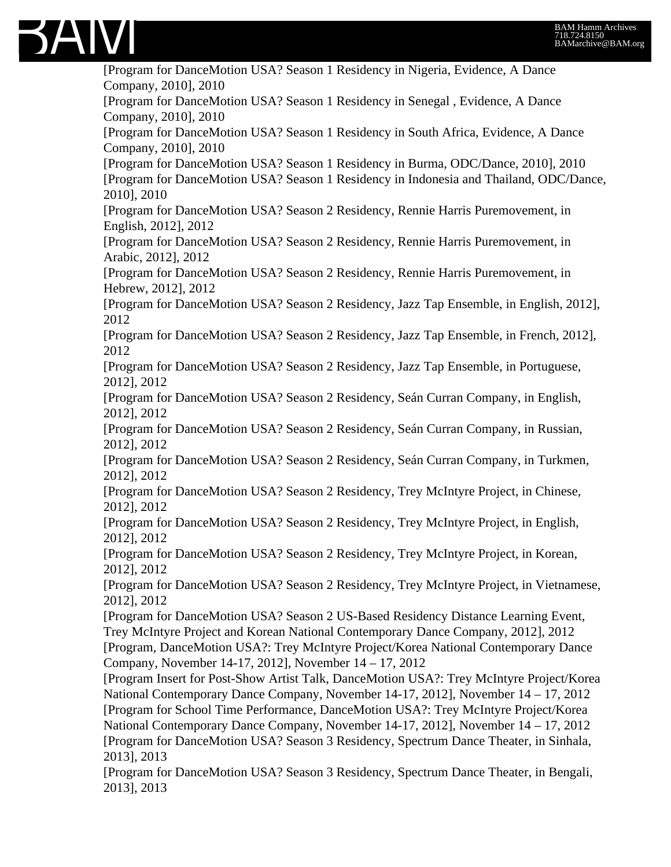

[Program for DanceMotion USA? Season 1 Residency in Nigeria, Evidence, A Dance Company, 2010], 2010 [Program for DanceMotion USA? Season 1 Residency in Senegal , Evidence, A Dance Company, 2010], 2010 [Program for DanceMotion USA? Season 1 Residency in South Africa, Evidence, A Dance Company, 2010], 2010 [Program for DanceMotion USA? Season 1 Residency in Burma, ODC/Dance, 2010], 2010 [Program for DanceMotion USA? Season 1 Residency in Indonesia and Thailand, ODC/Dance, 2010], 2010 [Program for DanceMotion USA? Season 2 Residency, Rennie Harris Puremovement, in English, 2012], 2012 [Program for DanceMotion USA? Season 2 Residency, Rennie Harris Puremovement, in Arabic, 2012], 2012 [Program for DanceMotion USA? Season 2 Residency, Rennie Harris Puremovement, in Hebrew, 2012], 2012 [Program for DanceMotion USA? Season 2 Residency, Jazz Tap Ensemble, in English, 2012], 2012 [Program for DanceMotion USA? Season 2 Residency, Jazz Tap Ensemble, in French, 2012], 2012 [Program for DanceMotion USA? Season 2 Residency, Jazz Tap Ensemble, in Portuguese, 2012], 2012 [Program for DanceMotion USA? Season 2 Residency, Seán Curran Company, in English, 2012], 2012 [Program for DanceMotion USA? Season 2 Residency, Seán Curran Company, in Russian, 2012], 2012 [Program for DanceMotion USA? Season 2 Residency, Seán Curran Company, in Turkmen, 2012], 2012 [Program for DanceMotion USA? Season 2 Residency, Trey McIntyre Project, in Chinese, 2012], 2012 [Program for DanceMotion USA? Season 2 Residency, Trey McIntyre Project, in English, 2012], 2012 [Program for DanceMotion USA? Season 2 Residency, Trey McIntyre Project, in Korean, 2012], 2012 [Program for DanceMotion USA? Season 2 Residency, Trey McIntyre Project, in Vietnamese, 2012], 2012 [Program for DanceMotion USA? Season 2 US-Based Residency Distance Learning Event, Trey McIntyre Project and Korean National Contemporary Dance Company, 2012], 2012 [Program, DanceMotion USA?: Trey McIntyre Project/Korea National Contemporary Dance Company, November 14-17, 2012], November 14 – 17, 2012 [Program Insert for Post-Show Artist Talk, DanceMotion USA?: Trey McIntyre Project/Korea National Contemporary Dance Company, November 14-17, 2012], November 14 – 17, 2012 [Program for School Time Performance, DanceMotion USA?: Trey McIntyre Project/Korea National Contemporary Dance Company, November 14-17, 2012], November 14 – 17, 2012 [Program for DanceMotion USA? Season 3 Residency, Spectrum Dance Theater, in Sinhala, 2013], 2013 [Program for DanceMotion USA? Season 3 Residency, Spectrum Dance Theater, in Bengali, 2013], 2013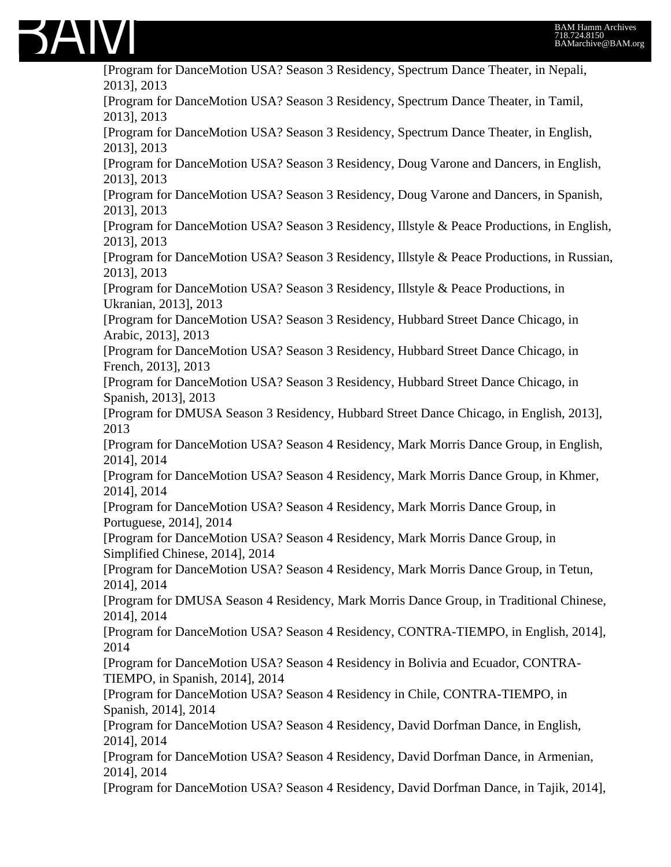

[Program for DanceMotion USA? Season 3 Residency, Spectrum Dance Theater, in Nepali, 2013], 2013 [Program for DanceMotion USA? Season 3 Residency, Spectrum Dance Theater, in Tamil, 2013], 2013 [Program for DanceMotion USA? Season 3 Residency, Spectrum Dance Theater, in English, 2013], 2013 [Program for DanceMotion USA? Season 3 Residency, Doug Varone and Dancers, in English, 2013], 2013 [Program for DanceMotion USA? Season 3 Residency, Doug Varone and Dancers, in Spanish, 2013], 2013 [Program for DanceMotion USA? Season 3 Residency, Illstyle & Peace Productions, in English, 2013], 2013 [Program for DanceMotion USA? Season 3 Residency, Illstyle & Peace Productions, in Russian, 2013], 2013 [Program for DanceMotion USA? Season 3 Residency, Illstyle & Peace Productions, in Ukranian, 2013], 2013 [Program for DanceMotion USA? Season 3 Residency, Hubbard Street Dance Chicago, in Arabic, 2013], 2013 [Program for DanceMotion USA? Season 3 Residency, Hubbard Street Dance Chicago, in French, 2013], 2013 [Program for DanceMotion USA? Season 3 Residency, Hubbard Street Dance Chicago, in Spanish, 2013], 2013 [Program for DMUSA Season 3 Residency, Hubbard Street Dance Chicago, in English, 2013], 2013 [Program for DanceMotion USA? Season 4 Residency, Mark Morris Dance Group, in English, 2014], 2014 [Program for DanceMotion USA? Season 4 Residency, Mark Morris Dance Group, in Khmer, 2014], 2014 [Program for DanceMotion USA? Season 4 Residency, Mark Morris Dance Group, in Portuguese, 2014], 2014 [Program for DanceMotion USA? Season 4 Residency, Mark Morris Dance Group, in Simplified Chinese, 2014], 2014 [Program for DanceMotion USA? Season 4 Residency, Mark Morris Dance Group, in Tetun, 2014], 2014 [Program for DMUSA Season 4 Residency, Mark Morris Dance Group, in Traditional Chinese, 2014], 2014 [Program for DanceMotion USA? Season 4 Residency, CONTRA-TIEMPO, in English, 2014], 2014 [Program for DanceMotion USA? Season 4 Residency in Bolivia and Ecuador, CONTRA-TIEMPO, in Spanish, 2014], 2014 [Program for DanceMotion USA? Season 4 Residency in Chile, CONTRA-TIEMPO, in Spanish, 2014], 2014 [Program for DanceMotion USA? Season 4 Residency, David Dorfman Dance, in English, 2014], 2014 [Program for DanceMotion USA? Season 4 Residency, David Dorfman Dance, in Armenian, 2014], 2014 [Program for DanceMotion USA? Season 4 Residency, David Dorfman Dance, in Tajik, 2014],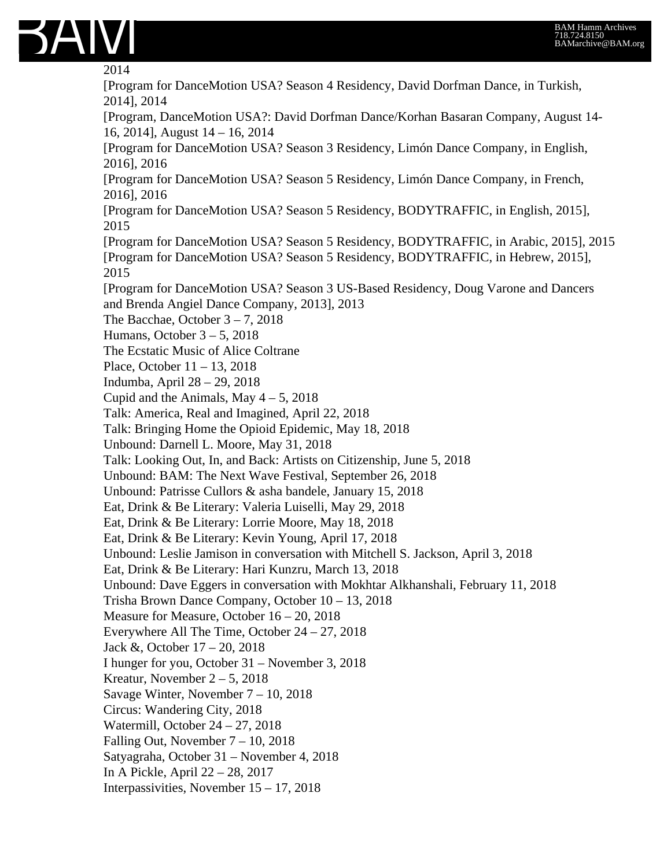

2014

[Program for DanceMotion USA? Season 4 Residency, David Dorfman Dance, in Turkish, 2014], 2014 [Program, DanceMotion USA?: David Dorfman Dance/Korhan Basaran Company, August 14- 16, 2014], August 14 – 16, 2014 [Program for DanceMotion USA? Season 3 Residency, Limón Dance Company, in English, 2016], 2016 [Program for DanceMotion USA? Season 5 Residency, Limón Dance Company, in French, 2016], 2016 [Program for DanceMotion USA? Season 5 Residency, BODYTRAFFIC, in English, 2015], 2015 [Program for DanceMotion USA? Season 5 Residency, BODYTRAFFIC, in Arabic, 2015], 2015 [Program for DanceMotion USA? Season 5 Residency, BODYTRAFFIC, in Hebrew, 2015], 2015 [Program for DanceMotion USA? Season 3 US-Based Residency, Doug Varone and Dancers and Brenda Angiel Dance Company, 2013], 2013 The Bacchae, October  $3 - 7$ , 2018 Humans, October 3 – 5, 2018 The Ecstatic Music of Alice Coltrane Place, October 11 – 13, 2018 Indumba, April 28 – 29, 2018 Cupid and the Animals, May  $4 - 5$ , 2018 Talk: America, Real and Imagined, April 22, 2018 Talk: Bringing Home the Opioid Epidemic, May 18, 2018 Unbound: Darnell L. Moore, May 31, 2018 Talk: Looking Out, In, and Back: Artists on Citizenship, June 5, 2018 Unbound: BAM: The Next Wave Festival, September 26, 2018 Unbound: Patrisse Cullors & asha bandele, January 15, 2018 Eat, Drink & Be Literary: Valeria Luiselli, May 29, 2018 Eat, Drink & Be Literary: Lorrie Moore, May 18, 2018 Eat, Drink & Be Literary: Kevin Young, April 17, 2018 Unbound: Leslie Jamison in conversation with Mitchell S. Jackson, April 3, 2018 Eat, Drink & Be Literary: Hari Kunzru, March 13, 2018 Unbound: Dave Eggers in conversation with Mokhtar Alkhanshali, February 11, 2018 Trisha Brown Dance Company, October 10 – 13, 2018 Measure for Measure, October 16 – 20, 2018 Everywhere All The Time, October 24 – 27, 2018 Jack &, October 17 – 20, 2018 I hunger for you, October 31 – November 3, 2018 Kreatur, November  $2 - 5$ , 2018 Savage Winter, November 7 – 10, 2018 Circus: Wandering City, 2018 Watermill, October 24 – 27, 2018 Falling Out, November 7 – 10, 2018 Satyagraha, October 31 – November 4, 2018 In A Pickle, April 22 – 28, 2017 Interpassivities, November 15 – 17, 2018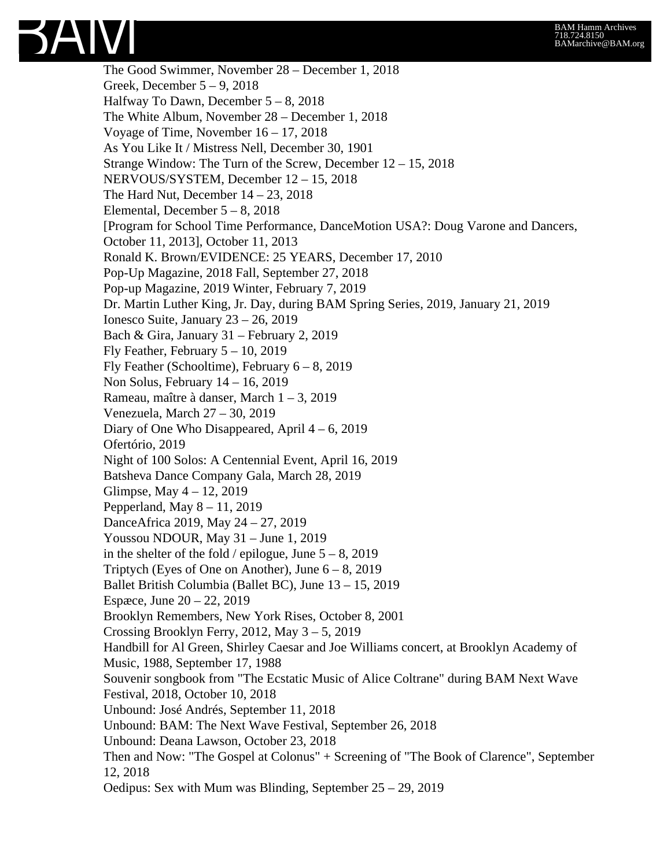

The Good Swimmer, November 28 – December 1, 2018 Greek, December 5 – 9, 2018 Halfway To Dawn, December 5 – 8, 2018 The White Album, November 28 – December 1, 2018 Voyage of Time, November 16 – 17, 2018 As You Like It / Mistress Nell, December 30, 1901 Strange Window: The Turn of the Screw, December 12 – 15, 2018 NERVOUS/SYSTEM, December 12 – 15, 2018 The Hard Nut, December  $14 - 23$ , 2018 Elemental, December 5 – 8, 2018 [Program for School Time Performance, DanceMotion USA?: Doug Varone and Dancers, October 11, 2013], October 11, 2013 Ronald K. Brown/EVIDENCE: 25 YEARS, December 17, 2010 Pop-Up Magazine, 2018 Fall, September 27, 2018 Pop-up Magazine, 2019 Winter, February 7, 2019 Dr. Martin Luther King, Jr. Day, during BAM Spring Series, 2019, January 21, 2019 Ionesco Suite, January 23 – 26, 2019 Bach & Gira, January 31 – February 2, 2019 Fly Feather, February  $5 - 10$ , 2019 Fly Feather (Schooltime), February  $6 - 8$ , 2019 Non Solus, February 14 – 16, 2019 Rameau, maître à danser, March 1 – 3, 2019 Venezuela, March 27 – 30, 2019 Diary of One Who Disappeared, April 4 – 6, 2019 Ofertório, 2019 Night of 100 Solos: A Centennial Event, April 16, 2019 Batsheva Dance Company Gala, March 28, 2019 Glimpse, May 4 – 12, 2019 Pepperland, May  $8 - 11$ , 2019 DanceAfrica 2019, May 24 – 27, 2019 Youssou NDOUR, May 31 – June 1, 2019 in the shelter of the fold / epilogue, June  $5 - 8$ , 2019 Triptych (Eyes of One on Another), June  $6 - 8$ , 2019 Ballet British Columbia (Ballet BC), June 13 – 15, 2019 Espæce, June 20 – 22, 2019 Brooklyn Remembers, New York Rises, October 8, 2001 Crossing Brooklyn Ferry, 2012, May 3 – 5, 2019 Handbill for Al Green, Shirley Caesar and Joe Williams concert, at Brooklyn Academy of Music, 1988, September 17, 1988 Souvenir songbook from "The Ecstatic Music of Alice Coltrane" during BAM Next Wave Festival, 2018, October 10, 2018 Unbound: José Andrés, September 11, 2018 Unbound: BAM: The Next Wave Festival, September 26, 2018 Unbound: Deana Lawson, October 23, 2018 Then and Now: "The Gospel at Colonus" + Screening of "The Book of Clarence", September 12, 2018 Oedipus: Sex with Mum was Blinding, September 25 – 29, 2019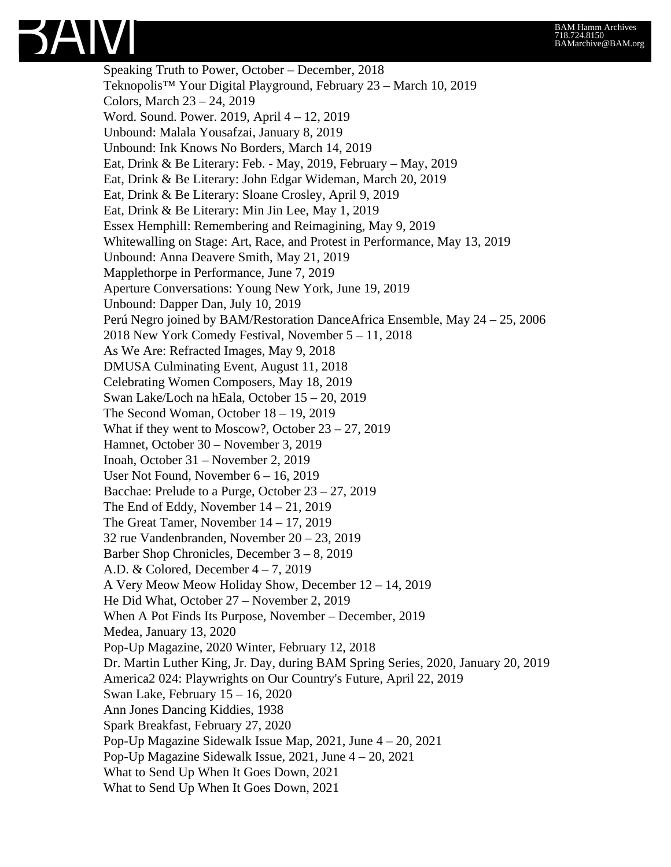

Speaking Truth to Power, October – December, 2018 Teknopolis™ Your Digital Playground, February 23 – March 10, 2019 Colors, March 23 – 24, 2019 Word. Sound. Power. 2019, April 4 – 12, 2019 Unbound: Malala Yousafzai, January 8, 2019 Unbound: Ink Knows No Borders, March 14, 2019 Eat, Drink & Be Literary: Feb. - May, 2019, February – May, 2019 Eat, Drink & Be Literary: John Edgar Wideman, March 20, 2019 Eat, Drink & Be Literary: Sloane Crosley, April 9, 2019 Eat, Drink & Be Literary: Min Jin Lee, May 1, 2019 Essex Hemphill: Remembering and Reimagining, May 9, 2019 Whitewalling on Stage: Art, Race, and Protest in Performance, May 13, 2019 Unbound: Anna Deavere Smith, May 21, 2019 Mapplethorpe in Performance, June 7, 2019 Aperture Conversations: Young New York, June 19, 2019 Unbound: Dapper Dan, July 10, 2019 Perú Negro joined by BAM/Restoration DanceAfrica Ensemble, May 24 – 25, 2006 2018 New York Comedy Festival, November 5 – 11, 2018 As We Are: Refracted Images, May 9, 2018 DMUSA Culminating Event, August 11, 2018 Celebrating Women Composers, May 18, 2019 Swan Lake/Loch na hEala, October 15 – 20, 2019 The Second Woman, October 18 – 19, 2019 What if they went to Moscow?, October 23 – 27, 2019 Hamnet, October 30 – November 3, 2019 Inoah, October 31 – November 2, 2019 User Not Found, November 6 – 16, 2019 Bacchae: Prelude to a Purge, October 23 – 27, 2019 The End of Eddy, November  $14 - 21$ , 2019 The Great Tamer, November 14 – 17, 2019 32 rue Vandenbranden, November 20 – 23, 2019 Barber Shop Chronicles, December 3 – 8, 2019 A.D. & Colored, December 4 – 7, 2019 A Very Meow Meow Holiday Show, December 12 – 14, 2019 He Did What, October 27 – November 2, 2019 When A Pot Finds Its Purpose, November – December, 2019 Medea, January 13, 2020 Pop-Up Magazine, 2020 Winter, February 12, 2018 Dr. Martin Luther King, Jr. Day, during BAM Spring Series, 2020, January 20, 2019 America2 024: Playwrights on Our Country's Future, April 22, 2019 Swan Lake, February 15 – 16, 2020 Ann Jones Dancing Kiddies, 1938 Spark Breakfast, February 27, 2020 Pop-Up Magazine Sidewalk Issue Map, 2021, June 4 – 20, 2021 Pop-Up Magazine Sidewalk Issue, 2021, June 4 – 20, 2021 What to Send Up When It Goes Down, 2021 What to Send Up When It Goes Down, 2021